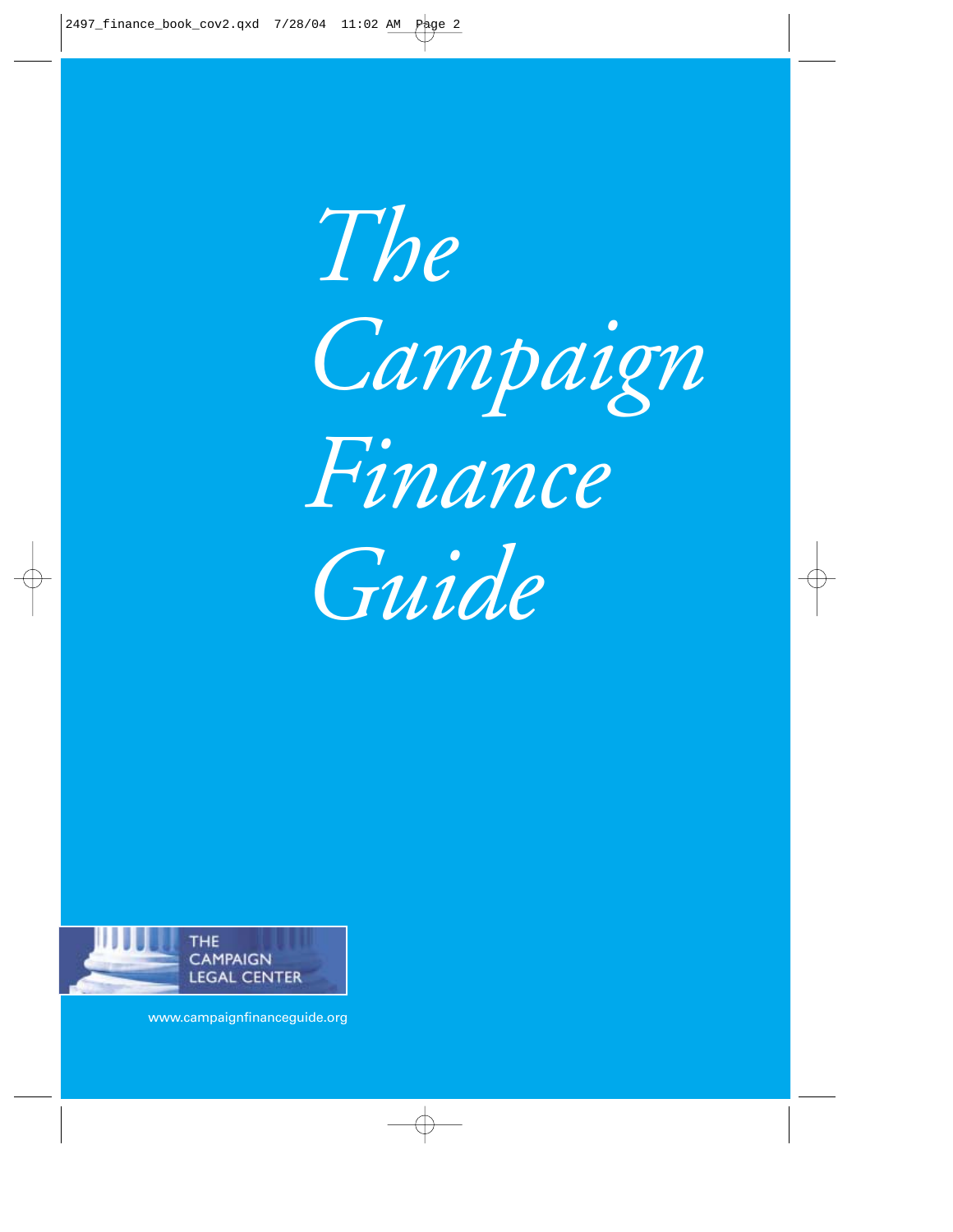





www.campaignfinanceguide.org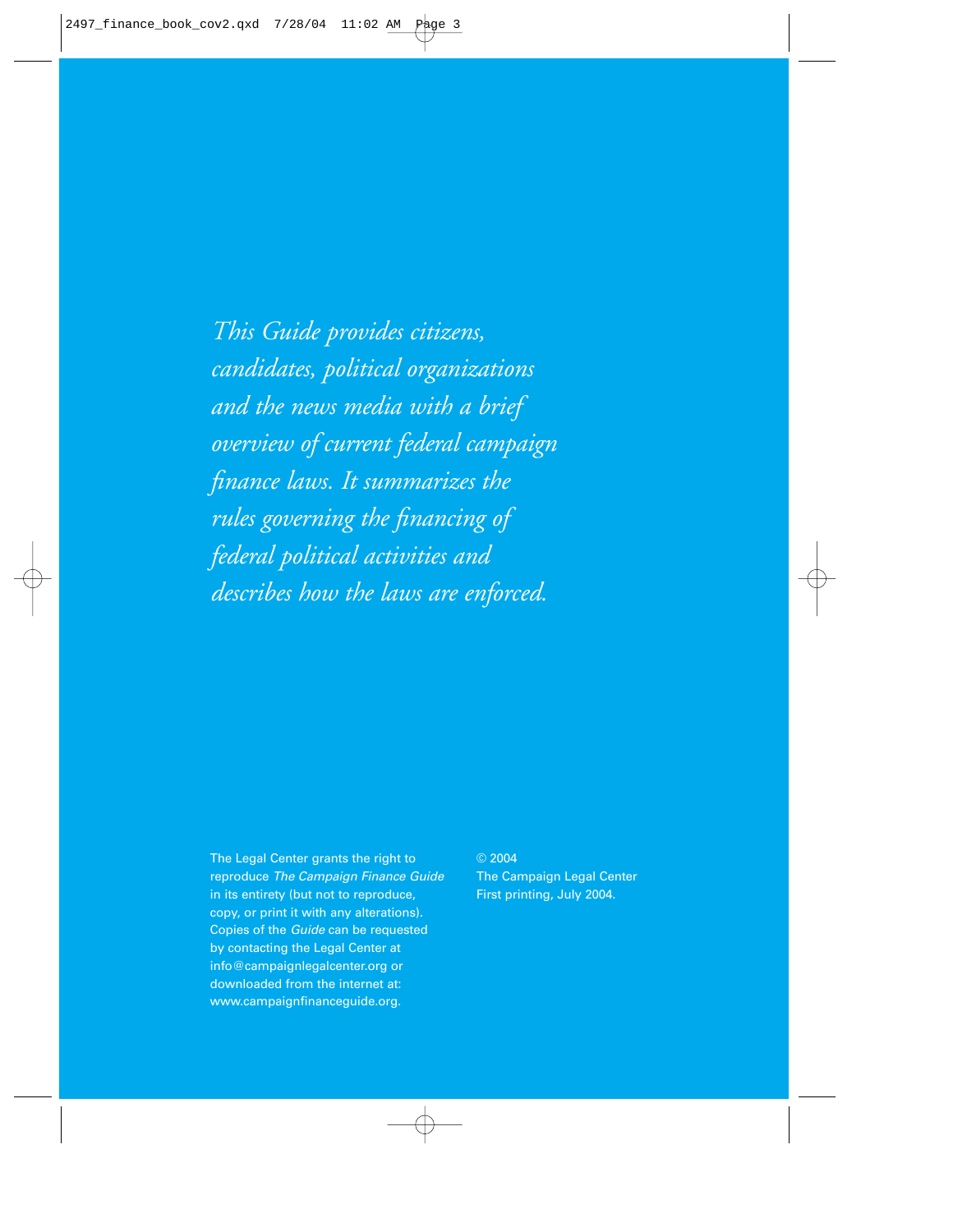*This Guide provides citizens, candidates, political organizations and the news media with a brief overview of current federal campaign finance laws. It summarizes the rules governing the financing of federal political activities and describes how the laws are enforced.*

The Legal Center grants the right to reproduce *The Campaign Finance Guide* in its entirety (but not to reproduce, copy, or print it with any alterations). Copies of the *Guide* can be requested by contacting the Legal Center at info@campaignlegalcenter.org or downloaded from the internet at: www.campaignfinanceguide.org.

© 2004 The Campaign Legal Center First printing, July 2004.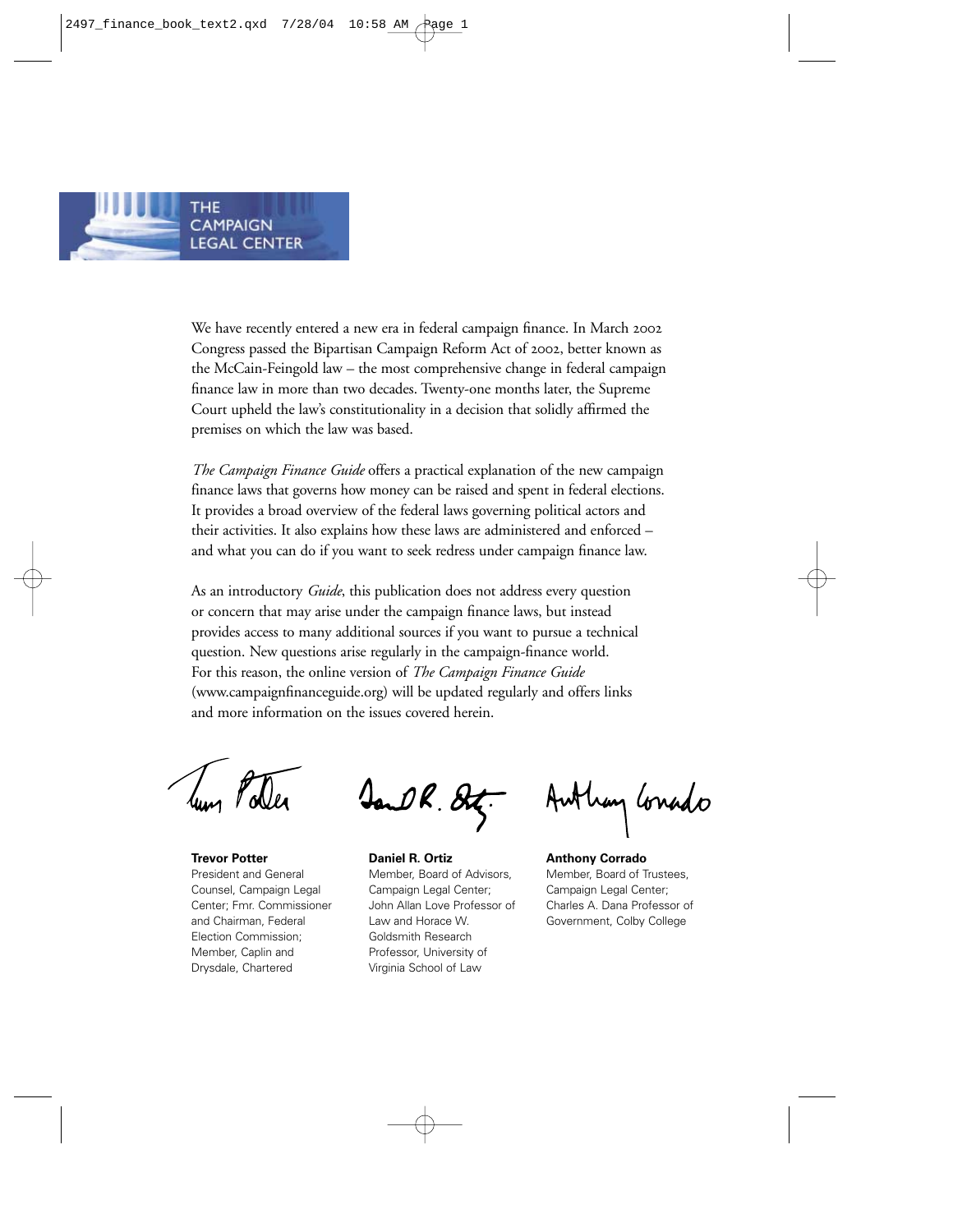

We have recently entered a new era in federal campaign finance. In March 2002 Congress passed the Bipartisan Campaign Reform Act of 2002, better known as the McCain-Feingold law – the most comprehensive change in federal campaign finance law in more than two decades. Twenty-one months later, the Supreme Court upheld the law's constitutionality in a decision that solidly affirmed the premises on which the law was based.

*The Campaign Finance Guide* offers a practical explanation of the new campaign finance laws that governs how money can be raised and spent in federal elections. It provides a broad overview of the federal laws governing political actors and their activities. It also explains how these laws are administered and enforced – and what you can do if you want to seek redress under campaign finance law.

As an introductory *Guide*, this publication does not address every question or concern that may arise under the campaign finance laws, but instead provides access to many additional sources if you want to pursue a technical question. New questions arise regularly in the campaign-finance world. For this reason, the online version of *The Campaign Finance Guide* (www.campaignfinanceguide.org) will be updated regularly and offers links and more information on the issues covered herein.

**Trevor Potter** President and General Counsel, Campaign Legal Center; Fmr. Commissioner and Chairman, Federal Election Commission; Member, Caplin and Drysdale, Chartered

Jan DR. St.

**Daniel R. Ortiz** Member, Board of Advisors, Campaign Legal Center; John Allan Love Professor of Law and Horace W. Goldsmith Research Professor, University of Virginia School of Law

Authory Conado

**Anthony Corrado** Member, Board of Trustees, Campaign Legal Center; Charles A. Dana Professor of Government, Colby College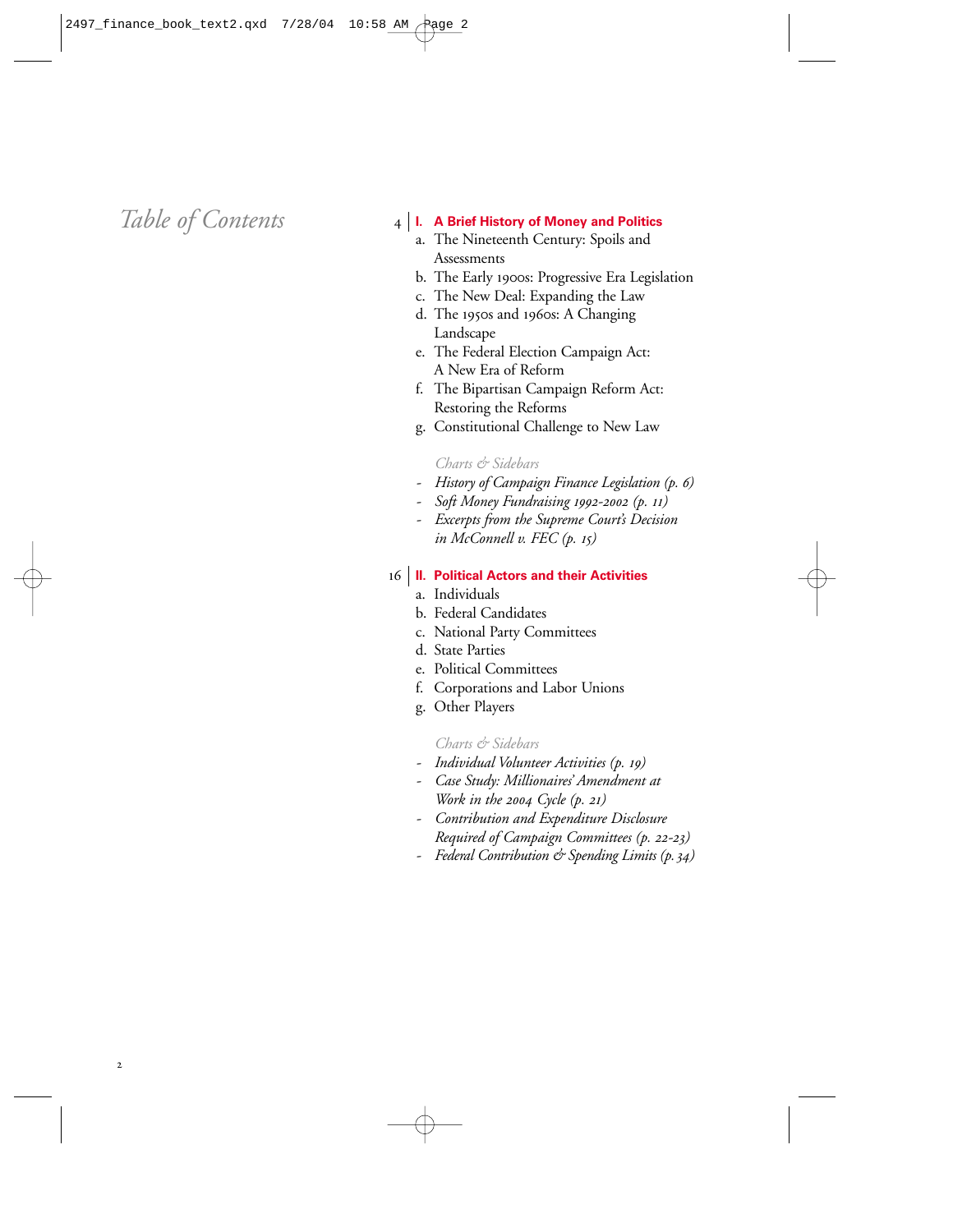#### *Table of Contents* **I. A Brief History of Money and Politics**

- a. The Nineteenth Century: Spoils and **Assessments**
- b. The Early 1900s: Progressive Era Legislation
- c. The New Deal: Expanding the Law
- d. The 1950s and 1960s: A Changing Landscape
- e. The Federal Election Campaign Act: A New Era of Reform
- f. The Bipartisan Campaign Reform Act: Restoring the Reforms
- g. Constitutional Challenge to New Law

#### *Charts & Sidebars*

- *History of Campaign Finance Legislation (p. )*
- *Soft Money Fundraising 1- (p. 11)*
- *Excerpts from the Supreme Court's Decision in McConnell v. FEC (p. 1)*

#### **<sup>1</sup> II. Political Actors and their Activities**

- a. Individuals
- b. Federal Candidates
- c. National Party Committees
- d. State Parties
- e. Political Committees
- f. Corporations and Labor Unions
- g. Other Players

#### *Charts & Sidebars*

- *- Individual Volunteer Activities (p. 1)*
- *Case Study: Millionaires' Amendment at Work in the Cycle (p. 1)*
- *Contribution and Expenditure Disclosure Required of Campaign Committees (p. 22-23)*
- *Federal Contribution & Spending Limits (p.)*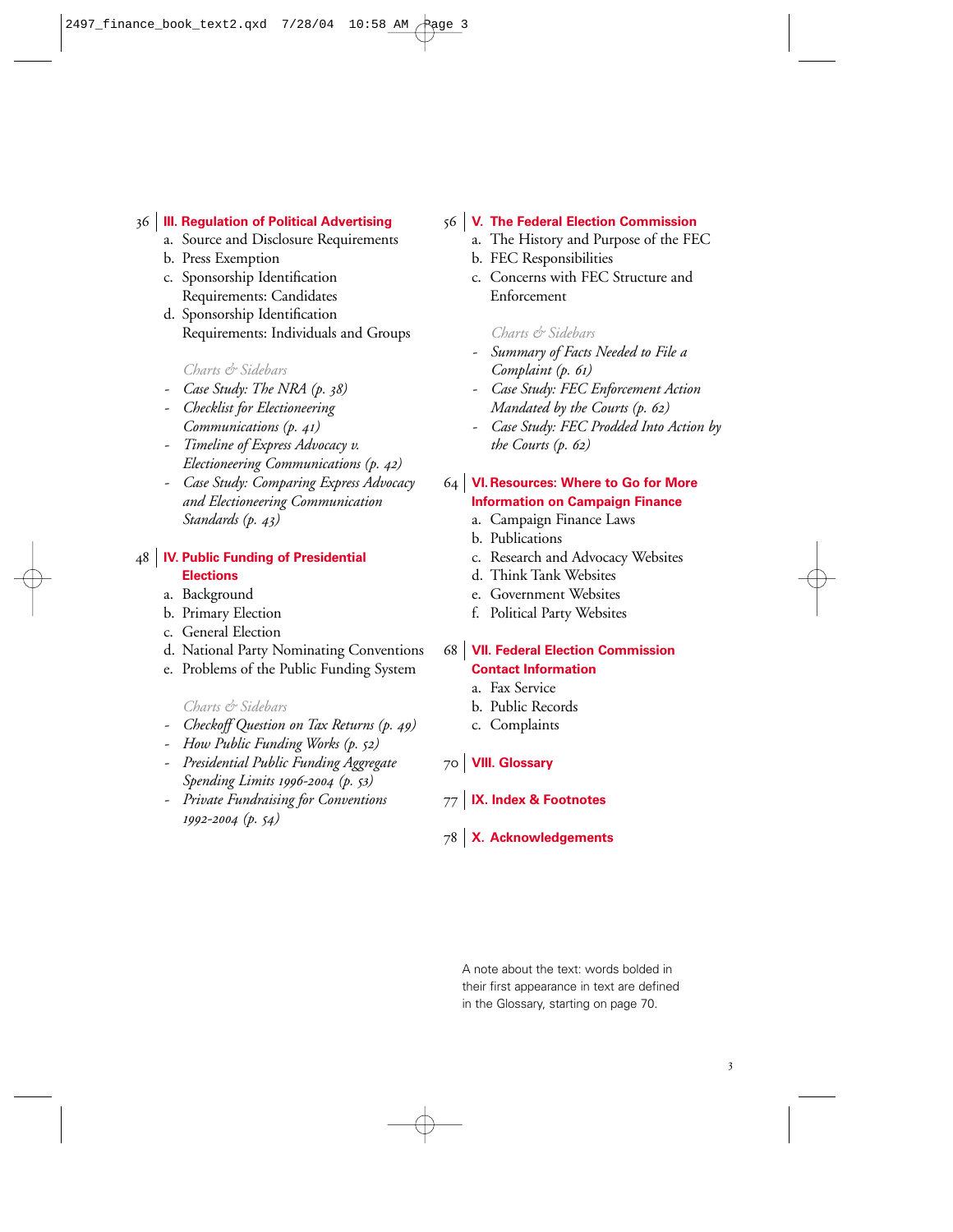#### **16 | III. Regulation of Political Advertising**

- a. Source and Disclosure Requirements
- b. Press Exemption
- c. Sponsorship Identification Requirements: Candidates
- d. Sponsorship Identification Requirements: Individuals and Groups

#### *Charts & Sidebars*

- *- Case Study: The NRA* (p. *38*)
- *Checklist for Electioneering Communications (p. 1)*
- *Timeline of Express Advocacy v. Electioneering Communications (p. 2)*
- *Case Study: Comparing Express Advocacy and Electioneering Communication Standards (p. 43)*

#### **18 | IV. Public Funding of Presidential Elections**

- a. Background
- b. Primary Election
- c. General Election
- d. National Party Nominating Conventions
- e. Problems of the Public Funding System

#### *Charts & Sidebars*

- *Checkoff Question on Tax Returns (p. 49)*
- *How Public Funding Works (p. )*
- *Presidential Public Funding Aggregate Spending Limits 1- (p. 3)*
- *Private Fundraising for Conventions 1992-2004* (p. 54)

#### **V. The Federal Election Commission**

- a. The History and Purpose of the FEC
- b. FEC Responsibilities
- c. Concerns with FEC Structure and Enforcement

#### *Charts & Sidebars*

- *Summary of Facts Needed to File a Complaint (p. 1)*
- *Case Study: FEC Enforcement Action Mandated by the Courts (p. 62)*
- *Case Study: FEC Prodded Into Action by the Courts (p. 62)*

#### **VI. Resources: Where to Go for More Information on Campaign Finance**

- a. Campaign Finance Laws
- b. Publications
- c. Research and Advocacy Websites
- d. Think Tank Websites
- e. Government Websites
- f. Political Party Websites

#### **VII. Federal Election Commission Contact Information**

- a. Fax Service
- b. Public Records
- c. Complaints
- **VIII. Glossary**
- **IX. Index & Footnotes**
- **X. Acknowledgements**

A note about the text: words bolded in their first appearance in text are defined in the Glossary, starting on page 70.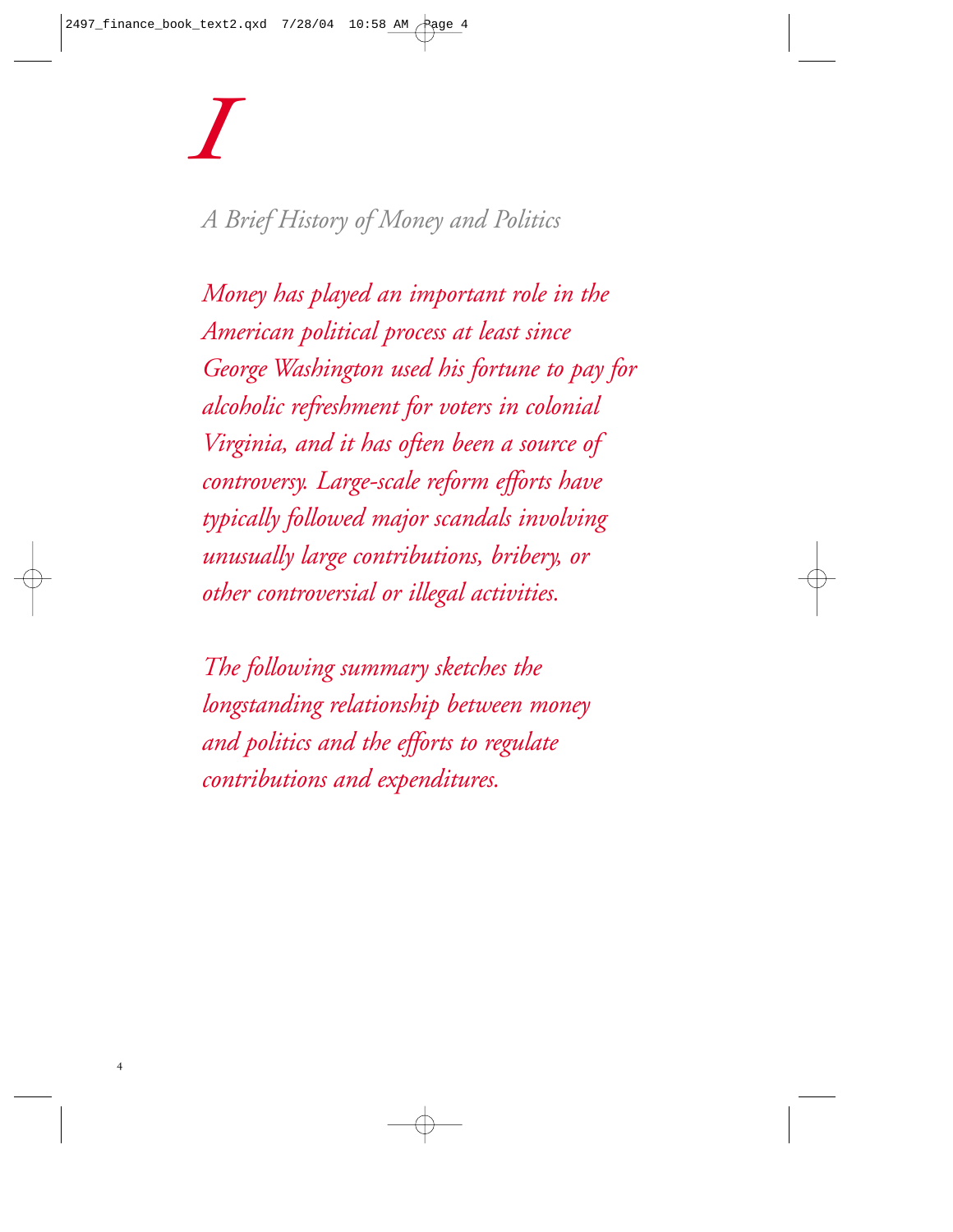# *I*

*A Brief History of Money and Politics*

*Money has played an important role in the American political process at least since George Washington used his fortune to pay for alcoholic refreshment for voters in colonial Virginia, and it has often been a source of controversy. Large-scale reform efforts have typically followed major scandals involving unusually large contributions, bribery, or other controversial or illegal activities.* 

*The following summary sketches the longstanding relationship between money and politics and the efforts to regulate contributions and expenditures.*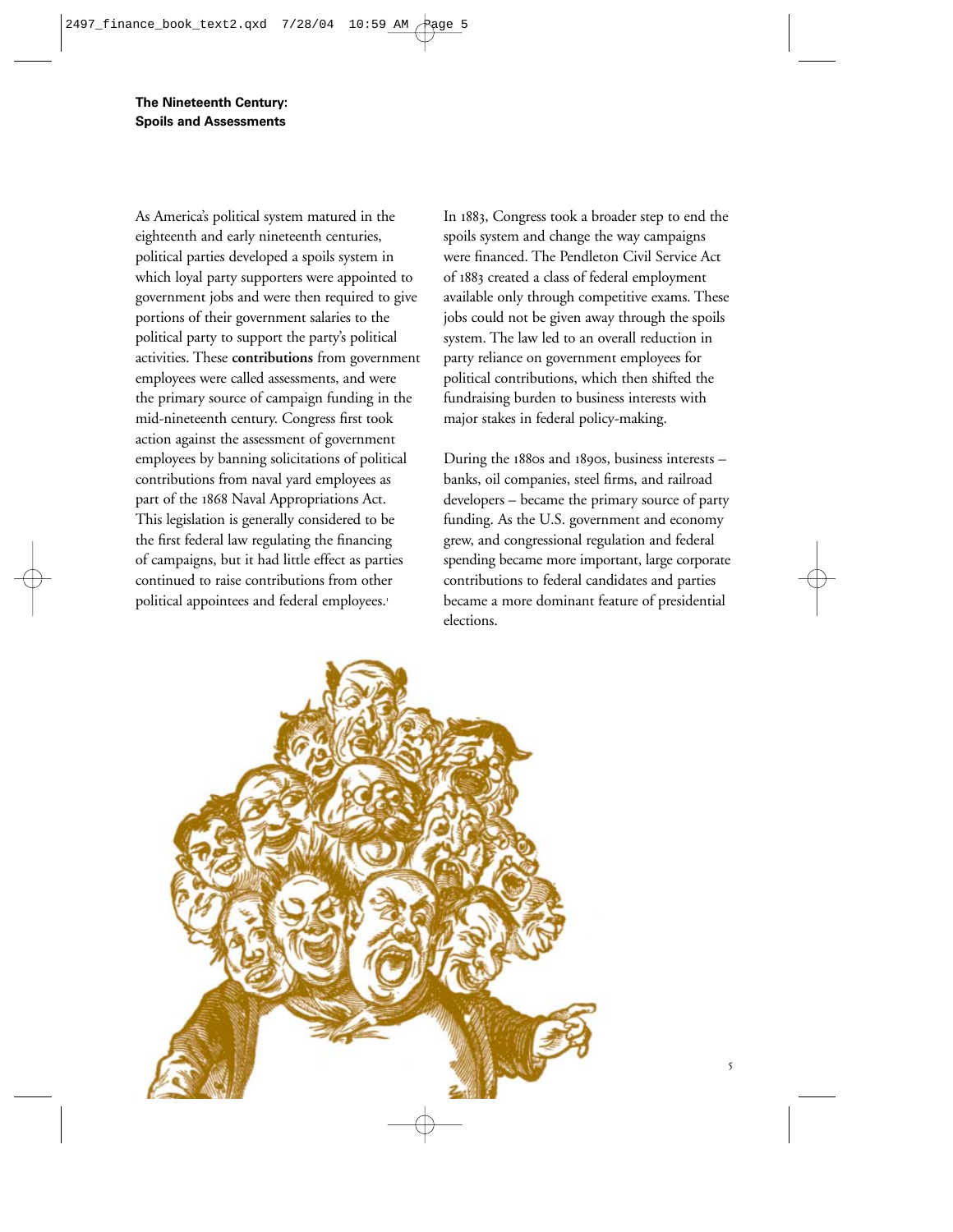As America's political system matured in the eighteenth and early nineteenth centuries, political parties developed a spoils system in which loyal party supporters were appointed to government jobs and were then required to give portions of their government salaries to the political party to support the party's political activities. These **contributions** from government employees were called assessments, and were the primary source of campaign funding in the mid-nineteenth century. Congress first took action against the assessment of government employees by banning solicitations of political contributions from naval yard employees as part of the 1868 Naval Appropriations Act. This legislation is generally considered to be the first federal law regulating the financing of campaigns, but it had little effect as parties continued to raise contributions from other political appointees and federal employees.**<sup>1</sup>**

In 1883, Congress took a broader step to end the spoils system and change the way campaigns were financed. The Pendleton Civil Service Act of 1883 created a class of federal employment available only through competitive exams. These jobs could not be given away through the spoils system. The law led to an overall reduction in party reliance on government employees for political contributions, which then shifted the fundraising burden to business interests with major stakes in federal policy-making.

During the 1880s and 1890s, business interests – banks, oil companies, steel firms, and railroad developers – became the primary source of party funding. As the U.S. government and economy grew, and congressional regulation and federal spending became more important, large corporate contributions to federal candidates and parties became a more dominant feature of presidential elections.

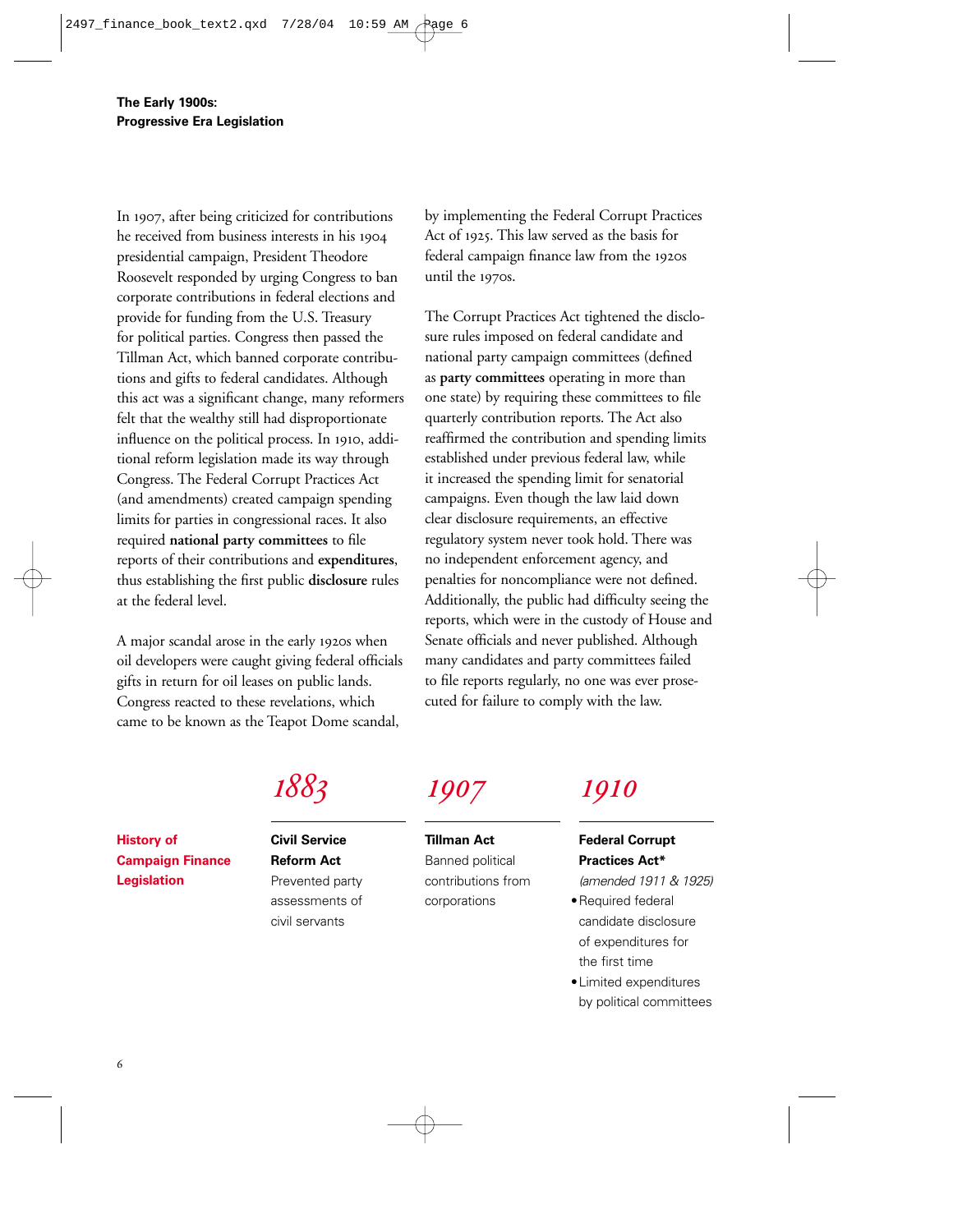In 1907, after being criticized for contributions he received from business interests in his **1** presidential campaign, President Theodore Roosevelt responded by urging Congress to ban corporate contributions in federal elections and provide for funding from the U.S. Treasury for political parties. Congress then passed the Tillman Act, which banned corporate contributions and gifts to federal candidates. Although this act was a significant change, many reformers felt that the wealthy still had disproportionate influence on the political process. In 1910, additional reform legislation made its way through Congress. The Federal Corrupt Practices Act (and amendments) created campaign spending limits for parties in congressional races. It also required **national party committees** to file reports of their contributions and **expenditures**, thus establishing the first public **disclosure** rules at the federal level.

A major scandal arose in the early 1920s when oil developers were caught giving federal officials gifts in return for oil leases on public lands. Congress reacted to these revelations, which came to be known as the Teapot Dome scandal,

by implementing the Federal Corrupt Practices Act of 1925. This law served as the basis for federal campaign finance law from the 1920s until the 1970s.

The Corrupt Practices Act tightened the disclosure rules imposed on federal candidate and national party campaign committees (defined as **party committees** operating in more than one state) by requiring these committees to file quarterly contribution reports. The Act also reaffirmed the contribution and spending limits established under previous federal law, while it increased the spending limit for senatorial campaigns. Even though the law laid down clear disclosure requirements, an effective regulatory system never took hold. There was no independent enforcement agency, and penalties for noncompliance were not defined. Additionally, the public had difficulty seeing the reports, which were in the custody of House and Senate officials and never published. Although many candidates and party committees failed to file reports regularly, no one was ever prosecuted for failure to comply with the law.

**History of Campaign Finance Legislation**

**Civil Service Reform Act** Prevented party assessments of civil servants

# *1883 1907 1910*

**Tillman Act** Banned political contributions from corporations

#### **Federal Corrupt Practices Act\***

*(amended 1911 & 1925)*

- Required federal **•** candidate disclosure of expenditures for the first time
- Limited expenditures **•** by political committees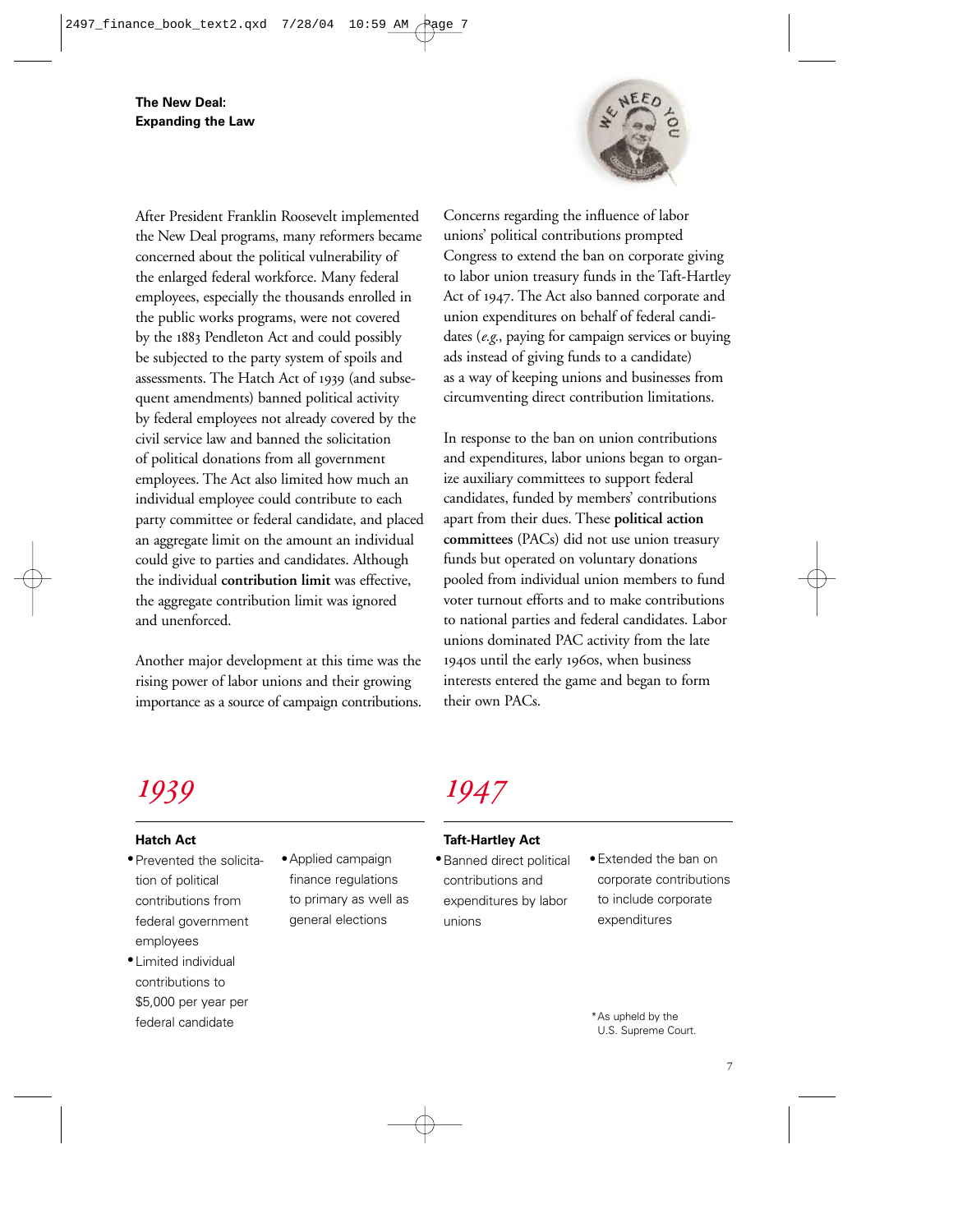After President Franklin Roosevelt implemented the New Deal programs, many reformers became concerned about the political vulnerability of the enlarged federal workforce. Many federal employees, especially the thousands enrolled in the public works programs, were not covered by the 1883 Pendleton Act and could possibly be subjected to the party system of spoils and assessments. The Hatch Act of 1939 (and subsequent amendments) banned political activity by federal employees not already covered by the civil service law and banned the solicitation of political donations from all government employees. The Act also limited how much an individual employee could contribute to each party committee or federal candidate, and placed an aggregate limit on the amount an individual could give to parties and candidates. Although the individual **contribution limit** was effective, the aggregate contribution limit was ignored and unenforced.

Another major development at this time was the rising power of labor unions and their growing importance as a source of campaign contributions.



Concerns regarding the influence of labor unions' political contributions prompted Congress to extend the ban on corporate giving to labor union treasury funds in the Taft-Hartley Act of 1947. The Act also banned corporate and union expenditures on behalf of federal candidates (*e.g.*, paying for campaign services or buying ads instead of giving funds to a candidate) as a way of keeping unions and businesses from circumventing direct contribution limitations.

In response to the ban on union contributions and expenditures, labor unions began to organize auxiliary committees to support federal candidates, funded by members' contributions apart from their dues. These **political action committees** (PACs) did not use union treasury funds but operated on voluntary donations pooled from individual union members to fund voter turnout efforts and to make contributions to national parties and federal candidates. Labor unions dominated PAC activity from the late 1940s until the early 1960s, when business interests entered the game and began to form their own PACs.

#### **Hatch Act**

- Prevented the solicita-**•** tion of political contributions from federal government employees
- Limited individual **•** contributions to \$5,000 per year per federal candidate
- Applied campaign finance regulations to primary as well as general elections

## *1 1*

#### **Taft-Hartley Act**

- **•** Applied campaign **Banned direct political** contributions and expenditures by labor unions
- Extended the ban on corporate contributions to include corporate expenditures

\*As upheld by the U.S. Supreme Court.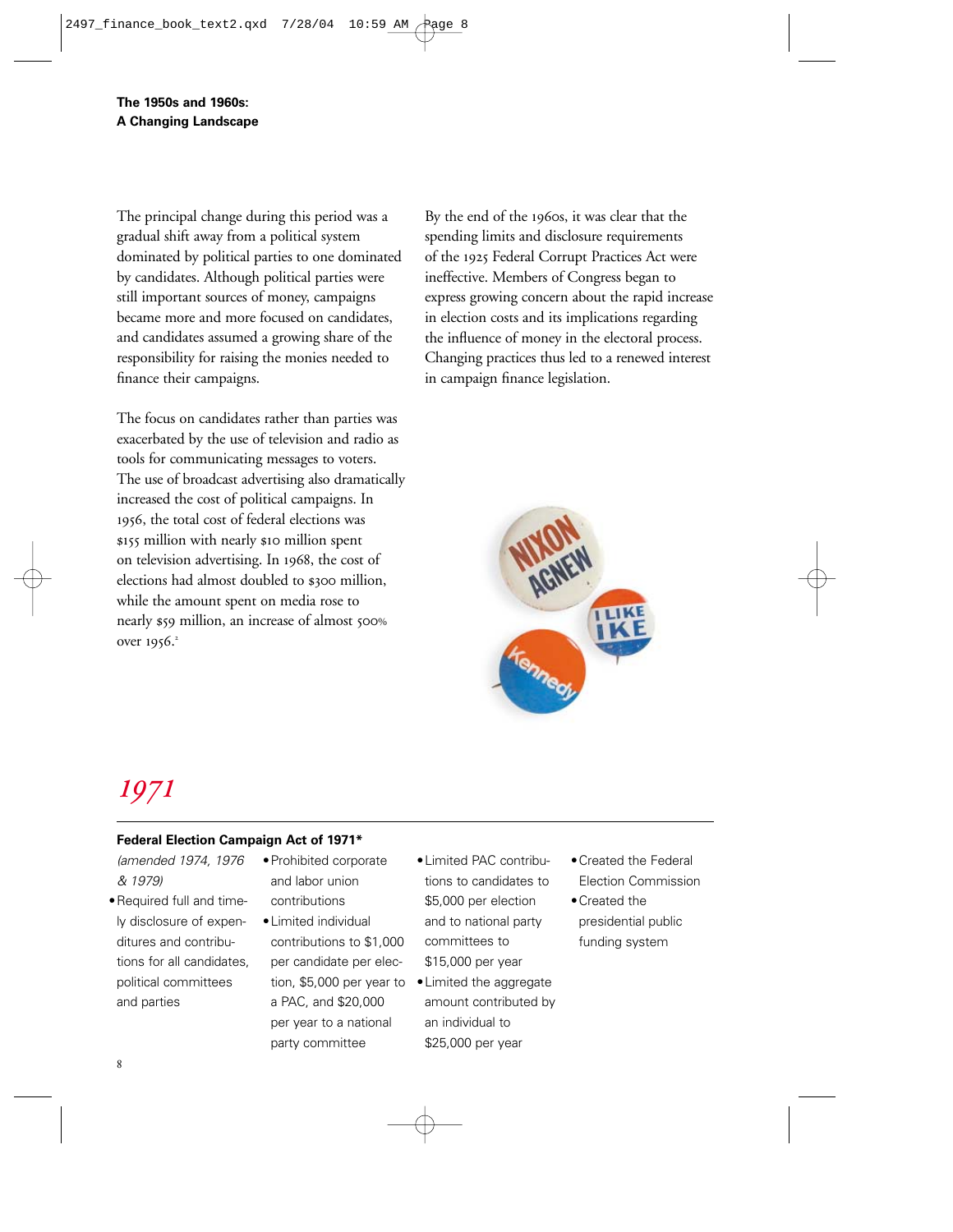The principal change during this period was a gradual shift away from a political system dominated by political parties to one dominated by candidates. Although political parties were still important sources of money, campaigns became more and more focused on candidates, and candidates assumed a growing share of the responsibility for raising the monies needed to finance their campaigns.

The focus on candidates rather than parties was exacerbated by the use of television and radio as tools for communicating messages to voters. The use of broadcast advertising also dramatically increased the cost of political campaigns. In 1956, the total cost of federal elections was  $$155$  million with nearly  $$10$  million spent on television advertising. In 1968, the cost of elections had almost doubled to \$300 million, while the amount spent on media rose to nearly \$59 million, an increase of almost 500% over **1956**.<sup>2</sup>

By the end of the 1960s, it was clear that the spending limits and disclosure requirements of the 1925 Federal Corrupt Practices Act were ineffective. Members of Congress began to express growing concern about the rapid increase in election costs and its implications regarding the influence of money in the electoral process. Changing practices thus led to a renewed interest in campaign finance legislation.



# *11*

#### **Federal Election Campaign Act of 1971\***

*(amended 1974, 1976 & 1979)*

- Required full and time-**•** ly disclosure of expenditures and contributions for all candidates, political committees and parties
- Prohibited corporate **•** and labor union contributions
- Limited individual **•** contributions to \$1,000 per candidate per election, \$5,000 per year to a PAC, and \$20,000 per year to a national party committee
- Limited PAC contribu-**•** tions to candidates to \$5,000 per election and to national party committees to \$15,000 per year
- Limited the aggregate **•** amount contributed by an individual to \$25,000 per year
- Created the Federal **•** Election Commission
- Created the **•** presidential public funding system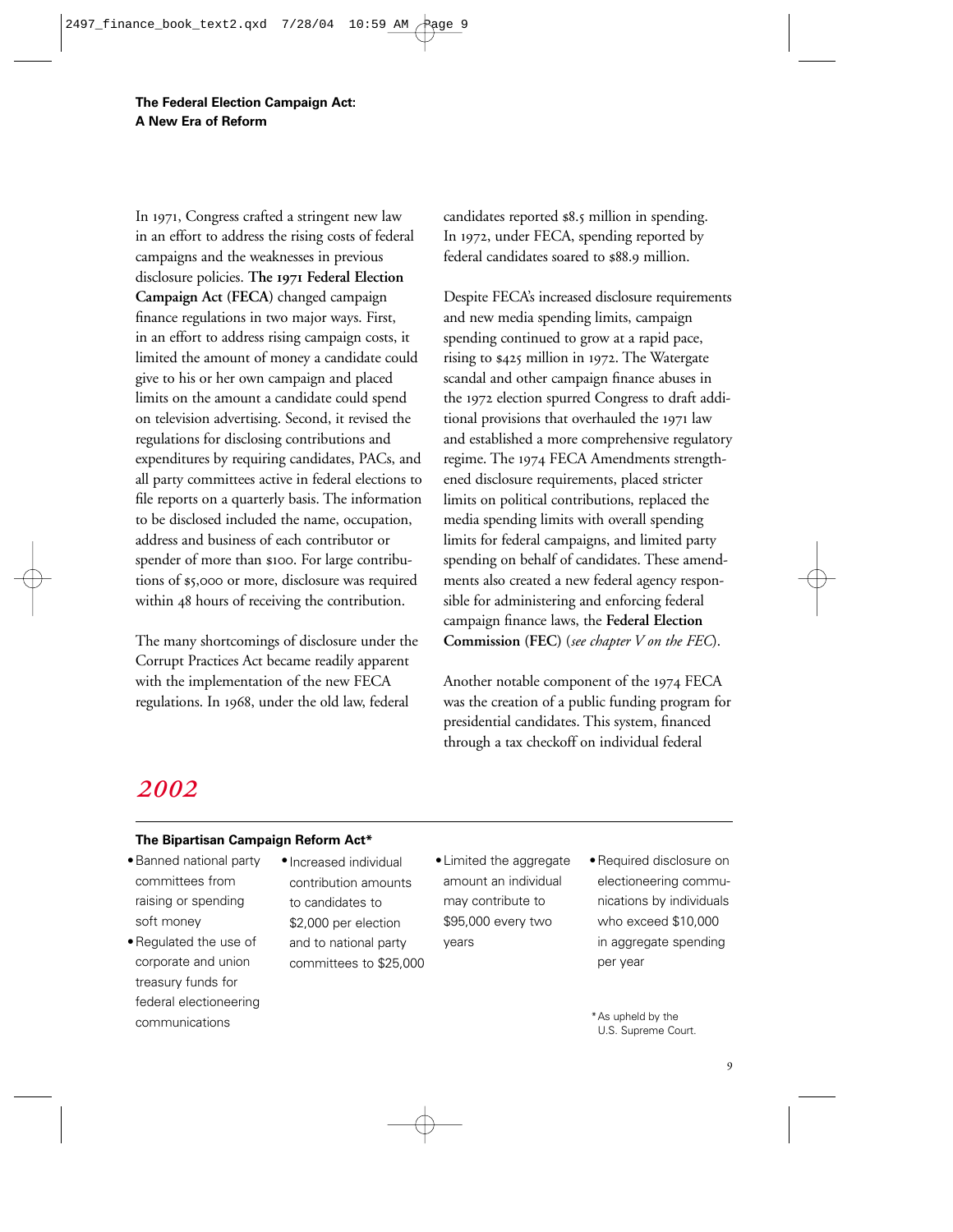In **11**, Congress crafted a stringent new law in an effort to address the rising costs of federal campaigns and the weaknesses in previous disclosure policies. The 1971 Federal Election **Campaign Act (FECA)** changed campaign finance regulations in two major ways. First, in an effort to address rising campaign costs, it limited the amount of money a candidate could give to his or her own campaign and placed limits on the amount a candidate could spend on television advertising. Second, it revised the regulations for disclosing contributions and expenditures by requiring candidates, PACs, and all party committees active in federal elections to file reports on a quarterly basis. The information to be disclosed included the name, occupation, address and business of each contributor or spender of more than \$100. For large contributions of \$5,000 or more, disclosure was required within 48 hours of receiving the contribution.

The many shortcomings of disclosure under the Corrupt Practices Act became readily apparent with the implementation of the new FECA regulations. In 1968, under the old law, federal

candidates reported \$8.5 million in spending. In 1972, under FECA, spending reported by federal candidates soared to \$88.9 million.

Despite FECA's increased disclosure requirements and new media spending limits, campaign spending continued to grow at a rapid pace, rising to \$425 million in 1972. The Watergate scandal and other campaign finance abuses in the 1972 election spurred Congress to draft additional provisions that overhauled the **1<sup>1</sup>** law and established a more comprehensive regulatory regime. The 1974 FECA Amendments strengthened disclosure requirements, placed stricter limits on political contributions, replaced the media spending limits with overall spending limits for federal campaigns, and limited party spending on behalf of candidates. These amendments also created a new federal agency responsible for administering and enforcing federal campaign finance laws, the **Federal Election Commission (FEC)** (*see chapter V on the FEC*).

Another notable component of the 1974 FECA was the creation of a public funding program for presidential candidates. This system, financed through a tax checkoff on individual federal

### 2002

#### **The Bipartisan Campaign Reform Act\***

- **•** Banned national party committees from raising or spending soft money
- **•** Regulated the use of corporate and union treasury funds for federal electioneering communications \*As upheld by the communications \*
- Increased individual contribution amounts to candidates to \$2,000 per election and to national party committees to \$25,000
- Banned national party Increased individual Limited the aggregate amount an individual may contribute to \$95,000 every two years
- Required disclosure on electioneering communications by individuals who exceed \$10,000 in aggregate spending per year

U.S. Supreme Court.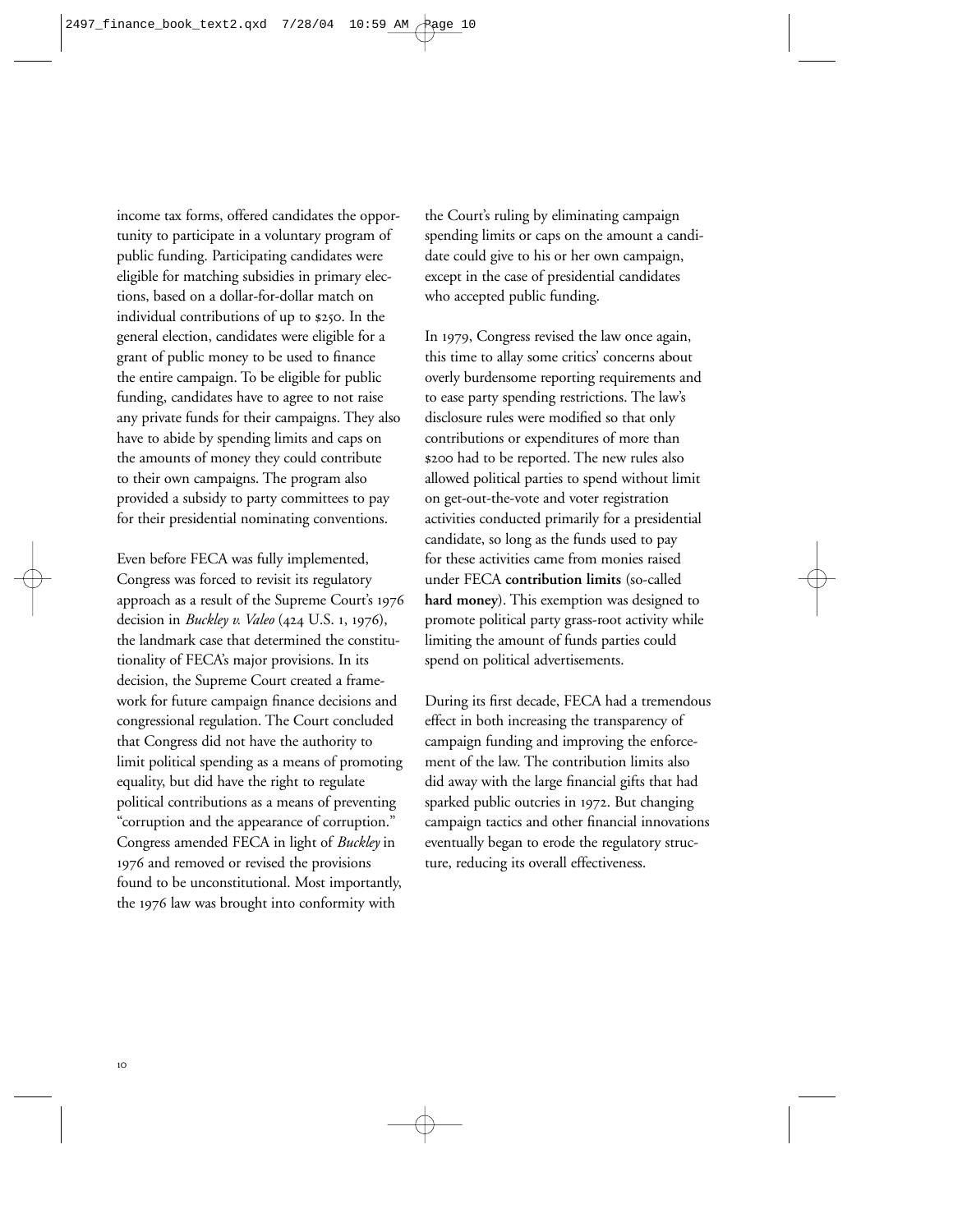income tax forms, offered candidates the opportunity to participate in a voluntary program of public funding. Participating candidates were eligible for matching subsidies in primary elections, based on a dollar-for-dollar match on individual contributions of up to \$250. In the general election, candidates were eligible for a grant of public money to be used to finance the entire campaign. To be eligible for public funding, candidates have to agree to not raise any private funds for their campaigns. They also have to abide by spending limits and caps on the amounts of money they could contribute to their own campaigns. The program also provided a subsidy to party committees to pay for their presidential nominating conventions.

Even before FECA was fully implemented, Congress was forced to revisit its regulatory approach as a result of the Supreme Court's **1** decision in *Buckley v. Valeo* (424 U.S. 1, 1976), the landmark case that determined the constitutionality of FECA's major provisions. In its decision, the Supreme Court created a framework for future campaign finance decisions and congressional regulation. The Court concluded that Congress did not have the authority to limit political spending as a means of promoting equality, but did have the right to regulate political contributions as a means of preventing "corruption and the appearance of corruption." Congress amended FECA in light of *Buckley* in 1976 and removed or revised the provisions found to be unconstitutional. Most importantly, the 1976 law was brought into conformity with

the Court's ruling by eliminating campaign spending limits or caps on the amount a candidate could give to his or her own campaign, except in the case of presidential candidates who accepted public funding.

In 1979, Congress revised the law once again, this time to allay some critics' concerns about overly burdensome reporting requirements and to ease party spending restrictions. The law's disclosure rules were modified so that only contributions or expenditures of more than \$200 had to be reported. The new rules also allowed political parties to spend without limit on get-out-the-vote and voter registration activities conducted primarily for a presidential candidate, so long as the funds used to pay for these activities came from monies raised under FECA **contribution limits** (so-called **hard money**). This exemption was designed to promote political party grass-root activity while limiting the amount of funds parties could spend on political advertisements.

During its first decade, FECA had a tremendous effect in both increasing the transparency of campaign funding and improving the enforcement of the law. The contribution limits also did away with the large financial gifts that had sparked public outcries in 1972. But changing campaign tactics and other financial innovations eventually began to erode the regulatory structure, reducing its overall effectiveness.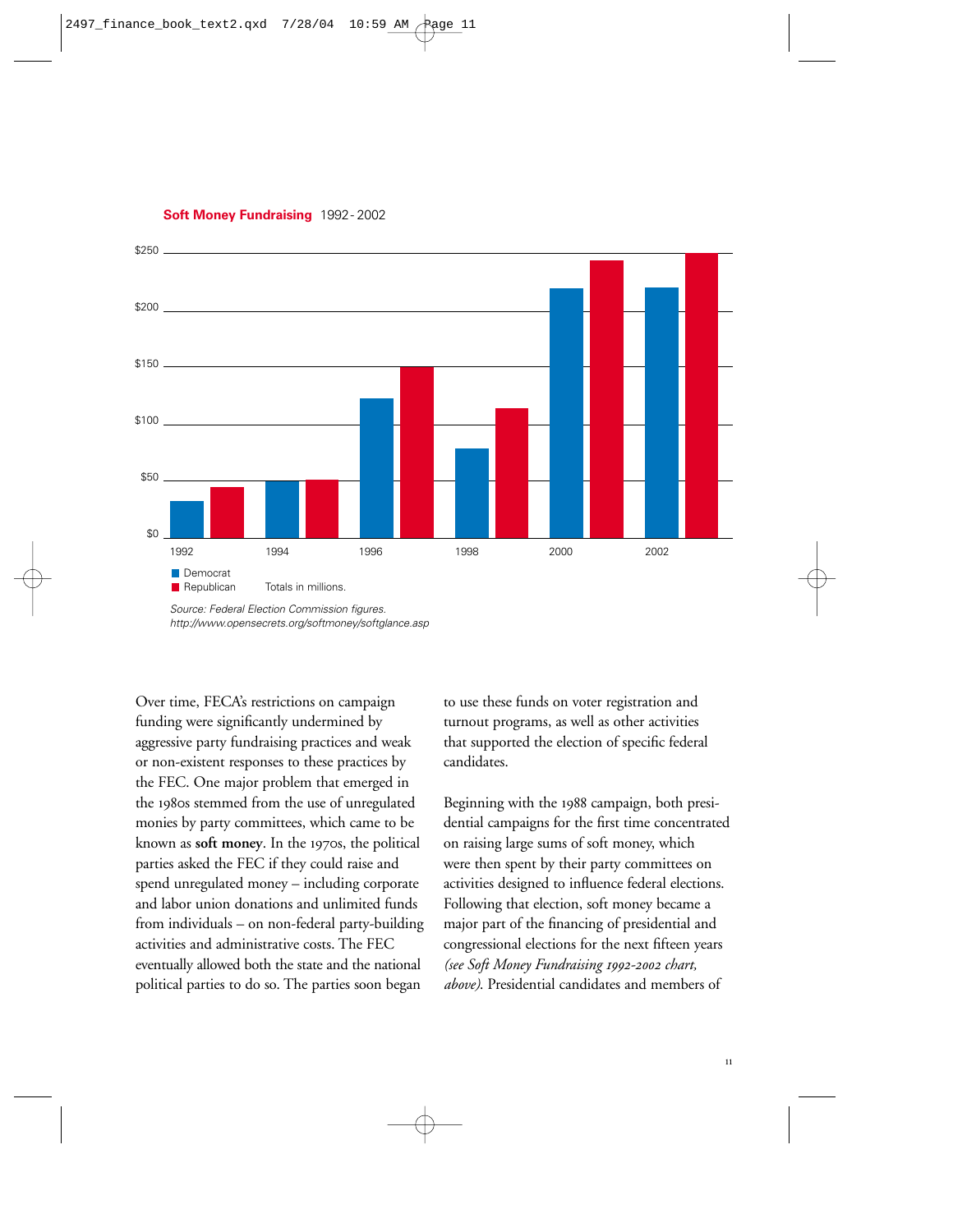

#### **Soft Money Fundraising** 1992- 2002

*Source: Federal Election Commission figures. http://www.opensecrets.org/softmoney/softglance.asp*

Over time, FECA's restrictions on campaign funding were significantly undermined by aggressive party fundraising practices and weak or non-existent responses to these practices by the FEC. One major problem that emerged in the 1980s stemmed from the use of unregulated monies by party committees, which came to be known as **soft money**. In the 1970s, the political parties asked the FEC if they could raise and spend unregulated money – including corporate and labor union donations and unlimited funds from individuals – on non-federal party-building activities and administrative costs. The FEC eventually allowed both the state and the national political parties to do so. The parties soon began

to use these funds on voter registration and turnout programs, as well as other activities that supported the election of specific federal candidates.

Beginning with the 1988 campaign, both presidential campaigns for the first time concentrated on raising large sums of soft money, which were then spent by their party committees on activities designed to influence federal elections. Following that election, soft money became a major part of the financing of presidential and congressional elections for the next fifteen years *(see Soft Money Fundraising - chart, above)*. Presidential candidates and members of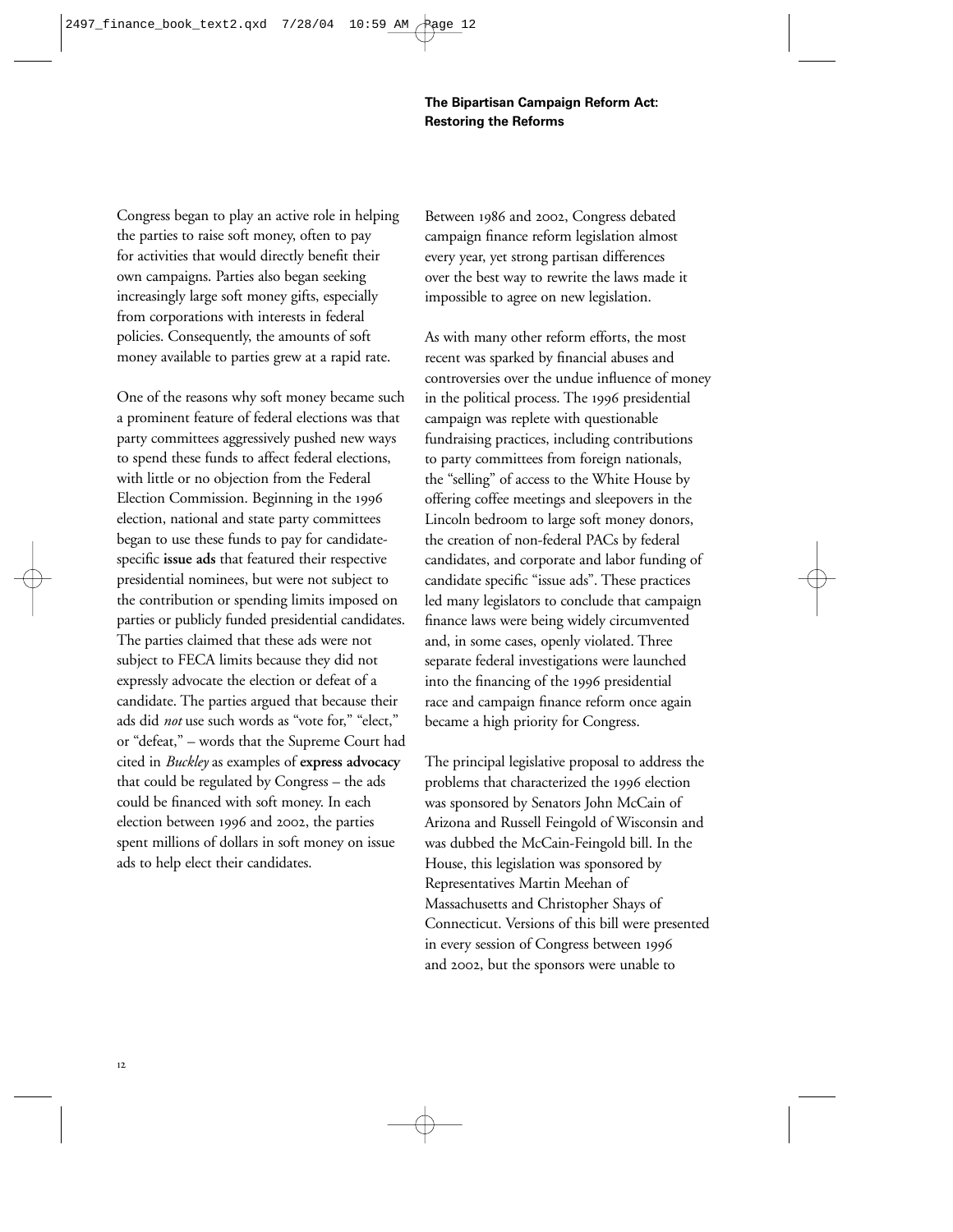#### **The Bipartisan Campaign Reform Act: Restoring the Reforms**

Congress began to play an active role in helping the parties to raise soft money, often to pay for activities that would directly benefit their own campaigns. Parties also began seeking increasingly large soft money gifts, especially from corporations with interests in federal policies. Consequently, the amounts of soft money available to parties grew at a rapid rate.

One of the reasons why soft money became such a prominent feature of federal elections was that party committees aggressively pushed new ways to spend these funds to affect federal elections, with little or no objection from the Federal Election Commission. Beginning in the **1** election, national and state party committees began to use these funds to pay for candidatespecific **issue ads** that featured their respective presidential nominees, but were not subject to the contribution or spending limits imposed on parties or publicly funded presidential candidates. The parties claimed that these ads were not subject to FECA limits because they did not expressly advocate the election or defeat of a candidate. The parties argued that because their ads did *not* use such words as "vote for," "elect," or "defeat," – words that the Supreme Court had cited in *Buckley* as examples of **express advocacy** that could be regulated by Congress – the ads could be financed with soft money. In each election between 1996 and 2002, the parties spent millions of dollars in soft money on issue ads to help elect their candidates.

Between 1986 and 2002, Congress debated campaign finance reform legislation almost every year, yet strong partisan differences over the best way to rewrite the laws made it impossible to agree on new legislation.

As with many other reform efforts, the most recent was sparked by financial abuses and controversies over the undue influence of money in the political process. The 1996 presidential campaign was replete with questionable fundraising practices, including contributions to party committees from foreign nationals, the "selling" of access to the White House by offering coffee meetings and sleepovers in the Lincoln bedroom to large soft money donors, the creation of non-federal PACs by federal candidates, and corporate and labor funding of candidate specific "issue ads". These practices led many legislators to conclude that campaign finance laws were being widely circumvented and, in some cases, openly violated. Three separate federal investigations were launched into the financing of the 1996 presidential race and campaign finance reform once again became a high priority for Congress.

The principal legislative proposal to address the problems that characterized the 1996 election was sponsored by Senators John McCain of Arizona and Russell Feingold of Wisconsin and was dubbed the McCain-Feingold bill. In the House, this legislation was sponsored by Representatives Martin Meehan of Massachusetts and Christopher Shays of Connecticut. Versions of this bill were presented in every session of Congress between **1** and 2002, but the sponsors were unable to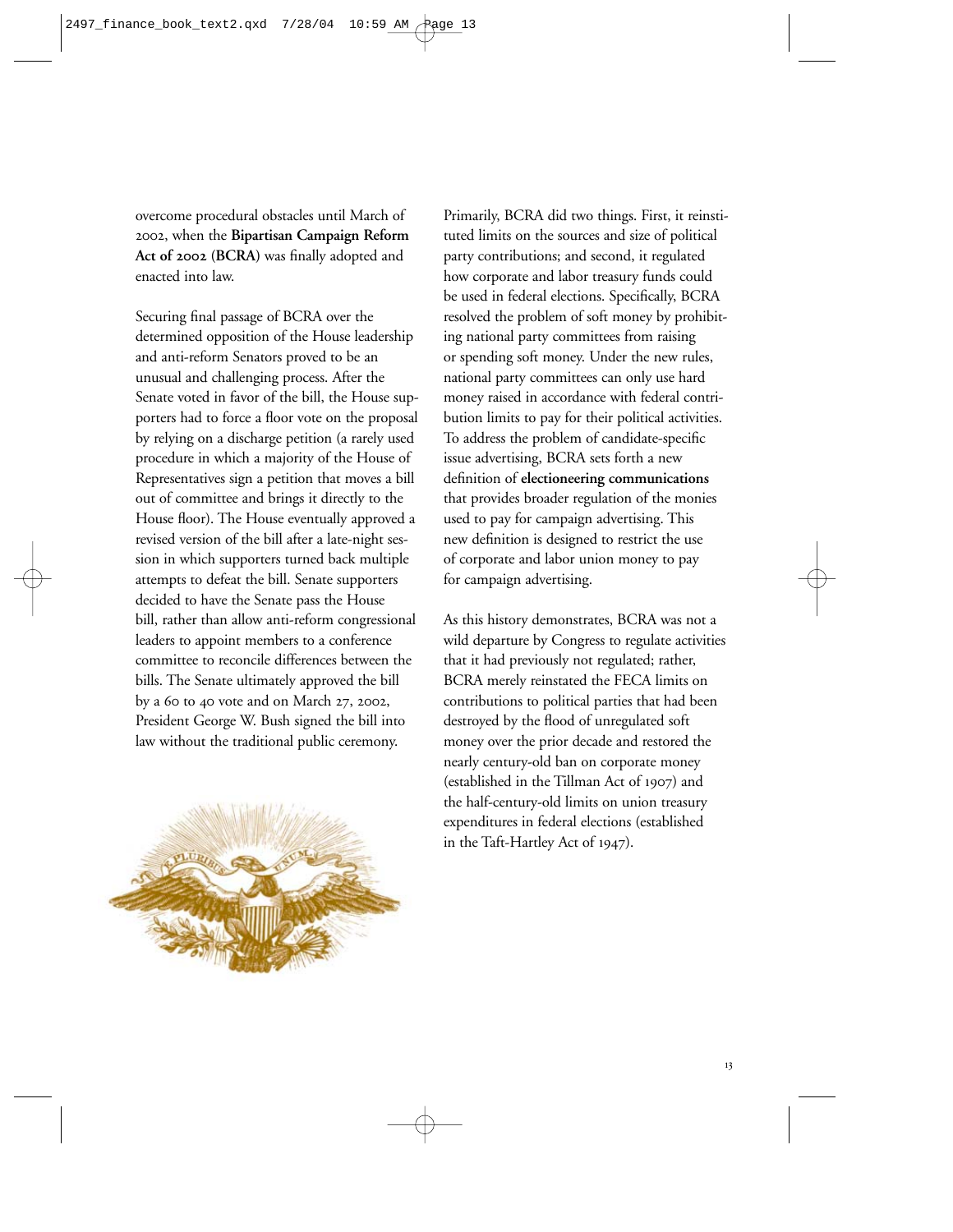overcome procedural obstacles until March of , when the **Bipartisan Campaign Reform** Act of 2002 (BCRA) was finally adopted and enacted into law.

Securing final passage of BCRA over the determined opposition of the House leadership and anti-reform Senators proved to be an unusual and challenging process. After the Senate voted in favor of the bill, the House supporters had to force a floor vote on the proposal by relying on a discharge petition (a rarely used procedure in which a majority of the House of Representatives sign a petition that moves a bill out of committee and brings it directly to the House floor). The House eventually approved a revised version of the bill after a late-night session in which supporters turned back multiple attempts to defeat the bill. Senate supporters decided to have the Senate pass the House bill, rather than allow anti-reform congressional leaders to appoint members to a conference committee to reconcile differences between the bills. The Senate ultimately approved the bill by a 60 to 40 vote and on March  $27$ ,  $2002$ , President George W. Bush signed the bill into law without the traditional public ceremony.



Primarily, BCRA did two things. First, it reinstituted limits on the sources and size of political party contributions; and second, it regulated how corporate and labor treasury funds could be used in federal elections. Specifically, BCRA resolved the problem of soft money by prohibiting national party committees from raising or spending soft money. Under the new rules, national party committees can only use hard money raised in accordance with federal contribution limits to pay for their political activities. To address the problem of candidate-specific issue advertising, BCRA sets forth a new definition of **electioneering communications** that provides broader regulation of the monies used to pay for campaign advertising. This new definition is designed to restrict the use of corporate and labor union money to pay for campaign advertising.

As this history demonstrates, BCRA was not a wild departure by Congress to regulate activities that it had previously not regulated; rather, BCRA merely reinstated the FECA limits on contributions to political parties that had been destroyed by the flood of unregulated soft money over the prior decade and restored the nearly century-old ban on corporate money (established in the Tillman Act of 1907) and the half-century-old limits on union treasury expenditures in federal elections (established in the Taft-Hartley Act of 1947).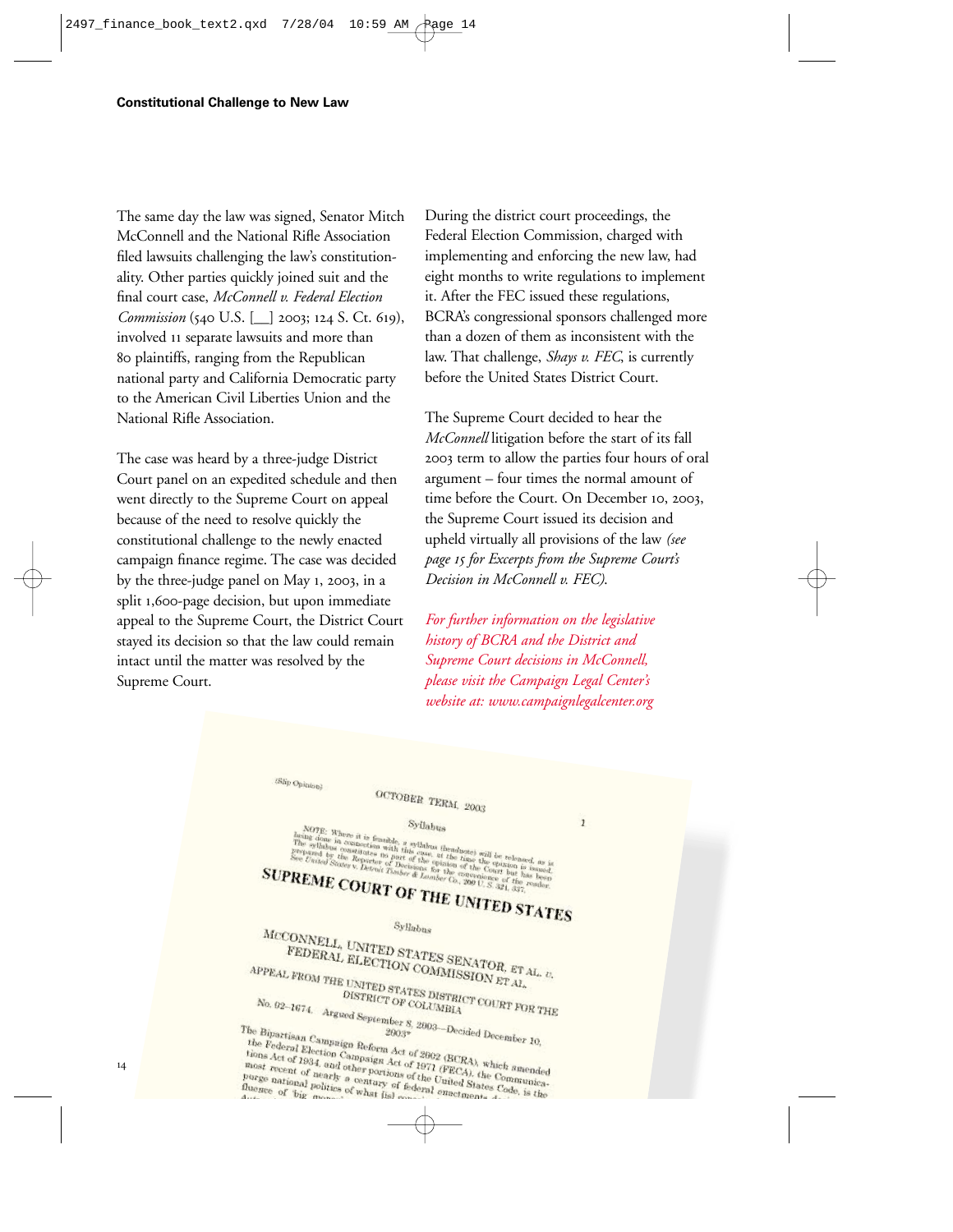The same day the law was signed, Senator Mitch McConnell and the National Rifle Association filed lawsuits challenging the law's constitutionality. Other parties quickly joined suit and the final court case, *McConnell v. Federal Election Commission* (540 U.S. [10] 2003; 124 S. Ct. 619), involved **<sup>11</sup>** separate lawsuits and more than 80 plaintiffs, ranging from the Republican national party and California Democratic party to the American Civil Liberties Union and the National Rifle Association.

The case was heard by a three-judge District Court panel on an expedited schedule and then went directly to the Supreme Court on appeal because of the need to resolve quickly the constitutional challenge to the newly enacted campaign finance regime. The case was decided by the three-judge panel on May 1, 2003, in a split 1,600-page decision, but upon immediate appeal to the Supreme Court, the District Court stayed its decision so that the law could remain intact until the matter was resolved by the Supreme Court.

During the district court proceedings, the Federal Election Commission, charged with implementing and enforcing the new law, had eight months to write regulations to implement it. After the FEC issued these regulations, BCRA's congressional sponsors challenged more than a dozen of them as inconsistent with the law. That challenge, *Shays v. FEC*, is currently before the United States District Court.

The Supreme Court decided to hear the *McConnell* litigation before the start of its fall 2003 term to allow the parties four hours of oral argument – four times the normal amount of time before the Court. On December 10, 2003, the Supreme Court issued its decision and upheld virtually all provisions of the law *(see page 1 for Excerpts from the Supreme Court's Decision in McConnell v. FEC)*.

*For further information on the legislative history of BCRA and the District and Supreme Court decisions in McConnell, please visit the Campaign Legal Center's website at: www.campaignlegalcenter.org*

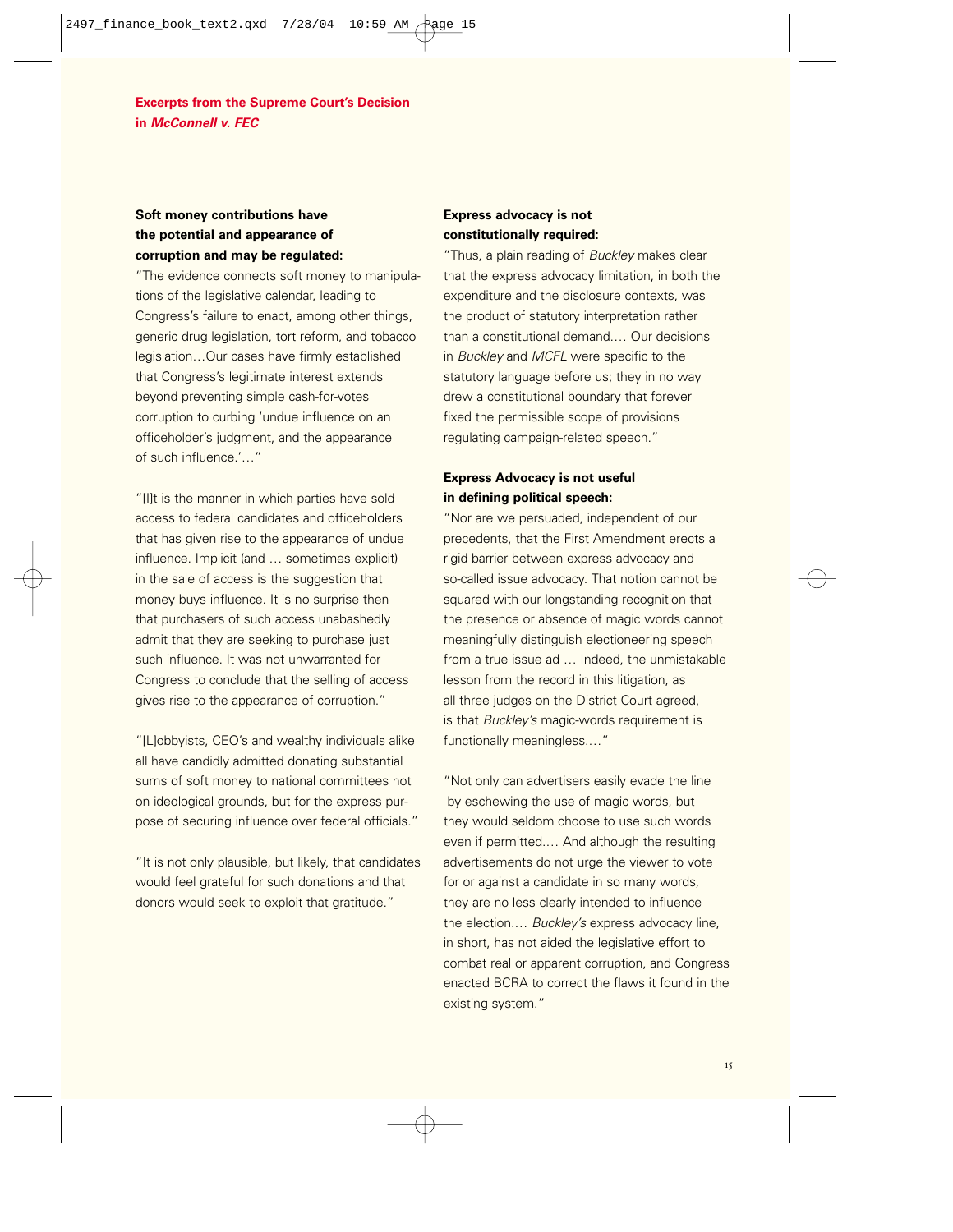#### **Soft money contributions have the potential and appearance of corruption and may be regulated:**

"The evidence connects soft money to manipulations of the legislative calendar, leading to Congress's failure to enact, among other things, generic drug legislation, tort reform, and tobacco legislation…Our cases have firmly established that Congress's legitimate interest extends beyond preventing simple cash-for-votes corruption to curbing 'undue influence on an officeholder's judgment, and the appearance of such influence.'…"

"[I]t is the manner in which parties have sold access to federal candidates and officeholders that has given rise to the appearance of undue influence. Implicit (and … sometimes explicit) in the sale of access is the suggestion that money buys influence. It is no surprise then that purchasers of such access unabashedly admit that they are seeking to purchase just such influence. It was not unwarranted for Congress to conclude that the selling of access gives rise to the appearance of corruption."

"[L]obbyists, CEO's and wealthy individuals alike all have candidly admitted donating substantial sums of soft money to national committees not on ideological grounds, but for the express purpose of securing influence over federal officials."

"It is not only plausible, but likely, that candidates would feel grateful for such donations and that donors would seek to exploit that gratitude."

#### **Express advocacy is not constitutionally required:**

"Thus, a plain reading of *Buckley* makes clear that the express advocacy limitation, in both the expenditure and the disclosure contexts, was the product of statutory interpretation rather than a constitutional demand.… Our decisions in *Buckley* and *MCFL* were specific to the statutory language before us; they in no way drew a constitutional boundary that forever fixed the permissible scope of provisions regulating campaign-related speech."

#### **Express Advocacy is not useful in defining political speech:**

"Nor are we persuaded, independent of our precedents, that the First Amendment erects a rigid barrier between express advocacy and so-called issue advocacy. That notion cannot be squared with our longstanding recognition that the presence or absence of magic words cannot meaningfully distinguish electioneering speech from a true issue ad … Indeed, the unmistakable lesson from the record in this litigation, as all three judges on the District Court agreed, is that *Buckley's* magic-words requirement is functionally meaningless.…"

"Not only can advertisers easily evade the line by eschewing the use of magic words, but they would seldom choose to use such words even if permitted.… And although the resulting advertisements do not urge the viewer to vote for or against a candidate in so many words, they are no less clearly intended to influence the election.… *Buckley's* express advocacy line, in short, has not aided the legislative effort to combat real or apparent corruption, and Congress enacted BCRA to correct the flaws it found in the existing system."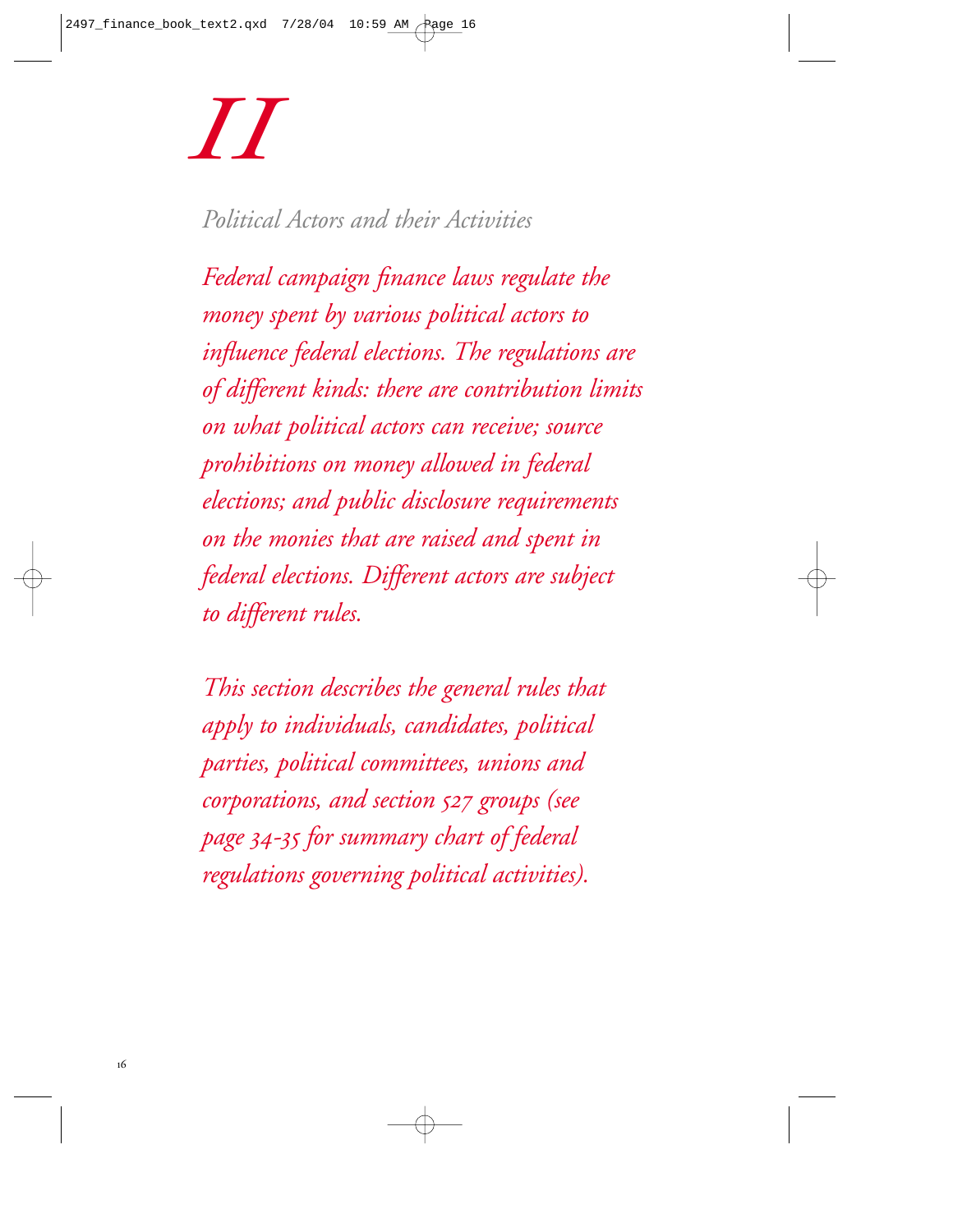# *II*

*Political Actors and their Activities*

*Federal campaign finance laws regulate the money spent by various political actors to influence federal elections. The regulations are of different kinds: there are contribution limits on what political actors can receive; source prohibitions on money allowed in federal elections; and public disclosure requirements on the monies that are raised and spent in federal elections. Different actors are subject to different rules.*

*This section describes the general rules that apply to individuals, candidates, political parties, political committees, unions and corporations, and section groups (see page - for summary chart of federal regulations governing political activities).*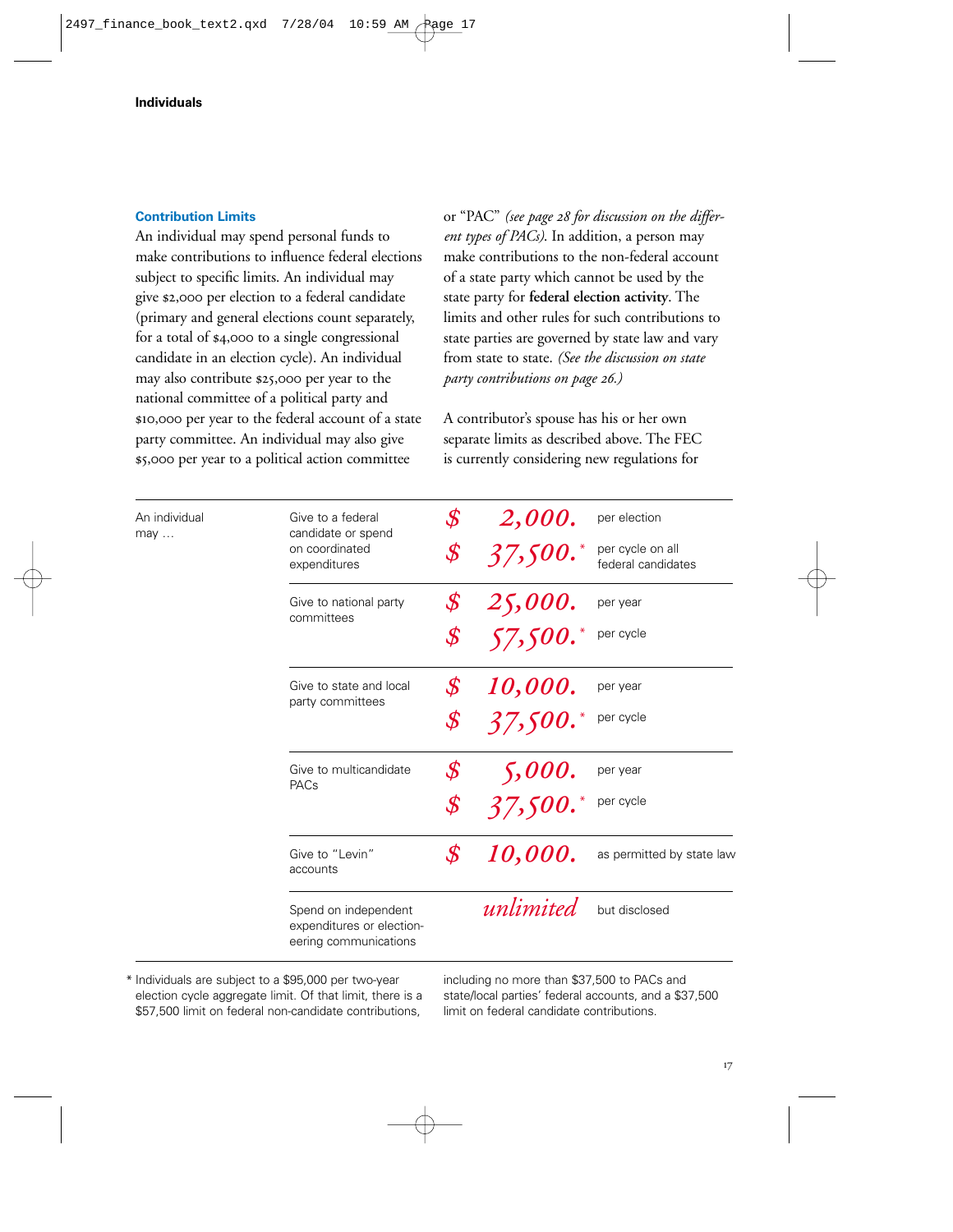#### **Contribution Limits**

An individual may spend personal funds to make contributions to influence federal elections subject to specific limits. An individual may give \$2,000 per election to a federal candidate (primary and general elections count separately, for a total of \$4,000 to a single congressional candidate in an election cycle). An individual may also contribute \$25,000 per year to the national committee of a political party and \$10,000 per year to the federal account of a state party committee. An individual may also give \$5,000 per year to a political action committee

or "PAC" *(see page for discussion on the different types of PACs)*. In addition, a person may make contributions to the non-federal account of a state party which cannot be used by the state party for **federal election activity**. The limits and other rules for such contributions to state parties are governed by state law and vary from state to state. *(See the discussion on state party contributions on page .)*

A contributor's spouse has his or her own separate limits as described above. The FEC is currently considering new regulations for

| Give to a federal                                                          | \$                                                           | 2,000.     | per election                           |
|----------------------------------------------------------------------------|--------------------------------------------------------------|------------|----------------------------------------|
| on coordinated<br>expenditures                                             | \$                                                           | 37,500.    | per cycle on all<br>federal candidates |
| Give to national party                                                     | \$                                                           | 25,000.    | per year                               |
|                                                                            | \$                                                           | $57,500.*$ | per cycle                              |
| Give to state and local                                                    | \$                                                           | 10,000.    | per year                               |
|                                                                            | \$                                                           | $37,500.*$ | per cycle                              |
| Give to multicandidate                                                     | \$                                                           | 5,000.     | per year                               |
|                                                                            | \$                                                           | 37,500.    | per cycle                              |
| Give to "Levin"<br>accounts                                                | \$                                                           | 10,000.    | as permitted by state law              |
| Spend on independent<br>expenditures or election-<br>eering communications |                                                              | unlimited  | but disclosed                          |
|                                                                            | candidate or spend<br>committees<br>party committees<br>PACs |            |                                        |

\* Individuals are subject to a \$95,000 per two-year election cycle aggregate limit. Of that limit, there is a \$57,500 limit on federal non-candidate contributions,

including no more than \$37,500 to PACs and state/local parties' federal accounts, and a \$37,500 limit on federal candidate contributions.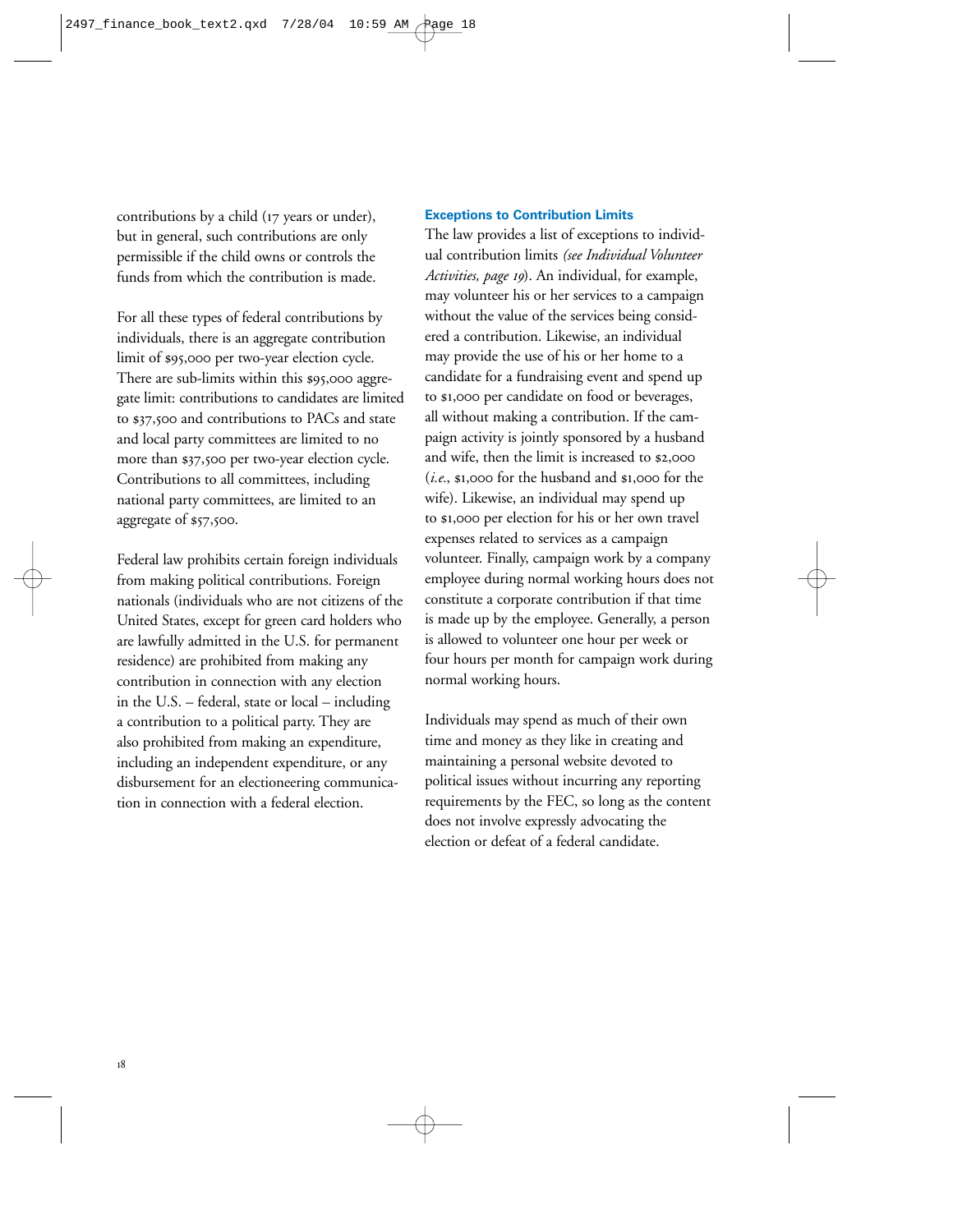contributions by a child (17 years or under), but in general, such contributions are only permissible if the child owns or controls the funds from which the contribution is made.

For all these types of federal contributions by individuals, there is an aggregate contribution limit of \$95,000 per two-year election cycle. There are sub-limits within this  $$95,000$  aggregate limit: contributions to candidates are limited to \$37,500 and contributions to PACs and state and local party committees are limited to no more than \$37,500 per two-year election cycle. Contributions to all committees, including national party committees, are limited to an aggregate of \$57,500.

Federal law prohibits certain foreign individuals from making political contributions. Foreign nationals (individuals who are not citizens of the United States, except for green card holders who are lawfully admitted in the U.S. for permanent residence) are prohibited from making any contribution in connection with any election in the U.S. – federal, state or local – including a contribution to a political party. They are also prohibited from making an expenditure, including an independent expenditure, or any disbursement for an electioneering communication in connection with a federal election.

#### **Exceptions to Contribution Limits**

The law provides a list of exceptions to individual contribution limits *(see Individual Volunteer Activities, page 1*). An individual, for example, may volunteer his or her services to a campaign without the value of the services being considered a contribution. Likewise, an individual may provide the use of his or her home to a candidate for a fundraising event and spend up to \$1,000 per candidate on food or beverages, all without making a contribution. If the campaign activity is jointly sponsored by a husband and wife, then the limit is increased to \$2,000  $(i.e., $1,000$  for the husband and  $$1,000$  for the wife). Likewise, an individual may spend up to \$1,000 per election for his or her own travel expenses related to services as a campaign volunteer. Finally, campaign work by a company employee during normal working hours does not constitute a corporate contribution if that time is made up by the employee. Generally, a person is allowed to volunteer one hour per week or four hours per month for campaign work during normal working hours.

Individuals may spend as much of their own time and money as they like in creating and maintaining a personal website devoted to political issues without incurring any reporting requirements by the FEC, so long as the content does not involve expressly advocating the election or defeat of a federal candidate.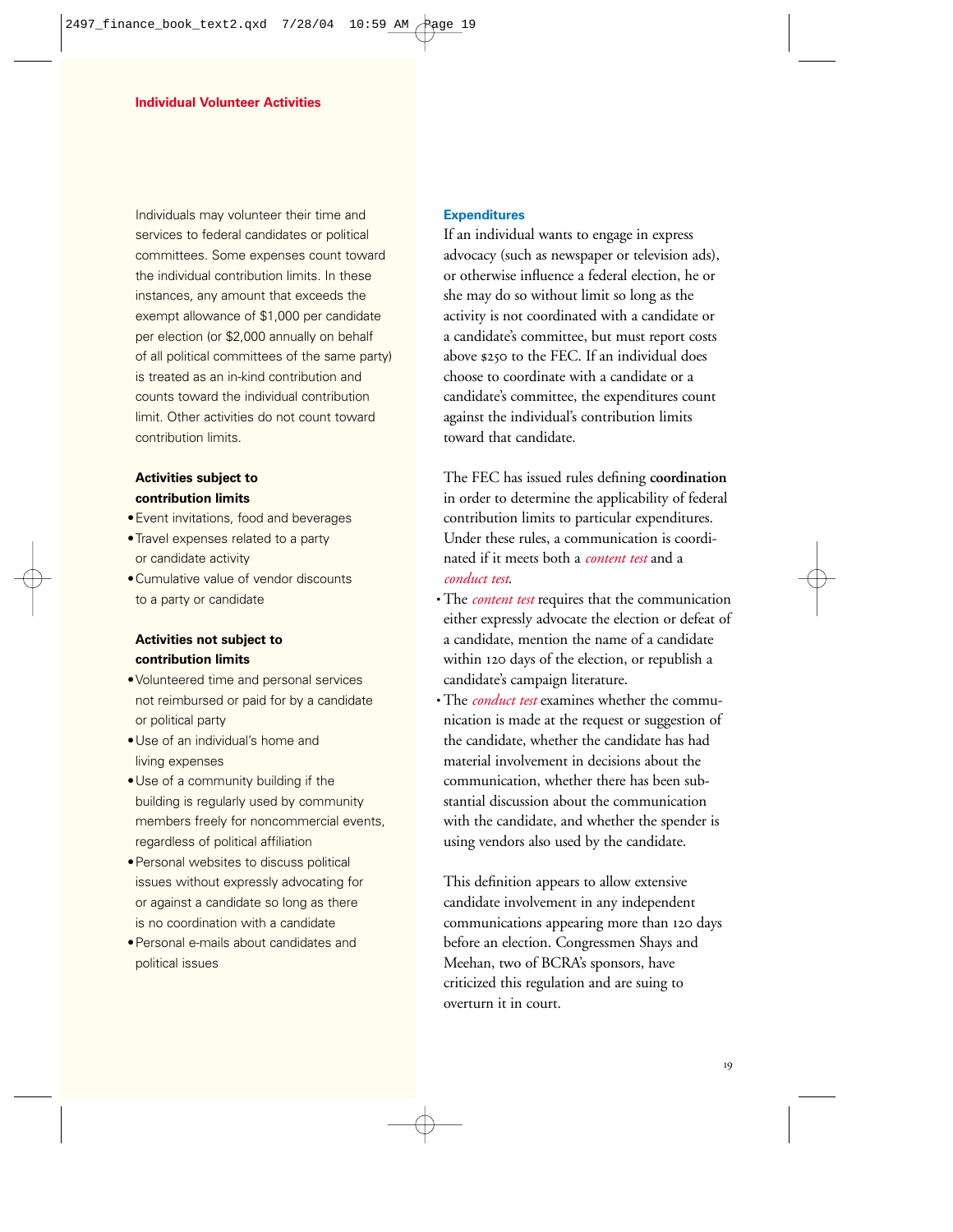Individuals may volunteer their time and services to federal candidates or political committees. Some expenses count toward the individual contribution limits. In these instances, any amount that exceeds the exempt allowance of \$1,000 per candidate per election (or \$2,000 annually on behalf of all political committees of the same party) is treated as an in-kind contribution and counts toward the individual contribution limit. Other activities do not count toward contribution limits.

#### **Activities subject to contribution limits**

- Event invitations, food and beverages **•**
- Travel expenses related to a party **•** or candidate activity
- Cumulative value of vendor discounts **•** to a party or candidate

#### **Activities not subject to contribution limits**

- Volunteered time and personal services **•** not reimbursed or paid for by a candidate or political party
- Use of an individual's home and **•** living expenses
- Use of a community building if the **•** building is regularly used by community members freely for noncommercial events, regardless of political affiliation
- Personal websites to discuss political **•** issues without expressly advocating for or against a candidate so long as there is no coordination with a candidate
- Personal e-mails about candidates and **•** political issues

#### **Expenditures**

If an individual wants to engage in express advocacy (such as newspaper or television ads), or otherwise influence a federal election, he or she may do so without limit so long as the activity is not coordinated with a candidate or a candidate's committee, but must report costs above \$250 to the FEC. If an individual does choose to coordinate with a candidate or a candidate's committee, the expenditures count against the individual's contribution limits toward that candidate.

The FEC has issued rules defining **coordination** in order to determine the applicability of federal contribution limits to particular expenditures. Under these rules, a communication is coordinated if it meets both a *content test* and a *conduct test*.

- The *content test* requires that the communication either expressly advocate the election or defeat of a candidate, mention the name of a candidate within 120 days of the election, or republish a candidate's campaign literature.
- The *conduct test* examines whether the commu-• nication is made at the request or suggestion of the candidate, whether the candidate has had material involvement in decisions about the communication, whether there has been substantial discussion about the communication with the candidate, and whether the spender is using vendors also used by the candidate.

This definition appears to allow extensive candidate involvement in any independent communications appearing more than 120 days before an election. Congressmen Shays and Meehan, two of BCRA's sponsors, have criticized this regulation and are suing to overturn it in court.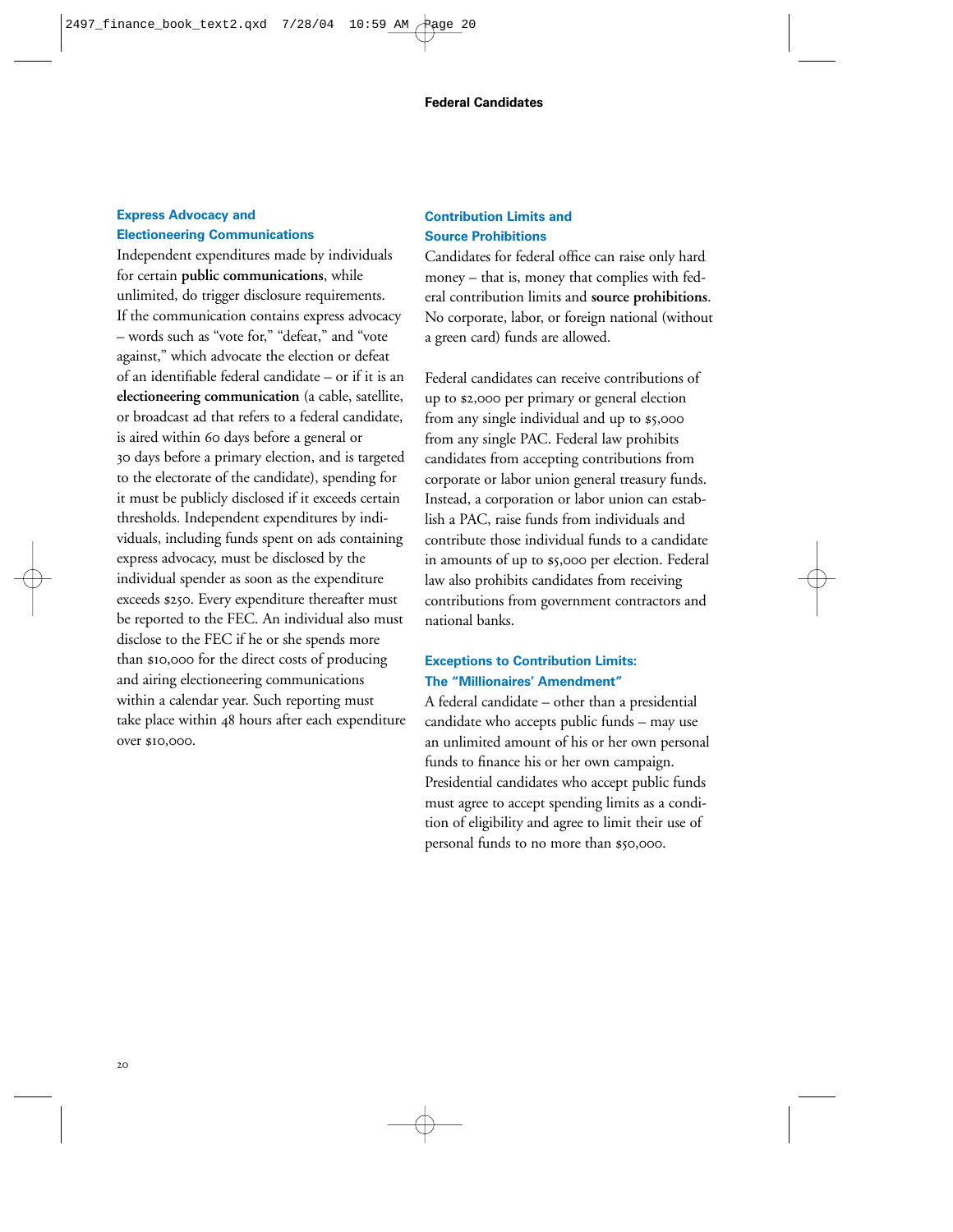#### **Express Advocacy and Electioneering Communications**

Independent expenditures made by individuals for certain **public communications**, while unlimited, do trigger disclosure requirements. If the communication contains express advocacy – words such as "vote for," "defeat," and "vote against," which advocate the election or defeat of an identifiable federal candidate – or if it is an **electioneering communication** (a cable, satellite, or broadcast ad that refers to a federal candidate, is aired within 60 days before a general or 30 days before a primary election, and is targeted to the electorate of the candidate), spending for it must be publicly disclosed if it exceeds certain thresholds. Independent expenditures by individuals, including funds spent on ads containing express advocacy, must be disclosed by the individual spender as soon as the expenditure exceeds \$250. Every expenditure thereafter must be reported to the FEC. An individual also must disclose to the FEC if he or she spends more than \$10,000 for the direct costs of producing and airing electioneering communications within a calendar year. Such reporting must take place within 48 hours after each expenditure over \$10,000.

#### **Contribution Limits and Source Prohibitions**

Candidates for federal office can raise only hard money – that is, money that complies with federal contribution limits and **source prohibitions**. No corporate, labor, or foreign national (without a green card) funds are allowed.

Federal candidates can receive contributions of up to \$2,000 per primary or general election from any single individual and up to \$5,000 from any single PAC. Federal law prohibits candidates from accepting contributions from corporate or labor union general treasury funds. Instead, a corporation or labor union can establish a PAC, raise funds from individuals and contribute those individual funds to a candidate in amounts of up to \$5,000 per election. Federal law also prohibits candidates from receiving contributions from government contractors and national banks.

#### **Exceptions to Contribution Limits: The "Millionaires' Amendment"**

A federal candidate – other than a presidential candidate who accepts public funds – may use an unlimited amount of his or her own personal funds to finance his or her own campaign. Presidential candidates who accept public funds must agree to accept spending limits as a condition of eligibility and agree to limit their use of personal funds to no more than \$50,000.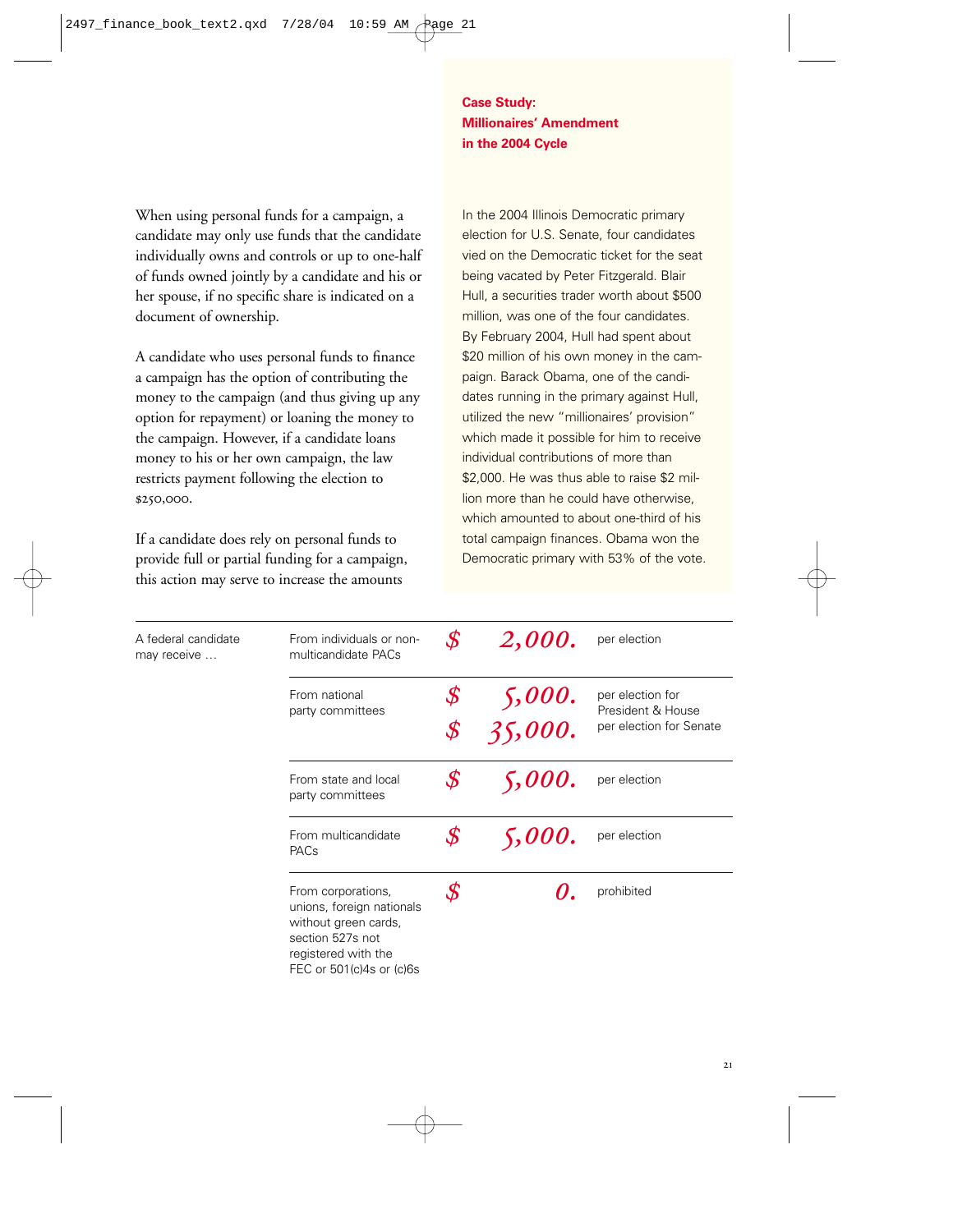When using personal funds for a campaign, a candidate may only use funds that the candidate individually owns and controls or up to one-half of funds owned jointly by a candidate and his or her spouse, if no specific share is indicated on a document of ownership.

A candidate who uses personal funds to finance a campaign has the option of contributing the money to the campaign (and thus giving up any option for repayment) or loaning the money to the campaign. However, if a candidate loans money to his or her own campaign, the law restricts payment following the election to \$250,000.

If a candidate does rely on personal funds to provide full or partial funding for a campaign, this action may serve to increase the amounts

**Case Study: Millionaires' Amendment in the 2004 Cycle**

In the 2004 Illinois Democratic primary election for U.S. Senate, four candidates vied on the Democratic ticket for the seat being vacated by Peter Fitzgerald. Blair Hull, a securities trader worth about \$500 million, was one of the four candidates. By February 2004, Hull had spent about \$20 million of his own money in the campaign. Barack Obama, one of the candidates running in the primary against Hull, utilized the new "millionaires' provision" which made it possible for him to receive individual contributions of more than \$2,000. He was thus able to raise \$2 million more than he could have otherwise, which amounted to about one-third of his total campaign finances. Obama won the Democratic primary with 53% of the vote.

| A federal candidate<br>may receive | From individuals or non-<br>multicandidate PACs                                                                                                | \$                         | 2,000.            | per election                                                     |
|------------------------------------|------------------------------------------------------------------------------------------------------------------------------------------------|----------------------------|-------------------|------------------------------------------------------------------|
|                                    | From national<br>party committees                                                                                                              | \$<br>\$                   | 5,000.<br>35,000. | per election for<br>President & House<br>per election for Senate |
|                                    | From state and local<br>party committees                                                                                                       | \$                         | 5,000.            | per election                                                     |
|                                    | From multicandidate<br><b>PACs</b>                                                                                                             | \$                         | 5,000.            | per election                                                     |
|                                    | From corporations,<br>unions, foreign nationals<br>without green cards,<br>section 527s not<br>registered with the<br>FEC or 501(c)4s or (c)6s | $\boldsymbol{\mathcal{S}}$ |                   | prohibited                                                       |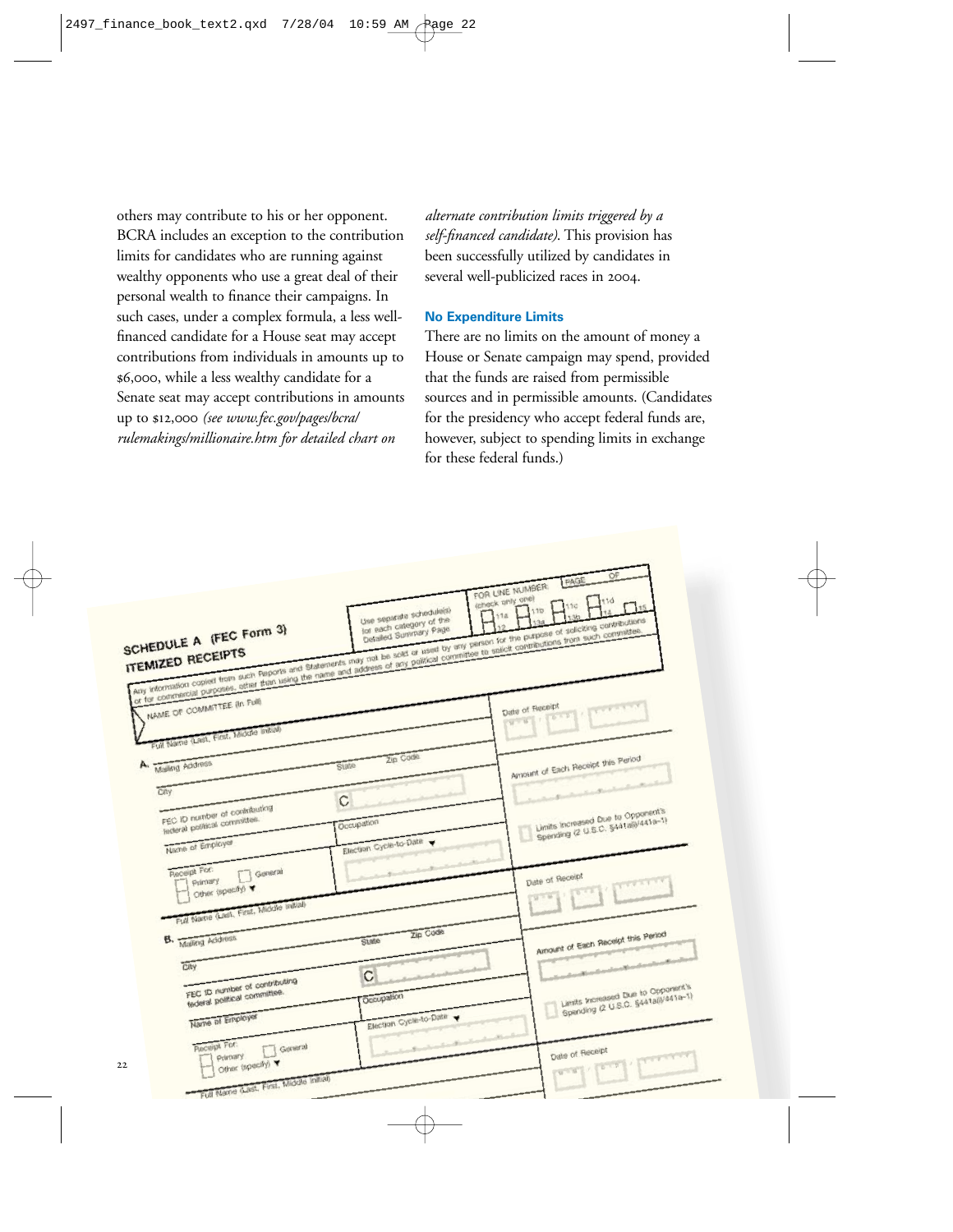others may contribute to his or her opponent. BCRA includes an exception to the contribution limits for candidates who are running against wealthy opponents who use a great deal of their personal wealth to finance their campaigns. In such cases, under a complex formula, a less wellfinanced candidate for a House seat may accept contributions from individuals in amounts up to  $$6,000$ , while a less wealthy candidate for a Senate seat may accept contributions in amounts up to **1**, *(see www.fec.gov/pages/bcra/ rulemakings/millionaire.htm for detailed chart on*

*alternate contribution limits triggered by a self-financed candidate)*. This provision has been successfully utilized by candidates in several well-publicized races in 2004.

#### **No Expenditure Limits**

There are no limits on the amount of money a House or Senate campaign may spend, provided that the funds are raised from permissible sources and in permissible amounts. (Candidates for the presidency who accept federal funds are, however, subject to spending limits in exchange for these federal funds.)

| Any information copied from such Reports and Statements may not be sold or used by any person for the purpose of soliciting contributions.<br>SCHEDULE A (FEC Form 3)<br>Any information copied from such Reports and Statements may not be sold or used by any person for the purpose of soliciting contributions<br>Any information copied from such Reports and Statements may not be sold or used by a<br><b>ITEMIZED RECEIPTS</b> | Use separate schedule(s)                             | OF<br>PAGE<br>FOR LINE NUMBER:<br>(check only one)<br>111 <sub>b</sub><br>11a                                         |
|----------------------------------------------------------------------------------------------------------------------------------------------------------------------------------------------------------------------------------------------------------------------------------------------------------------------------------------------------------------------------------------------------------------------------------------|------------------------------------------------------|-----------------------------------------------------------------------------------------------------------------------|
| NAME OF COMMITTEE (In Full)<br>Full Name (Last, First, Middle Initial)<br>Mailing Address<br>А.                                                                                                                                                                                                                                                                                                                                        | Zip Code<br>State                                    | <b>TANK AND REAL</b><br>Date of Receipt<br>W.M. LESE<br>Amount of Each Receipt this Period                            |
| City<br>FEC ID number of contributing<br>federal political committee.<br>Name of Employer<br>Receipt For:<br>General<br>Primary<br>Other (specify)                                                                                                                                                                                                                                                                                     | $\mathsf{C}$<br>Occupation<br>Election Cycle-to-Date | Limits Increased Due to Opponent's<br>Spending (2 U.S.C. \$441ally441a-1)<br>Date of Receipt<br>12222222<br>×<br>$-1$ |
| Full Name (Last, First, Middle Initial)<br><b>B.</b> Mailing Address<br>City<br>FEC ID number of contributing<br>tederal political committee.                                                                                                                                                                                                                                                                                          | Zip Code<br>State<br>C<br>Occupation                 | w<br>Amount of Each Receipt this Period<br><b>Burningham</b><br>Limits Increased Due to Opponent's                    |
| Name of Employer<br>Receipt For:<br>General<br>Primary<br>Other (specify)<br>22<br>Full Mame (Last, First, Middle Initial)                                                                                                                                                                                                                                                                                                             | Election Cycle-to-Date                               | Spending (2 U.S.C. §441ally441a-1)<br>Date of Receipt<br>ALLAS I LOLOS I LABARAS                                      |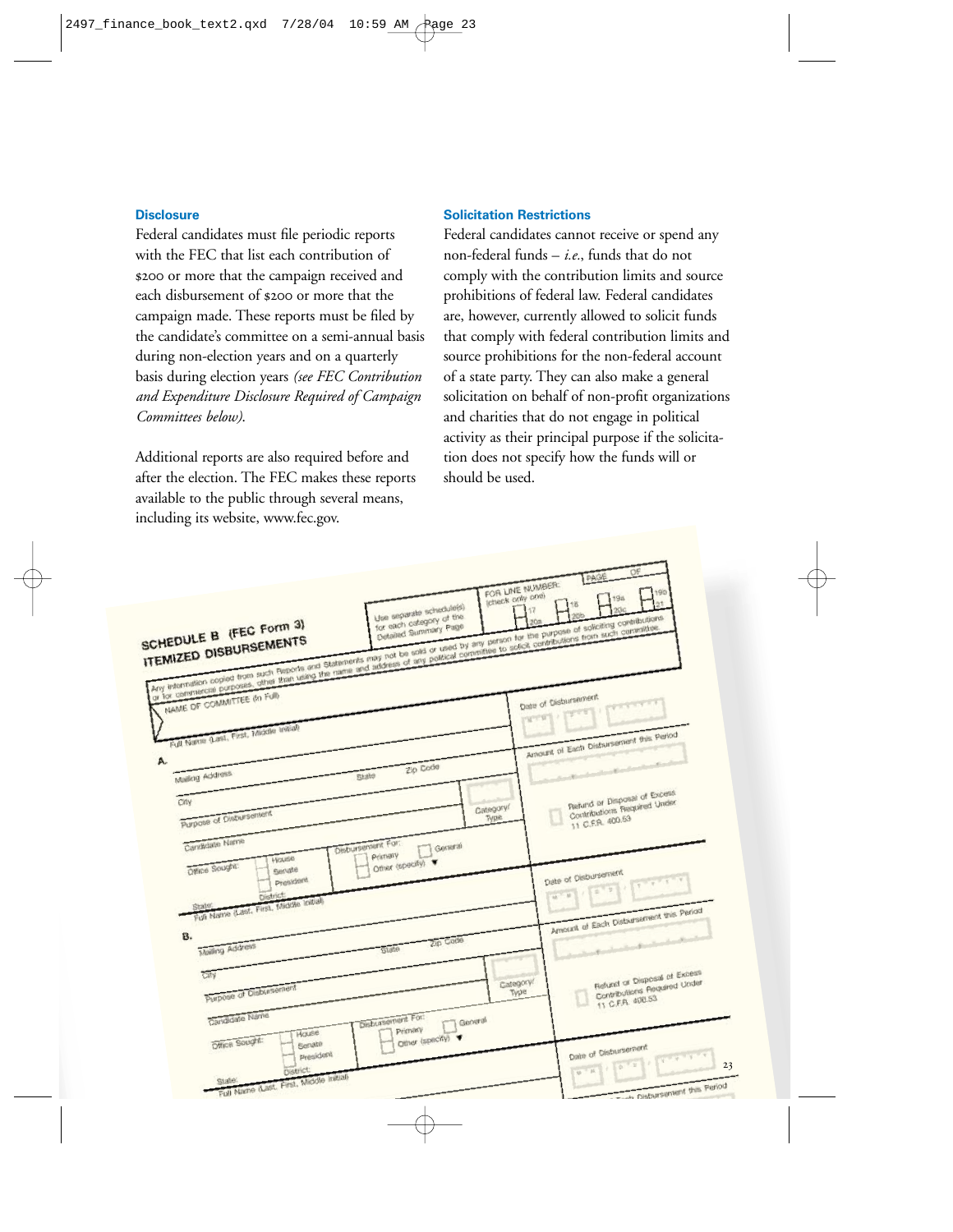#### **Disclosure**

Federal candidates must file periodic reports with the FEC that list each contribution of \$200 or more that the campaign received and each disbursement of \$200 or more that the campaign made. These reports must be filed by the candidate's committee on a semi-annual basis during non-election years and on a quarterly basis during election years *(see FEC Contribution and Expenditure Disclosure Required of Campaign Committees below)*.

Additional reports are also required before and after the election. The FEC makes these reports available to the public through several means, including its website, www.fec.gov.

#### **Solicitation Restrictions**

Federal candidates cannot receive or spend any non-federal funds – *i.e.*, funds that do not comply with the contribution limits and source prohibitions of federal law. Federal candidates are, however, currently allowed to solicit funds that comply with federal contribution limits and source prohibitions for the non-federal account of a state party. They can also make a general solicitation on behalf of non-profit organizations and charities that do not engage in political activity as their principal purpose if the solicitation does not specify how the funds will or should be used.

| Any information copied from such Reports and Statements may not be solid or used by any person for the purpose of soliciting contributions<br>SCHEDULE B (FEC Form 3)<br><b>ITEMIZED DISBURSEMENTS</b>                                                                                                     | Use separate schedule(s)                                   | OF<br>PAGE<br>FOR LINE NUMBER:<br>19 <sub>D</sub><br>(check only one)<br>21<br>$+7$                                                                       |
|------------------------------------------------------------------------------------------------------------------------------------------------------------------------------------------------------------------------------------------------------------------------------------------------------------|------------------------------------------------------------|-----------------------------------------------------------------------------------------------------------------------------------------------------------|
| Any information copied from such Reports and Statements may not be sold or used by any person for the purpose of soliciting contributions.<br>Any information copied from such Reports and Statements may not be sold or used by<br>NAME OF COMMITTEE (In Full)<br>Full Name (Last, First, Middle Initial) |                                                            | Date of Disbursement<br>TATALA<br>$1.1 - 1.$<br>$-11 - 11$<br>Amount of Each Disbursement this Period                                                     |
| А.<br>Mailing Address<br>City<br>Purpose of Disbursement                                                                                                                                                                                                                                                   | Zip Code<br>State<br>Category/<br>Type                     | Refund or Disposal of Excess<br>Contributions Required Under<br>11 C.F.R. 400.53                                                                          |
| Candidate Name<br>HOUSE<br>Office Sought:<br>Senate<br>President<br>District:<br>Full Name (Last, First, Middle Initial)                                                                                                                                                                                   | Disbursement For:<br>General<br>Primary<br>Other (specify) | Date of Disbursement<br>$\overline{Y} = \overline{Y} = \overline{Y} = \overline{Y}$<br>577<br>w<br>$-18$<br>u.<br>Amount of Each Disbursement this Period |
| <b>B.</b><br>Mailing Address<br>City<br>Purpose of Disbursement                                                                                                                                                                                                                                            | Zip Code<br>State                                          | Retund or Disposal of Excess<br>Category/<br>Contributions Required Under<br>Type<br>11 C.F.R. 400.53                                                     |
| Candidate Name<br>House<br>Office Sought:<br>Senate<br>President<br><b>District:</b><br>Full Name (Last, First, Middle Initial)                                                                                                                                                                            | Disbursement For:<br>General<br>Primary<br>Other (specify) | Date of Disbursement<br>$4 - 4 - 4 - 1$<br>٠.<br>M-MILES<br>23<br>Disbursement this Period                                                                |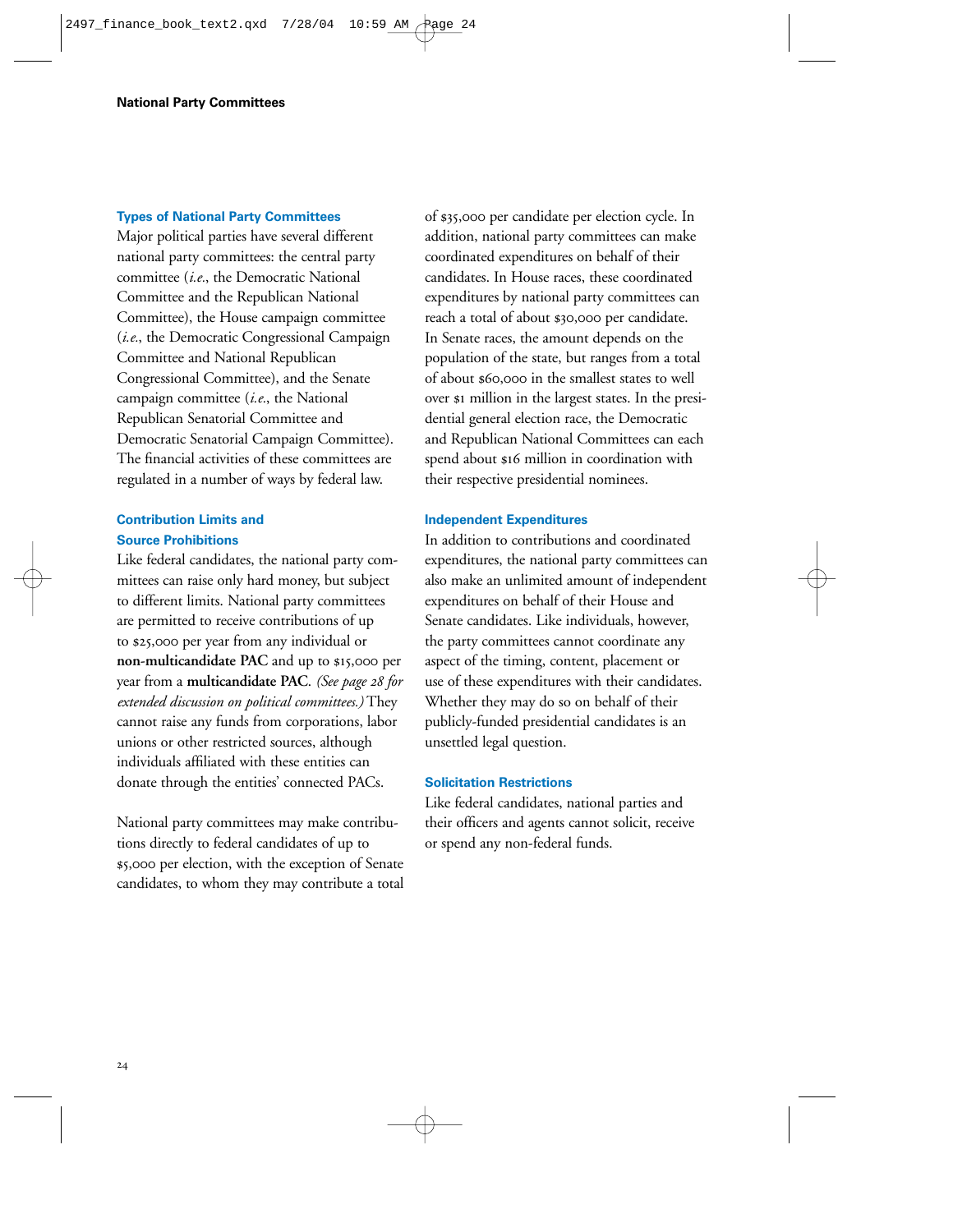#### **Types of National Party Committees**

Major political parties have several different national party committees: the central party committee (*i.e.*, the Democratic National Committee and the Republican National Committee), the House campaign committee (*i.e.*, the Democratic Congressional Campaign Committee and National Republican Congressional Committee), and the Senate campaign committee (*i.e.*, the National Republican Senatorial Committee and Democratic Senatorial Campaign Committee). The financial activities of these committees are regulated in a number of ways by federal law.

#### **Contribution Limits and Source Prohibitions**

Like federal candidates, the national party committees can raise only hard money, but subject to different limits. National party committees are permitted to receive contributions of up to \$25,000 per year from any individual or **non-multicandidate PAC** and up to \$15,000 per year from a **multicandidate PAC**. *(See page for extended discussion on political committees.)* They cannot raise any funds from corporations, labor unions or other restricted sources, although individuals affiliated with these entities can donate through the entities' connected PACs.

National party committees may make contributions directly to federal candidates of up to \$5,000 per election, with the exception of Senate candidates, to whom they may contribute a total of \$35,000 per candidate per election cycle. In addition, national party committees can make coordinated expenditures on behalf of their candidates. In House races, these coordinated expenditures by national party committees can reach a total of about \$30,000 per candidate. In Senate races, the amount depends on the population of the state, but ranges from a total of about \$60,000 in the smallest states to well over \$1 million in the largest states. In the presidential general election race, the Democratic and Republican National Committees can each spend about \$16 million in coordination with their respective presidential nominees.

#### **Independent Expenditures**

In addition to contributions and coordinated expenditures, the national party committees can also make an unlimited amount of independent expenditures on behalf of their House and Senate candidates. Like individuals, however, the party committees cannot coordinate any aspect of the timing, content, placement or use of these expenditures with their candidates. Whether they may do so on behalf of their publicly-funded presidential candidates is an unsettled legal question.

#### **Solicitation Restrictions**

Like federal candidates, national parties and their officers and agents cannot solicit, receive or spend any non-federal funds.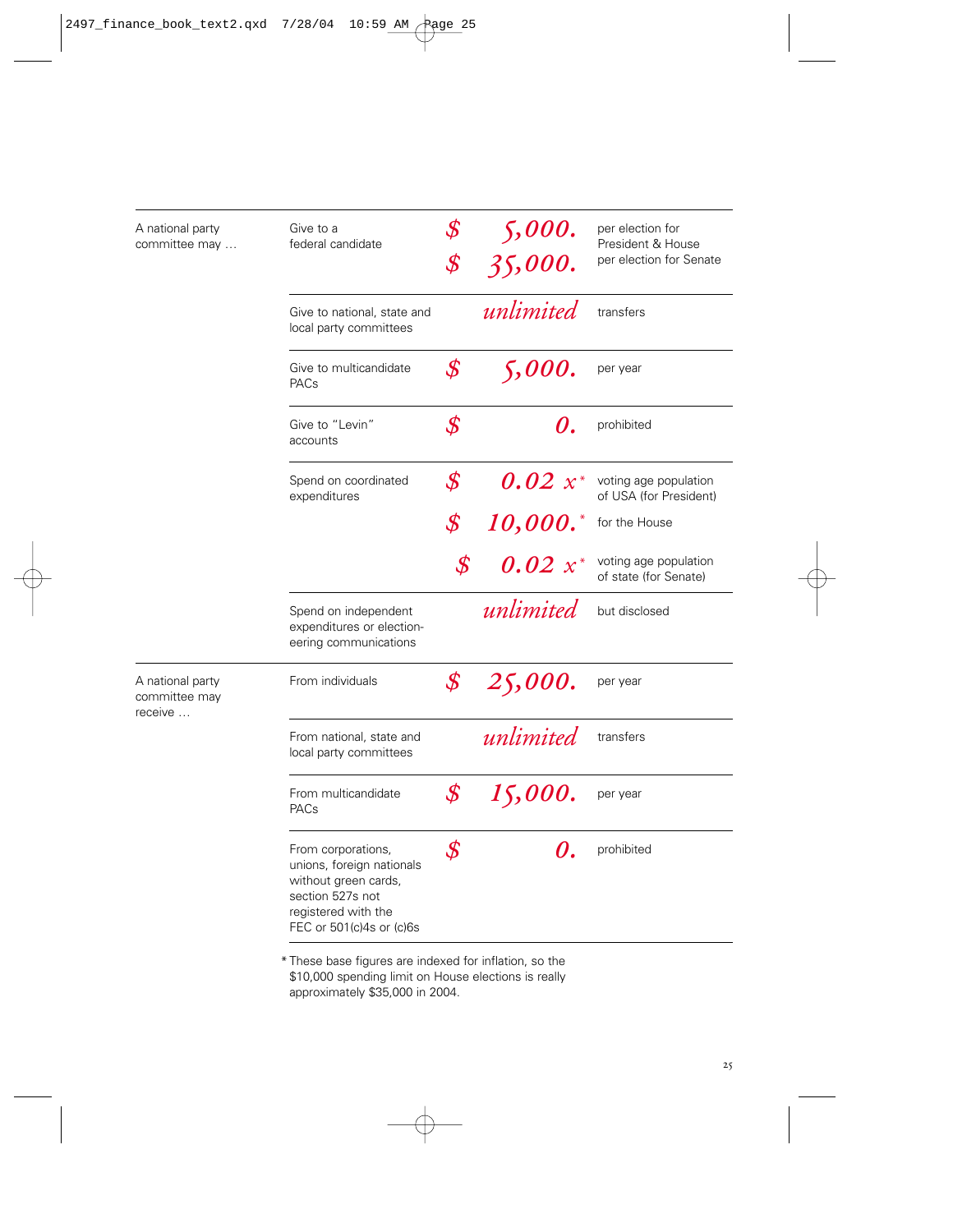| A national party<br>committee may            | Give to a<br>federal candidate                                                                                                                 | \$<br>\$                   | 5,000.<br>35,000. | per election for<br>President & House<br>per election for Senate |
|----------------------------------------------|------------------------------------------------------------------------------------------------------------------------------------------------|----------------------------|-------------------|------------------------------------------------------------------|
|                                              | Give to national, state and<br>local party committees                                                                                          |                            | unlimited         | transfers                                                        |
|                                              | Give to multicandidate<br><b>PACs</b>                                                                                                          | \$                         | 5,000.            | per year                                                         |
|                                              | Give to "Levin"<br>accounts                                                                                                                    | $\mathcal S$               | 0.                | prohibited                                                       |
|                                              | Spend on coordinated<br>expenditures                                                                                                           | \$                         | $0.02~x^*$        | voting age population<br>of USA (for President)                  |
|                                              |                                                                                                                                                | \$                         | $10,000.*$        | for the House                                                    |
|                                              |                                                                                                                                                | $\boldsymbol{\mathcal{S}}$ | $0.02 x^*$        | voting age population<br>of state (for Senate)                   |
|                                              | Spend on independent<br>expenditures or election-<br>eering communications                                                                     |                            | unlimited         | but disclosed                                                    |
| A national party<br>committee may<br>receive | From individuals                                                                                                                               | \$                         | 25,000.           | per year                                                         |
|                                              | From national, state and<br>local party committees                                                                                             |                            | unlimited         | transfers                                                        |
|                                              | From multicandidate<br><b>PACs</b>                                                                                                             | \$                         | 15,000.           | per year                                                         |
|                                              | From corporations,<br>unions, foreign nationals<br>without green cards,<br>section 527s not<br>registered with the<br>FEC or 501(c)4s or (c)6s | \$                         | 0.                | prohibited                                                       |
|                                              | * These base figures are indexed for inflation, so the<br>\$10,000 spending limit on House elections is really                                 |                            |                   |                                                                  |

approximately \$35,000 in 2004.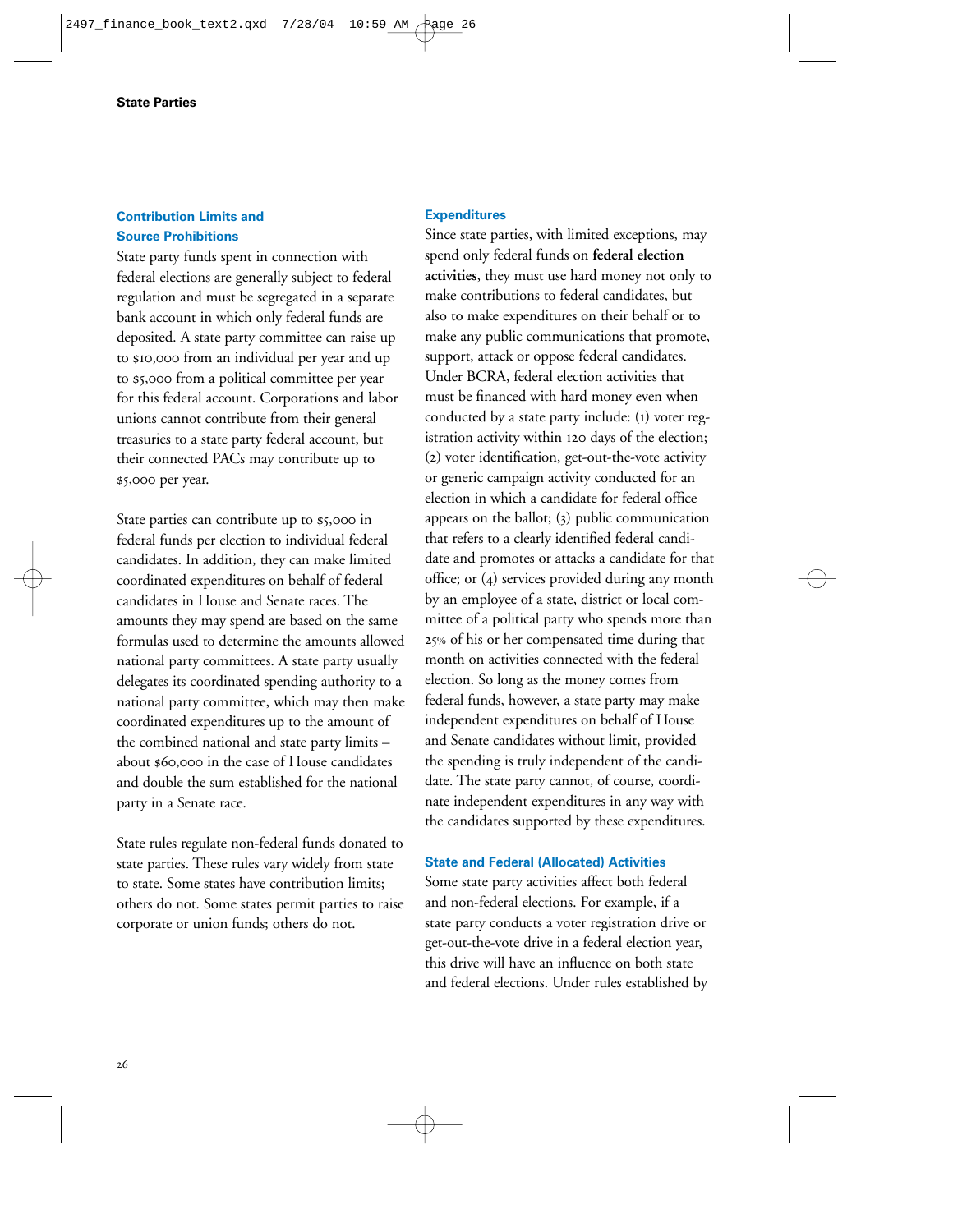#### **Contribution Limits and Source Prohibitions**

State party funds spent in connection with federal elections are generally subject to federal regulation and must be segregated in a separate bank account in which only federal funds are deposited. A state party committee can raise up to \$10,000 from an individual per year and up to \$5,000 from a political committee per year for this federal account. Corporations and labor unions cannot contribute from their general treasuries to a state party federal account, but their connected PACs may contribute up to \$5,000 per year.

State parties can contribute up to \$5,000 in federal funds per election to individual federal candidates. In addition, they can make limited coordinated expenditures on behalf of federal candidates in House and Senate races. The amounts they may spend are based on the same formulas used to determine the amounts allowed national party committees. A state party usually delegates its coordinated spending authority to a national party committee, which may then make coordinated expenditures up to the amount of the combined national and state party limits – about \$60,000 in the case of House candidates and double the sum established for the national party in a Senate race.

State rules regulate non-federal funds donated to state parties. These rules vary widely from state to state. Some states have contribution limits; others do not. Some states permit parties to raise corporate or union funds; others do not.

#### **Expenditures**

Since state parties, with limited exceptions, may spend only federal funds on **federal election activities**, they must use hard money not only to make contributions to federal candidates, but also to make expenditures on their behalf or to make any public communications that promote, support, attack or oppose federal candidates. Under BCRA, federal election activities that must be financed with hard money even when conducted by a state party include: (**1**) voter registration activity within 120 days of the election; (2) voter identification, get-out-the-vote activity or generic campaign activity conducted for an election in which a candidate for federal office appears on the ballot;  $(3)$  public communication that refers to a clearly identified federal candidate and promotes or attacks a candidate for that office; or  $(4)$  services provided during any month by an employee of a state, district or local committee of a political party who spends more than % of his or her compensated time during that month on activities connected with the federal election. So long as the money comes from federal funds, however, a state party may make independent expenditures on behalf of House and Senate candidates without limit, provided the spending is truly independent of the candidate. The state party cannot, of course, coordinate independent expenditures in any way with the candidates supported by these expenditures.

#### **State and Federal (Allocated) Activities**

Some state party activities affect both federal and non-federal elections. For example, if a state party conducts a voter registration drive or get-out-the-vote drive in a federal election year, this drive will have an influence on both state and federal elections. Under rules established by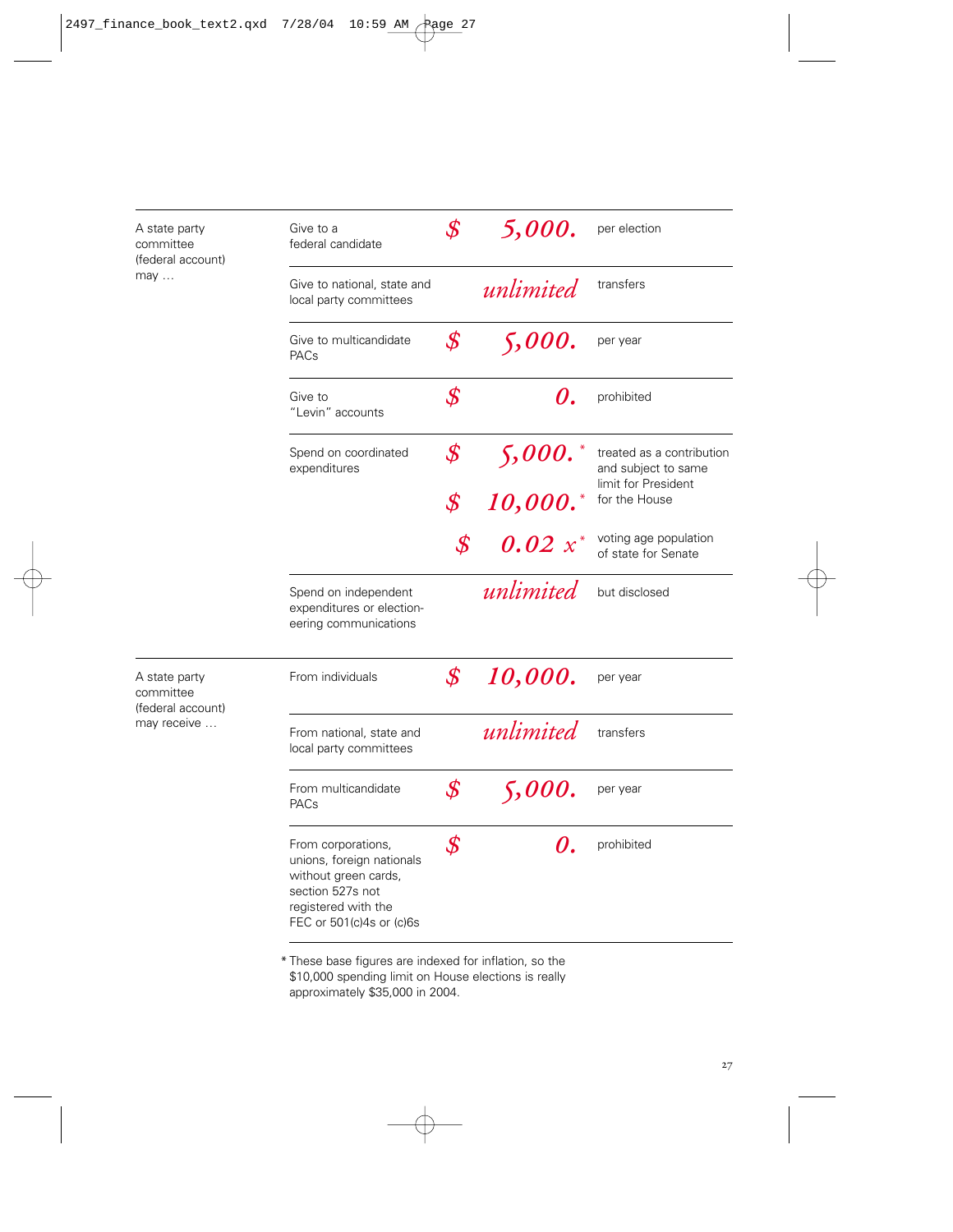A state party committee (federal account) may …

A state party committee (federal account) may receive …

| Give to a<br>federal candidate                                                                                                                 | $\mathcal S$ | 5,000.     | per election                                                            |
|------------------------------------------------------------------------------------------------------------------------------------------------|--------------|------------|-------------------------------------------------------------------------|
| Give to national, state and<br>local party committees                                                                                          |              | unlimited  | transfers                                                               |
| Give to multicandidate<br><b>PACs</b>                                                                                                          | \$           | 5,000.     | per year                                                                |
| Give to<br>"Levin" accounts                                                                                                                    | \$           | 0.         | prohibited                                                              |
| Spend on coordinated<br>expenditures                                                                                                           | $\mathcal S$ | $5,000.*$  | treated as a contribution<br>and subject to same<br>limit for President |
|                                                                                                                                                | \$           | $10,000.*$ | for the House                                                           |
|                                                                                                                                                | \$           | $0.02 x^*$ | voting age population<br>of state for Senate                            |
| Spend on independent<br>expenditures or election-<br>eering communications                                                                     |              | unlimited  | but disclosed                                                           |
| From individuals                                                                                                                               | \$           | 10,000.    | per year                                                                |
| From national, state and<br>local party committees                                                                                             |              | unlimited  | transfers                                                               |
| From multicandidate<br>PACs                                                                                                                    | $\mathcal S$ | 5,000.     | per year                                                                |
| From corporations,<br>unions, foreign nationals<br>without green cards,<br>section 527s not<br>registered with the<br>FEC or 501(c)4s or (c)6s | $\mathcal S$ | 0.         | prohibited                                                              |

These base figures are indexed for inflation, so the \* \$10,000 spending limit on House elections is really approximately \$35,000 in 2004.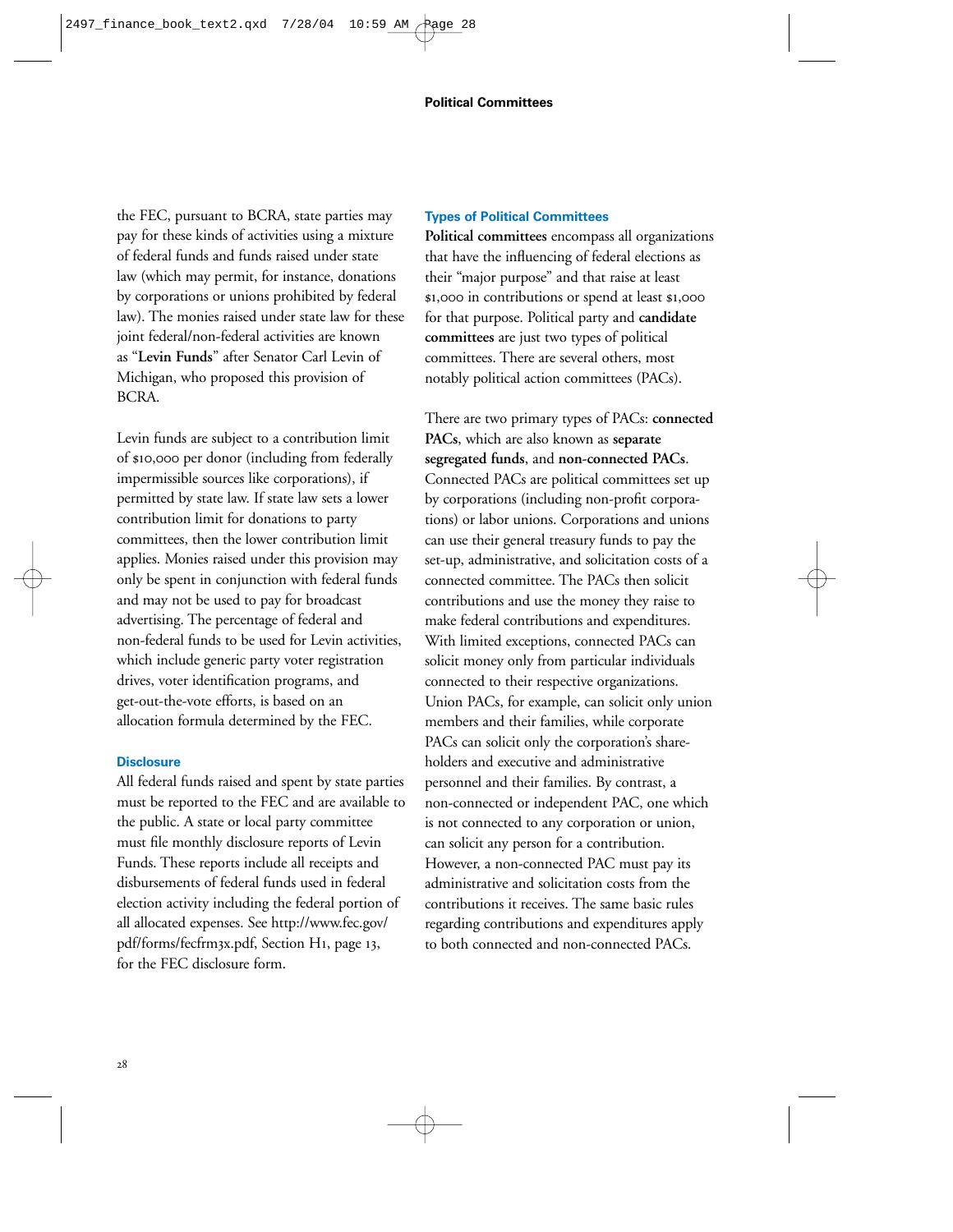the FEC, pursuant to BCRA, state parties may pay for these kinds of activities using a mixture of federal funds and funds raised under state law (which may permit, for instance, donations by corporations or unions prohibited by federal law). The monies raised under state law for these joint federal/non-federal activities are known as "**Levin Funds**" after Senator Carl Levin of Michigan, who proposed this provision of BCRA.

Levin funds are subject to a contribution limit of \$10,000 per donor (including from federally impermissible sources like corporations), if permitted by state law. If state law sets a lower contribution limit for donations to party committees, then the lower contribution limit applies. Monies raised under this provision may only be spent in conjunction with federal funds and may not be used to pay for broadcast advertising. The percentage of federal and non-federal funds to be used for Levin activities, which include generic party voter registration drives, voter identification programs, and get-out-the-vote efforts, is based on an allocation formula determined by the FEC.

#### **Disclosure**

All federal funds raised and spent by state parties must be reported to the FEC and are available to the public. A state or local party committee must file monthly disclosure reports of Levin Funds. These reports include all receipts and disbursements of federal funds used in federal election activity including the federal portion of all allocated expenses. See http://www.fec.gov/ pdf/forms/fecfrmx.pdf, Section H**1**, page **1**, for the FEC disclosure form.

#### **Types of Political Committees**

**Political committees** encompass all organizations that have the influencing of federal elections as their "major purpose" and that raise at least  $$1,000$  in contributions or spend at least  $$1,000$ for that purpose. Political party and **candidate committees** are just two types of political committees. There are several others, most notably political action committees (PACs).

There are two primary types of PACs: **connected PACs**, which are also known as **separate segregated funds**, and **non-connected PACs**. Connected PACs are political committees set up by corporations (including non-profit corporations) or labor unions. Corporations and unions can use their general treasury funds to pay the set-up, administrative, and solicitation costs of a connected committee. The PACs then solicit contributions and use the money they raise to make federal contributions and expenditures. With limited exceptions, connected PACs can solicit money only from particular individuals connected to their respective organizations. Union PACs, for example, can solicit only union members and their families, while corporate PACs can solicit only the corporation's shareholders and executive and administrative personnel and their families. By contrast, a non-connected or independent PAC, one which is not connected to any corporation or union, can solicit any person for a contribution. However, a non-connected PAC must pay its administrative and solicitation costs from the contributions it receives. The same basic rules regarding contributions and expenditures apply to both connected and non-connected PACs.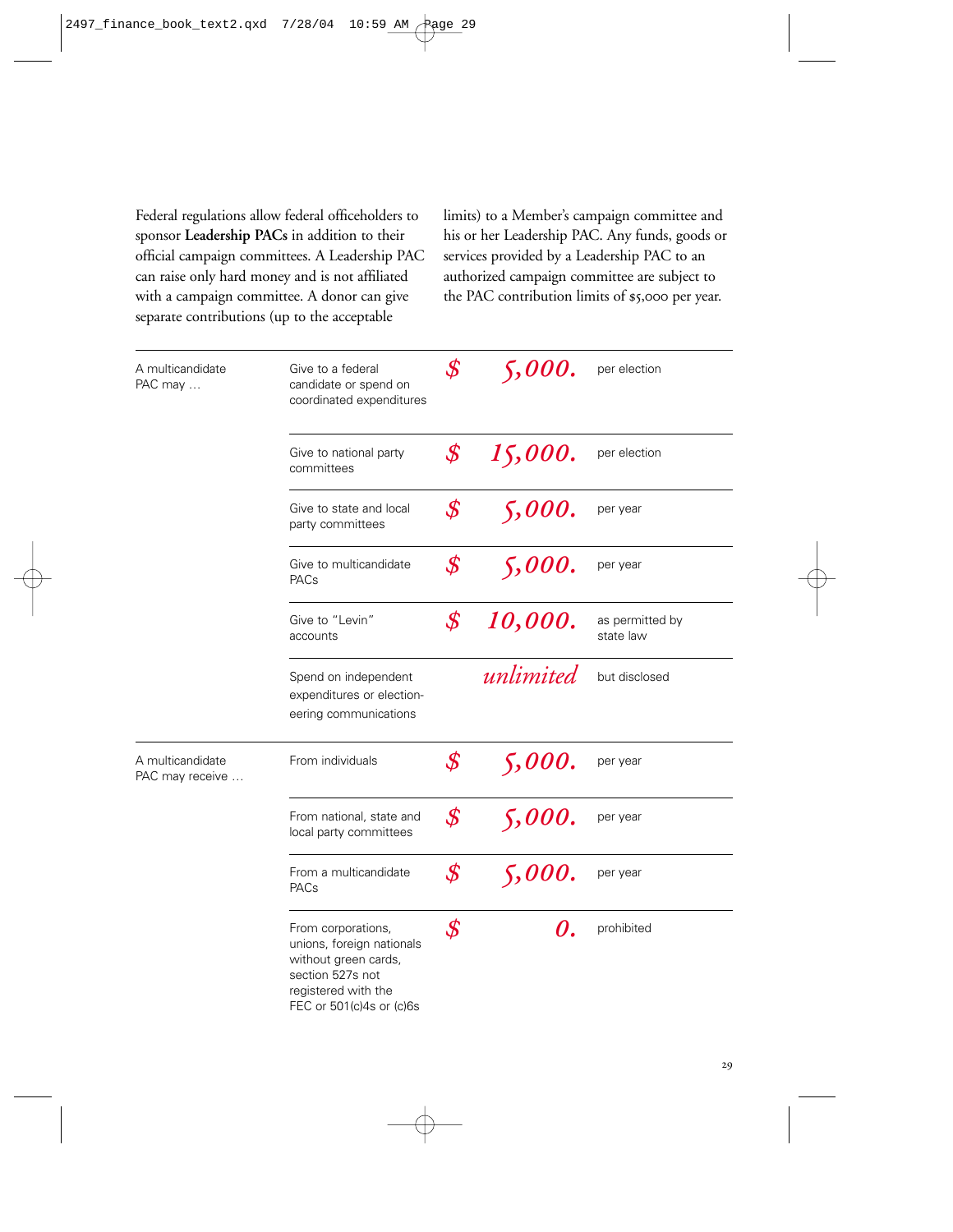Federal regulations allow federal officeholders to sponsor **Leadership PACs** in addition to their official campaign committees. A Leadership PAC can raise only hard money and is not affiliated with a campaign committee. A donor can give separate contributions (up to the acceptable

limits) to a Member's campaign committee and his or her Leadership PAC. Any funds, goods or services provided by a Leadership PAC to an authorized campaign committee are subject to the PAC contribution limits of \$5,000 per year.

| A multicandidate<br>PAC may         | Give to a federal<br>candidate or spend on<br>coordinated expenditures                                                                         | \$<br>5,000.  | per election                 |
|-------------------------------------|------------------------------------------------------------------------------------------------------------------------------------------------|---------------|------------------------------|
|                                     | Give to national party<br>committees                                                                                                           | \$<br>15,000. | per election                 |
|                                     | Give to state and local<br>party committees                                                                                                    | \$<br>5,000.  | per year                     |
|                                     | Give to multicandidate<br>PACs                                                                                                                 | \$<br>5,000.  | per year                     |
|                                     | Give to "Levin"<br>accounts                                                                                                                    | \$<br>10,000. | as permitted by<br>state law |
|                                     | Spend on independent<br>expenditures or election-<br>eering communications                                                                     | unlimited     | but disclosed                |
| A multicandidate<br>PAC may receive | From individuals                                                                                                                               | \$<br>5,000.  | per year                     |
|                                     | From national, state and<br>local party committees                                                                                             | \$<br>5,000.  | per year                     |
|                                     | From a multicandidate<br>PACs                                                                                                                  | \$<br>5,000.  | per year                     |
|                                     | From corporations,<br>unions, foreign nationals<br>without green cards,<br>section 527s not<br>registered with the<br>FEC or 501(c)4s or (c)6s | \$<br>0.      | prohibited                   |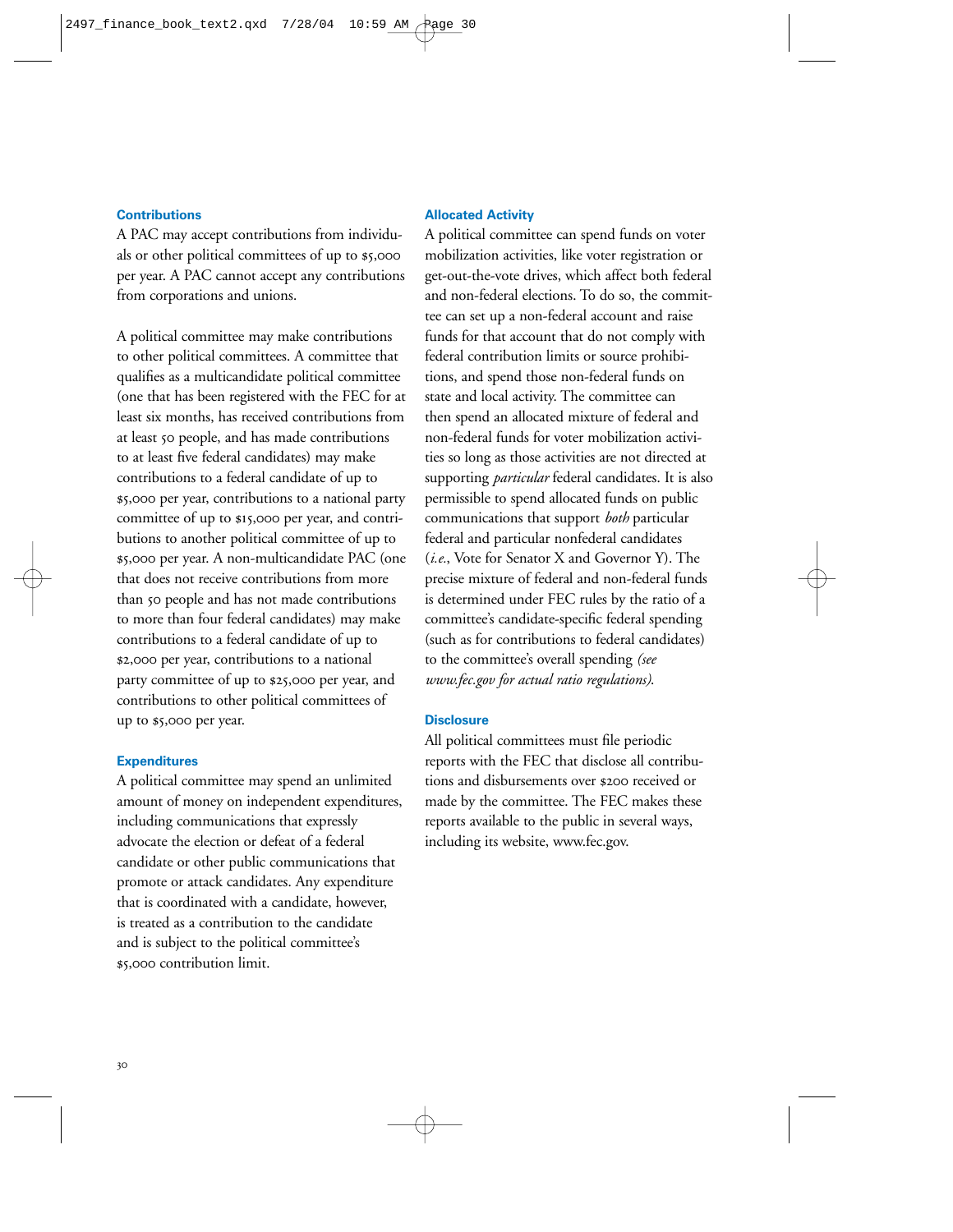#### **Contributions**

A PAC may accept contributions from individuals or other political committees of up to \$5,000 per year. A PAC cannot accept any contributions from corporations and unions.

A political committee may make contributions to other political committees. A committee that qualifies as a multicandidate political committee (one that has been registered with the FEC for at least six months, has received contributions from at least 50 people, and has made contributions to at least five federal candidates) may make contributions to a federal candidate of up to \$5,000 per year, contributions to a national party committee of up to \$15,000 per year, and contributions to another political committee of up to \$5,000 per year. A non-multicandidate PAC (one that does not receive contributions from more than 50 people and has not made contributions to more than four federal candidates) may make contributions to a federal candidate of up to \$2,000 per year, contributions to a national party committee of up to \$25,000 per year, and contributions to other political committees of up to \$5,000 per year.

#### **Expenditures**

A political committee may spend an unlimited amount of money on independent expenditures, including communications that expressly advocate the election or defeat of a federal candidate or other public communications that promote or attack candidates. Any expenditure that is coordinated with a candidate, however, is treated as a contribution to the candidate and is subject to the political committee's \$5,000 contribution limit.

#### **Allocated Activity**

A political committee can spend funds on voter mobilization activities, like voter registration or get-out-the-vote drives, which affect both federal and non-federal elections. To do so, the committee can set up a non-federal account and raise funds for that account that do not comply with federal contribution limits or source prohibitions, and spend those non-federal funds on state and local activity. The committee can then spend an allocated mixture of federal and non-federal funds for voter mobilization activities so long as those activities are not directed at supporting *particular* federal candidates. It is also permissible to spend allocated funds on public communications that support *both* particular federal and particular nonfederal candidates (*i.e.*, Vote for Senator X and Governor Y). The precise mixture of federal and non-federal funds is determined under FEC rules by the ratio of a committee's candidate-specific federal spending (such as for contributions to federal candidates) to the committee's overall spending *(see www.fec.gov for actual ratio regulations)*.

#### **Disclosure**

All political committees must file periodic reports with the FEC that disclose all contributions and disbursements over \$200 received or made by the committee. The FEC makes these reports available to the public in several ways, including its website, www.fec.gov.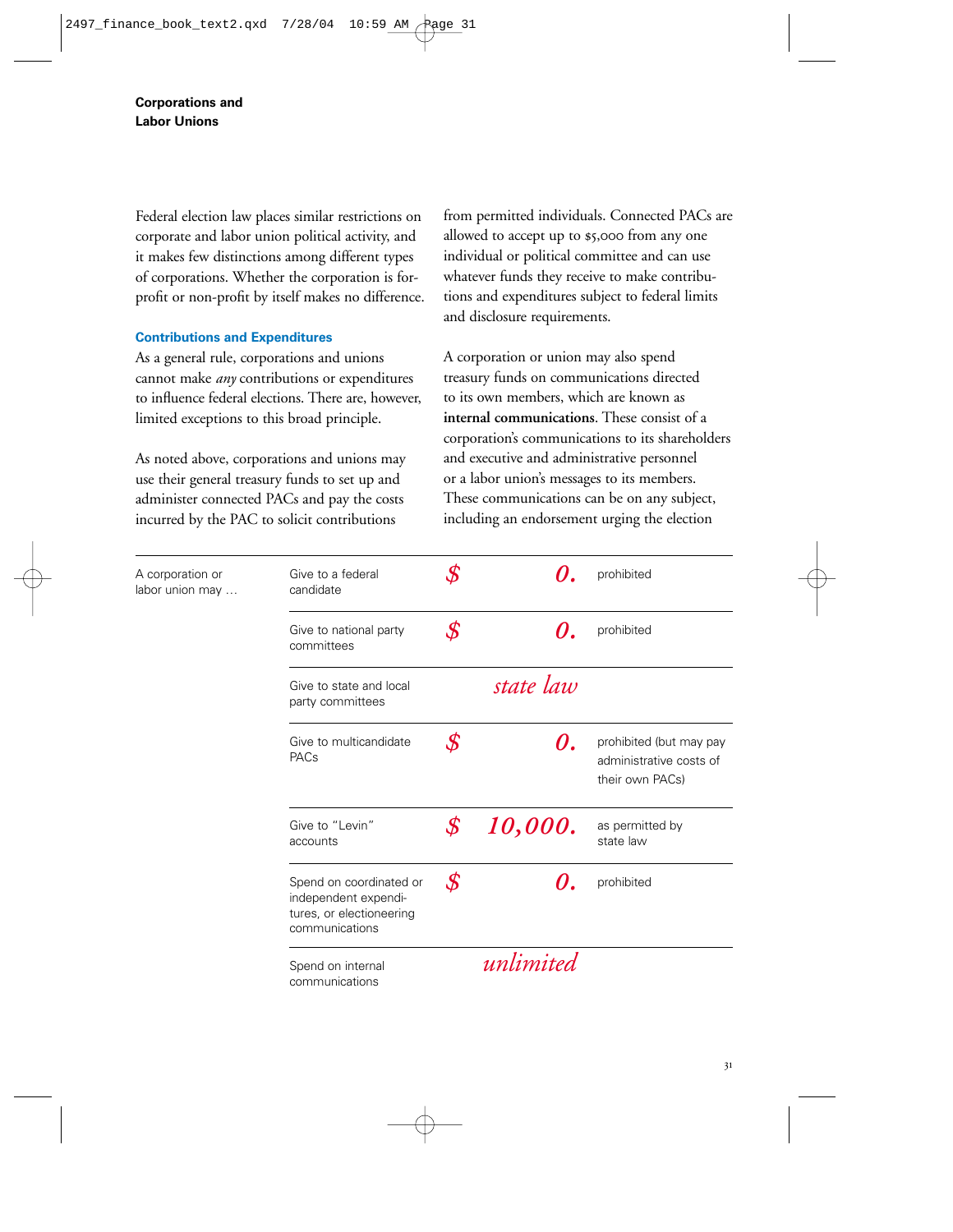Federal election law places similar restrictions on corporate and labor union political activity, and it makes few distinctions among different types of corporations. Whether the corporation is forprofit or non-profit by itself makes no difference.

#### **Contributions and Expenditures**

As a general rule, corporations and unions cannot make *any* contributions or expenditures to influence federal elections. There are, however, limited exceptions to this broad principle.

As noted above, corporations and unions may use their general treasury funds to set up and administer connected PACs and pay the costs incurred by the PAC to solicit contributions

from permitted individuals. Connected PACs are allowed to accept up to \$5,000 from any one individual or political committee and can use whatever funds they receive to make contributions and expenditures subject to federal limits and disclosure requirements.

A corporation or union may also spend treasury funds on communications directed to its own members, which are known as **internal communications**. These consist of a corporation's communications to its shareholders and executive and administrative personnel or a labor union's messages to its members. These communications can be on any subject, including an endorsement urging the election

| A corporation or<br>labor union may | Give to a federal<br>candidate                                                                | $\mathcal S$               |                         | prohibited                                                            |
|-------------------------------------|-----------------------------------------------------------------------------------------------|----------------------------|-------------------------|-----------------------------------------------------------------------|
|                                     | Give to national party<br>committees                                                          | \$                         | 0.                      | prohibited                                                            |
|                                     | Give to state and local<br>party committees                                                   |                            | state law               |                                                                       |
|                                     | Give to multicandidate<br><b>PACs</b>                                                         | $\mathcal S$               | 0.                      | prohibited (but may pay<br>administrative costs of<br>their own PACs) |
|                                     | Give to "Levin"<br>accounts                                                                   | $\boldsymbol{\mathcal{S}}$ | 10,000.                 | as permitted by<br>state law                                          |
|                                     | Spend on coordinated or<br>independent expendi-<br>tures, or electioneering<br>communications | \$                         | $\boldsymbol{\theta}$ . | prohibited                                                            |
|                                     | Spend on internal<br>communications                                                           |                            | unlimited               |                                                                       |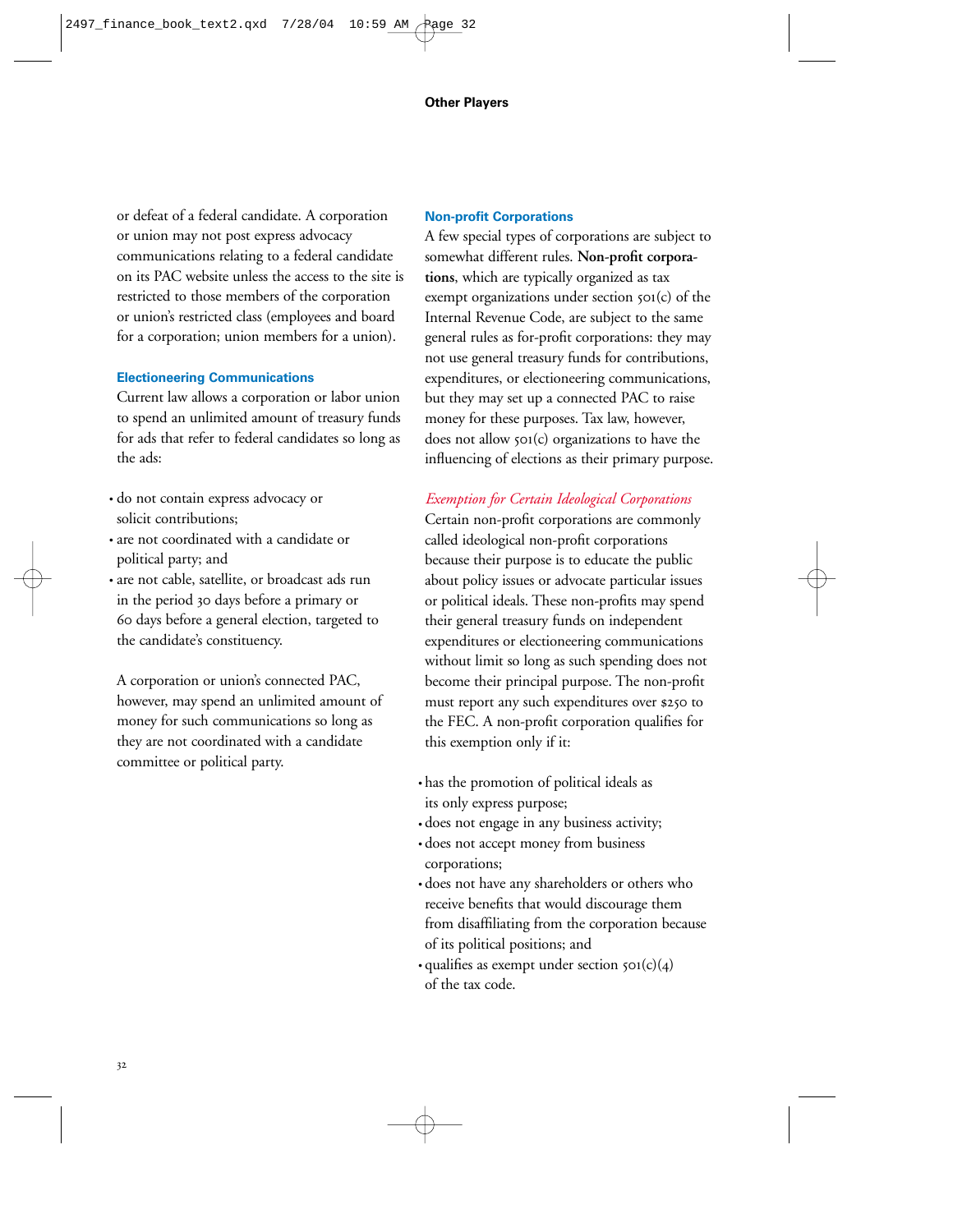or defeat of a federal candidate. A corporation or union may not post express advocacy communications relating to a federal candidate on its PAC website unless the access to the site is restricted to those members of the corporation or union's restricted class (employees and board for a corporation; union members for a union).

#### **Electioneering Communications**

Current law allows a corporation or labor union to spend an unlimited amount of treasury funds for ads that refer to federal candidates so long as the ads:

- do not contain express advocacy or solicit contributions;
- are not coordinated with a candidate or political party; and
- are not cable, satellite, or broadcast ads run in the period 30 days before a primary or days before a general election, targeted to the candidate's constituency.

A corporation or union's connected PAC, however, may spend an unlimited amount of money for such communications so long as they are not coordinated with a candidate committee or political party.

#### **Non-profit Corporations**

A few special types of corporations are subject to somewhat different rules. **Non-profit corporations**, which are typically organized as tax exempt organizations under section  $501(c)$  of the Internal Revenue Code, are subject to the same general rules as for-profit corporations: they may not use general treasury funds for contributions, expenditures, or electioneering communications, but they may set up a connected PAC to raise money for these purposes. Tax law, however, does not allow 501(c) organizations to have the influencing of elections as their primary purpose.

#### *Exemption for Certain Ideological Corporations*

Certain non-profit corporations are commonly called ideological non-profit corporations because their purpose is to educate the public about policy issues or advocate particular issues or political ideals. These non-profits may spend their general treasury funds on independent expenditures or electioneering communications without limit so long as such spending does not become their principal purpose. The non-profit must report any such expenditures over \$250 to the FEC. A non-profit corporation qualifies for this exemption only if it:

- has the promotion of political ideals as its only express purpose;
- does not engage in any business activity; •
- does not accept money from business corporations;
- does not have any shareholders or others who receive benefits that would discourage them from disaffiliating from the corporation because of its political positions; and
- qualifies as exempt under section 501(c)(4) of the tax code.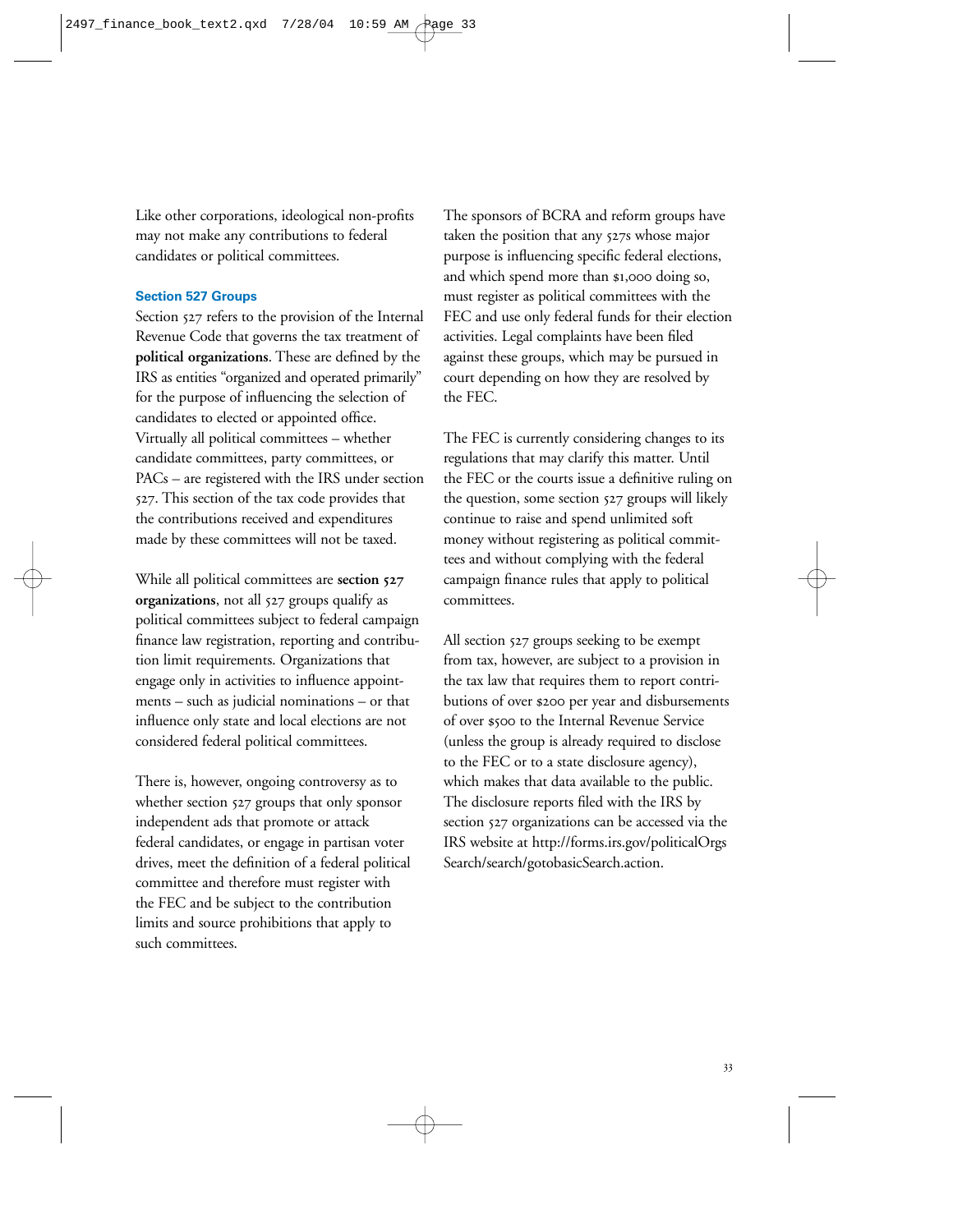Like other corporations, ideological non-profits may not make any contributions to federal candidates or political committees.

#### **Section 527 Groups**

Section 527 refers to the provision of the Internal Revenue Code that governs the tax treatment of **political organizations**. These are defined by the IRS as entities "organized and operated primarily" for the purpose of influencing the selection of candidates to elected or appointed office. Virtually all political committees – whether candidate committees, party committees, or PACs – are registered with the IRS under section 527. This section of the tax code provides that the contributions received and expenditures made by these committees will not be taxed.

While all political committees are **section**  organizations, not all 527 groups qualify as political committees subject to federal campaign finance law registration, reporting and contribution limit requirements. Organizations that engage only in activities to influence appointments – such as judicial nominations – or that influence only state and local elections are not considered federal political committees.

There is, however, ongoing controversy as to whether section 527 groups that only sponsor independent ads that promote or attack federal candidates, or engage in partisan voter drives, meet the definition of a federal political committee and therefore must register with the FEC and be subject to the contribution limits and source prohibitions that apply to such committees.

The sponsors of BCRA and reform groups have taken the position that any 527s whose major purpose is influencing specific federal elections, and which spend more than \$1,000 doing so, must register as political committees with the FEC and use only federal funds for their election activities. Legal complaints have been filed against these groups, which may be pursued in court depending on how they are resolved by the FEC.

The FEC is currently considering changes to its regulations that may clarify this matter. Until the FEC or the courts issue a definitive ruling on the question, some section 527 groups will likely continue to raise and spend unlimited soft money without registering as political committees and without complying with the federal campaign finance rules that apply to political committees.

All section 527 groups seeking to be exempt from tax, however, are subject to a provision in the tax law that requires them to report contributions of over \$200 per year and disbursements of over \$500 to the Internal Revenue Service (unless the group is already required to disclose to the FEC or to a state disclosure agency), which makes that data available to the public. The disclosure reports filed with the IRS by section 527 organizations can be accessed via the IRS website at http://forms.irs.gov/politicalOrgs Search/search/gotobasicSearch.action.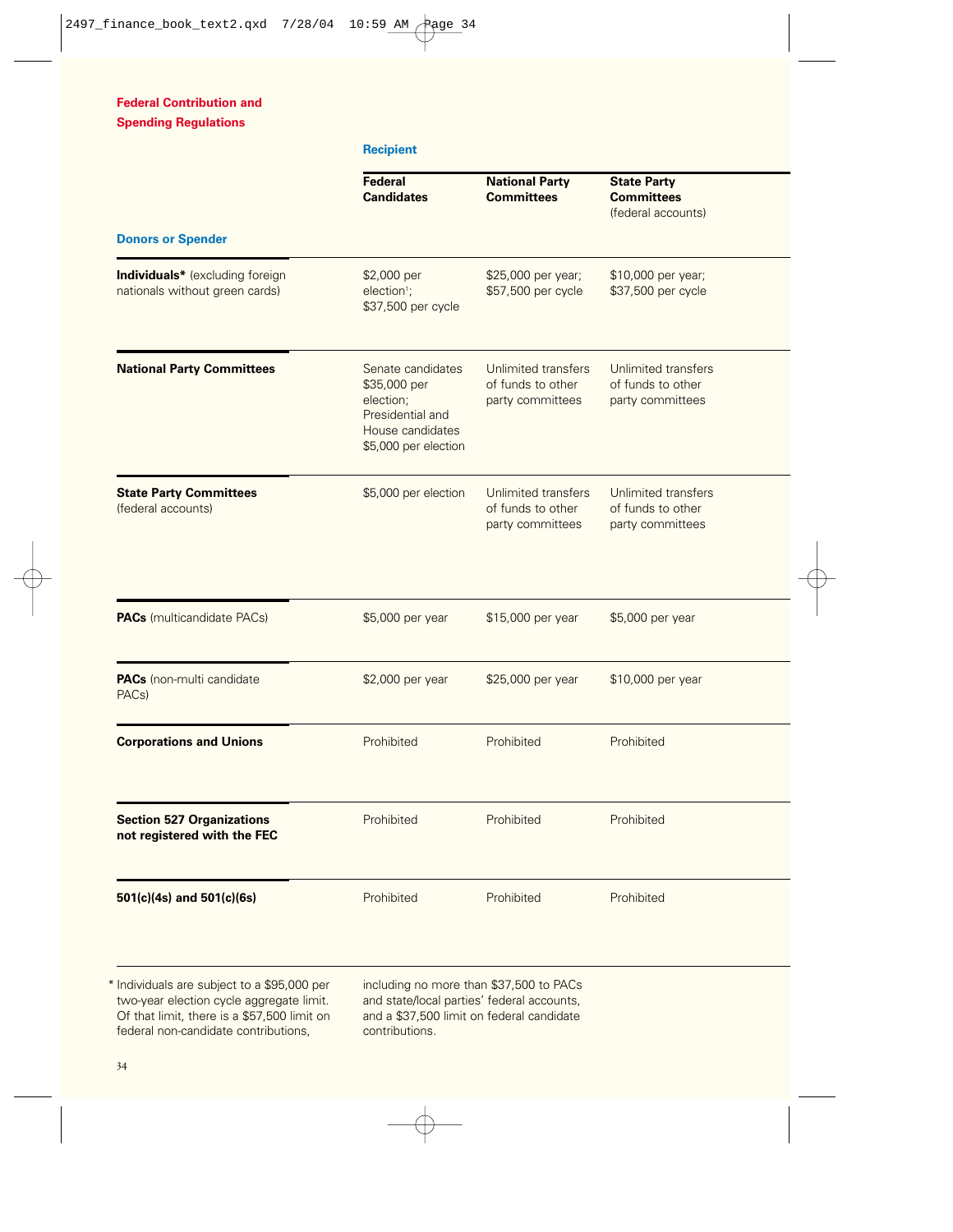|                                                                          | <b>Recipient</b>                                                                                               |                                                              |                                                               |  |  |  |  |
|--------------------------------------------------------------------------|----------------------------------------------------------------------------------------------------------------|--------------------------------------------------------------|---------------------------------------------------------------|--|--|--|--|
|                                                                          | Federal<br><b>Candidates</b>                                                                                   | <b>National Party</b><br><b>Committees</b>                   | <b>State Party</b><br><b>Committees</b><br>(federal accounts) |  |  |  |  |
| <b>Donors or Spender</b>                                                 |                                                                                                                |                                                              |                                                               |  |  |  |  |
| <b>Individuals*</b> (excluding foreign<br>nationals without green cards) | \$2,000 per<br>election <sup>1</sup> ;<br>\$37,500 per cycle                                                   | \$25,000 per year;<br>\$57,500 per cycle                     | \$10,000 per year;<br>\$37,500 per cycle                      |  |  |  |  |
| <b>National Party Committees</b>                                         | Senate candidates<br>\$35,000 per<br>election;<br>Presidential and<br>House candidates<br>\$5,000 per election | Unlimited transfers<br>of funds to other<br>party committees | Unlimited transfers<br>of funds to other<br>party committees  |  |  |  |  |
| <b>State Party Committees</b><br>(federal accounts)                      | \$5,000 per election                                                                                           | Unlimited transfers<br>of funds to other<br>party committees | Unlimited transfers<br>of funds to other<br>party committees  |  |  |  |  |
| <b>PACs</b> (multicandidate PACs)                                        | \$5,000 per year                                                                                               | \$15,000 per year                                            | \$5,000 per year                                              |  |  |  |  |
| <b>PACs</b> (non-multi candidate)<br>PAC <sub>s</sub> )                  | \$2,000 per year                                                                                               | \$25,000 per year                                            | \$10,000 per year                                             |  |  |  |  |
| <b>Corporations and Unions</b>                                           | Prohibited                                                                                                     | Prohibited                                                   | Prohibited                                                    |  |  |  |  |
| <b>Section 527 Organizations</b><br>not registered with the FEC          | Prohibited                                                                                                     | Prohibited                                                   | Prohibited                                                    |  |  |  |  |
| 501(c)(4s) and 501(c)(6s)                                                | Prohibited                                                                                                     | Prohibited                                                   | Prohibited                                                    |  |  |  |  |

\* Individuals are subject to a \$95,000 per two-year election cycle aggregate limit. Of that limit, there is a \$57,500 limit on federal non-candidate contributions,

including no more than \$37,500 to PACs and state/local parties' federal accounts, and a \$37,500 limit on federal candidate contributions.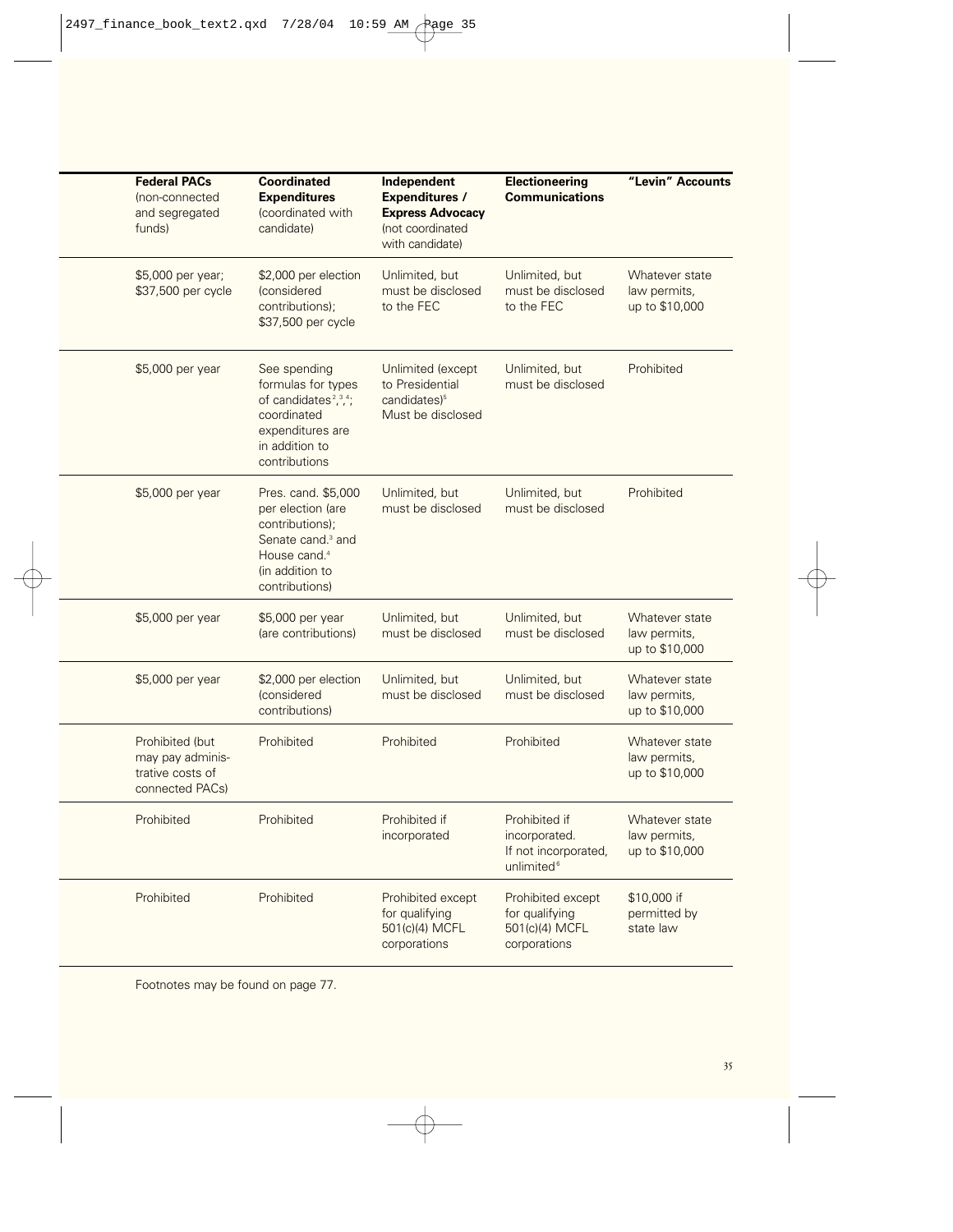| <b>Federal PACs</b><br>(non-connected<br>and segregated<br>funds)          | <b>Coordinated</b><br><b>Expenditures</b><br>(coordinated with<br>candidate)                                                                                  | Independent<br><b>Expenditures /</b><br><b>Express Advocacy</b><br>(not coordinated<br>with candidate) | <b>Electioneering</b><br><b>Communications</b>                                   | "Levin" Accounts                                 |
|----------------------------------------------------------------------------|---------------------------------------------------------------------------------------------------------------------------------------------------------------|--------------------------------------------------------------------------------------------------------|----------------------------------------------------------------------------------|--------------------------------------------------|
| \$5,000 per year;<br>\$37,500 per cycle                                    | \$2,000 per election<br><i>(considered)</i><br>contributions):<br>\$37,500 per cycle                                                                          | Unlimited, but<br>must be disclosed<br>to the FEC                                                      | Unlimited, but<br>must be disclosed<br>to the FEC                                | Whatever state<br>law permits,<br>up to \$10,000 |
| \$5,000 per year                                                           | See spending<br>formulas for types<br>of candidates <sup>2,3,4</sup> ;<br>coordinated<br>expenditures are<br>in addition to<br>contributions                  | Unlimited (except<br>to Presidential<br>candidates) <sup>5</sup><br>Must be disclosed                  | Unlimited, but<br>must be disclosed                                              | Prohibited                                       |
| \$5,000 per year                                                           | Pres. cand. \$5,000<br>per election (are<br>contributions);<br>Senate cand. <sup>3</sup> and<br>House cand. <sup>4</sup><br>(in addition to<br>contributions) | Unlimited, but<br>must be disclosed                                                                    | Unlimited, but<br>must be disclosed                                              | Prohibited                                       |
| \$5,000 per year                                                           | \$5,000 per year<br>(are contributions)                                                                                                                       | Unlimited, but<br>must be disclosed                                                                    | Unlimited, but<br>must be disclosed                                              | Whatever state<br>law permits,<br>up to \$10,000 |
| \$5,000 per year                                                           | \$2,000 per election<br><i>(considered)</i><br>contributions)                                                                                                 | Unlimited, but<br>must be disclosed                                                                    | Unlimited, but<br>must be disclosed                                              | Whatever state<br>law permits,<br>up to \$10,000 |
| Prohibited (but<br>may pay adminis-<br>trative costs of<br>connected PACs) | Prohibited                                                                                                                                                    | Prohibited                                                                                             | Prohibited                                                                       | Whatever state<br>law permits,<br>up to \$10,000 |
| Prohibited                                                                 | Prohibited                                                                                                                                                    | Prohibited if<br>incorporated                                                                          | Prohibited if<br>incorporated.<br>If not incorporated,<br>unlimited <sup>6</sup> | Whatever state<br>law permits,<br>up to \$10,000 |
| Prohibited                                                                 | Prohibited                                                                                                                                                    | Prohibited except<br>for qualifying<br>501(c)(4) MCFL<br>corporations                                  | Prohibited except<br>for qualifying<br>501(c)(4) MCFL<br>corporations            | \$10,000 if<br>permitted by<br>state law         |

Footnotes may be found on page 77.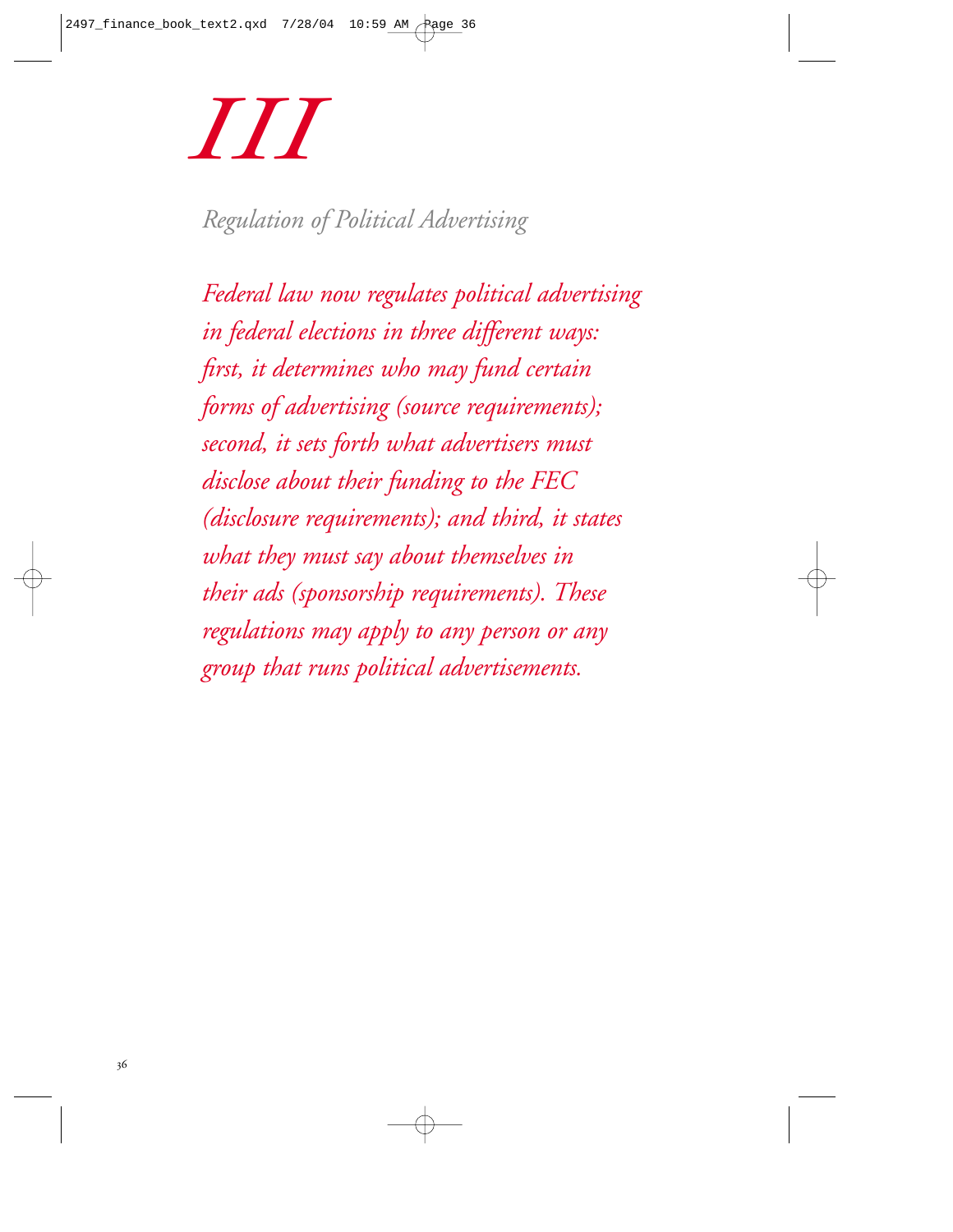### *III*

*Regulation of Political Advertising*

*Federal law now regulates political advertising in federal elections in three different ways: first, it determines who may fund certain forms of advertising (source requirements); second, it sets forth what advertisers must disclose about their funding to the FEC (disclosure requirements); and third, it states what they must say about themselves in their ads (sponsorship requirements). These regulations may apply to any person or any group that runs political advertisements.*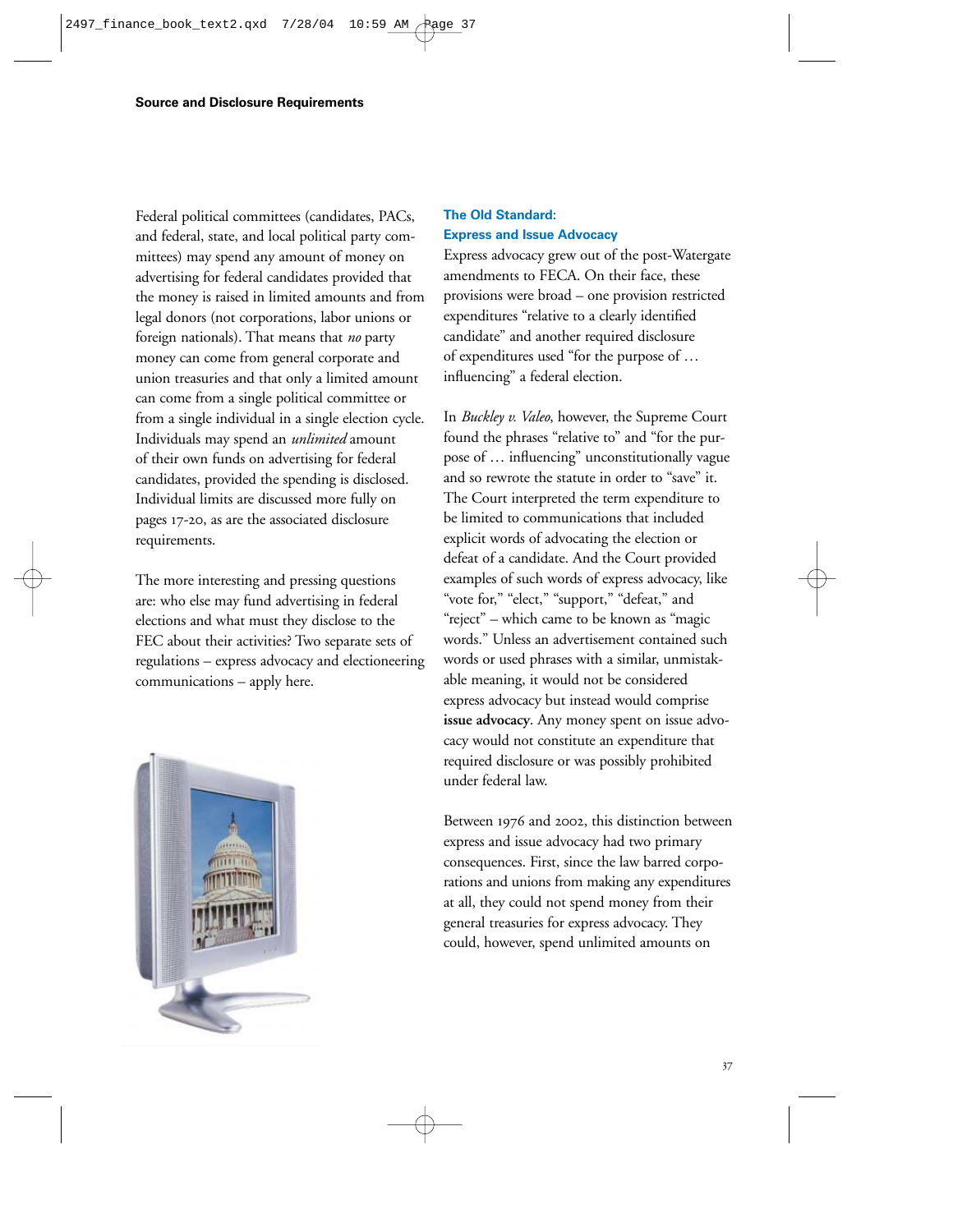Federal political committees (candidates, PACs, and federal, state, and local political party committees) may spend any amount of money on advertising for federal candidates provided that the money is raised in limited amounts and from legal donors (not corporations, labor unions or foreign nationals). That means that *no* party money can come from general corporate and union treasuries and that only a limited amount can come from a single political committee or from a single individual in a single election cycle. Individuals may spend an *unlimited* amount of their own funds on advertising for federal candidates, provided the spending is disclosed. Individual limits are discussed more fully on pages 17-20, as are the associated disclosure requirements.

The more interesting and pressing questions are: who else may fund advertising in federal elections and what must they disclose to the FEC about their activities? Two separate sets of regulations – express advocacy and electioneering communications – apply here.



### **The Old Standard:**

**Express and Issue Advocacy**

Express advocacy grew out of the post-Watergate amendments to FECA. On their face, these provisions were broad – one provision restricted expenditures "relative to a clearly identified candidate" and another required disclosure of expenditures used "for the purpose of … influencing" a federal election.

In *Buckley v. Valeo*, however, the Supreme Court found the phrases "relative to" and "for the purpose of … influencing" unconstitutionally vague and so rewrote the statute in order to "save" it. The Court interpreted the term expenditure to be limited to communications that included explicit words of advocating the election or defeat of a candidate. And the Court provided examples of such words of express advocacy, like "vote for," "elect," "support," "defeat," and "reject" – which came to be known as "magic words." Unless an advertisement contained such words or used phrases with a similar, unmistakable meaning, it would not be considered express advocacy but instead would comprise **issue advocacy**. Any money spent on issue advocacy would not constitute an expenditure that required disclosure or was possibly prohibited under federal law.

Between 1976 and 2002, this distinction between express and issue advocacy had two primary consequences. First, since the law barred corporations and unions from making any expenditures at all, they could not spend money from their general treasuries for express advocacy. They could, however, spend unlimited amounts on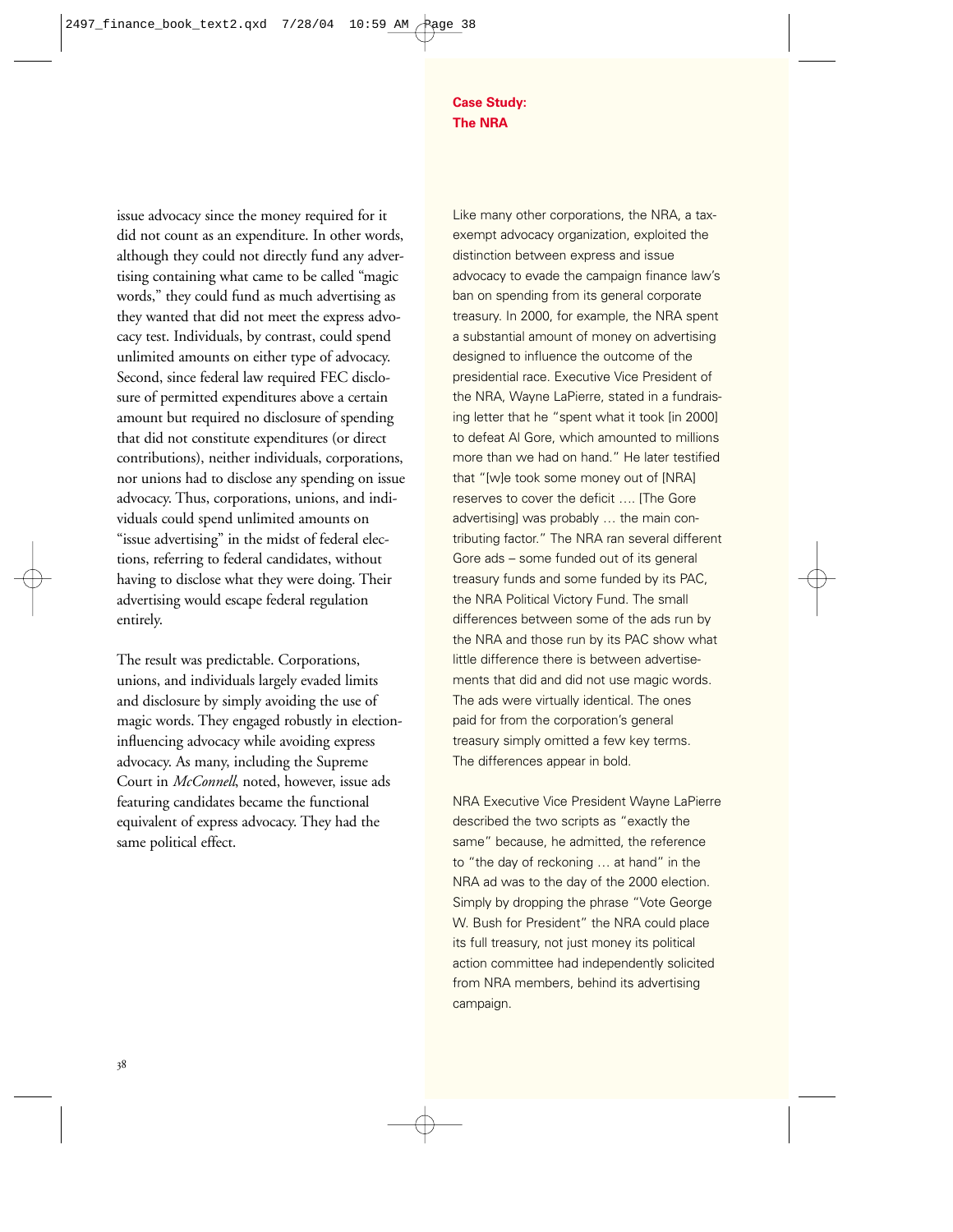#### **Case Study: The NRA**

issue advocacy since the money required for it did not count as an expenditure. In other words, although they could not directly fund any advertising containing what came to be called "magic words," they could fund as much advertising as they wanted that did not meet the express advocacy test. Individuals, by contrast, could spend unlimited amounts on either type of advocacy. Second, since federal law required FEC disclosure of permitted expenditures above a certain amount but required no disclosure of spending that did not constitute expenditures (or direct contributions), neither individuals, corporations, nor unions had to disclose any spending on issue advocacy. Thus, corporations, unions, and individuals could spend unlimited amounts on "issue advertising" in the midst of federal elections, referring to federal candidates, without having to disclose what they were doing. Their advertising would escape federal regulation entirely.

The result was predictable. Corporations, unions, and individuals largely evaded limits and disclosure by simply avoiding the use of magic words. They engaged robustly in electioninfluencing advocacy while avoiding express advocacy. As many, including the Supreme Court in *McConnell*, noted, however, issue ads featuring candidates became the functional equivalent of express advocacy. They had the same political effect.

Like many other corporations, the NRA, a taxexempt advocacy organization, exploited the distinction between express and issue advocacy to evade the campaign finance law's ban on spending from its general corporate treasury. In 2000, for example, the NRA spent a substantial amount of money on advertising designed to influence the outcome of the presidential race. Executive Vice President of the NRA, Wayne LaPierre, stated in a fundraising letter that he "spent what it took [in 2000] to defeat Al Gore, which amounted to millions more than we had on hand." He later testified that "[w]e took some money out of [NRA] reserves to cover the deficit …. [The Gore advertising] was probably … the main contributing factor." The NRA ran several different Gore ads – some funded out of its general treasury funds and some funded by its PAC, the NRA Political Victory Fund. The small differences between some of the ads run by the NRA and those run by its PAC show what little difference there is between advertisements that did and did not use magic words. The ads were virtually identical. The ones paid for from the corporation's general treasury simply omitted a few key terms. The differences appear in bold.

NRA Executive Vice President Wayne LaPierre described the two scripts as "exactly the same" because, he admitted, the reference to "the day of reckoning … at hand" in the NRA ad was to the day of the 2000 election. Simply by dropping the phrase "Vote George W. Bush for President" the NRA could place its full treasury, not just money its political action committee had independently solicited from NRA members, behind its advertising campaign.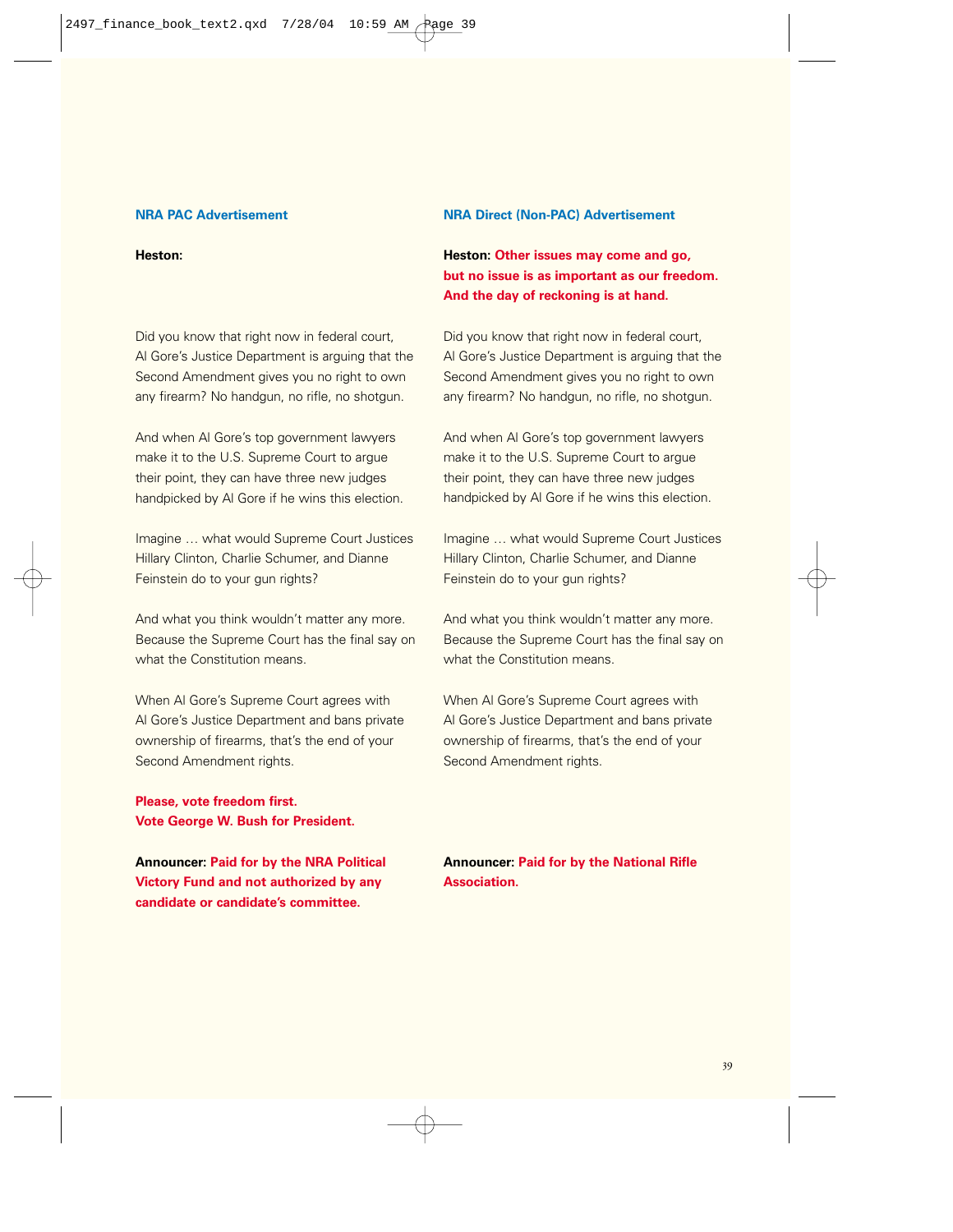#### **NRA PAC Advertisement**

#### **Heston:**

Did you know that right now in federal court, Al Gore's Justice Department is arguing that the Second Amendment gives you no right to own any firearm? No handgun, no rifle, no shotgun.

And when Al Gore's top government lawyers make it to the U.S. Supreme Court to argue their point, they can have three new judges handpicked by Al Gore if he wins this election.

Imagine … what would Supreme Court Justices Hillary Clinton, Charlie Schumer, and Dianne Feinstein do to your gun rights?

And what you think wouldn't matter any more. Because the Supreme Court has the final say on what the Constitution means.

When Al Gore's Supreme Court agrees with Al Gore's Justice Department and bans private ownership of firearms, that's the end of your Second Amendment rights.

**Please, vote freedom first. Vote George W. Bush for President.**

**Announcer: Paid for by the NRA Political Victory Fund and not authorized by any candidate or candidate's committee.**

#### **NRA Direct (Non-PAC) Advertisement**

**Heston: Other issues may come and go, but no issue is as important as our freedom. And the day of reckoning is at hand.**

Did you know that right now in federal court, Al Gore's Justice Department is arguing that the Second Amendment gives you no right to own any firearm? No handgun, no rifle, no shotgun.

And when Al Gore's top government lawyers make it to the U.S. Supreme Court to argue their point, they can have three new judges handpicked by Al Gore if he wins this election.

Imagine … what would Supreme Court Justices Hillary Clinton, Charlie Schumer, and Dianne Feinstein do to your gun rights?

And what you think wouldn't matter any more. Because the Supreme Court has the final say on what the Constitution means.

When Al Gore's Supreme Court agrees with Al Gore's Justice Department and bans private ownership of firearms, that's the end of your Second Amendment rights.

**Announcer: Paid for by the National Rifle Association.**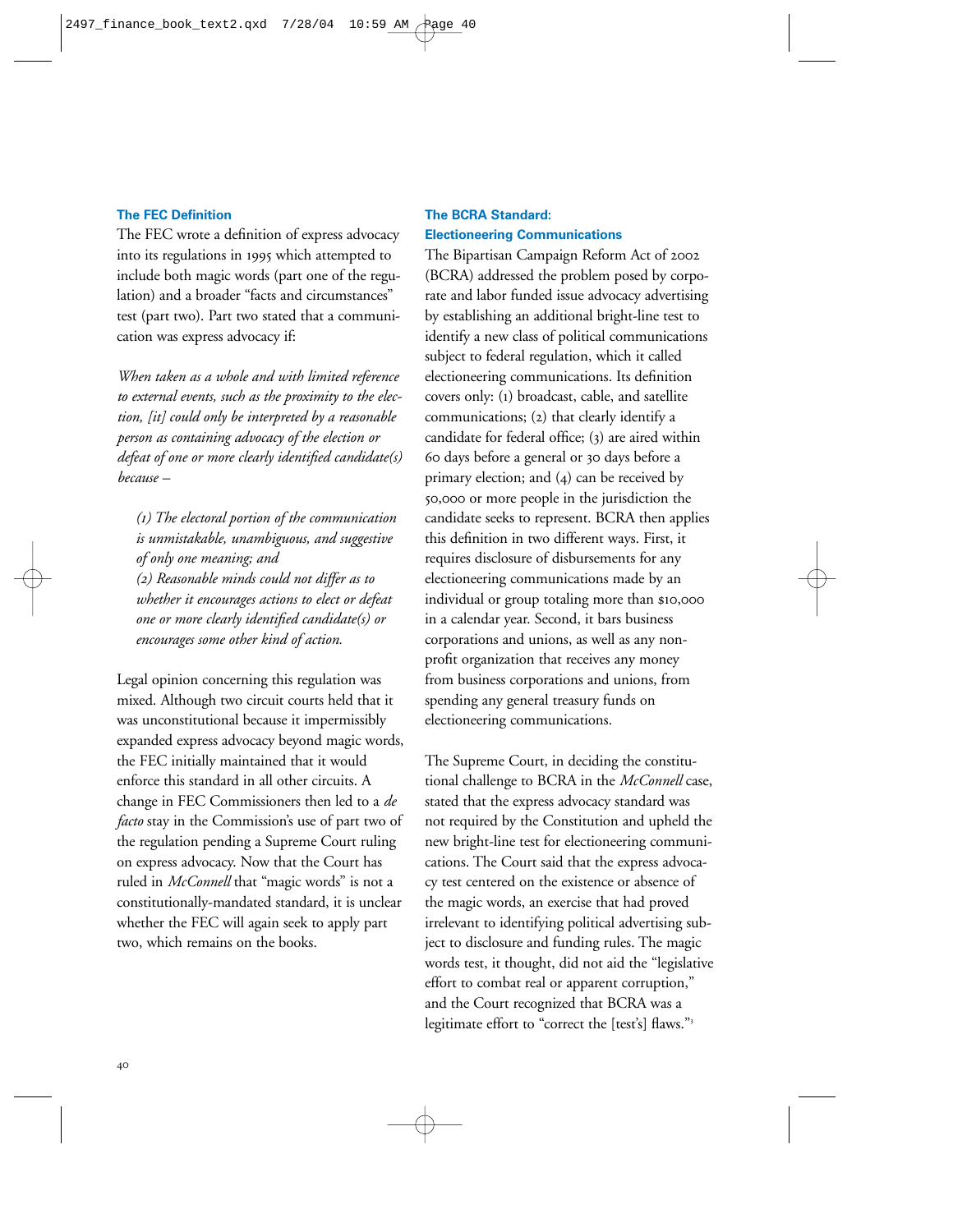#### **The FEC Definition**

The FEC wrote a definition of express advocacy into its regulations in 1995 which attempted to include both magic words (part one of the regulation) and a broader "facts and circumstances" test (part two). Part two stated that a communication was express advocacy if:

*When taken as a whole and with limited reference to external events, such as the proximity to the election, [it] could only be interpreted by a reasonable person as containing advocacy of the election or defeat of one or more clearly identified candidate(s) because –*

*(1) The electoral portion of the communication is unmistakable, unambiguous, and suggestive of only one meaning; and () Reasonable minds could not differ as to whether it encourages actions to elect or defeat one or more clearly identified candidate(s) or encourages some other kind of action.*

Legal opinion concerning this regulation was mixed. Although two circuit courts held that it was unconstitutional because it impermissibly expanded express advocacy beyond magic words, the FEC initially maintained that it would enforce this standard in all other circuits. A change in FEC Commissioners then led to a *de facto* stay in the Commission's use of part two of the regulation pending a Supreme Court ruling on express advocacy. Now that the Court has ruled in *McConnell* that "magic words" is not a constitutionally-mandated standard, it is unclear whether the FEC will again seek to apply part two, which remains on the books.

#### **The BCRA Standard: Electioneering Communications**

The Bipartisan Campaign Reform Act of (BCRA) addressed the problem posed by corporate and labor funded issue advocacy advertising by establishing an additional bright-line test to identify a new class of political communications subject to federal regulation, which it called electioneering communications. Its definition covers only: (**1**) broadcast, cable, and satellite communications; (2) that clearly identify a candidate for federal office;  $(3)$  are aired within 60 days before a general or 30 days before a primary election; and  $(4)$  can be received by 50,000 or more people in the jurisdiction the candidate seeks to represent. BCRA then applies this definition in two different ways. First, it requires disclosure of disbursements for any electioneering communications made by an individual or group totaling more than \$10,000 in a calendar year. Second, it bars business corporations and unions, as well as any nonprofit organization that receives any money from business corporations and unions, from spending any general treasury funds on electioneering communications.

The Supreme Court, in deciding the constitutional challenge to BCRA in the *McConnell* case, stated that the express advocacy standard was not required by the Constitution and upheld the new bright-line test for electioneering communications. The Court said that the express advocacy test centered on the existence or absence of the magic words, an exercise that had proved irrelevant to identifying political advertising subject to disclosure and funding rules. The magic words test, it thought, did not aid the "legislative effort to combat real or apparent corruption," and the Court recognized that BCRA was a legitimate effort to "correct the [test's] flaws."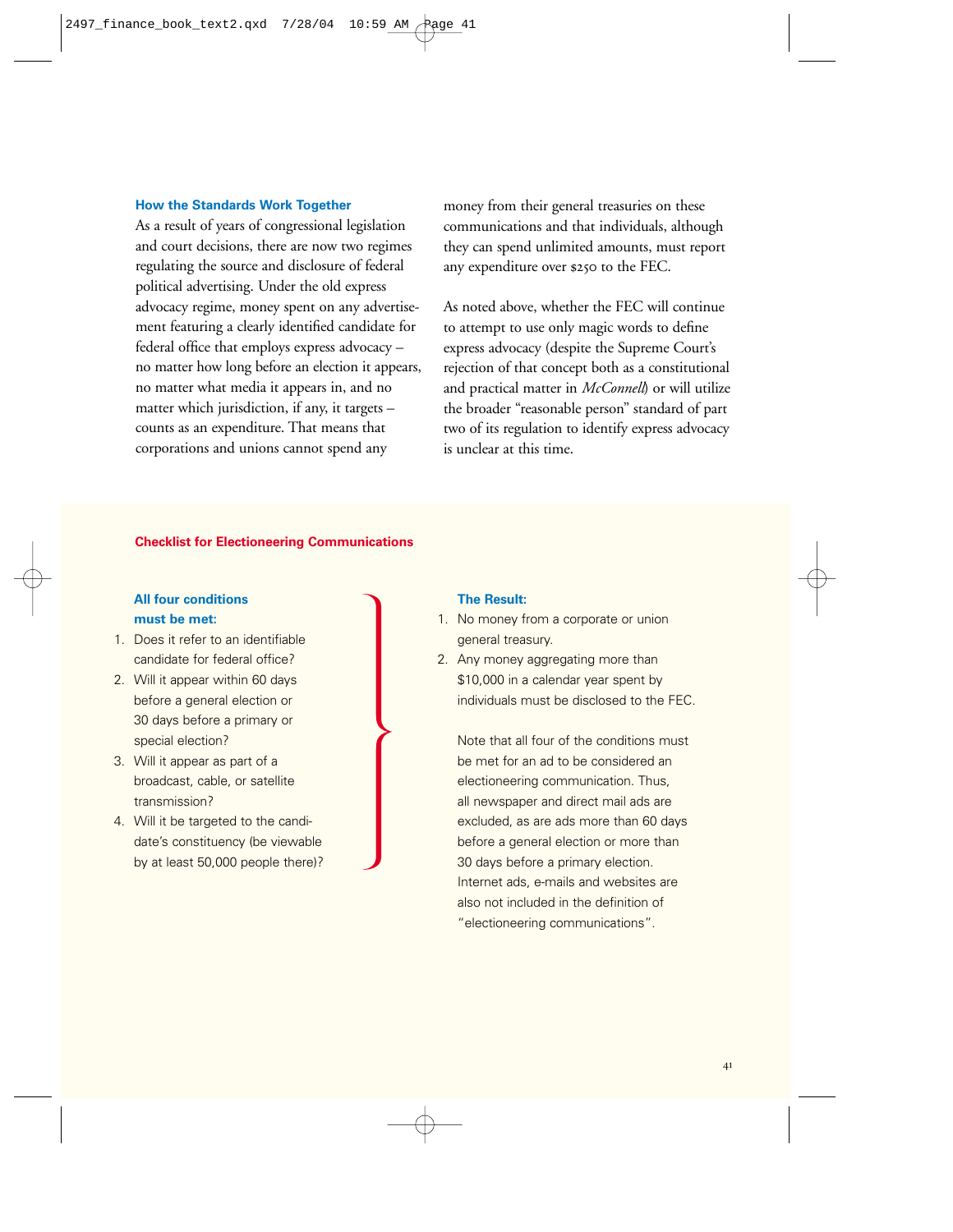#### **How the Standards Work Together**

As a result of years of congressional legislation and court decisions, there are now two regimes regulating the source and disclosure of federal political advertising. Under the old express advocacy regime, money spent on any advertisement featuring a clearly identified candidate for federal office that employs express advocacy – no matter how long before an election it appears, no matter what media it appears in, and no matter which jurisdiction, if any, it targets – counts as an expenditure. That means that corporations and unions cannot spend any

money from their general treasuries on these communications and that individuals, although they can spend unlimited amounts, must report any expenditure over \$250 to the FEC.

As noted above, whether the FEC will continue to attempt to use only magic words to define express advocacy (despite the Supreme Court's rejection of that concept both as a constitutional and practical matter in *McConnell*) or will utilize the broader "reasonable person" standard of part two of its regulation to identify express advocacy is unclear at this time.

#### **Checklist for Electioneering Communications**

#### **All four conditions must be met:**

- 1. Does it refer to an identifiable candidate for federal office?
- 2. Will it appear within 60 days before a general election or 30 days before a primary or special election?
- 3. Will it appear as part of a broadcast, cable, or satellite transmission?
- 4. Will it be targeted to the candidate's constituency (be viewable by at least 50,000 people there)?

#### **The Result:**

- 1. No money from a corporate or union general treasury.
- 2. Any money aggregating more than \$10,000 in a calendar year spent by individuals must be disclosed to the FEC.

Note that all four of the conditions must be met for an ad to be considered an electioneering communication. Thus, all newspaper and direct mail ads are excluded, as are ads more than 60 days before a general election or more than 30 days before a primary election. Internet ads, e-mails and websites are also not included in the definition of "electioneering communications".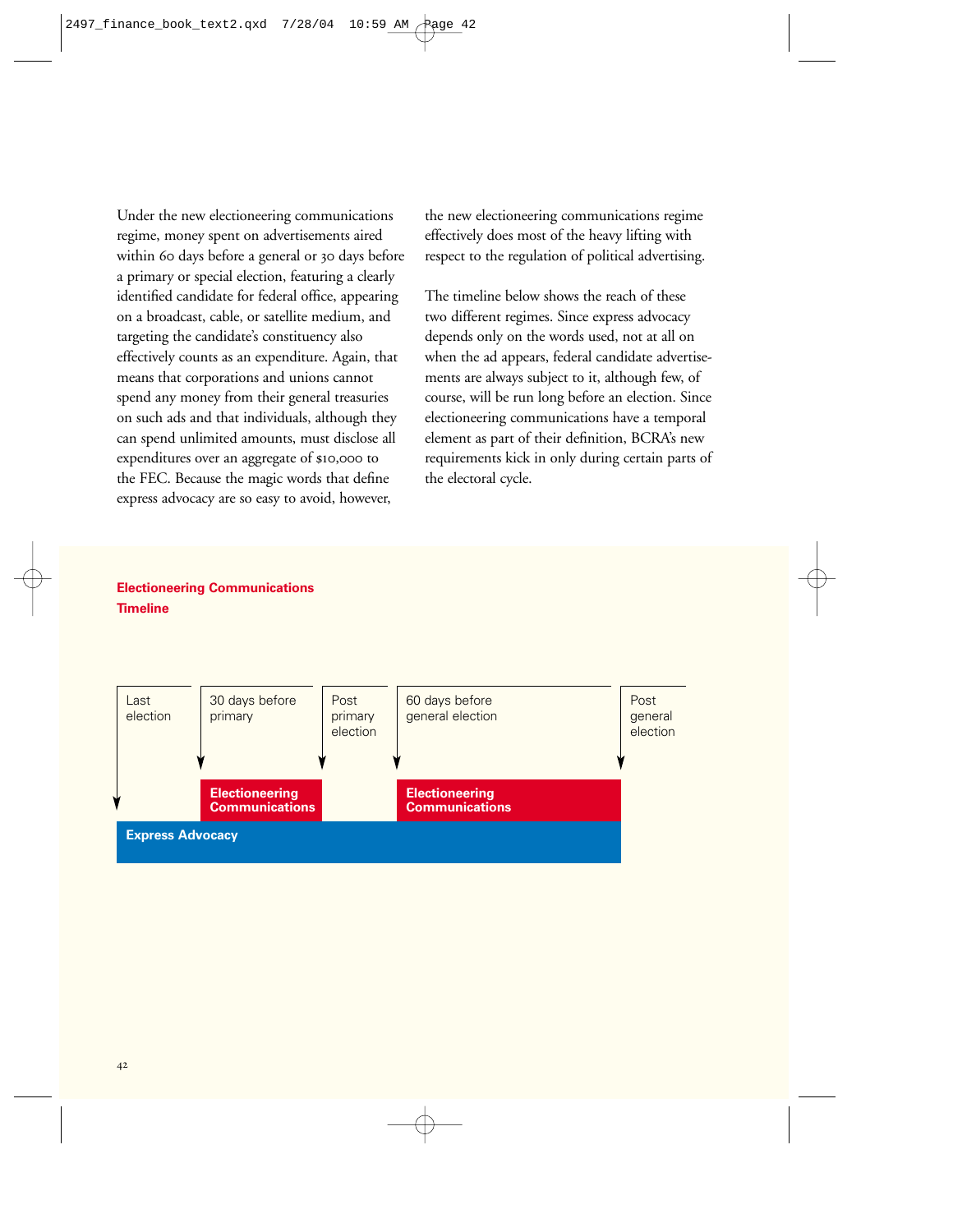Under the new electioneering communications regime, money spent on advertisements aired within 60 days before a general or 30 days before a primary or special election, featuring a clearly identified candidate for federal office, appearing on a broadcast, cable, or satellite medium, and targeting the candidate's constituency also effectively counts as an expenditure. Again, that means that corporations and unions cannot spend any money from their general treasuries on such ads and that individuals, although they can spend unlimited amounts, must disclose all expenditures over an aggregate of \$10,000 to the FEC. Because the magic words that define express advocacy are so easy to avoid, however,

the new electioneering communications regime effectively does most of the heavy lifting with respect to the regulation of political advertising.

The timeline below shows the reach of these two different regimes. Since express advocacy depends only on the words used, not at all on when the ad appears, federal candidate advertisements are always subject to it, although few, of course, will be run long before an election. Since electioneering communications have a temporal element as part of their definition, BCRA's new requirements kick in only during certain parts of the electoral cycle.

#### **Electioneering Communications Timeline**

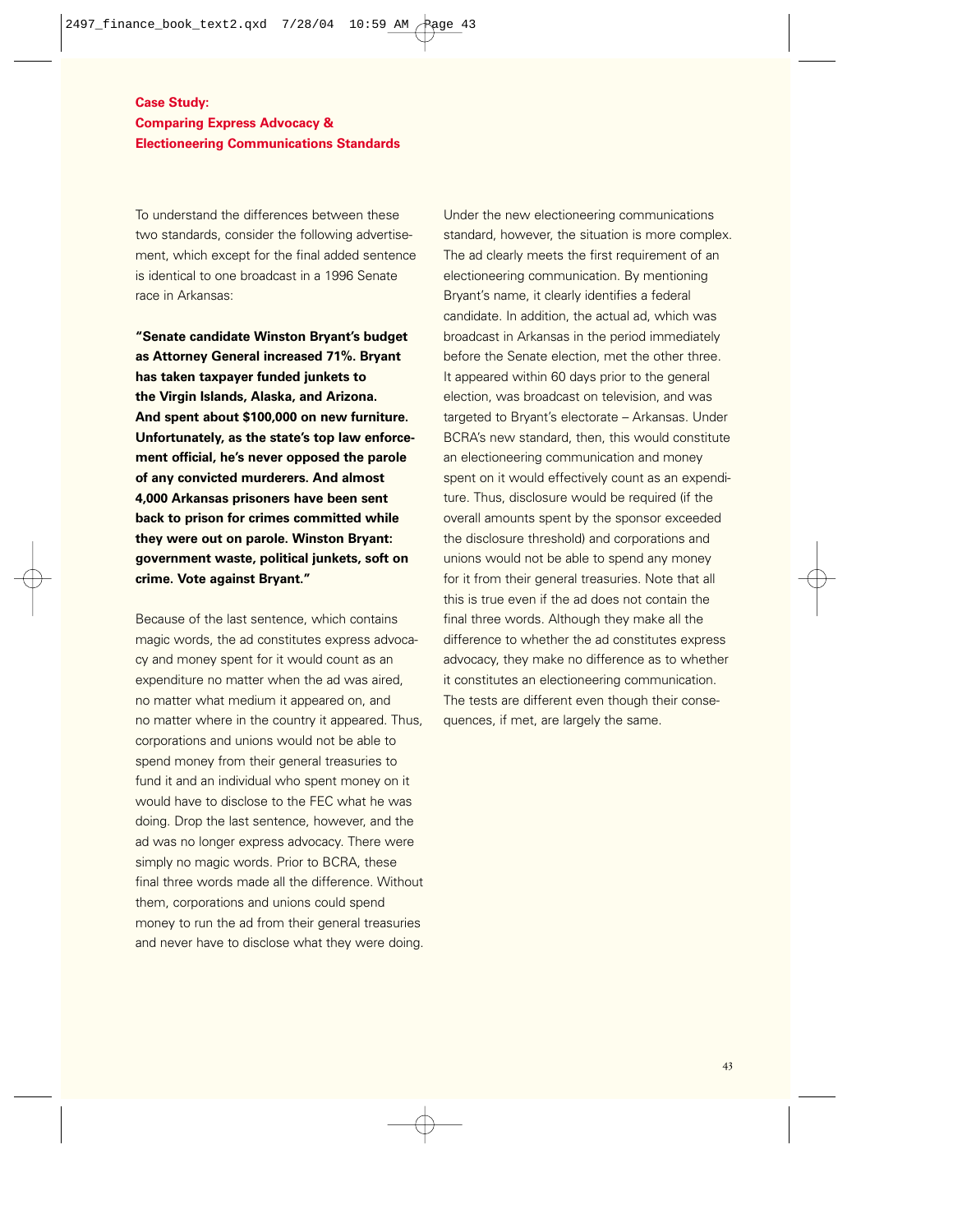#### **Case Study: Comparing Express Advocacy & Electioneering Communications Standards**

To understand the differences between these two standards, consider the following advertisement, which except for the final added sentence is identical to one broadcast in a 1996 Senate race in Arkansas:

**"Senate candidate Winston Bryant's budget as Attorney General increased 71%. Bryant has taken taxpayer funded junkets to the Virgin Islands, Alaska, and Arizona. And spent about \$100,000 on new furniture. Unfortunately, as the state's top law enforcement official, he's never opposed the parole of any convicted murderers. And almost 4,000 Arkansas prisoners have been sent back to prison for crimes committed while they were out on parole. Winston Bryant: government waste, political junkets, soft on crime. Vote against Bryant."**

Because of the last sentence, which contains magic words, the ad constitutes express advocacy and money spent for it would count as an expenditure no matter when the ad was aired, no matter what medium it appeared on, and no matter where in the country it appeared. Thus, corporations and unions would not be able to spend money from their general treasuries to fund it and an individual who spent money on it would have to disclose to the FEC what he was doing. Drop the last sentence, however, and the ad was no longer express advocacy. There were simply no magic words. Prior to BCRA, these final three words made all the difference. Without them, corporations and unions could spend money to run the ad from their general treasuries and never have to disclose what they were doing.

Under the new electioneering communications standard, however, the situation is more complex. The ad clearly meets the first requirement of an electioneering communication. By mentioning Bryant's name, it clearly identifies a federal candidate. In addition, the actual ad, which was broadcast in Arkansas in the period immediately before the Senate election, met the other three. It appeared within 60 days prior to the general election, was broadcast on television, and was targeted to Bryant's electorate – Arkansas. Under BCRA's new standard, then, this would constitute an electioneering communication and money spent on it would effectively count as an expenditure. Thus, disclosure would be required (if the overall amounts spent by the sponsor exceeded the disclosure threshold) and corporations and unions would not be able to spend any money for it from their general treasuries. Note that all this is true even if the ad does not contain the final three words. Although they make all the difference to whether the ad constitutes express advocacy, they make no difference as to whether it constitutes an electioneering communication. The tests are different even though their consequences, if met, are largely the same.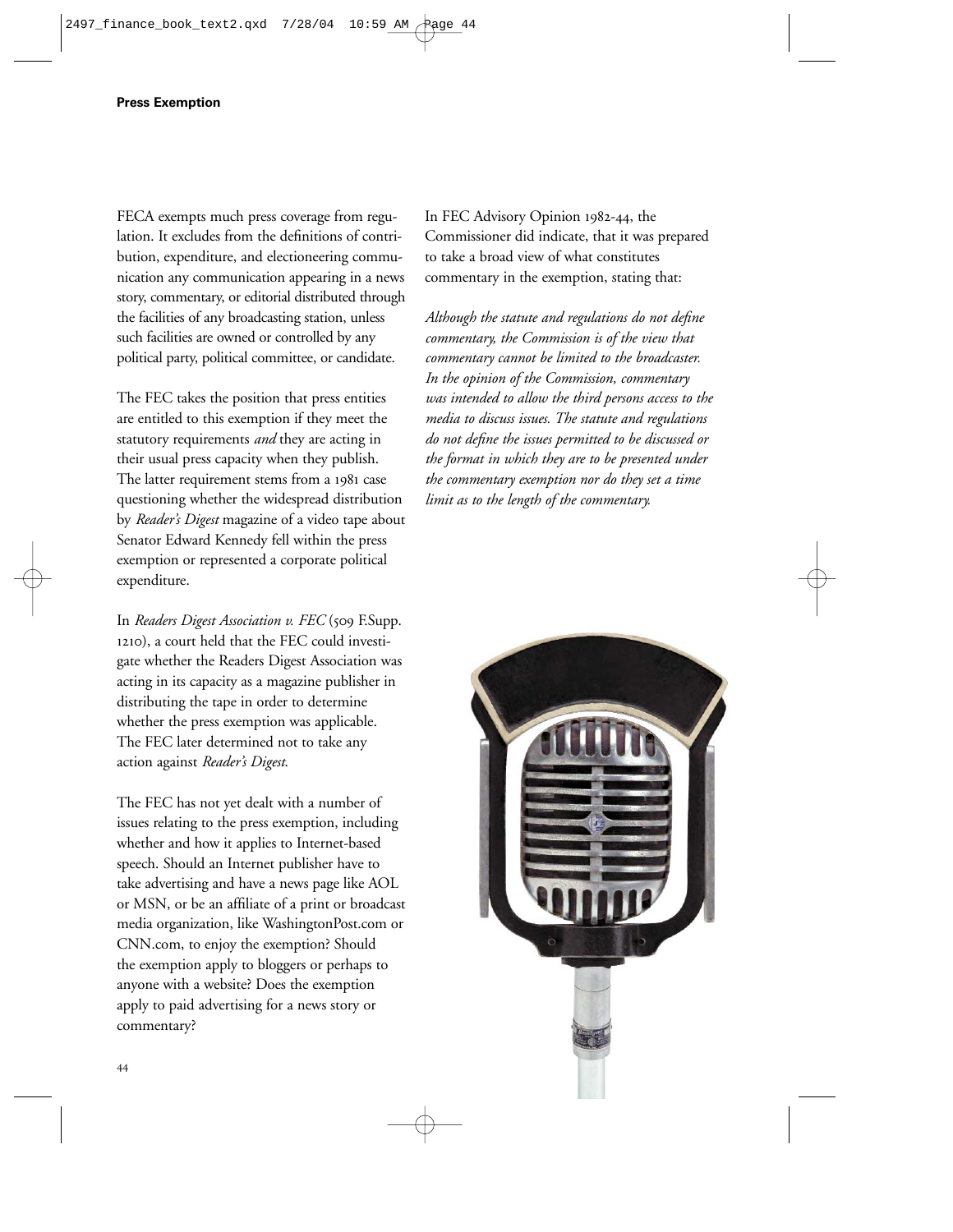FECA exempts much press coverage from regulation. It excludes from the definitions of contribution, expenditure, and electioneering communication any communication appearing in a news story, commentary, or editorial distributed through the facilities of any broadcasting station, unless such facilities are owned or controlled by any political party, political committee, or candidate.

The FEC takes the position that press entities are entitled to this exemption if they meet the statutory requirements *and* they are acting in their usual press capacity when they publish. The latter requirement stems from a **1<sup>1</sup>** case questioning whether the widespread distribution by *Reader's Digest* magazine of a video tape about Senator Edward Kennedy fell within the press exemption or represented a corporate political expenditure.

In *Readers Digest Association v. FEC* (509 F.Supp. **11**), a court held that the FEC could investigate whether the Readers Digest Association was acting in its capacity as a magazine publisher in distributing the tape in order to determine whether the press exemption was applicable. The FEC later determined not to take any action against *Reader's Digest*.

The FEC has not yet dealt with a number of issues relating to the press exemption, including whether and how it applies to Internet-based speech. Should an Internet publisher have to take advertising and have a news page like AOL or MSN, or be an affiliate of a print or broadcast media organization, like WashingtonPost.com or CNN.com, to enjoy the exemption? Should the exemption apply to bloggers or perhaps to anyone with a website? Does the exemption apply to paid advertising for a news story or commentary?

In FEC Advisory Opinion 1982-44, the Commissioner did indicate, that it was prepared to take a broad view of what constitutes commentary in the exemption, stating that:

*Although the statute and regulations do not define commentary, the Commission is of the view that commentary cannot be limited to the broadcaster. In the opinion of the Commission, commentary was intended to allow the third persons access to the media to discuss issues. The statute and regulations do not define the issues permitted to be discussed or the format in which they are to be presented under the commentary exemption nor do they set a time limit as to the length of the commentary.* 

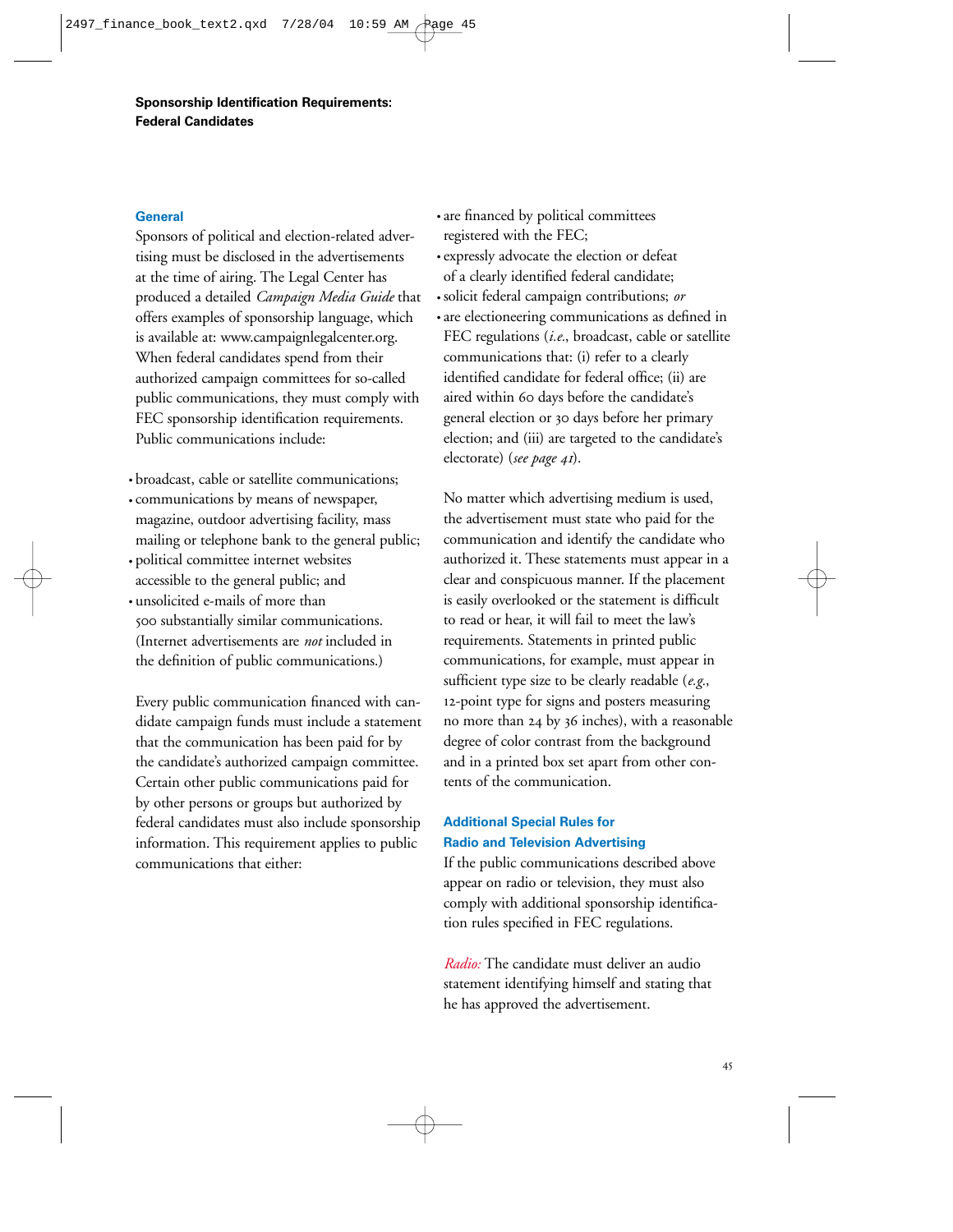#### **Sponsorship Identification Requirements: Federal Candidates**

#### **General**

Sponsors of political and election-related advertising must be disclosed in the advertisements at the time of airing. The Legal Center has produced a detailed *Campaign Media Guide* that offers examples of sponsorship language, which is available at: www.campaignlegalcenter.org. When federal candidates spend from their authorized campaign committees for so-called public communications, they must comply with FEC sponsorship identification requirements. Public communications include:

- broadcast, cable or satellite communications; •
- communications by means of newspaper, magazine, outdoor advertising facility, mass mailing or telephone bank to the general public;
- political committee internet websites accessible to the general public; and
- unsolicited e-mails of more than substantially similar communications. (Internet advertisements are *not* included in the definition of public communications.)

Every public communication financed with candidate campaign funds must include a statement that the communication has been paid for by the candidate's authorized campaign committee. Certain other public communications paid for by other persons or groups but authorized by federal candidates must also include sponsorship information. This requirement applies to public communications that either:

- are financed by political committees registered with the FEC;
- expressly advocate the election or defeat of a clearly identified federal candidate;
- solicit federal campaign contributions; *or* •
- are electioneering communications as defined in FEC regulations (*i.e.*, broadcast, cable or satellite communications that: (i) refer to a clearly identified candidate for federal office; (ii) are aired within 60 days before the candidate's general election or 30 days before her primary election; and (iii) are targeted to the candidate's electorate) (*see page 41*).

No matter which advertising medium is used, the advertisement must state who paid for the communication and identify the candidate who authorized it. These statements must appear in a clear and conspicuous manner. If the placement is easily overlooked or the statement is difficult to read or hear, it will fail to meet the law's requirements. Statements in printed public communications, for example, must appear in sufficient type size to be clearly readable (*e.g.*, **<sup>1</sup>**-point type for signs and posters measuring no more than 24 by 36 inches), with a reasonable degree of color contrast from the background and in a printed box set apart from other contents of the communication.

#### **Additional Special Rules for Radio and Television Advertising**

If the public communications described above appear on radio or television, they must also comply with additional sponsorship identification rules specified in FEC regulations.

*Radio:* The candidate must deliver an audio statement identifying himself and stating that he has approved the advertisement.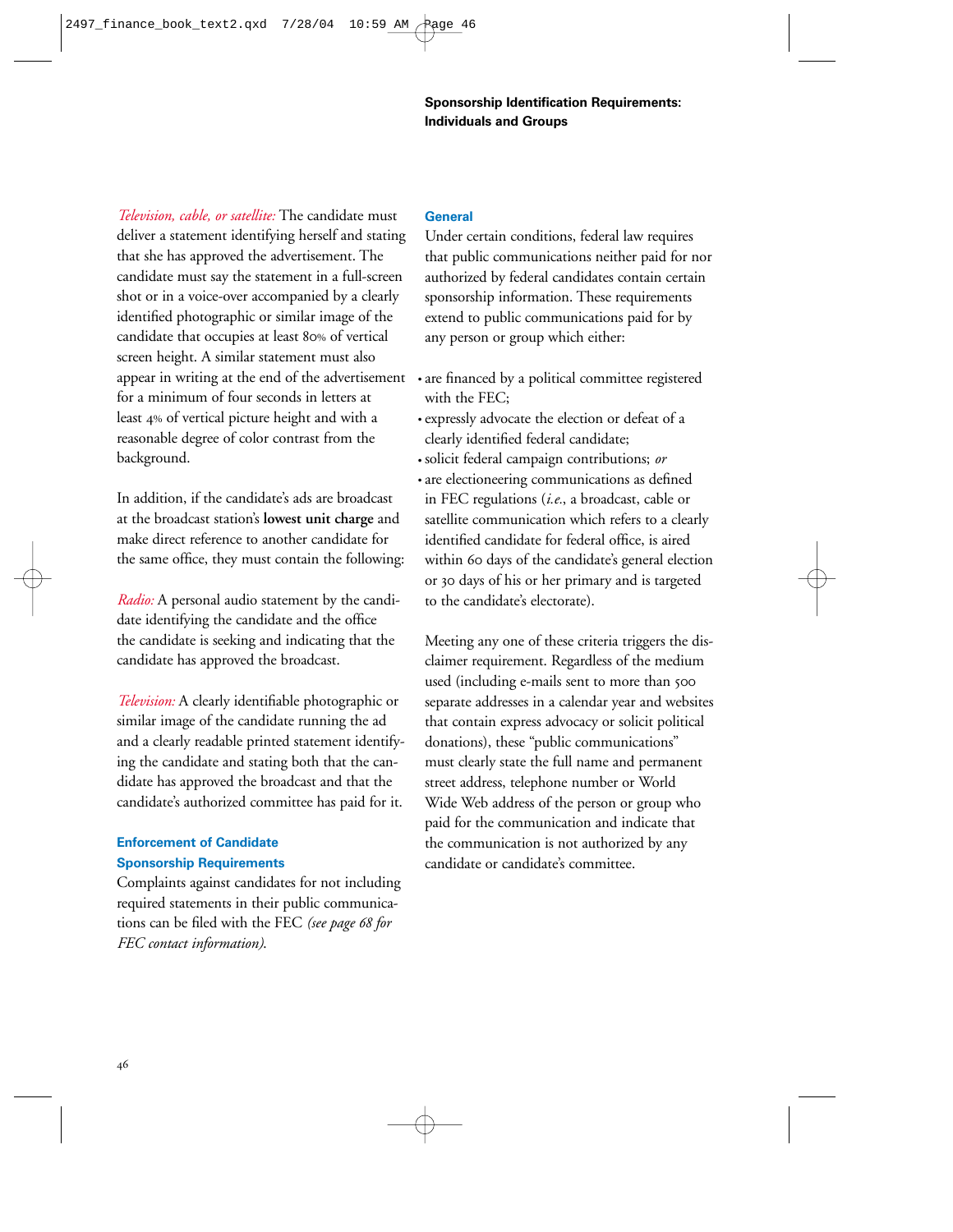**Sponsorship Identification Requirements: Individuals and Groups**

*Television, cable, or satellite:* The candidate must deliver a statement identifying herself and stating that she has approved the advertisement. The candidate must say the statement in a full-screen shot or in a voice-over accompanied by a clearly identified photographic or similar image of the candidate that occupies at least 80% of vertical screen height. A similar statement must also appear in writing at the end of the advertisement for a minimum of four seconds in letters at least 4% of vertical picture height and with a reasonable degree of color contrast from the background.

In addition, if the candidate's ads are broadcast at the broadcast station's **lowest unit charge** and make direct reference to another candidate for the same office, they must contain the following:

*Radio:* A personal audio statement by the candidate identifying the candidate and the office the candidate is seeking and indicating that the candidate has approved the broadcast.

*Television:* A clearly identifiable photographic or similar image of the candidate running the ad and a clearly readable printed statement identifying the candidate and stating both that the candidate has approved the broadcast and that the candidate's authorized committee has paid for it.

#### **Enforcement of Candidate Sponsorship Requirements**

Complaints against candidates for not including required statements in their public communications can be filed with the FEC *(see page for FEC contact information)*.

#### **General**

Under certain conditions, federal law requires that public communications neither paid for nor authorized by federal candidates contain certain sponsorship information. These requirements extend to public communications paid for by any person or group which either:

- are financed by a political committee registered with the FEC;
- expressly advocate the election or defeat of a clearly identified federal candidate;
- solicit federal campaign contributions; *or* •

are electioneering communications as defined • in FEC regulations (*i.e.*, a broadcast, cable or satellite communication which refers to a clearly identified candidate for federal office, is aired within 60 days of the candidate's general election or 30 days of his or her primary and is targeted to the candidate's electorate).

Meeting any one of these criteria triggers the disclaimer requirement. Regardless of the medium used (including e-mails sent to more than separate addresses in a calendar year and websites that contain express advocacy or solicit political donations), these "public communications" must clearly state the full name and permanent street address, telephone number or World Wide Web address of the person or group who paid for the communication and indicate that the communication is not authorized by any candidate or candidate's committee.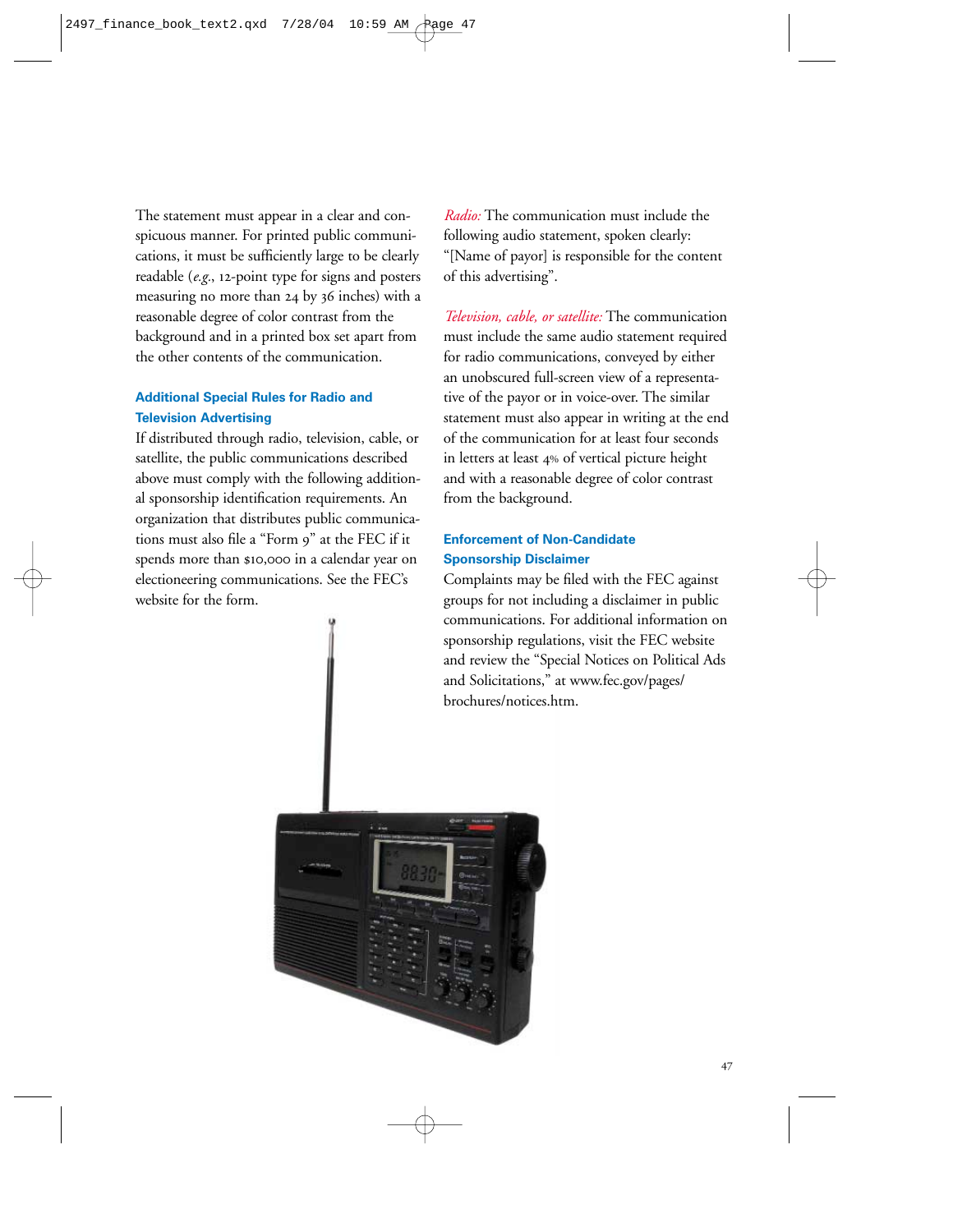The statement must appear in a clear and conspicuous manner. For printed public communications, it must be sufficiently large to be clearly readable (e.g., 12-point type for signs and posters measuring no more than  $24$  by  $36$  inches) with a reasonable degree of color contrast from the background and in a printed box set apart from the other contents of the communication.

#### **Additional Special Rules for Radio and Television Advertising**

If distributed through radio, television, cable, or satellite, the public communications described above must comply with the following additional sponsorship identification requirements. An organization that distributes public communications must also file a "Form 9" at the FEC if it spends more than \$10,000 in a calendar year on electioneering communications. See the FEC's website for the form.

*Radio:* The communication must include the following audio statement, spoken clearly: "[Name of payor] is responsible for the content of this advertising".

*Television, cable, or satellite:* The communication must include the same audio statement required for radio communications, conveyed by either an unobscured full-screen view of a representative of the payor or in voice-over. The similar statement must also appear in writing at the end of the communication for at least four seconds in letters at least 4% of vertical picture height and with a reasonable degree of color contrast from the background.

#### **Enforcement of Non-Candidate Sponsorship Disclaimer**

Complaints may be filed with the FEC against groups for not including a disclaimer in public communications. For additional information on sponsorship regulations, visit the FEC website and review the "Special Notices on Political Ads and Solicitations," at www.fec.gov/pages/ brochures/notices.htm.

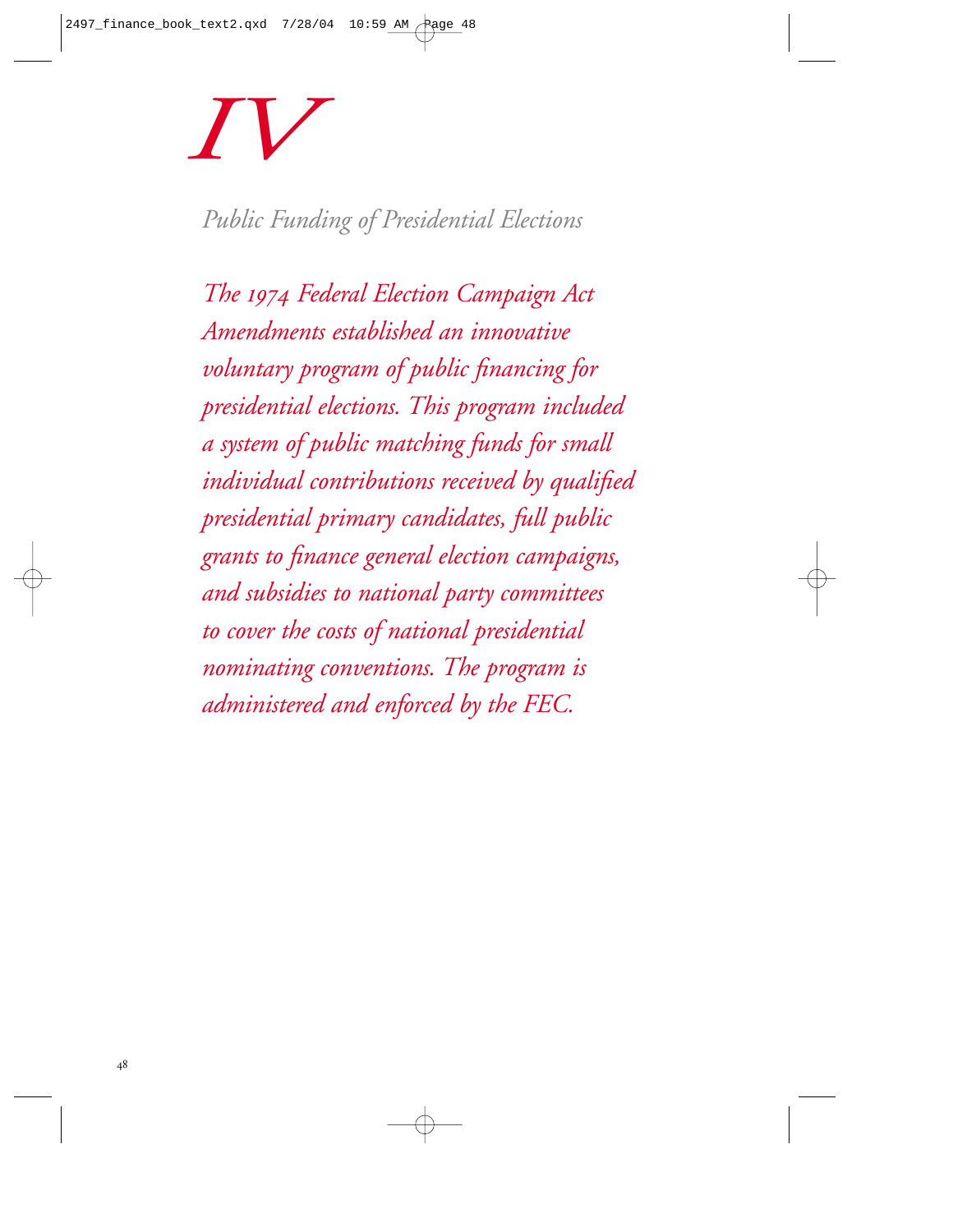# *IV*

*Public Funding of Presidential Elections*

*The 1 Federal Election Campaign Act Amendments established an innovative voluntary program of public financing for presidential elections. This program included a system of public matching funds for small individual contributions received by qualified presidential primary candidates, full public grants to finance general election campaigns, and subsidies to national party committees to cover the costs of national presidential nominating conventions. The program is administered and enforced by the FEC.*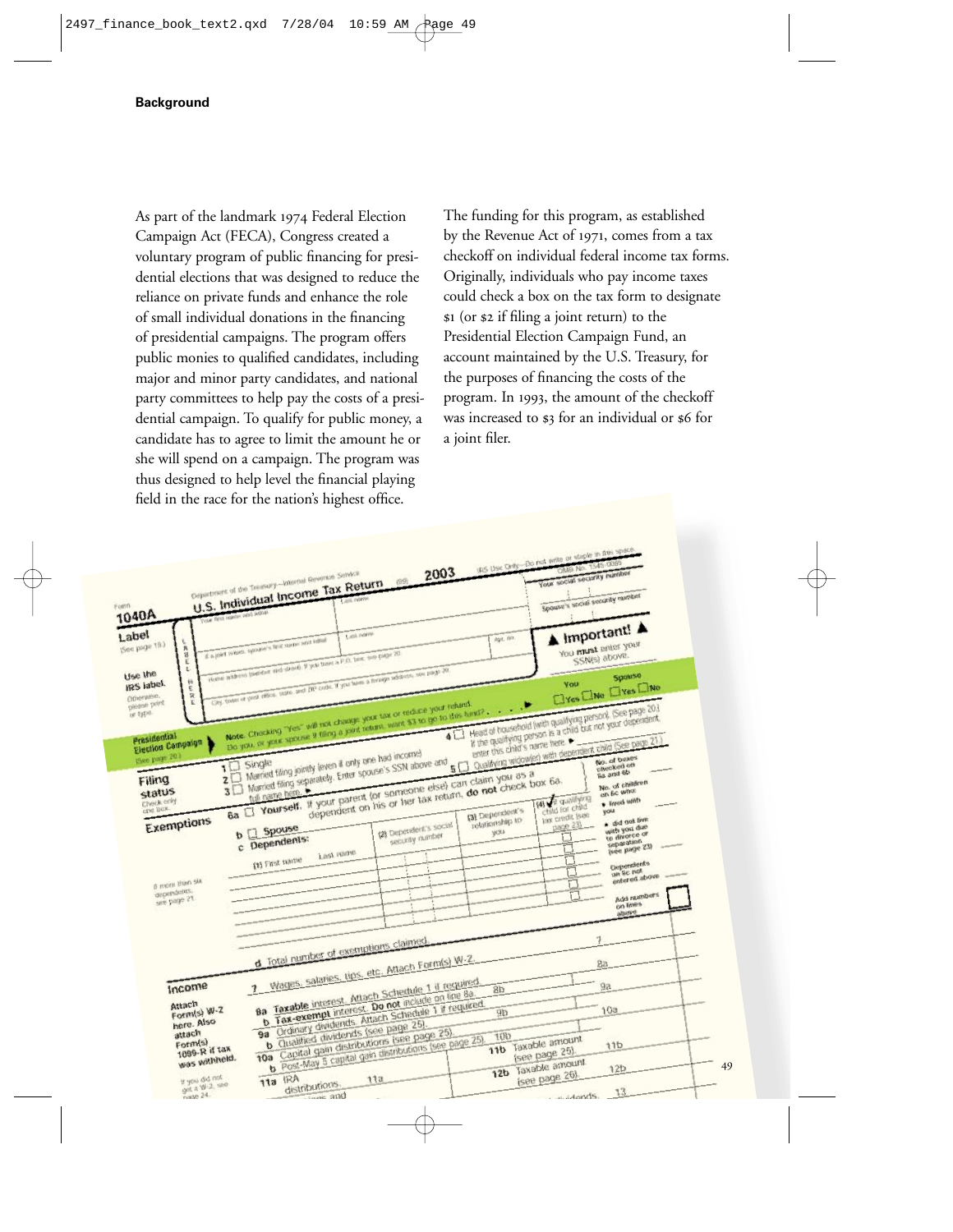#### **Background**

As part of the landmark 1974 Federal Election Campaign Act (FECA), Congress created a voluntary program of public financing for presidential elections that was designed to reduce the reliance on private funds and enhance the role of small individual donations in the financing of presidential campaigns. The program offers public monies to qualified candidates, including major and minor party candidates, and national party committees to help pay the costs of a presidential campaign. To qualify for public money, a candidate has to agree to limit the amount he or she will spend on a campaign. The program was thus designed to help level the financial playing field in the race for the nation's highest office.

The funding for this program, as established by the Revenue Act of **11**, comes from a tax checkoff on individual federal income tax forms. Originally, individuals who pay income taxes could check a box on the tax form to designate  $$1$  (or  $$2$  if filing a joint return) to the Presidential Election Campaign Fund, an account maintained by the U.S. Treasury, for the purposes of financing the costs of the program. In 1993, the amount of the checkoff was increased to \$3 for an individual or \$6 for a joint filer.

|                                                                                                                              | Department of the Treasury-Internal Revenue Service                                                                                                                                                                                                                                                                                                                                 | 2003                                                                                                  |                                                                                          | IRS Use Only -- Do not write at staple in this space<br>Your social security number                                                                                                                                                                                                                                                                                                                                             |  |
|------------------------------------------------------------------------------------------------------------------------------|-------------------------------------------------------------------------------------------------------------------------------------------------------------------------------------------------------------------------------------------------------------------------------------------------------------------------------------------------------------------------------------|-------------------------------------------------------------------------------------------------------|------------------------------------------------------------------------------------------|---------------------------------------------------------------------------------------------------------------------------------------------------------------------------------------------------------------------------------------------------------------------------------------------------------------------------------------------------------------------------------------------------------------------------------|--|
| Form<br>1040A                                                                                                                | U.S. Individual Income Tax Return                                                                                                                                                                                                                                                                                                                                                   |                                                                                                       |                                                                                          | Spouse's social security number                                                                                                                                                                                                                                                                                                                                                                                                 |  |
| Label<br>(See page 19.)<br><b>A</b><br>Ε                                                                                     | Lank russer<br>if a joint outant spearer's first name and initial                                                                                                                                                                                                                                                                                                                   |                                                                                                       | Apl. no.                                                                                 | Important!<br>You must enter your<br>SSN(s) above.                                                                                                                                                                                                                                                                                                                                                                              |  |
| ι<br>Use the<br>Ħ<br>IRS label.<br>$\epsilon$<br>E<br>Otherwise,<br>please print<br>or type.                                 | Home address jumples and street). If you have a P.O. box, see page 20.<br>City, trains or post office, state, and ZIP crobe. If you have a foreign address, see page 20.                                                                                                                                                                                                            |                                                                                                       |                                                                                          | Spouse<br>You<br>$\Box$ Yes $\Box$ No<br>$\Box$ Yes $\Box$ No                                                                                                                                                                                                                                                                                                                                                                   |  |
| Presidential<br><b>Election Campaign</b><br>(See page 20.)<br>1 <sup>1</sup><br>Filing<br>status<br>Check only<br>Exemptions | Note. Checking "Yes" will not change your tax or reduce your retund.<br>Do you, or your spouse if filing a joint return, want \$3 to go to this fund? .<br>Married filing jointly leven it only one had income)<br>Married filing separately. Enter spouse's SSN above and<br>6a D Yourself. If your parent (or someone else) can claim you as a<br>Spouse<br>b<br>Dependents:<br>c | dependent on his or her tax return, do not check box 6a.<br>(2) Dependent's social<br>security number | relationship to<br>you                                                                   | 4 1 Head of household (with qualifying person). See page 20.)<br>If the qualifying person is a child but not your dependent.<br>Qualitying widowler) with dependent child (See page 21.<br>6a and 6b<br>No. of children<br>on 6c who:<br>(4) of qualifying<br>· lived with<br>child for child<br>you<br>tax credit (see<br>· did not live<br>page 23)<br>with you due<br>to divorce or<br>⊓<br>separation<br>(see page 23)<br>٠ |  |
| If more than six<br>dopendents.<br>see page 21.                                                                              | Last name<br>(1) First name                                                                                                                                                                                                                                                                                                                                                         |                                                                                                       |                                                                                          | <b>Dependents</b><br>on <i>Gc</i> not<br>entered above<br>Add numbers<br>on lines<br>above                                                                                                                                                                                                                                                                                                                                      |  |
|                                                                                                                              | d Total number of exemptions claimed.                                                                                                                                                                                                                                                                                                                                               |                                                                                                       |                                                                                          | 8a                                                                                                                                                                                                                                                                                                                                                                                                                              |  |
| Income<br>Attach                                                                                                             | Wages, salaries, tips, etc. Attach Form(s) W-2.<br>8a Taxable interest. Attach Schedule 1 if required.<br>$\mathbf{I}$<br><b>b</b> Tax-exempt interest. Do not include on line 8a.                                                                                                                                                                                                  |                                                                                                       | 8 <sub>b</sub>                                                                           | 9a<br>10a                                                                                                                                                                                                                                                                                                                                                                                                                       |  |
| Form(s) W-2<br>here. Also<br>attach<br>Form(s)<br>1099-R if tax<br>was withheld.                                             | 9a Ordinary dividends. Attach Schedule 1 if required.<br><b>b</b> Qualified dividends (see page 25).<br><b>b</b> Post-May 5 capital gain distributions (see page 25).<br>10a                                                                                                                                                                                                        | Capital gain distributions (see page 25).                                                             | 9 <sub>b</sub><br>10 <sub>b</sub><br>Taxable amount<br>11 <sub>b</sub><br>(see page 25). | 11 <sub>b</sub>                                                                                                                                                                                                                                                                                                                                                                                                                 |  |
| If you did not<br>get a W 2, see                                                                                             | IRA<br>11a<br>distributions.<br>n <sub>n</sub>                                                                                                                                                                                                                                                                                                                                      | 11a                                                                                                   | 12 <sub>b</sub>                                                                          | Taxable amount<br>12 <sub>b</sub><br>(see page 26).<br>13<br>$1.4 - 1.4$                                                                                                                                                                                                                                                                                                                                                        |  |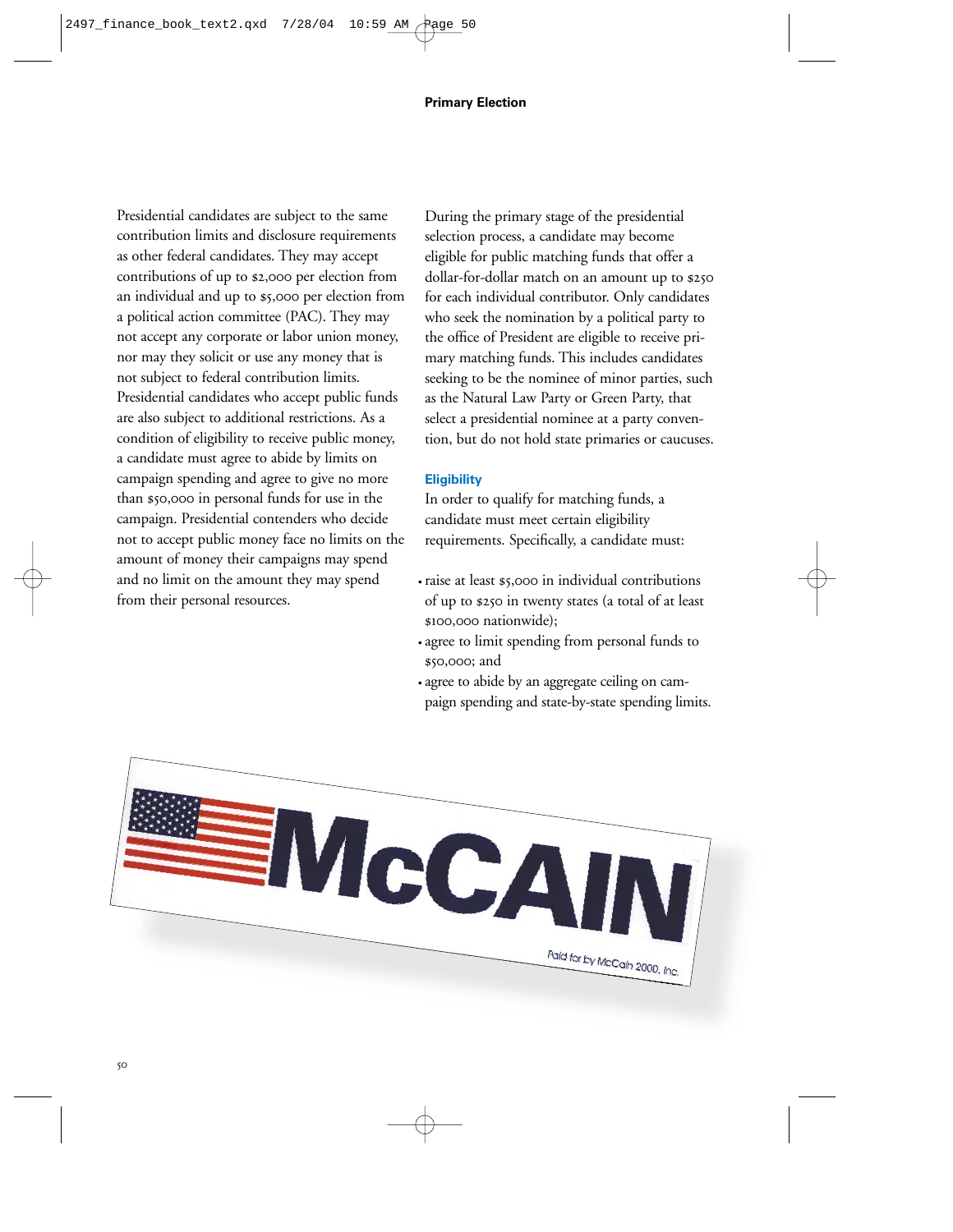Presidential candidates are subject to the same contribution limits and disclosure requirements as other federal candidates. They may accept contributions of up to \$2,000 per election from an individual and up to \$5,000 per election from a political action committee (PAC). They may not accept any corporate or labor union money, nor may they solicit or use any money that is not subject to federal contribution limits. Presidential candidates who accept public funds are also subject to additional restrictions. As a condition of eligibility to receive public money, a candidate must agree to abide by limits on campaign spending and agree to give no more than \$50,000 in personal funds for use in the campaign. Presidential contenders who decide not to accept public money face no limits on the amount of money their campaigns may spend and no limit on the amount they may spend from their personal resources.

During the primary stage of the presidential selection process, a candidate may become eligible for public matching funds that offer a dollar-for-dollar match on an amount up to for each individual contributor. Only candidates who seek the nomination by a political party to the office of President are eligible to receive primary matching funds. This includes candidates seeking to be the nominee of minor parties, such as the Natural Law Party or Green Party, that select a presidential nominee at a party convention, but do not hold state primaries or caucuses.

#### **Eligibility**

In order to qualify for matching funds, a candidate must meet certain eligibility requirements. Specifically, a candidate must:

- · raise at least \$5,000 in individual contributions of up to \$250 in twenty states (a total of at least  $$100,000$  nationwide);
- agree to limit spending from personal funds to \$50,000; and
- agree to abide by an aggregate ceiling on campaign spending and state-by-state spending limits.

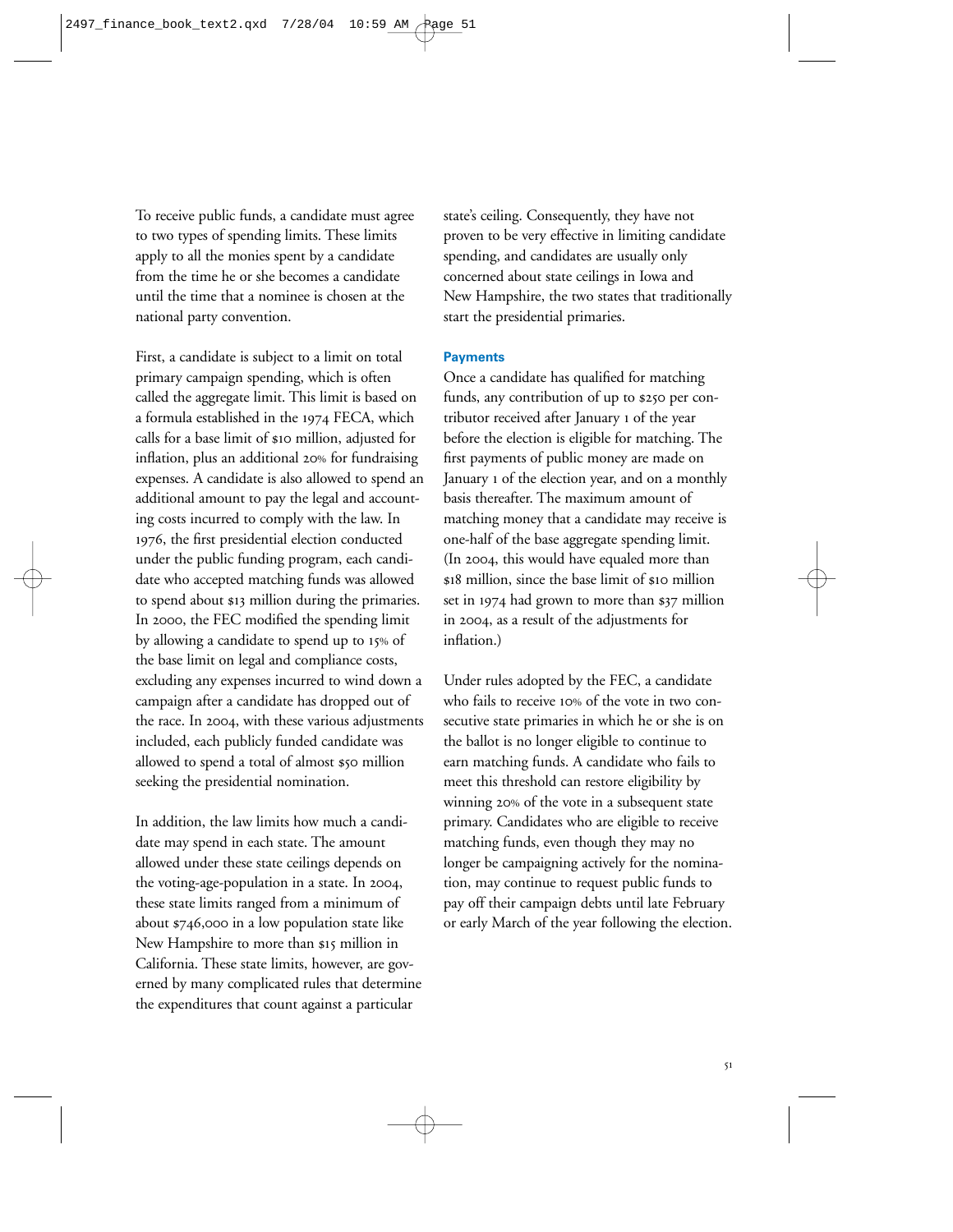To receive public funds, a candidate must agree to two types of spending limits. These limits apply to all the monies spent by a candidate from the time he or she becomes a candidate until the time that a nominee is chosen at the national party convention.

First, a candidate is subject to a limit on total primary campaign spending, which is often called the aggregate limit. This limit is based on a formula established in the 1974 FECA, which calls for a base limit of \$10 million, adjusted for inflation, plus an additional 20% for fundraising expenses. A candidate is also allowed to spend an additional amount to pay the legal and accounting costs incurred to comply with the law. In 1976, the first presidential election conducted under the public funding program, each candidate who accepted matching funds was allowed to spend about \$13 million during the primaries. In 2000, the FEC modified the spending limit by allowing a candidate to spend up to **1**% of the base limit on legal and compliance costs, excluding any expenses incurred to wind down a campaign after a candidate has dropped out of the race. In 2004, with these various adjustments included, each publicly funded candidate was allowed to spend a total of almost \$50 million seeking the presidential nomination.

In addition, the law limits how much a candidate may spend in each state. The amount allowed under these state ceilings depends on the voting-age-population in a state. In 2004, these state limits ranged from a minimum of about  $\frac{1}{4}$ ,  $\frac{1}{4}$ ,  $\frac{1}{4}$  a low population state like New Hampshire to more than \$15 million in California. These state limits, however, are governed by many complicated rules that determine the expenditures that count against a particular

state's ceiling. Consequently, they have not proven to be very effective in limiting candidate spending, and candidates are usually only concerned about state ceilings in Iowa and New Hampshire, the two states that traditionally start the presidential primaries.

#### **Payments**

Once a candidate has qualified for matching funds, any contribution of up to \$250 per contributor received after January **<sup>1</sup>** of the year before the election is eligible for matching. The first payments of public money are made on January **<sup>1</sup>** of the election year, and on a monthly basis thereafter. The maximum amount of matching money that a candidate may receive is one-half of the base aggregate spending limit. (In 2004, this would have equaled more than  $$18$  million, since the base limit of  $$10$  million set in 1974 had grown to more than \$37 million in 2004, as a result of the adjustments for inflation.)

Under rules adopted by the FEC, a candidate who fails to receive 10% of the vote in two consecutive state primaries in which he or she is on the ballot is no longer eligible to continue to earn matching funds. A candidate who fails to meet this threshold can restore eligibility by winning 20% of the vote in a subsequent state primary. Candidates who are eligible to receive matching funds, even though they may no longer be campaigning actively for the nomination, may continue to request public funds to pay off their campaign debts until late February or early March of the year following the election.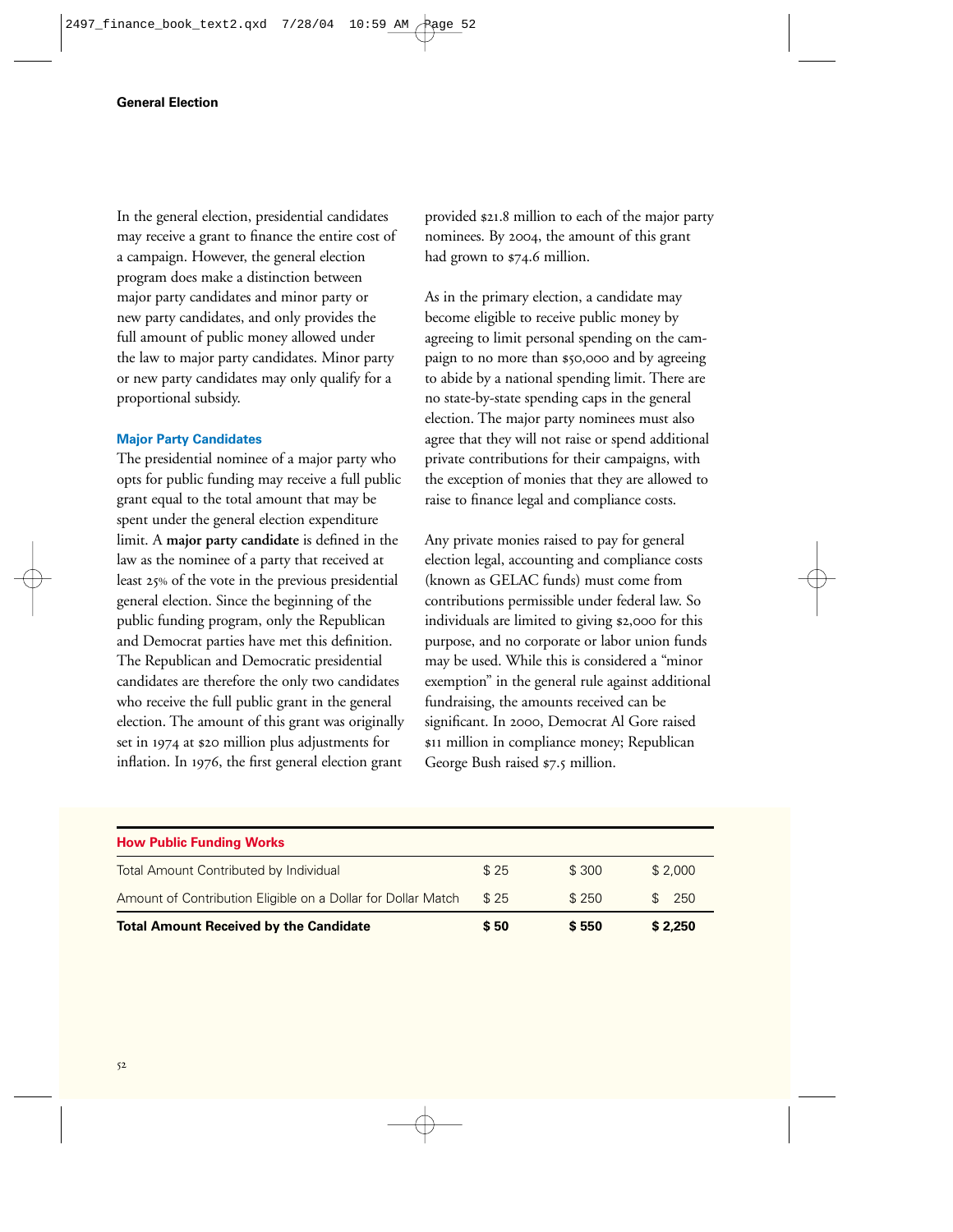In the general election, presidential candidates may receive a grant to finance the entire cost of a campaign. However, the general election program does make a distinction between major party candidates and minor party or new party candidates, and only provides the full amount of public money allowed under the law to major party candidates. Minor party or new party candidates may only qualify for a proportional subsidy.

#### **Major Party Candidates**

The presidential nominee of a major party who opts for public funding may receive a full public grant equal to the total amount that may be spent under the general election expenditure limit. A **major party candidate** is defined in the law as the nominee of a party that received at least 25% of the vote in the previous presidential general election. Since the beginning of the public funding program, only the Republican and Democrat parties have met this definition. The Republican and Democratic presidential candidates are therefore the only two candidates who receive the full public grant in the general election. The amount of this grant was originally set in 1974 at \$20 million plus adjustments for inflation. In 1976, the first general election grant

provided \$21.8 million to each of the major party nominees. By 2004, the amount of this grant had grown to \$74.6 million.

As in the primary election, a candidate may become eligible to receive public money by agreeing to limit personal spending on the campaign to no more than \$50,000 and by agreeing to abide by a national spending limit. There are no state-by-state spending caps in the general election. The major party nominees must also agree that they will not raise or spend additional private contributions for their campaigns, with the exception of monies that they are allowed to raise to finance legal and compliance costs.

Any private monies raised to pay for general election legal, accounting and compliance costs (known as GELAC funds) must come from contributions permissible under federal law. So individuals are limited to giving \$2,000 for this purpose, and no corporate or labor union funds may be used. While this is considered a "minor exemption" in the general rule against additional fundraising, the amounts received can be significant. In 2000, Democrat Al Gore raised **<sup>11</sup>** million in compliance money; Republican George Bush raised \$7.5 million.

| <b>How Public Funding Works</b>                              |      |       |         |
|--------------------------------------------------------------|------|-------|---------|
| Total Amount Contributed by Individual                       | \$25 | \$300 | \$2.000 |
| Amount of Contribution Eligible on a Dollar for Dollar Match | \$25 | \$250 | 250     |
| <b>Total Amount Received by the Candidate</b>                | \$50 | \$550 | \$2.250 |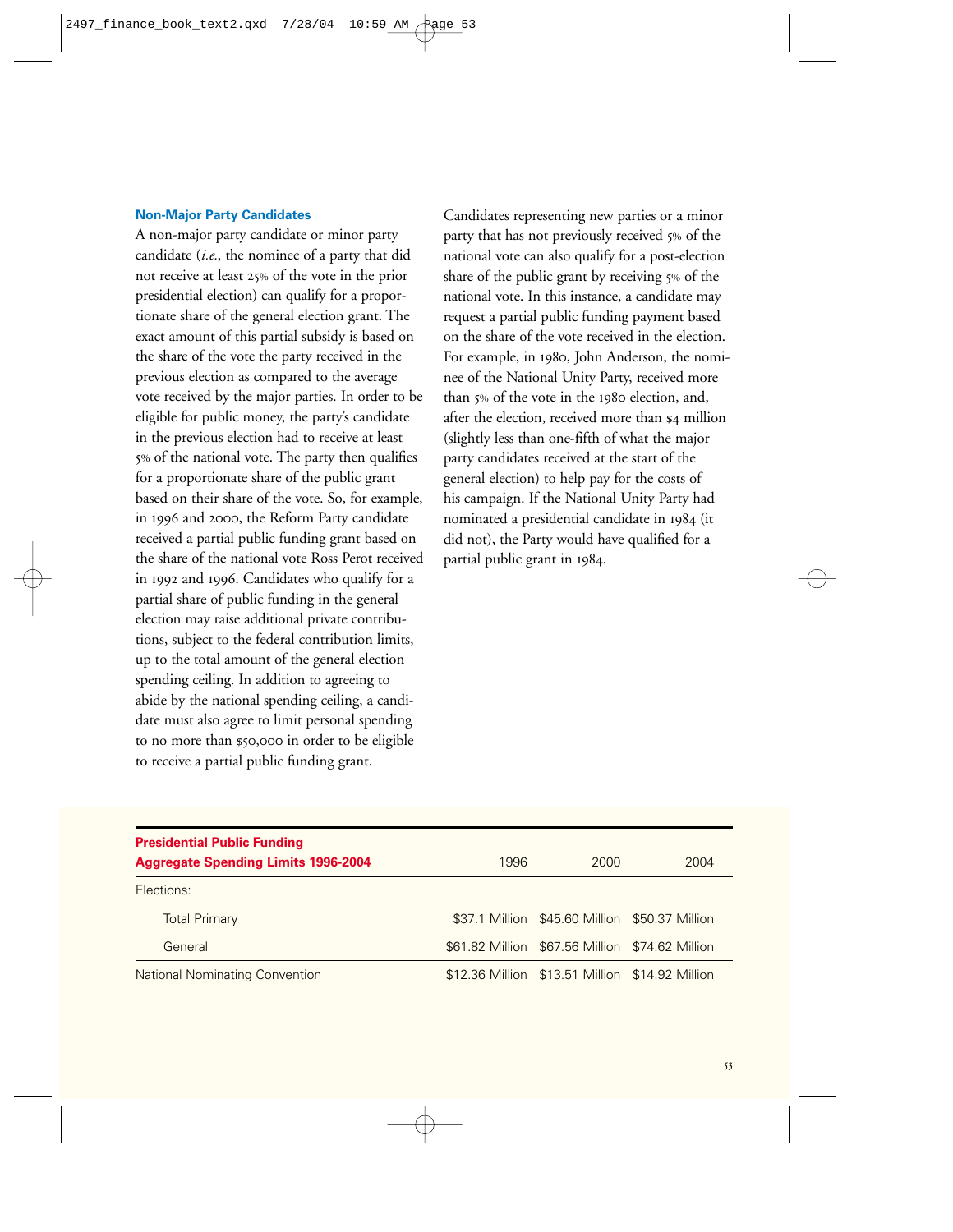#### **Non-Major Party Candidates**

A non-major party candidate or minor party candidate (*i.e.*, the nominee of a party that did not receive at least 25% of the vote in the prior presidential election) can qualify for a proportionate share of the general election grant. The exact amount of this partial subsidy is based on the share of the vote the party received in the previous election as compared to the average vote received by the major parties. In order to be eligible for public money, the party's candidate in the previous election had to receive at least % of the national vote. The party then qualifies for a proportionate share of the public grant based on their share of the vote. So, for example, in 1996 and 2000, the Reform Party candidate received a partial public funding grant based on the share of the national vote Ross Perot received in 1992 and 1996. Candidates who qualify for a partial share of public funding in the general election may raise additional private contributions, subject to the federal contribution limits, up to the total amount of the general election spending ceiling. In addition to agreeing to abide by the national spending ceiling, a candidate must also agree to limit personal spending to no more than \$50,000 in order to be eligible to receive a partial public funding grant.

Candidates representing new parties or a minor party that has not previously received 5% of the national vote can also qualify for a post-election share of the public grant by receiving 5% of the national vote. In this instance, a candidate may request a partial public funding payment based on the share of the vote received in the election. For example, in 1980, John Anderson, the nominee of the National Unity Party, received more than 5% of the vote in the 1980 election, and, after the election, received more than \$4 million (slightly less than one-fifth of what the major party candidates received at the start of the general election) to help pay for the costs of his campaign. If the National Unity Party had nominated a presidential candidate in 1984 (it did not), the Party would have qualified for a partial public grant in 1984.

| <b>Presidential Public Funding</b>         |      |                                                 |      |  |  |  |
|--------------------------------------------|------|-------------------------------------------------|------|--|--|--|
| <b>Aggregate Spending Limits 1996-2004</b> | 1996 | 2000                                            | 2004 |  |  |  |
| Elections:                                 |      |                                                 |      |  |  |  |
| <b>Total Primary</b>                       |      | \$37.1 Million \$45.60 Million \$50.37 Million  |      |  |  |  |
| General                                    |      | \$61.82 Million \$67.56 Million \$74.62 Million |      |  |  |  |
| <b>National Nominating Convention</b>      |      | \$12.36 Million \$13.51 Million \$14.92 Million |      |  |  |  |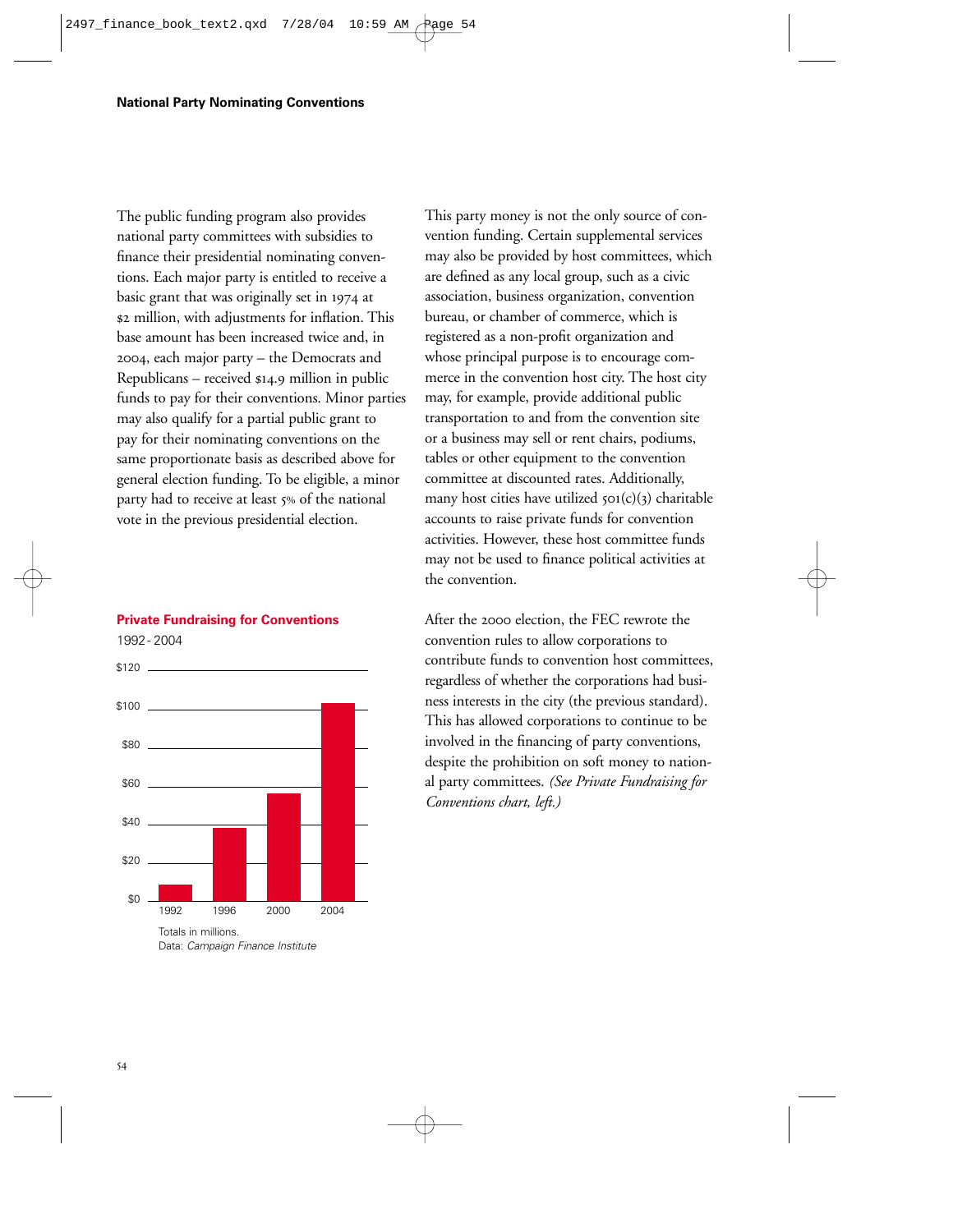The public funding program also provides national party committees with subsidies to finance their presidential nominating conventions. Each major party is entitled to receive a basic grant that was originally set in 1974 at \$2 million, with adjustments for inflation. This base amount has been increased twice and, in , each major party – the Democrats and Republicans – received \$14.9 million in public funds to pay for their conventions. Minor parties may also qualify for a partial public grant to pay for their nominating conventions on the same proportionate basis as described above for general election funding. To be eligible, a minor party had to receive at least 5% of the national vote in the previous presidential election.

#### **Private Fundraising for Conventions**

1992- 2004



Data: *Campaign Finance Institute*

This party money is not the only source of convention funding. Certain supplemental services may also be provided by host committees, which are defined as any local group, such as a civic association, business organization, convention bureau, or chamber of commerce, which is registered as a non-profit organization and whose principal purpose is to encourage commerce in the convention host city. The host city may, for example, provide additional public transportation to and from the convention site or a business may sell or rent chairs, podiums, tables or other equipment to the convention committee at discounted rates. Additionally, many host cities have utilized  $501(c)(3)$  charitable accounts to raise private funds for convention activities. However, these host committee funds may not be used to finance political activities at the convention.

After the 2000 election, the FEC rewrote the convention rules to allow corporations to contribute funds to convention host committees, regardless of whether the corporations had business interests in the city (the previous standard). This has allowed corporations to continue to be involved in the financing of party conventions, despite the prohibition on soft money to national party committees. *(See Private Fundraising for Conventions chart, left.)*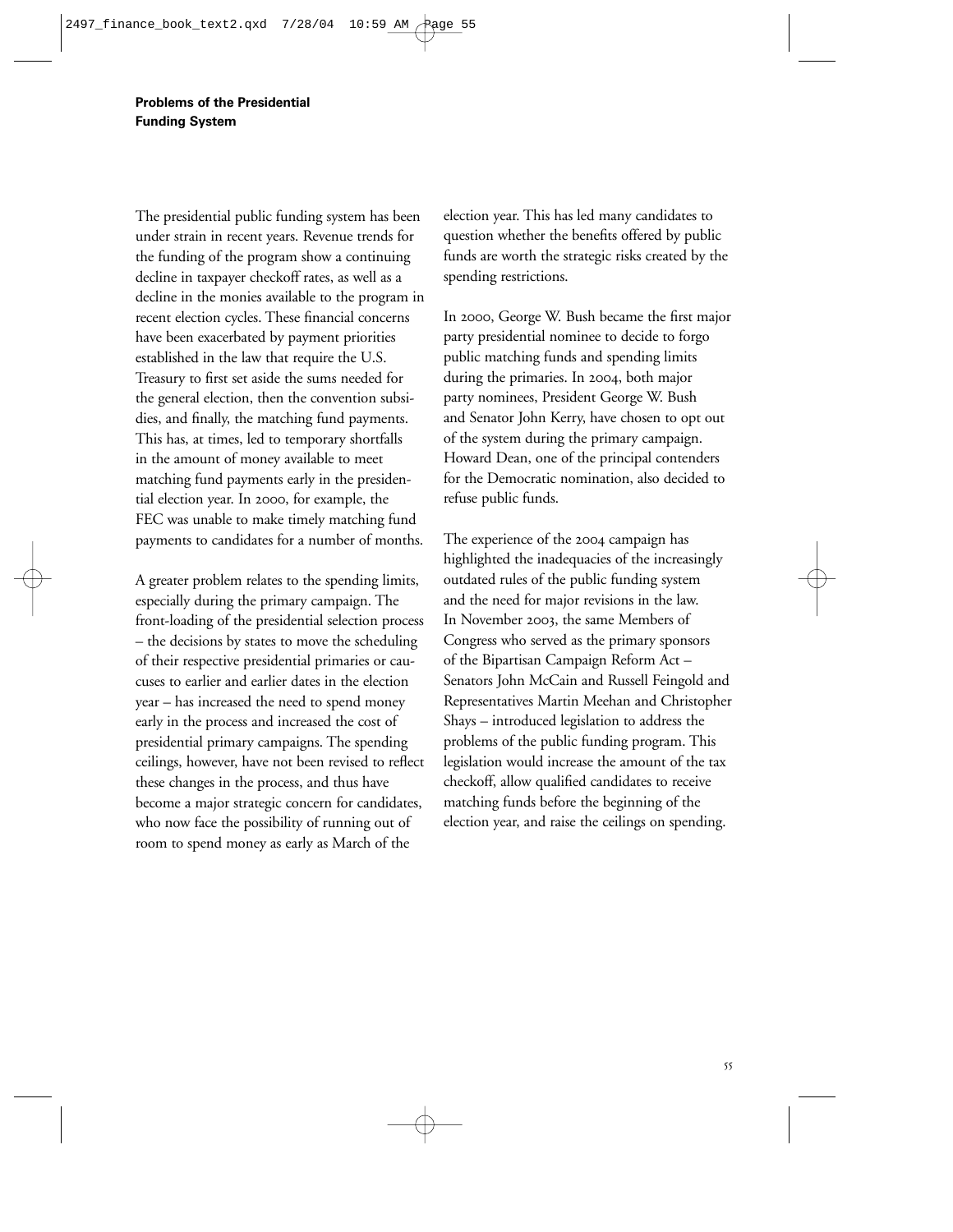The presidential public funding system has been under strain in recent years. Revenue trends for the funding of the program show a continuing decline in taxpayer checkoff rates, as well as a decline in the monies available to the program in recent election cycles. These financial concerns have been exacerbated by payment priorities established in the law that require the U.S. Treasury to first set aside the sums needed for the general election, then the convention subsidies, and finally, the matching fund payments. This has, at times, led to temporary shortfalls in the amount of money available to meet matching fund payments early in the presidential election year. In 2000, for example, the FEC was unable to make timely matching fund payments to candidates for a number of months.

A greater problem relates to the spending limits, especially during the primary campaign. The front-loading of the presidential selection process – the decisions by states to move the scheduling of their respective presidential primaries or caucuses to earlier and earlier dates in the election year – has increased the need to spend money early in the process and increased the cost of presidential primary campaigns. The spending ceilings, however, have not been revised to reflect these changes in the process, and thus have become a major strategic concern for candidates, who now face the possibility of running out of room to spend money as early as March of the

election year. This has led many candidates to question whether the benefits offered by public funds are worth the strategic risks created by the spending restrictions.

In 2000, George W. Bush became the first major party presidential nominee to decide to forgo public matching funds and spending limits during the primaries. In 2004, both major party nominees, President George W. Bush and Senator John Kerry, have chosen to opt out of the system during the primary campaign. Howard Dean, one of the principal contenders for the Democratic nomination, also decided to refuse public funds.

The experience of the 2004 campaign has highlighted the inadequacies of the increasingly outdated rules of the public funding system and the need for major revisions in the law. In November 2003, the same Members of Congress who served as the primary sponsors of the Bipartisan Campaign Reform Act – Senators John McCain and Russell Feingold and Representatives Martin Meehan and Christopher Shays – introduced legislation to address the problems of the public funding program. This legislation would increase the amount of the tax checkoff, allow qualified candidates to receive matching funds before the beginning of the election year, and raise the ceilings on spending.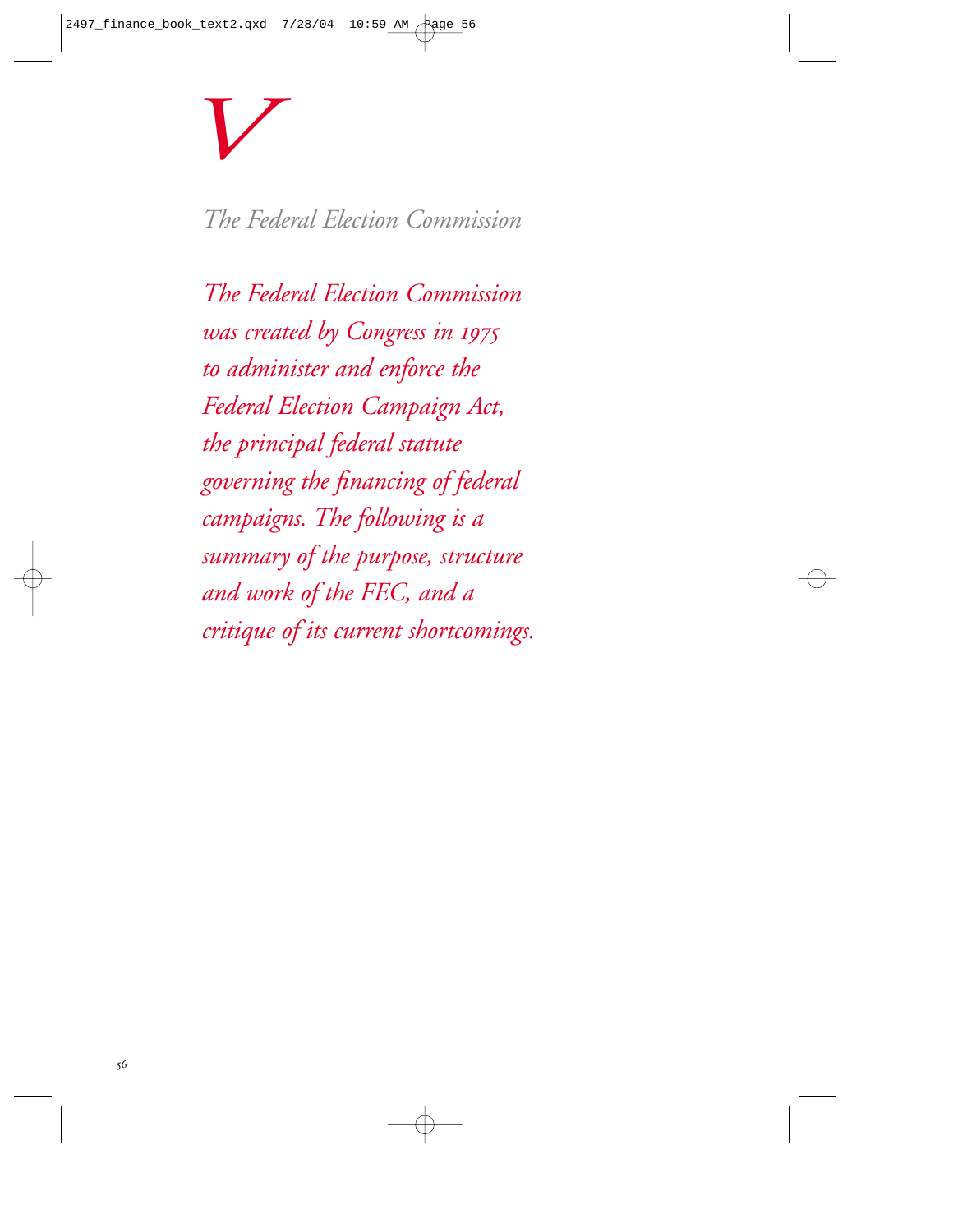# *V*

*The Federal Election Commission*

*The Federal Election Commission was created by Congress in 1 to administer and enforce the Federal Election Campaign Act, the principal federal statute governing the financing of federal campaigns. The following is a summary of the purpose, structure and work of the FEC, and a critique of its current shortcomings.*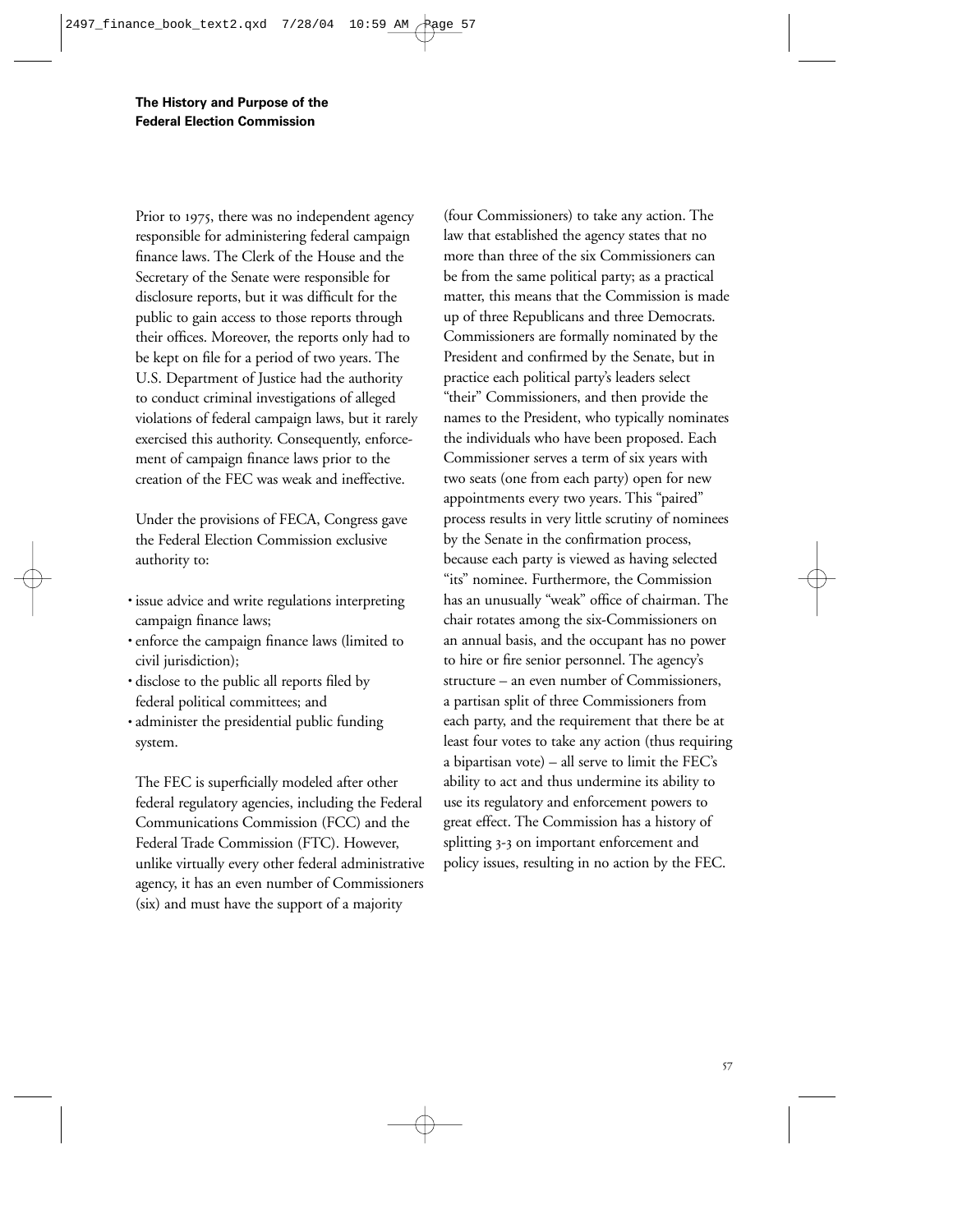Prior to 1975, there was no independent agency responsible for administering federal campaign finance laws. The Clerk of the House and the Secretary of the Senate were responsible for disclosure reports, but it was difficult for the public to gain access to those reports through their offices. Moreover, the reports only had to be kept on file for a period of two years. The U.S. Department of Justice had the authority to conduct criminal investigations of alleged violations of federal campaign laws, but it rarely exercised this authority. Consequently, enforcement of campaign finance laws prior to the creation of the FEC was weak and ineffective.

Under the provisions of FECA, Congress gave the Federal Election Commission exclusive authority to:

- issue advice and write regulations interpreting campaign finance laws;
- enforce the campaign finance laws (limited to civil jurisdiction);
- disclose to the public all reports filed by federal political committees; and
- administer the presidential public funding system.

The FEC is superficially modeled after other federal regulatory agencies, including the Federal Communications Commission (FCC) and the Federal Trade Commission (FTC). However, unlike virtually every other federal administrative agency, it has an even number of Commissioners (six) and must have the support of a majority

(four Commissioners) to take any action. The law that established the agency states that no more than three of the six Commissioners can be from the same political party; as a practical matter, this means that the Commission is made up of three Republicans and three Democrats. Commissioners are formally nominated by the President and confirmed by the Senate, but in practice each political party's leaders select "their" Commissioners, and then provide the names to the President, who typically nominates the individuals who have been proposed. Each Commissioner serves a term of six years with two seats (one from each party) open for new appointments every two years. This "paired" process results in very little scrutiny of nominees by the Senate in the confirmation process, because each party is viewed as having selected "its" nominee. Furthermore, the Commission has an unusually "weak" office of chairman. The chair rotates among the six-Commissioners on an annual basis, and the occupant has no power to hire or fire senior personnel. The agency's structure – an even number of Commissioners, a partisan split of three Commissioners from each party, and the requirement that there be at least four votes to take any action (thus requiring a bipartisan vote) – all serve to limit the FEC's ability to act and thus undermine its ability to use its regulatory and enforcement powers to great effect. The Commission has a history of splitting 3-3 on important enforcement and policy issues, resulting in no action by the FEC.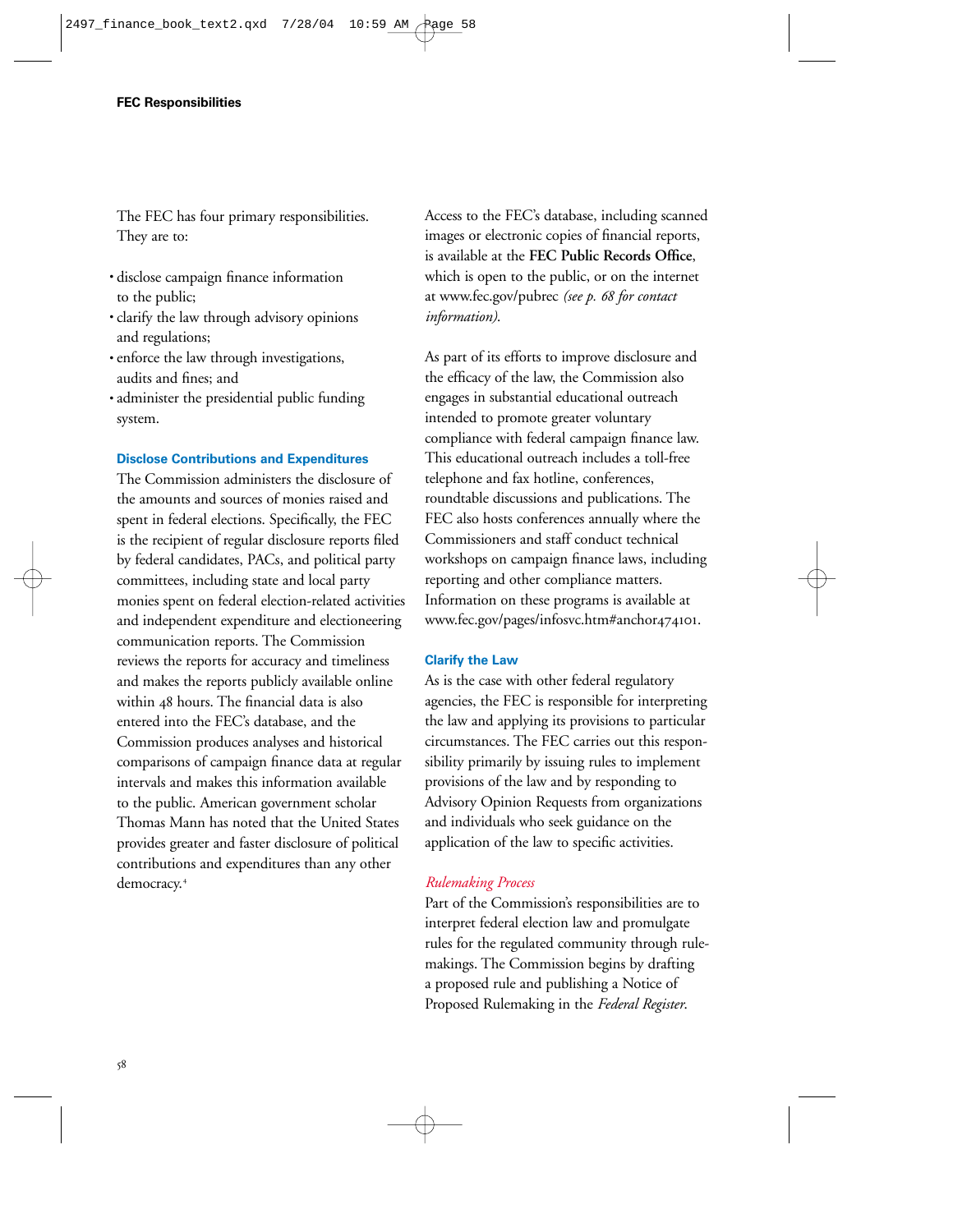The FEC has four primary responsibilities. They are to:

- disclose campaign finance information to the public;
- clarify the law through advisory opinions and regulations;
- enforce the law through investigations, audits and fines; and
- administer the presidential public funding system.

#### **Disclose Contributions and Expenditures**

The Commission administers the disclosure of the amounts and sources of monies raised and spent in federal elections. Specifically, the FEC is the recipient of regular disclosure reports filed by federal candidates, PACs, and political party committees, including state and local party monies spent on federal election-related activities and independent expenditure and electioneering communication reports. The Commission reviews the reports for accuracy and timeliness and makes the reports publicly available online within 48 hours. The financial data is also entered into the FEC's database, and the Commission produces analyses and historical comparisons of campaign finance data at regular intervals and makes this information available to the public. American government scholar Thomas Mann has noted that the United States provides greater and faster disclosure of political contributions and expenditures than any other democracy.

Access to the FEC's database, including scanned images or electronic copies of financial reports, is available at the **FEC Public Records Office**, which is open to the public, or on the internet at www.fec.gov/pubrec *(see p. for contact information)*.

As part of its efforts to improve disclosure and the efficacy of the law, the Commission also engages in substantial educational outreach intended to promote greater voluntary compliance with federal campaign finance law. This educational outreach includes a toll-free telephone and fax hotline, conferences, roundtable discussions and publications. The FEC also hosts conferences annually where the Commissioners and staff conduct technical workshops on campaign finance laws, including reporting and other compliance matters. Information on these programs is available at www.fec.gov/pages/infosvc.htm#anchor474101.

#### **Clarify the Law**

As is the case with other federal regulatory agencies, the FEC is responsible for interpreting the law and applying its provisions to particular circumstances. The FEC carries out this responsibility primarily by issuing rules to implement provisions of the law and by responding to Advisory Opinion Requests from organizations and individuals who seek guidance on the application of the law to specific activities.

#### *Rulemaking Process*

Part of the Commission's responsibilities are to interpret federal election law and promulgate rules for the regulated community through rulemakings. The Commission begins by drafting a proposed rule and publishing a Notice of Proposed Rulemaking in the *Federal Register*.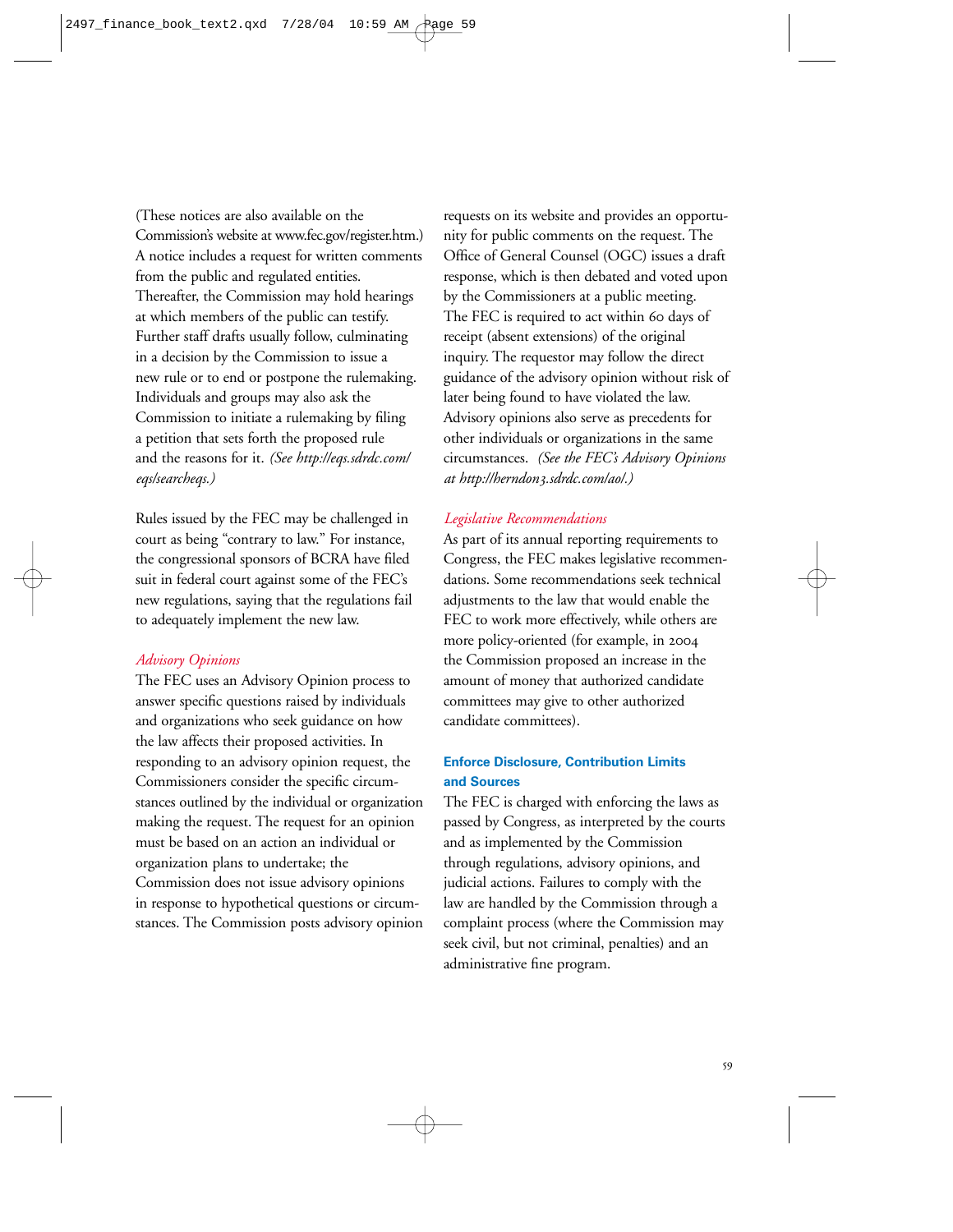(These notices are also available on the Commission's website at www.fec.gov/register.htm.) A notice includes a request for written comments from the public and regulated entities. Thereafter, the Commission may hold hearings at which members of the public can testify. Further staff drafts usually follow, culminating in a decision by the Commission to issue a new rule or to end or postpone the rulemaking. Individuals and groups may also ask the Commission to initiate a rulemaking by filing a petition that sets forth the proposed rule and the reasons for it. *(See http://eqs.sdrdc.com/ eqs/searcheqs.)*

Rules issued by the FEC may be challenged in court as being "contrary to law." For instance, the congressional sponsors of BCRA have filed suit in federal court against some of the FEC's new regulations, saying that the regulations fail to adequately implement the new law.

#### *Advisory Opinions*

The FEC uses an Advisory Opinion process to answer specific questions raised by individuals and organizations who seek guidance on how the law affects their proposed activities. In responding to an advisory opinion request, the Commissioners consider the specific circumstances outlined by the individual or organization making the request. The request for an opinion must be based on an action an individual or organization plans to undertake; the Commission does not issue advisory opinions in response to hypothetical questions or circumstances. The Commission posts advisory opinion requests on its website and provides an opportunity for public comments on the request. The Office of General Counsel (OGC) issues a draft response, which is then debated and voted upon by the Commissioners at a public meeting. The FEC is required to act within 60 days of receipt (absent extensions) of the original inquiry. The requestor may follow the direct guidance of the advisory opinion without risk of later being found to have violated the law. Advisory opinions also serve as precedents for other individuals or organizations in the same circumstances. *(See the FEC's Advisory Opinions at http://herndon.sdrdc.com/ao/.)*

#### *Legislative Recommendations*

As part of its annual reporting requirements to Congress, the FEC makes legislative recommendations. Some recommendations seek technical adjustments to the law that would enable the FEC to work more effectively, while others are more policy-oriented (for example, in the Commission proposed an increase in the amount of money that authorized candidate committees may give to other authorized candidate committees).

#### **Enforce Disclosure, Contribution Limits and Sources**

The FEC is charged with enforcing the laws as passed by Congress, as interpreted by the courts and as implemented by the Commission through regulations, advisory opinions, and judicial actions. Failures to comply with the law are handled by the Commission through a complaint process (where the Commission may seek civil, but not criminal, penalties) and an administrative fine program.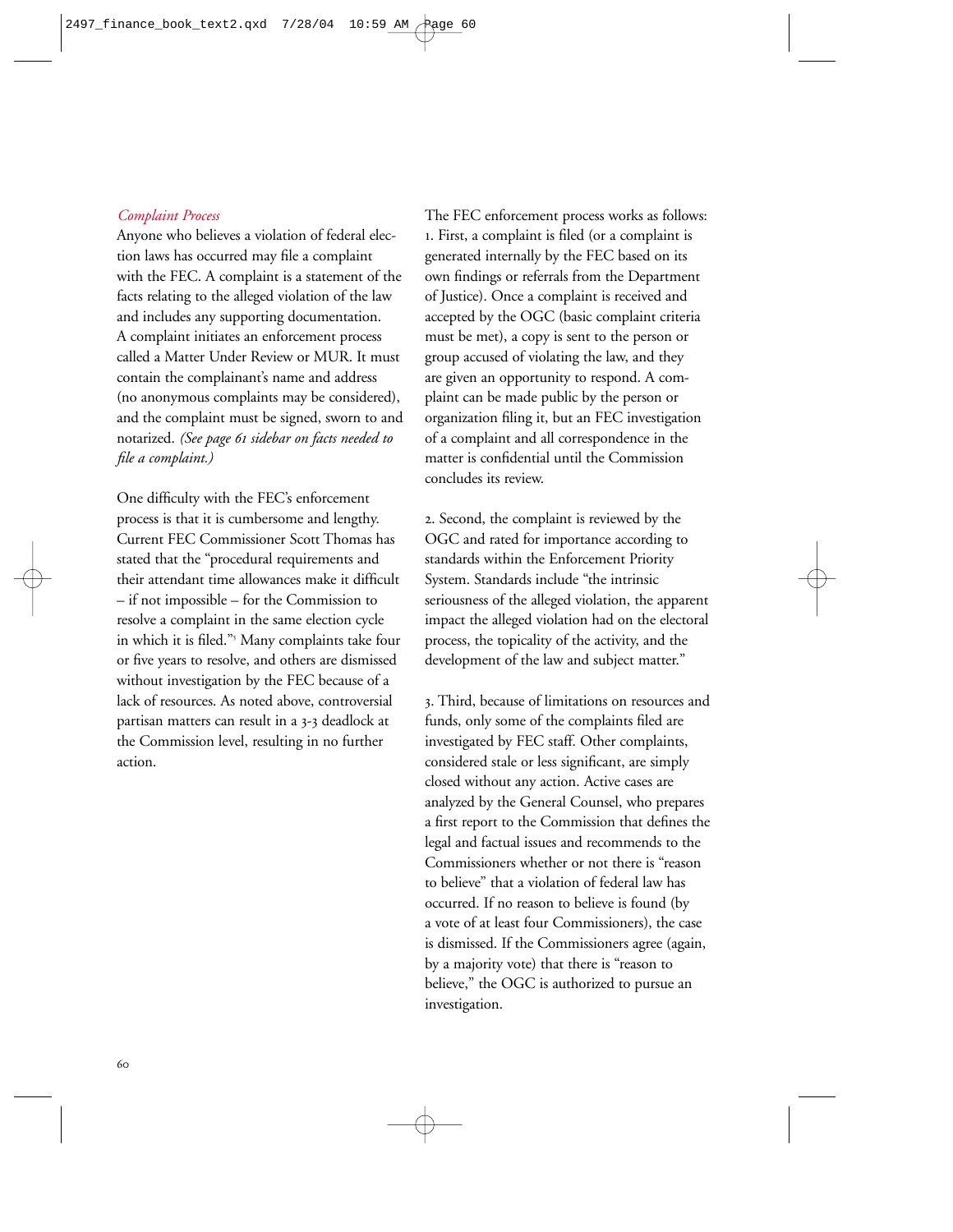#### *Complaint Process*

Anyone who believes a violation of federal election laws has occurred may file a complaint with the FEC. A complaint is a statement of the facts relating to the alleged violation of the law and includes any supporting documentation. A complaint initiates an enforcement process called a Matter Under Review or MUR. It must contain the complainant's name and address (no anonymous complaints may be considered), and the complaint must be signed, sworn to and notarized. *(See page <sup>1</sup> sidebar on facts needed to file a complaint.)*

One difficulty with the FEC's enforcement process is that it is cumbersome and lengthy. Current FEC Commissioner Scott Thomas has stated that the "procedural requirements and their attendant time allowances make it difficult – if not impossible – for the Commission to resolve a complaint in the same election cycle in which it is filed."<sup>5</sup> Many complaints take four or five years to resolve, and others are dismissed without investigation by the FEC because of a lack of resources. As noted above, controversial partisan matters can result in a 3-3 deadlock at the Commission level, resulting in no further action.

The FEC enforcement process works as follows: **<sup>1</sup>**. First, a complaint is filed (or a complaint is generated internally by the FEC based on its own findings or referrals from the Department of Justice). Once a complaint is received and accepted by the OGC (basic complaint criteria must be met), a copy is sent to the person or group accused of violating the law, and they are given an opportunity to respond. A complaint can be made public by the person or organization filing it, but an FEC investigation of a complaint and all correspondence in the matter is confidential until the Commission concludes its review.

. Second, the complaint is reviewed by the OGC and rated for importance according to standards within the Enforcement Priority System. Standards include "the intrinsic seriousness of the alleged violation, the apparent impact the alleged violation had on the electoral process, the topicality of the activity, and the development of the law and subject matter."

. Third, because of limitations on resources and funds, only some of the complaints filed are investigated by FEC staff. Other complaints, considered stale or less significant, are simply closed without any action. Active cases are analyzed by the General Counsel, who prepares a first report to the Commission that defines the legal and factual issues and recommends to the Commissioners whether or not there is "reason to believe" that a violation of federal law has occurred. If no reason to believe is found (by a vote of at least four Commissioners), the case is dismissed. If the Commissioners agree (again, by a majority vote) that there is "reason to believe," the OGC is authorized to pursue an investigation.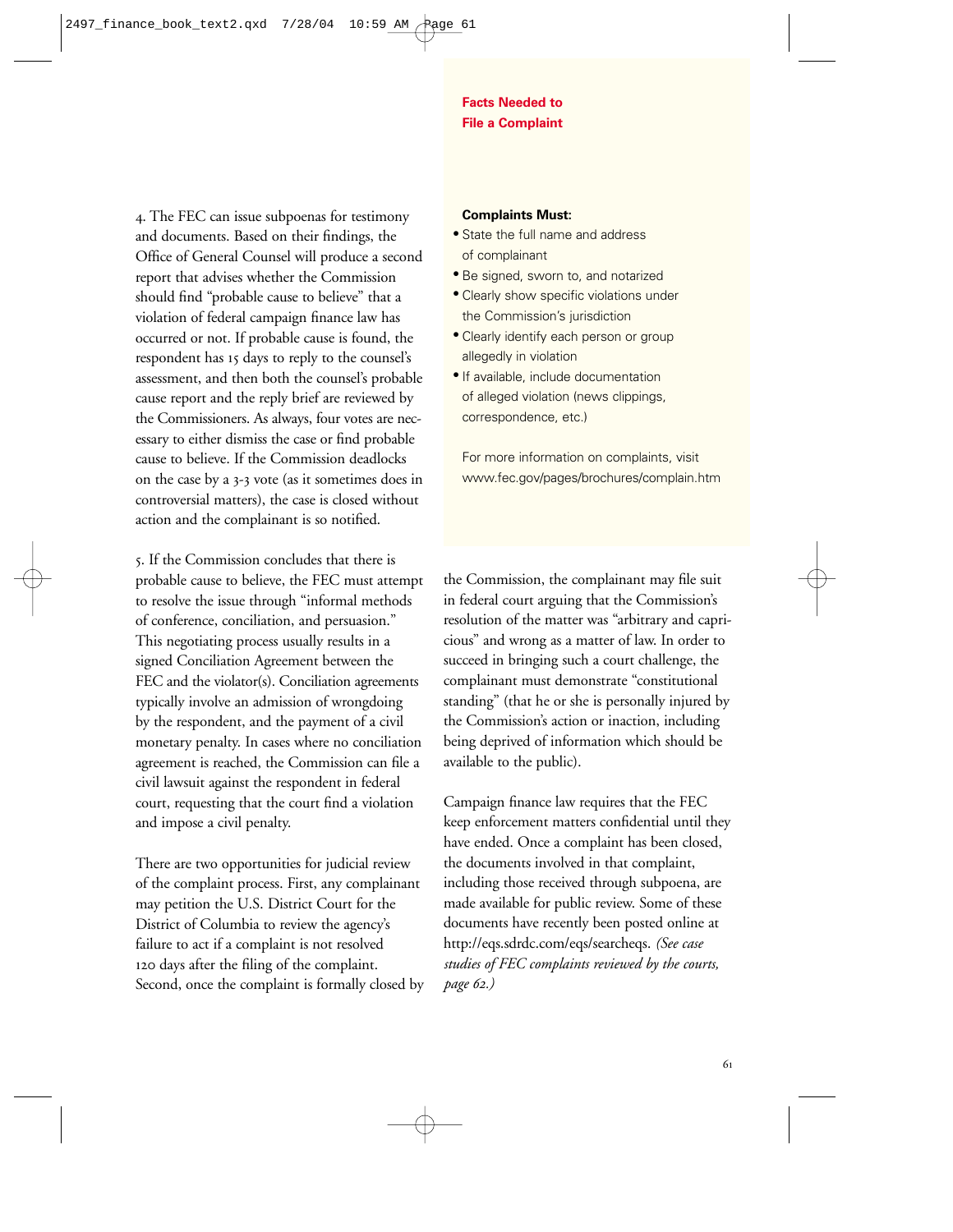#### **Facts Needed to File a Complaint**

. The FEC can issue subpoenas for testimony and documents. Based on their findings, the Office of General Counsel will produce a second report that advises whether the Commission should find "probable cause to believe" that a violation of federal campaign finance law has occurred or not. If probable cause is found, the respondent has 15 days to reply to the counsel's assessment, and then both the counsel's probable cause report and the reply brief are reviewed by the Commissioners. As always, four votes are necessary to either dismiss the case or find probable cause to believe. If the Commission deadlocks on the case by a 3-3 vote (as it sometimes does in controversial matters), the case is closed without action and the complainant is so notified.

. If the Commission concludes that there is probable cause to believe, the FEC must attempt to resolve the issue through "informal methods of conference, conciliation, and persuasion." This negotiating process usually results in a signed Conciliation Agreement between the FEC and the violator(s). Conciliation agreements typically involve an admission of wrongdoing by the respondent, and the payment of a civil monetary penalty. In cases where no conciliation agreement is reached, the Commission can file a civil lawsuit against the respondent in federal court, requesting that the court find a violation and impose a civil penalty.

There are two opportunities for judicial review of the complaint process. First, any complainant may petition the U.S. District Court for the District of Columbia to review the agency's failure to act if a complaint is not resolved 120 days after the filing of the complaint. Second, once the complaint is formally closed by

#### **Complaints Must:**

- State the full name and address **•** of complainant
- **•** Be signed, sworn to, and notarized
- Clearly show specific violations under **•** the Commission's jurisdiction
- Clearly identify each person or group **•** allegedly in violation
- **•** If available, include documentation of alleged violation (news clippings, correspondence, etc.)

For more information on complaints, visit www.fec.gov/pages/brochures/complain.htm

the Commission, the complainant may file suit in federal court arguing that the Commission's resolution of the matter was "arbitrary and capricious" and wrong as a matter of law. In order to succeed in bringing such a court challenge, the complainant must demonstrate "constitutional standing" (that he or she is personally injured by the Commission's action or inaction, including being deprived of information which should be available to the public).

Campaign finance law requires that the FEC keep enforcement matters confidential until they have ended. Once a complaint has been closed, the documents involved in that complaint, including those received through subpoena, are made available for public review. Some of these documents have recently been posted online at http://eqs.sdrdc.com/eqs/searcheqs. *(See case studies of FEC complaints reviewed by the courts, page .)*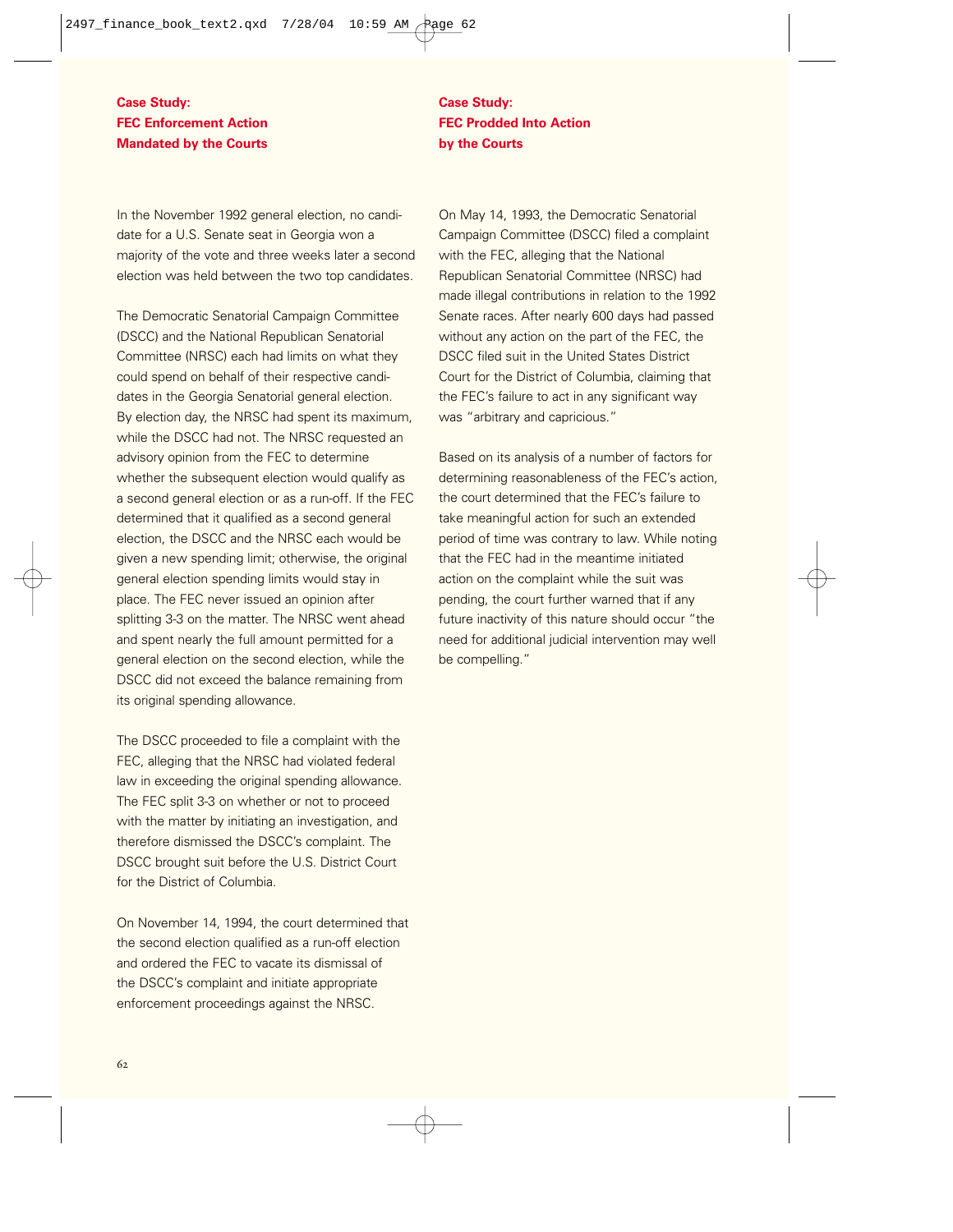#### **Case Study: FEC Enforcement Action Mandated by the Courts**

In the November 1992 general election, no candidate for a U.S. Senate seat in Georgia won a majority of the vote and three weeks later a second election was held between the two top candidates.

The Democratic Senatorial Campaign Committee (DSCC) and the National Republican Senatorial Committee (NRSC) each had limits on what they could spend on behalf of their respective candidates in the Georgia Senatorial general election. By election day, the NRSC had spent its maximum, while the DSCC had not. The NRSC requested an advisory opinion from the FEC to determine whether the subsequent election would qualify as a second general election or as a run-off. If the FEC determined that it qualified as a second general election, the DSCC and the NRSC each would be given a new spending limit; otherwise, the original general election spending limits would stay in place. The FEC never issued an opinion after splitting 3-3 on the matter. The NRSC went ahead and spent nearly the full amount permitted for a general election on the second election, while the DSCC did not exceed the balance remaining from its original spending allowance.

The DSCC proceeded to file a complaint with the FEC, alleging that the NRSC had violated federal law in exceeding the original spending allowance. The FEC split 3-3 on whether or not to proceed with the matter by initiating an investigation, and therefore dismissed the DSCC's complaint. The DSCC brought suit before the U.S. District Court for the District of Columbia.

On November 14, 1994, the court determined that the second election qualified as a run-off election and ordered the FEC to vacate its dismissal of the DSCC's complaint and initiate appropriate enforcement proceedings against the NRSC.

#### **Case Study: FEC Prodded Into Action by the Courts**

On May 14, 1993, the Democratic Senatorial Campaign Committee (DSCC) filed a complaint with the FEC, alleging that the National Republican Senatorial Committee (NRSC) had made illegal contributions in relation to the 1992 Senate races. After nearly 600 days had passed without any action on the part of the FEC, the DSCC filed suit in the United States District Court for the District of Columbia, claiming that the FEC's failure to act in any significant way was "arbitrary and capricious."

Based on its analysis of a number of factors for determining reasonableness of the FEC's action, the court determined that the FEC's failure to take meaningful action for such an extended period of time was contrary to law. While noting that the FEC had in the meantime initiated action on the complaint while the suit was pending, the court further warned that if any future inactivity of this nature should occur "the need for additional judicial intervention may well be compelling."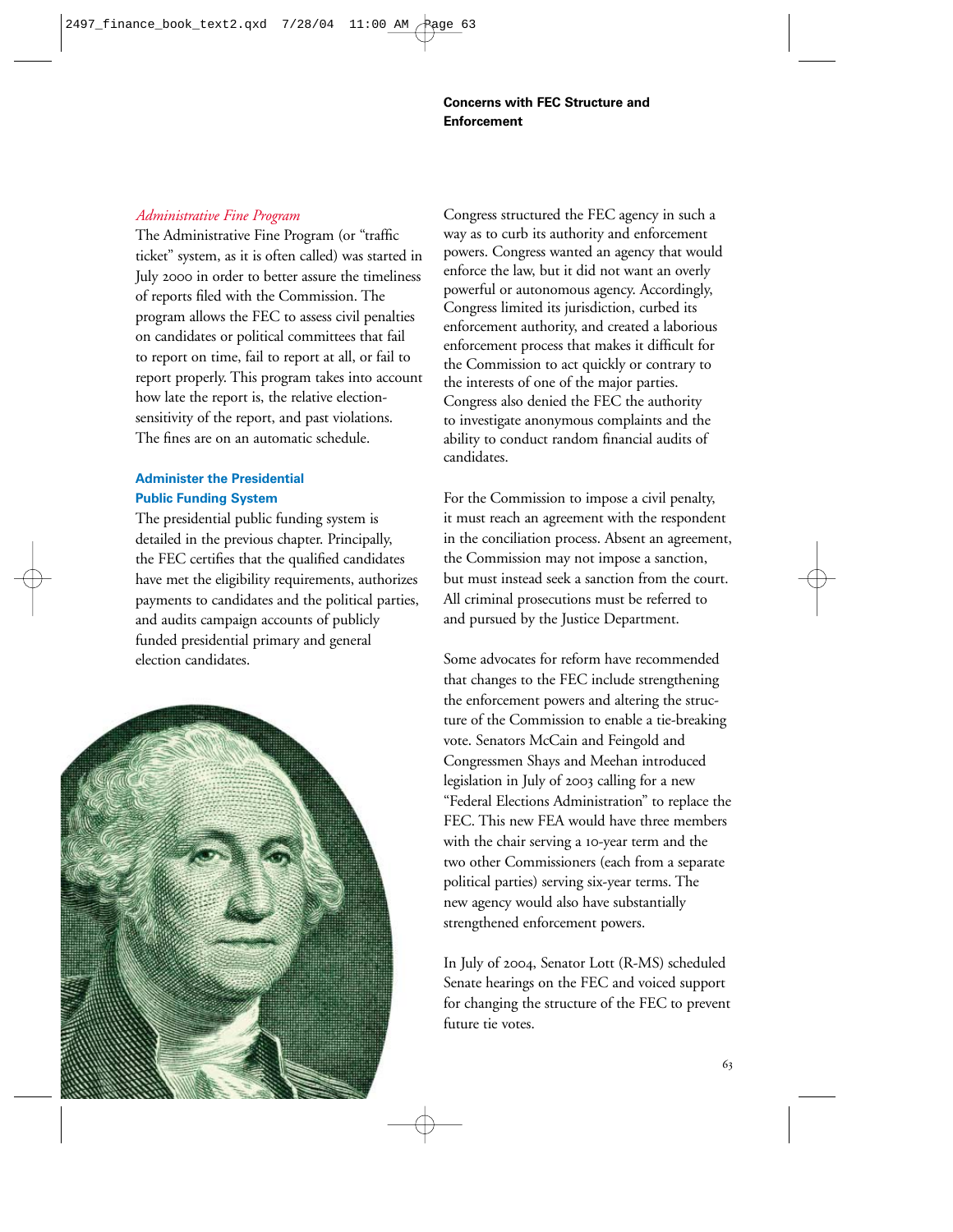#### *Administrative Fine Program*

The Administrative Fine Program (or "traffic ticket" system, as it is often called) was started in July 2000 in order to better assure the timeliness of reports filed with the Commission. The program allows the FEC to assess civil penalties on candidates or political committees that fail to report on time, fail to report at all, or fail to report properly. This program takes into account how late the report is, the relative electionsensitivity of the report, and past violations. The fines are on an automatic schedule.

#### **Administer the Presidential Public Funding System**

The presidential public funding system is detailed in the previous chapter. Principally, the FEC certifies that the qualified candidates have met the eligibility requirements, authorizes payments to candidates and the political parties, and audits campaign accounts of publicly funded presidential primary and general election candidates.



Congress structured the FEC agency in such a way as to curb its authority and enforcement powers. Congress wanted an agency that would enforce the law, but it did not want an overly powerful or autonomous agency. Accordingly, Congress limited its jurisdiction, curbed its enforcement authority, and created a laborious enforcement process that makes it difficult for the Commission to act quickly or contrary to the interests of one of the major parties. Congress also denied the FEC the authority to investigate anonymous complaints and the ability to conduct random financial audits of candidates.

For the Commission to impose a civil penalty, it must reach an agreement with the respondent in the conciliation process. Absent an agreement, the Commission may not impose a sanction, but must instead seek a sanction from the court. All criminal prosecutions must be referred to and pursued by the Justice Department.

Some advocates for reform have recommended that changes to the FEC include strengthening the enforcement powers and altering the structure of the Commission to enable a tie-breaking vote. Senators McCain and Feingold and Congressmen Shays and Meehan introduced legislation in July of 2003 calling for a new "Federal Elections Administration" to replace the FEC. This new FEA would have three members with the chair serving a 10-year term and the two other Commissioners (each from a separate political parties) serving six-year terms. The new agency would also have substantially strengthened enforcement powers.

In July of 2004, Senator Lott (R-MS) scheduled Senate hearings on the FEC and voiced support for changing the structure of the FEC to prevent future tie votes.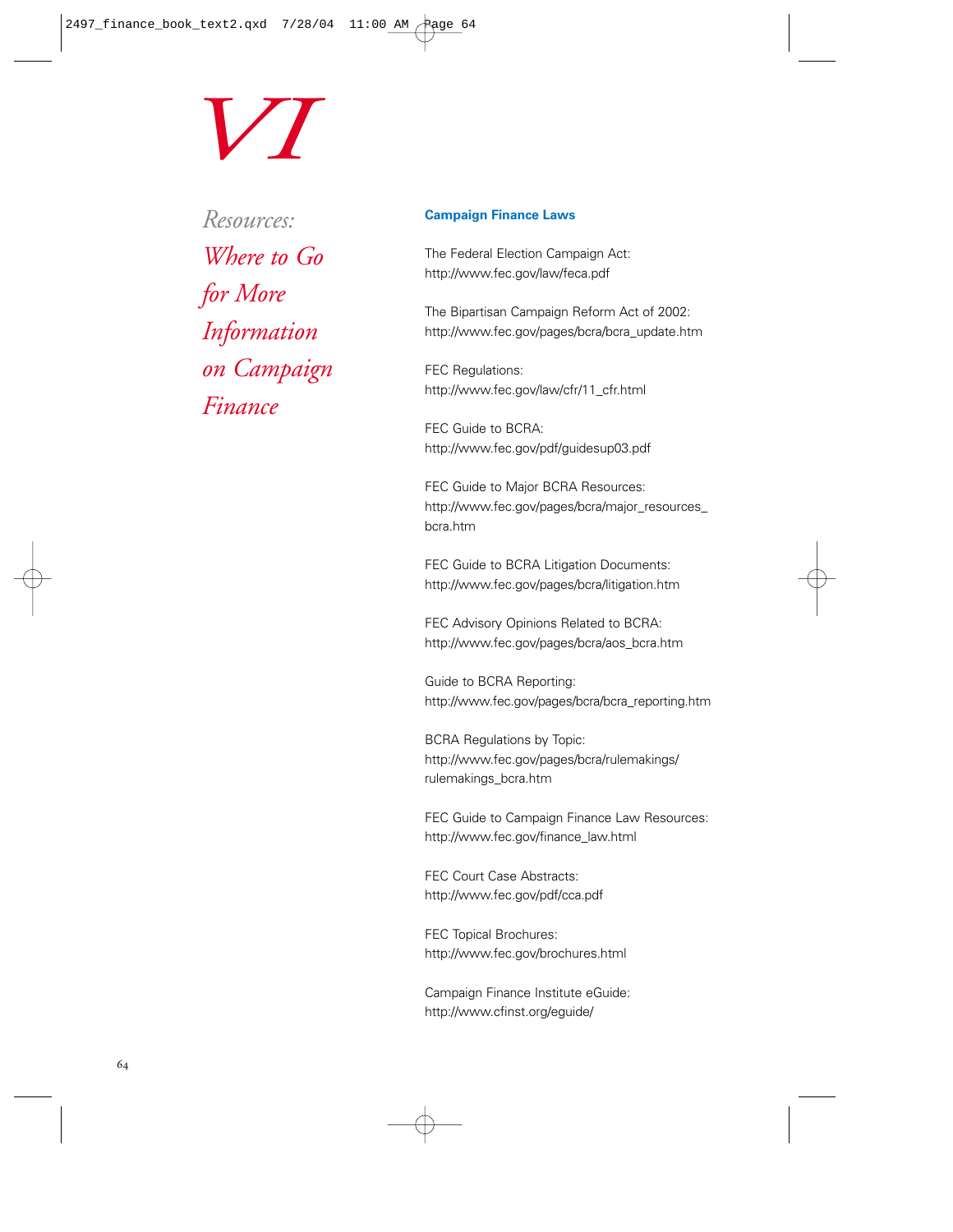## *VI*

*Resources: Where to Go for More Information on Campaign Finance*

#### **Campaign Finance Laws**

The Federal Election Campaign Act: http://www.fec.gov/law/feca.pdf

The Bipartisan Campaign Reform Act of 2002: http://www.fec.gov/pages/bcra/bcra\_update.htm

FEC Regulations: http://www.fec.gov/law/cfr/11\_cfr.html

FEC Guide to BCRA: http://www.fec.gov/pdf/guidesup03.pdf

FEC Guide to Major BCRA Resources: http://www.fec.gov/pages/bcra/major\_resources bcra.htm

FEC Guide to BCRA Litigation Documents: http://www.fec.gov/pages/bcra/litigation.htm

FEC Advisory Opinions Related to BCRA: http://www.fec.gov/pages/bcra/aos\_bcra.htm

Guide to BCRA Reporting: http://www.fec.gov/pages/bcra/bcra\_reporting.htm

BCRA Regulations by Topic: http://www.fec.gov/pages/bcra/rulemakings/ rulemakings\_bcra.htm

FEC Guide to Campaign Finance Law Resources: http://www.fec.gov/finance\_law.html

FEC Court Case Abstracts: http://www.fec.gov/pdf/cca.pdf

FEC Topical Brochures: http://www.fec.gov/brochures.html

Campaign Finance Institute eGuide: http://www.cfinst.org/eguide/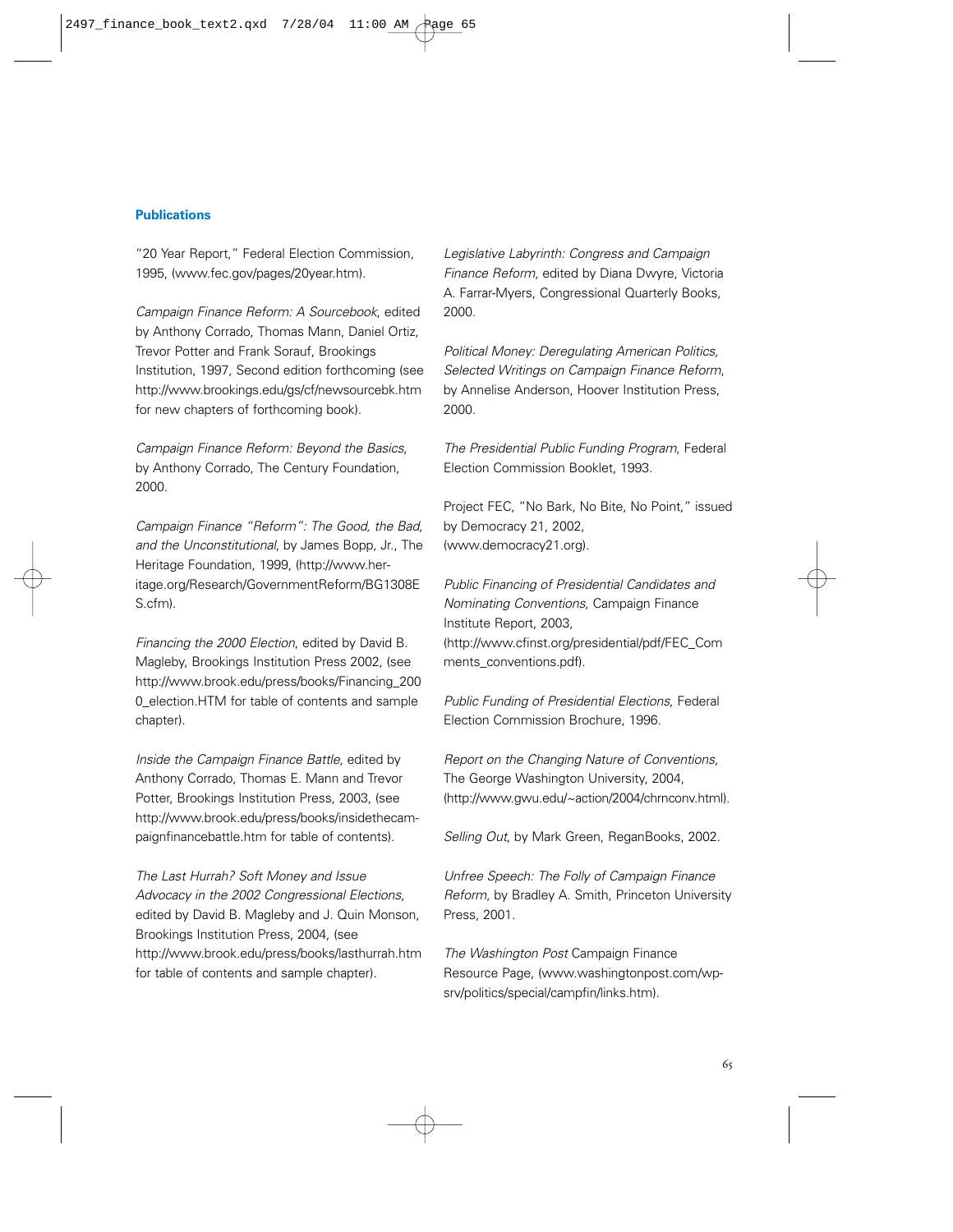#### **Publications**

"20 Year Report," Federal Election Commission, 1995, (www.fec.gov/pages/20year.htm).

*Campaign Finance Reform: A Sourcebook*, edited by Anthony Corrado, Thomas Mann, Daniel Ortiz, Trevor Potter and Frank Sorauf, Brookings Institution, 1997, Second edition forthcoming (see http://www.brookings.edu/gs/cf/newsourcebk.htm for new chapters of forthcoming book).

*Campaign Finance Reform: Beyond the Basics*, by Anthony Corrado, The Century Foundation, 2000.

*Campaign Finance "Reform": The Good, the Bad, and the Unconstitutional*, by James Bopp, Jr., The Heritage Foundation, 1999, (http://www.heritage.org/Research/GovernmentReform/BG1308E S.cfm).

*Financing the 2000 Election*, edited by David B. Magleby, Brookings Institution Press 2002, (see http://www.brook.edu/press/books/Financing\_200 0\_election.HTM for table of contents and sample chapter).

*Inside the Campaign Finance Battle*, edited by Anthony Corrado, Thomas E. Mann and Trevor Potter, Brookings Institution Press, 2003, (see http://www.brook.edu/press/books/insidethecampaignfinancebattle.htm for table of contents).

*The Last Hurrah? Soft Money and Issue Advocacy in the 2002 Congressional Elections*, edited by David B. Magleby and J. Quin Monson, Brookings Institution Press, 2004, (see http://www.brook.edu/press/books/lasthurrah.htm for table of contents and sample chapter).

*Legislative Labyrinth: Congress and Campaign Finance Reform*, edited by Diana Dwyre, Victoria A. Farrar-Myers, Congressional Quarterly Books, 2000.

*Political Money: Deregulating American Politics, Selected Writings on Campaign Finance Reform*, by Annelise Anderson, Hoover Institution Press, 2000.

*The Presidential Public Funding Program*, Federal Election Commission Booklet, 1993.

Project FEC, "No Bark, No Bite, No Point," issued by Democracy 21, 2002, (www.democracy21.org).

*Public Financing of Presidential Candidates and Nominating Conventions*, Campaign Finance Institute Report, 2003, (http://www.cfinst.org/presidential/pdf/FEC\_Com ments\_conventions.pdf).

*Public Funding of Presidential Elections*, Federal Election Commission Brochure, 1996.

*Report on the Changing Nature of Conventions*, The George Washington University, 2004, (http://www.gwu.edu/~action/2004/chrnconv.html).

*Selling Out*, by Mark Green, ReganBooks, 2002.

*Unfree Speech: The Folly of Campaign Finance Reform*, by Bradley A. Smith, Princeton University Press, 2001.

*The Washington Post* Campaign Finance Resource Page, (www.washingtonpost.com/wpsrv/politics/special/campfin/links.htm).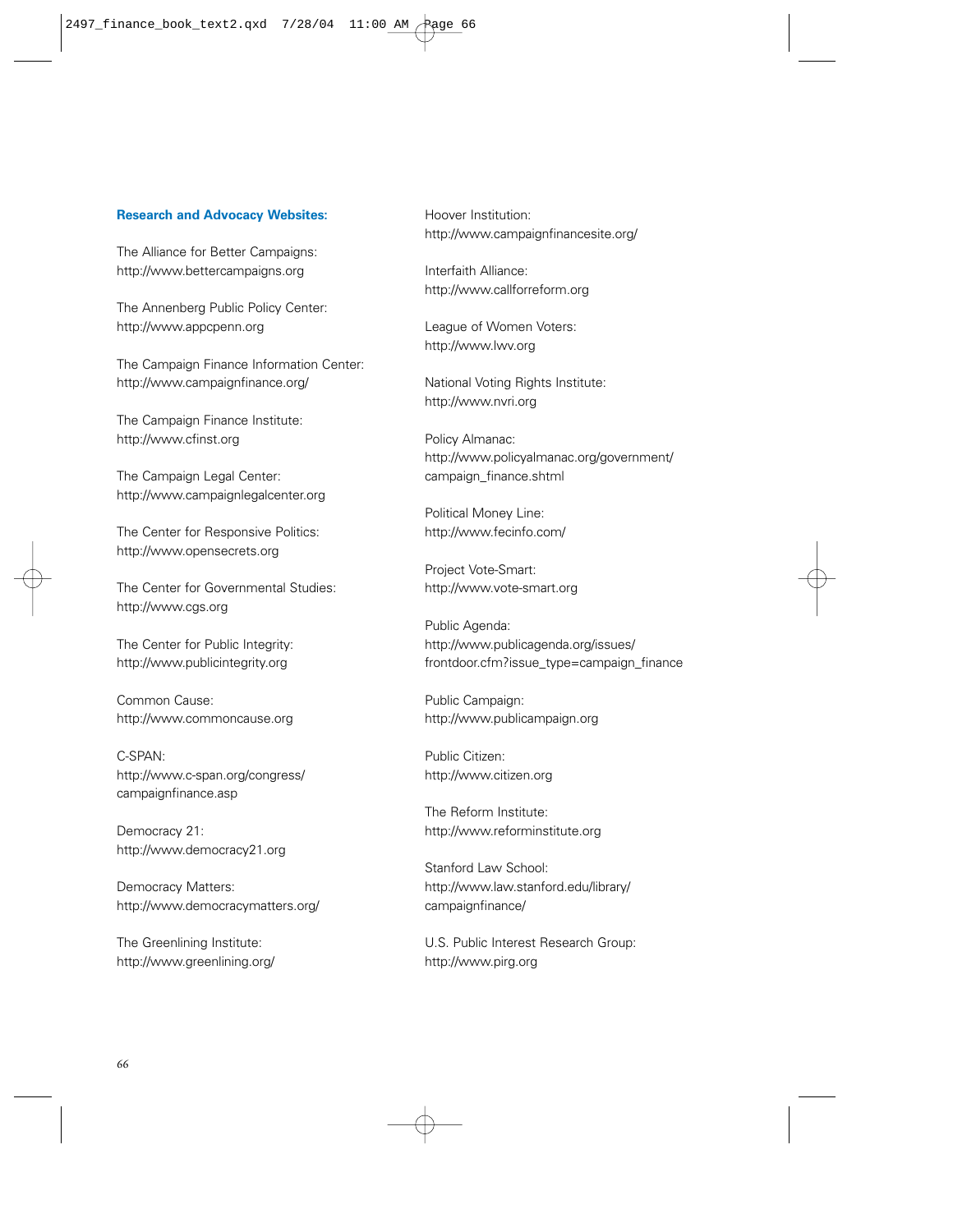#### **Research and Advocacy Websites:**

The Alliance for Better Campaigns: http://www.bettercampaigns.org

The Annenberg Public Policy Center: http://www.appcpenn.org

The Campaign Finance Information Center: http://www.campaignfinance.org/

The Campaign Finance Institute: http://www.cfinst.org

The Campaign Legal Center: http://www.campaignlegalcenter.org

The Center for Responsive Politics: http://www.opensecrets.org

The Center for Governmental Studies: http://www.cgs.org

The Center for Public Integrity: http://www.publicintegrity.org

Common Cause: http://www.commoncause.org

C-SPAN: http://www.c-span.org/congress/ campaignfinance.asp

Democracy 21: http://www.democracy21.org

Democracy Matters: http://www.democracymatters.org/

The Greenlining Institute: http://www.greenlining.org/ Hoover Institution: http://www.campaignfinancesite.org/

Interfaith Alliance: http://www.callforreform.org

League of Women Voters: http://www.lwv.org

National Voting Rights Institute: http://www.nvri.org

Policy Almanac: http://www.policyalmanac.org/government/ campaign\_finance.shtml

Political Money Line: http://www.fecinfo.com/

Project Vote-Smart: http://www.vote-smart.org

Public Agenda: http://www.publicagenda.org/issues/ frontdoor.cfm?issue\_type=campaign\_finance

Public Campaign: http://www.publicampaign.org

Public Citizen: http://www.citizen.org

The Reform Institute: http://www.reforminstitute.org

Stanford Law School: http://www.law.stanford.edu/library/ campaignfinance/

U.S. Public Interest Research Group: http://www.pirg.org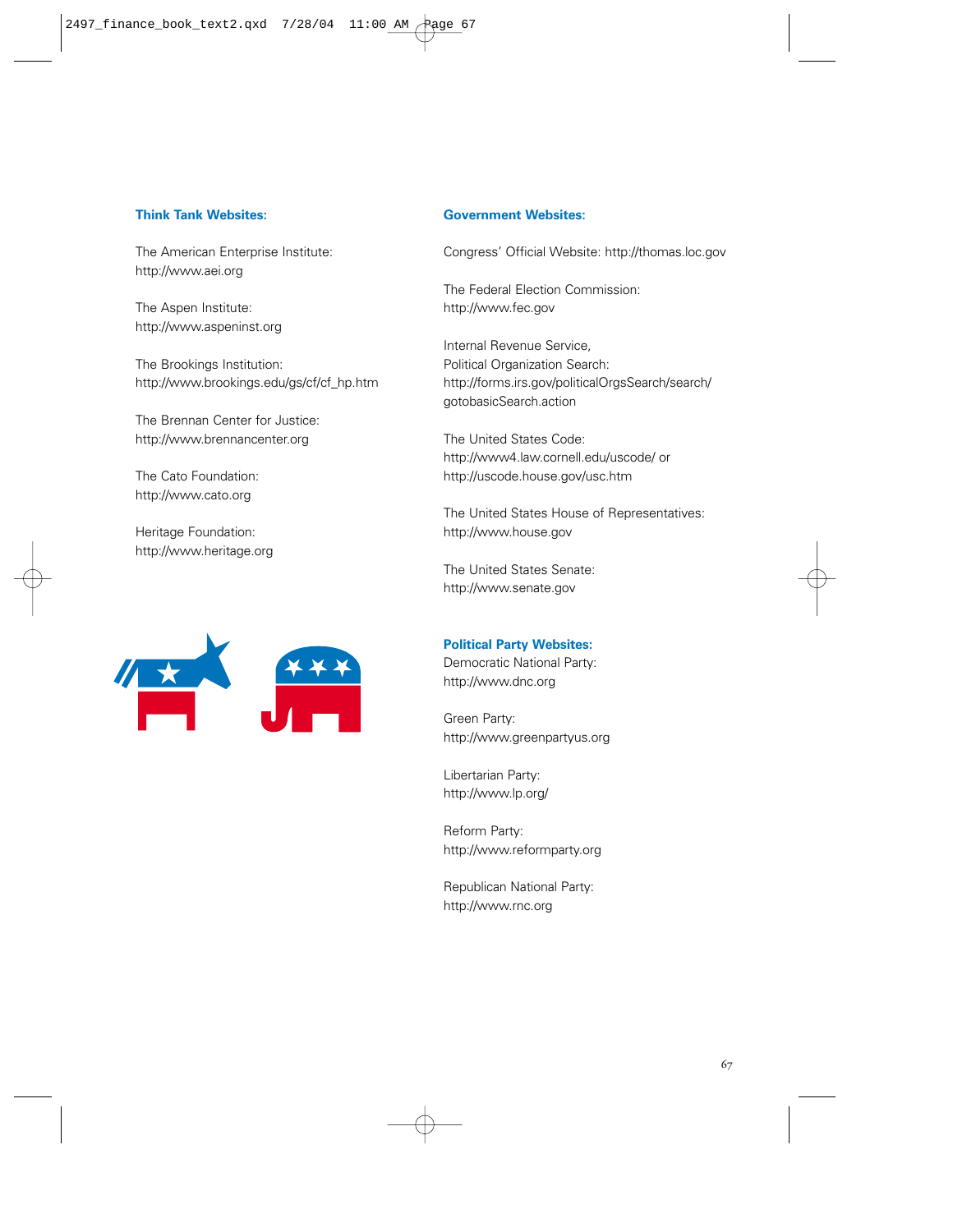#### **Think Tank Websites:**

The American Enterprise Institute: http://www.aei.org

The Aspen Institute: http://www.aspeninst.org

The Brookings Institution: http://www.brookings.edu/gs/cf/cf\_hp.htm

The Brennan Center for Justice: http://www.brennancenter.org

The Cato Foundation: http://www.cato.org

Heritage Foundation: http://www.heritage.org



#### **Government Websites:**

Congress' Official Website: http://thomas.loc.gov

The Federal Election Commission: http://www.fec.gov

Internal Revenue Service, Political Organization Search: http://forms.irs.gov/politicalOrgsSearch/search/ gotobasicSearch.action

The United States Code: http://www4.law.cornell.edu/uscode/ or http://uscode.house.gov/usc.htm

The United States House of Representatives: http://www.house.gov

The United States Senate: http://www.senate.gov

#### **Political Party Websites:**

Democratic National Party: http://www.dnc.org

Green Party: http://www.greenpartyus.org

Libertarian Party: http://www.lp.org/

Reform Party: http://www.reformparty.org

Republican National Party: http://www.rnc.org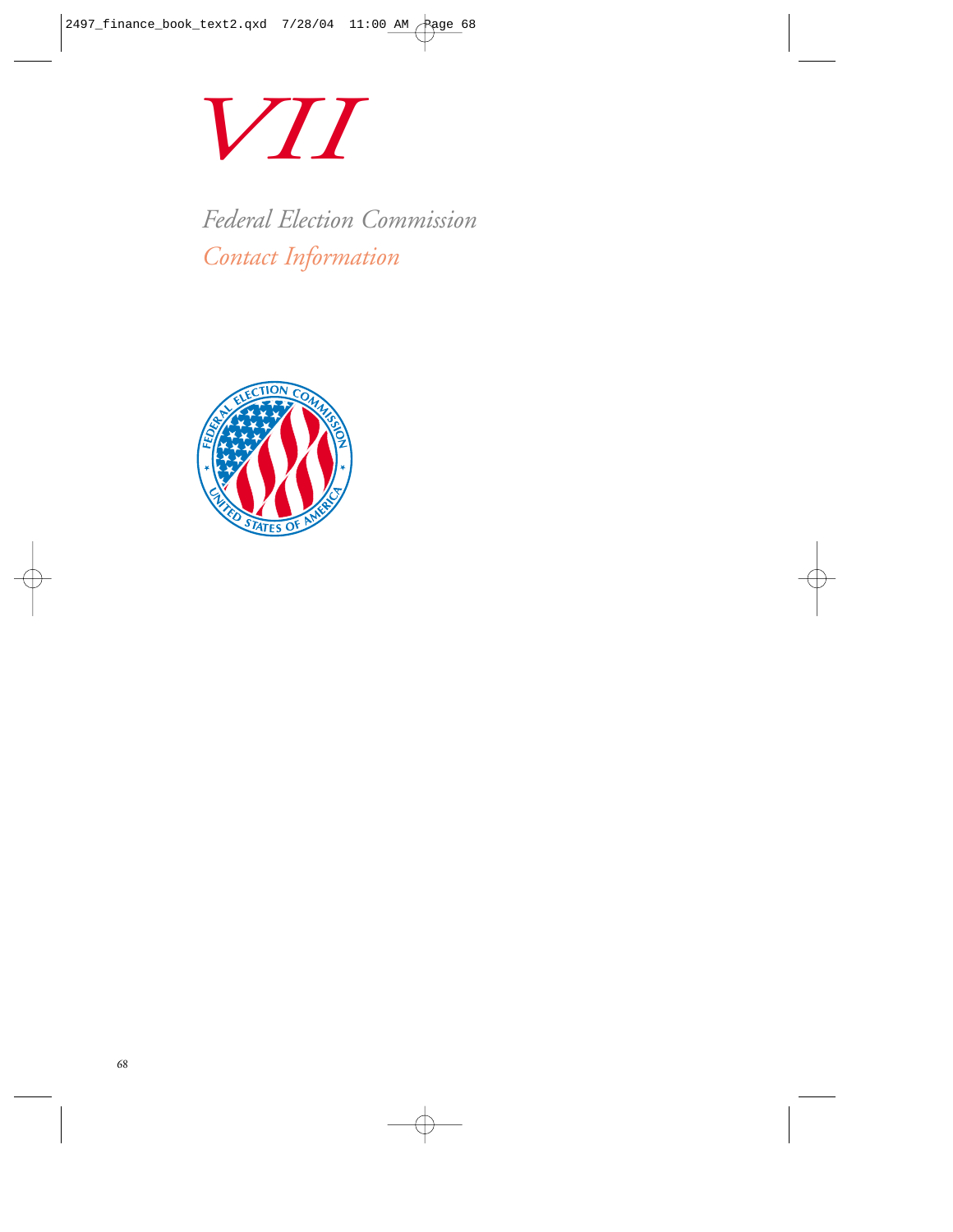

*Federal Election Commission Contact Information*

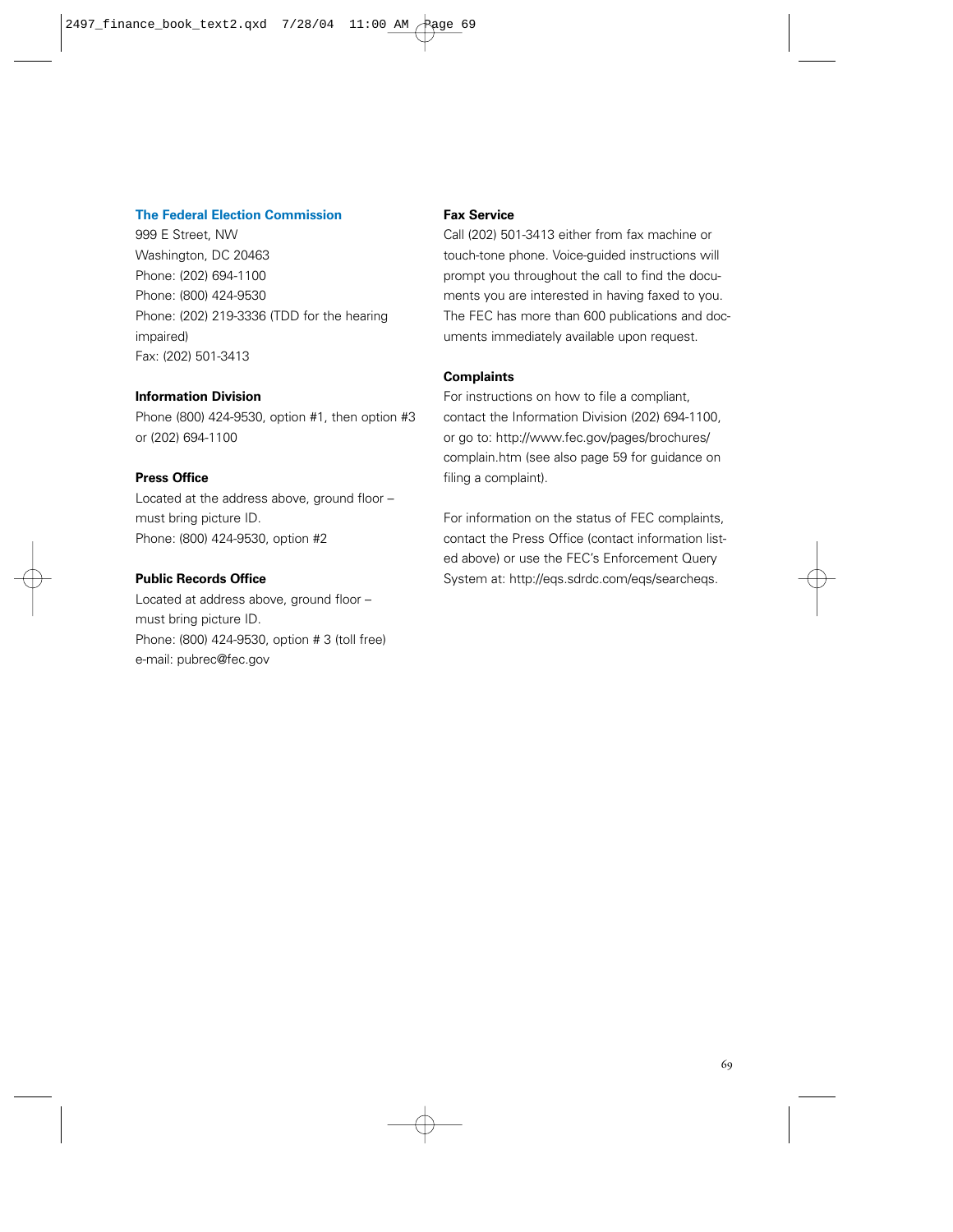#### **The Federal Election Commission**

999 E Street, NW Washington, DC 20463 Phone: (202) 694-1100 Phone: (800) 424-9530 Phone: (202) 219-3336 (TDD for the hearing impaired) Fax: (202) 501-3413

#### **Information Division**

Phone (800) 424-9530, option #1, then option #3 or (202) 694-1100

#### **Press Office**

Located at the address above, ground floor – must bring picture ID. Phone: (800) 424-9530, option #2

#### **Public Records Office**

Located at address above, ground floor – must bring picture ID. Phone: (800) 424-9530, option # 3 (toll free) e-mail: pubrec@fec.gov

#### **Fax Service**

Call (202) 501-3413 either from fax machine or touch-tone phone. Voice-guided instructions will prompt you throughout the call to find the documents you are interested in having faxed to you. The FEC has more than 600 publications and documents immediately available upon request.

#### **Complaints**

For instructions on how to file a compliant, contact the Information Division (202) 694-1100, or go to: http://www.fec.gov/pages/brochures/ complain.htm (see also page 59 for guidance on filing a complaint).

For information on the status of FEC complaints, contact the Press Office (contact information listed above) or use the FEC's Enforcement Query System at: http://eqs.sdrdc.com/eqs/searcheqs.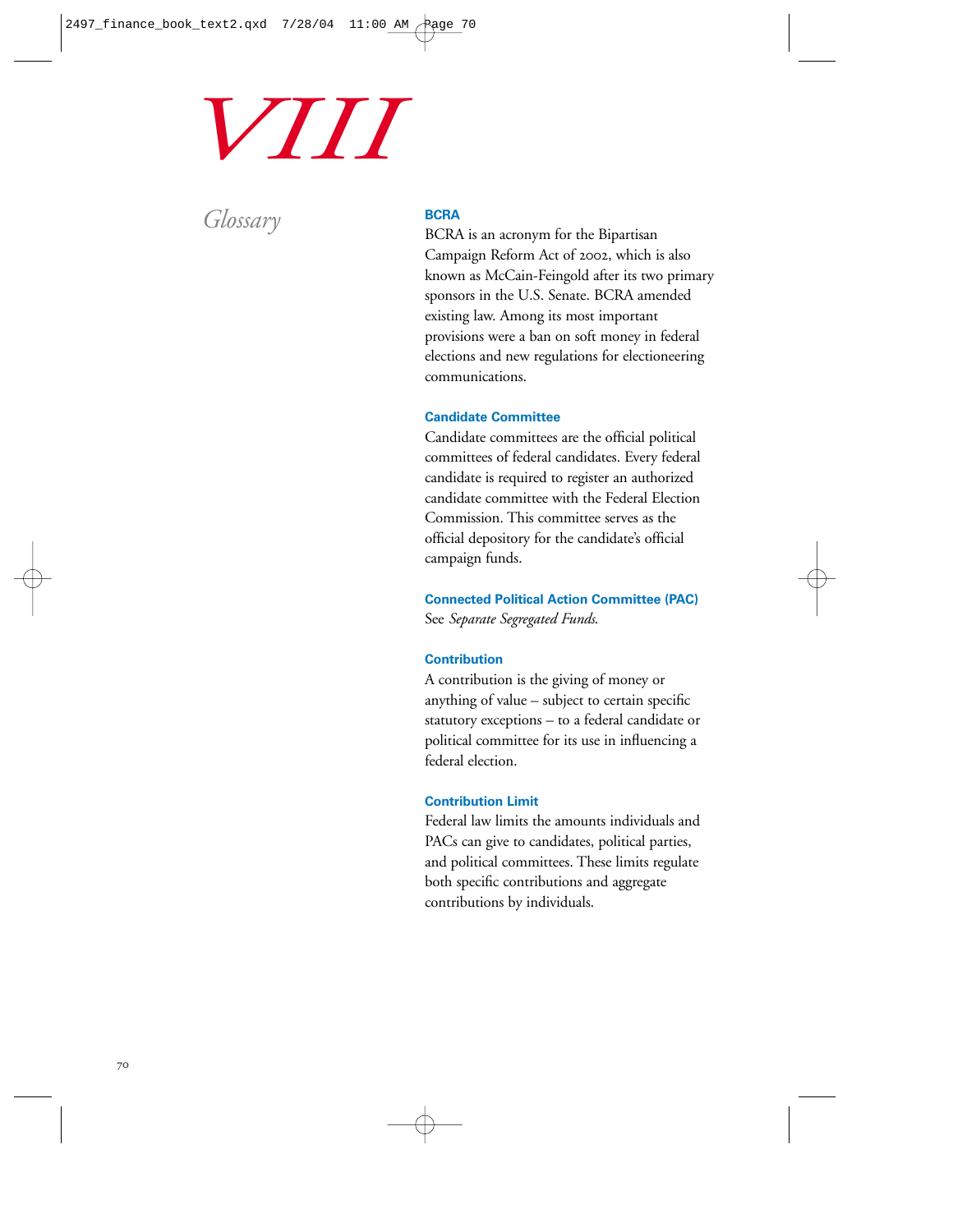## *VIII*

*Glossary*

#### **BCRA**

BCRA is an acronym for the Bipartisan Campaign Reform Act of 2002, which is also known as McCain-Feingold after its two primary sponsors in the U.S. Senate. BCRA amended existing law. Among its most important provisions were a ban on soft money in federal elections and new regulations for electioneering communications.

#### **Candidate Committee**

Candidate committees are the official political committees of federal candidates. Every federal candidate is required to register an authorized candidate committee with the Federal Election Commission. This committee serves as the official depository for the candidate's official campaign funds.

**Connected Political Action Committee (PAC)** See *Separate Segregated Funds*.

#### **Contribution**

A contribution is the giving of money or anything of value – subject to certain specific statutory exceptions – to a federal candidate or political committee for its use in influencing a federal election.

#### **Contribution Limit**

Federal law limits the amounts individuals and PACs can give to candidates, political parties, and political committees. These limits regulate both specific contributions and aggregate contributions by individuals.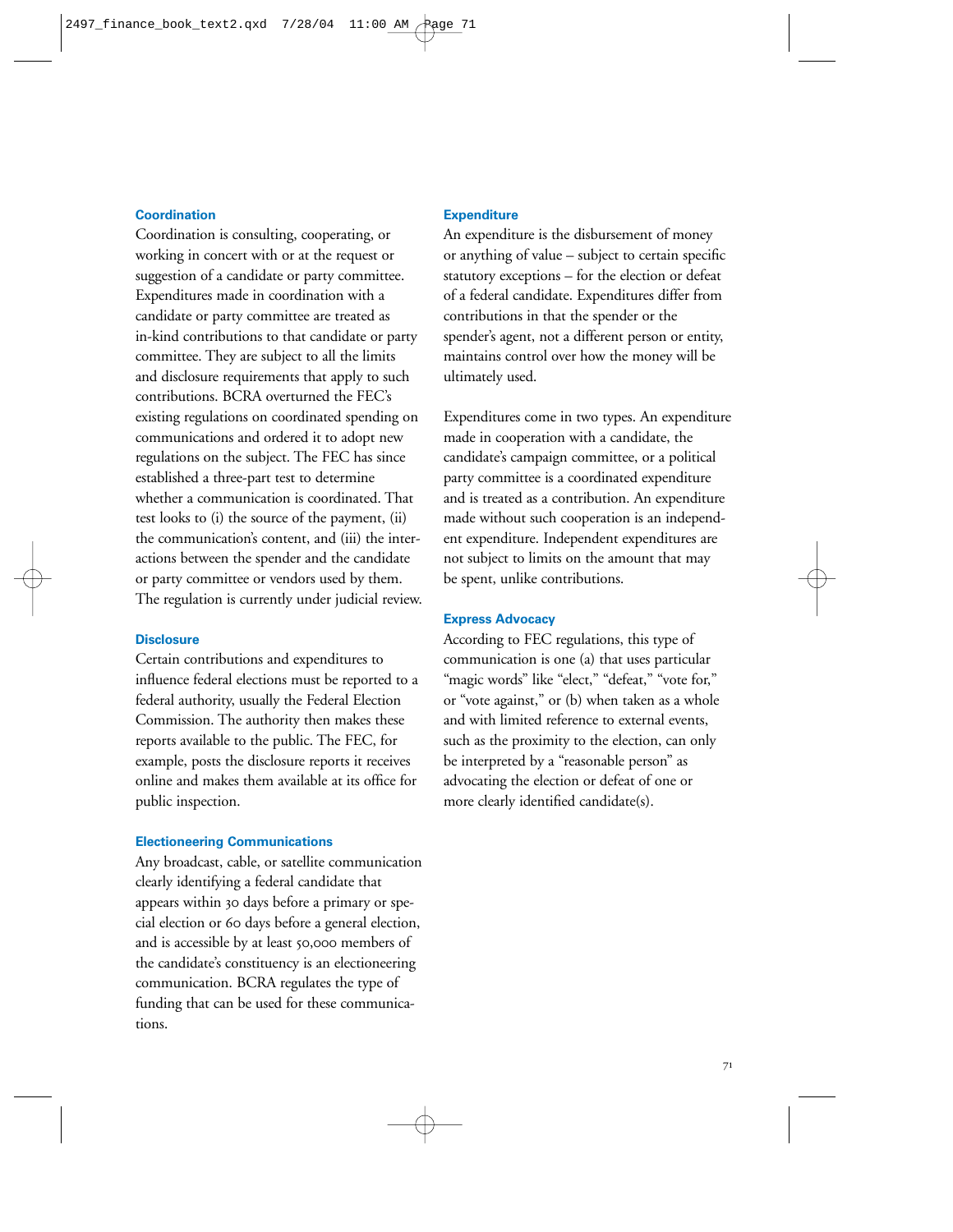# **Coordination**

Coordination is consulting, cooperating, or working in concert with or at the request or suggestion of a candidate or party committee. Expenditures made in coordination with a candidate or party committee are treated as in-kind contributions to that candidate or party committee. They are subject to all the limits and disclosure requirements that apply to such contributions. BCRA overturned the FEC's existing regulations on coordinated spending on communications and ordered it to adopt new regulations on the subject. The FEC has since established a three-part test to determine whether a communication is coordinated. That test looks to (i) the source of the payment, (ii) the communication's content, and (iii) the interactions between the spender and the candidate or party committee or vendors used by them. The regulation is currently under judicial review.

# **Disclosure**

Certain contributions and expenditures to influence federal elections must be reported to a federal authority, usually the Federal Election Commission. The authority then makes these reports available to the public. The FEC, for example, posts the disclosure reports it receives online and makes them available at its office for public inspection.

# **Electioneering Communications**

Any broadcast, cable, or satellite communication clearly identifying a federal candidate that appears within 30 days before a primary or special election or 60 days before a general election, and is accessible by at least 50,000 members of the candidate's constituency is an electioneering communication. BCRA regulates the type of funding that can be used for these communications.

#### **Expenditure**

An expenditure is the disbursement of money or anything of value – subject to certain specific statutory exceptions – for the election or defeat of a federal candidate. Expenditures differ from contributions in that the spender or the spender's agent, not a different person or entity, maintains control over how the money will be ultimately used.

Expenditures come in two types. An expenditure made in cooperation with a candidate, the candidate's campaign committee, or a political party committee is a coordinated expenditure and is treated as a contribution. An expenditure made without such cooperation is an independent expenditure. Independent expenditures are not subject to limits on the amount that may be spent, unlike contributions.

## **Express Advocacy**

According to FEC regulations, this type of communication is one (a) that uses particular "magic words" like "elect," "defeat," "vote for," or "vote against," or (b) when taken as a whole and with limited reference to external events, such as the proximity to the election, can only be interpreted by a "reasonable person" as advocating the election or defeat of one or more clearly identified candidate(s).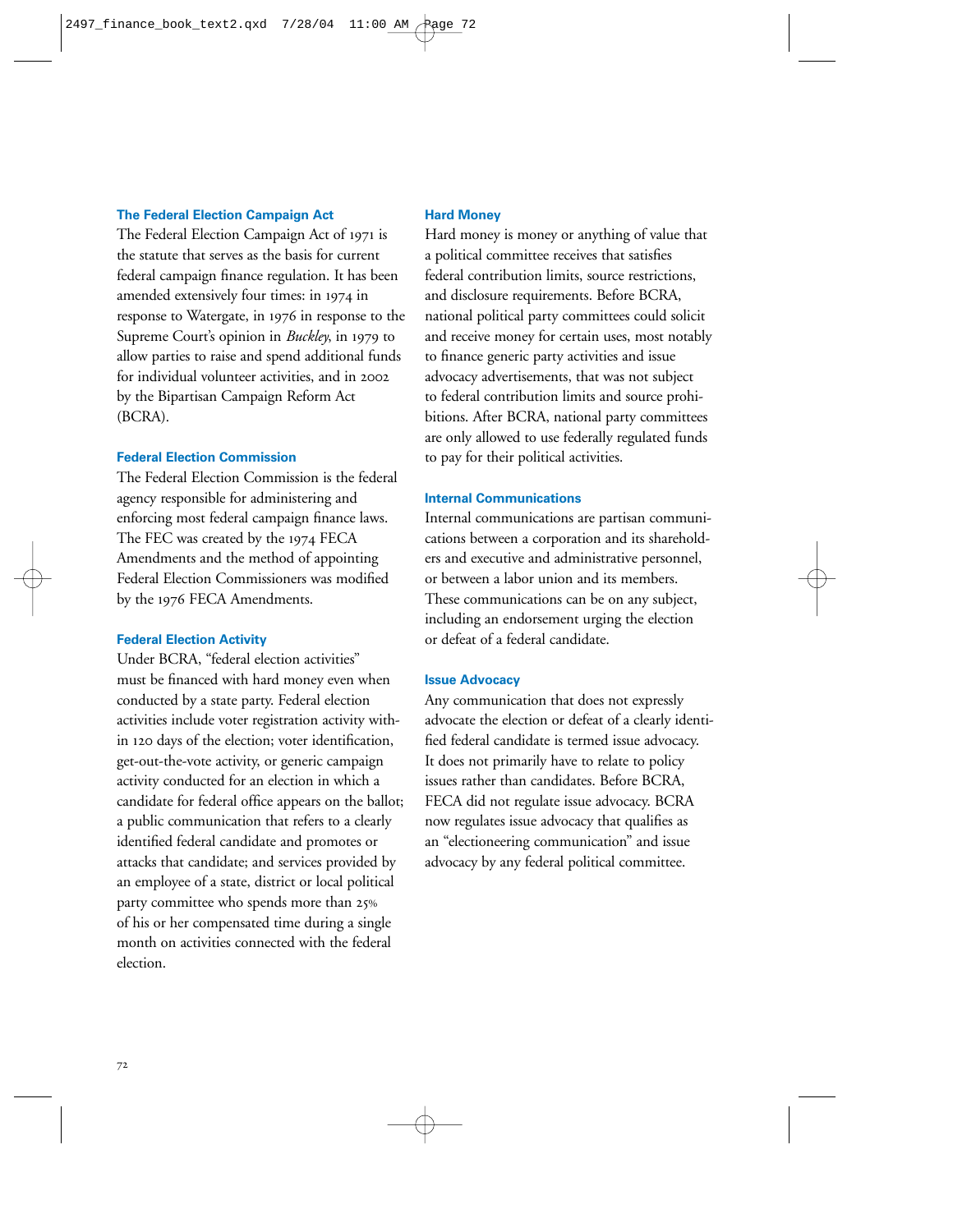## **The Federal Election Campaign Act**

The Federal Election Campaign Act of **1<sup>1</sup>** is the statute that serves as the basis for current federal campaign finance regulation. It has been amended extensively four times: in 1974 in response to Watergate, in 1976 in response to the Supreme Court's opinion in *Buckley*, in 1979 to allow parties to raise and spend additional funds for individual volunteer activities, and in by the Bipartisan Campaign Reform Act (BCRA).

## **Federal Election Commission**

The Federal Election Commission is the federal agency responsible for administering and enforcing most federal campaign finance laws. The FEC was created by the **1974 FECA** Amendments and the method of appointing Federal Election Commissioners was modified by the 1976 FECA Amendments.

# **Federal Election Activity**

Under BCRA, "federal election activities" must be financed with hard money even when conducted by a state party. Federal election activities include voter registration activity within 120 days of the election; voter identification, get-out-the-vote activity, or generic campaign activity conducted for an election in which a candidate for federal office appears on the ballot; a public communication that refers to a clearly identified federal candidate and promotes or attacks that candidate; and services provided by an employee of a state, district or local political party committee who spends more than 25% of his or her compensated time during a single month on activities connected with the federal election.

## **Hard Money**

Hard money is money or anything of value that a political committee receives that satisfies federal contribution limits, source restrictions, and disclosure requirements. Before BCRA, national political party committees could solicit and receive money for certain uses, most notably to finance generic party activities and issue advocacy advertisements, that was not subject to federal contribution limits and source prohibitions. After BCRA, national party committees are only allowed to use federally regulated funds to pay for their political activities.

## **Internal Communications**

Internal communications are partisan communications between a corporation and its shareholders and executive and administrative personnel, or between a labor union and its members. These communications can be on any subject, including an endorsement urging the election or defeat of a federal candidate.

## **Issue Advocacy**

Any communication that does not expressly advocate the election or defeat of a clearly identified federal candidate is termed issue advocacy. It does not primarily have to relate to policy issues rather than candidates. Before BCRA, FECA did not regulate issue advocacy. BCRA now regulates issue advocacy that qualifies as an "electioneering communication" and issue advocacy by any federal political committee.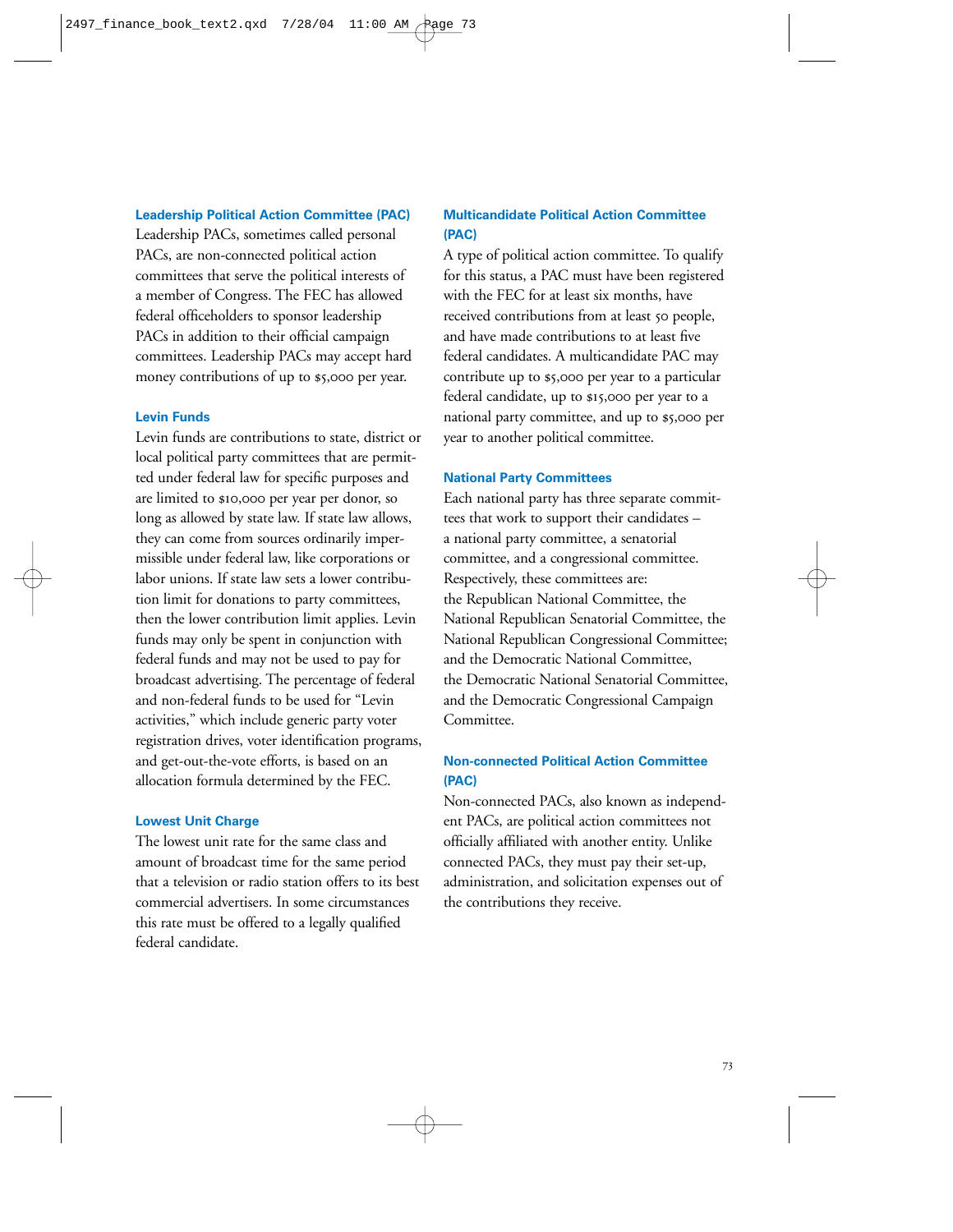## **Leadership Political Action Committee (PAC)**

Leadership PACs, sometimes called personal PACs, are non-connected political action committees that serve the political interests of a member of Congress. The FEC has allowed federal officeholders to sponsor leadership PACs in addition to their official campaign committees. Leadership PACs may accept hard money contributions of up to \$5,000 per year.

# **Levin Funds**

Levin funds are contributions to state, district or local political party committees that are permitted under federal law for specific purposes and are limited to \$10,000 per year per donor, so long as allowed by state law. If state law allows, they can come from sources ordinarily impermissible under federal law, like corporations or labor unions. If state law sets a lower contribution limit for donations to party committees, then the lower contribution limit applies. Levin funds may only be spent in conjunction with federal funds and may not be used to pay for broadcast advertising. The percentage of federal and non-federal funds to be used for "Levin activities," which include generic party voter registration drives, voter identification programs, and get-out-the-vote efforts, is based on an allocation formula determined by the FEC.

# **Lowest Unit Charge**

The lowest unit rate for the same class and amount of broadcast time for the same period that a television or radio station offers to its best commercial advertisers. In some circumstances this rate must be offered to a legally qualified federal candidate.

# **Multicandidate Political Action Committee (PAC)**

A type of political action committee. To qualify for this status, a PAC must have been registered with the FEC for at least six months, have received contributions from at least 50 people, and have made contributions to at least five federal candidates. A multicandidate PAC may contribute up to \$5,000 per year to a particular federal candidate, up to \$15,000 per year to a national party committee, and up to \$5,000 per year to another political committee.

## **National Party Committees**

Each national party has three separate committees that work to support their candidates – a national party committee, a senatorial committee, and a congressional committee. Respectively, these committees are: the Republican National Committee, the National Republican Senatorial Committee, the National Republican Congressional Committee; and the Democratic National Committee, the Democratic National Senatorial Committee, and the Democratic Congressional Campaign Committee.

# **Non-connected Political Action Committee (PAC)**

Non-connected PACs, also known as independent PACs, are political action committees not officially affiliated with another entity. Unlike connected PACs, they must pay their set-up, administration, and solicitation expenses out of the contributions they receive.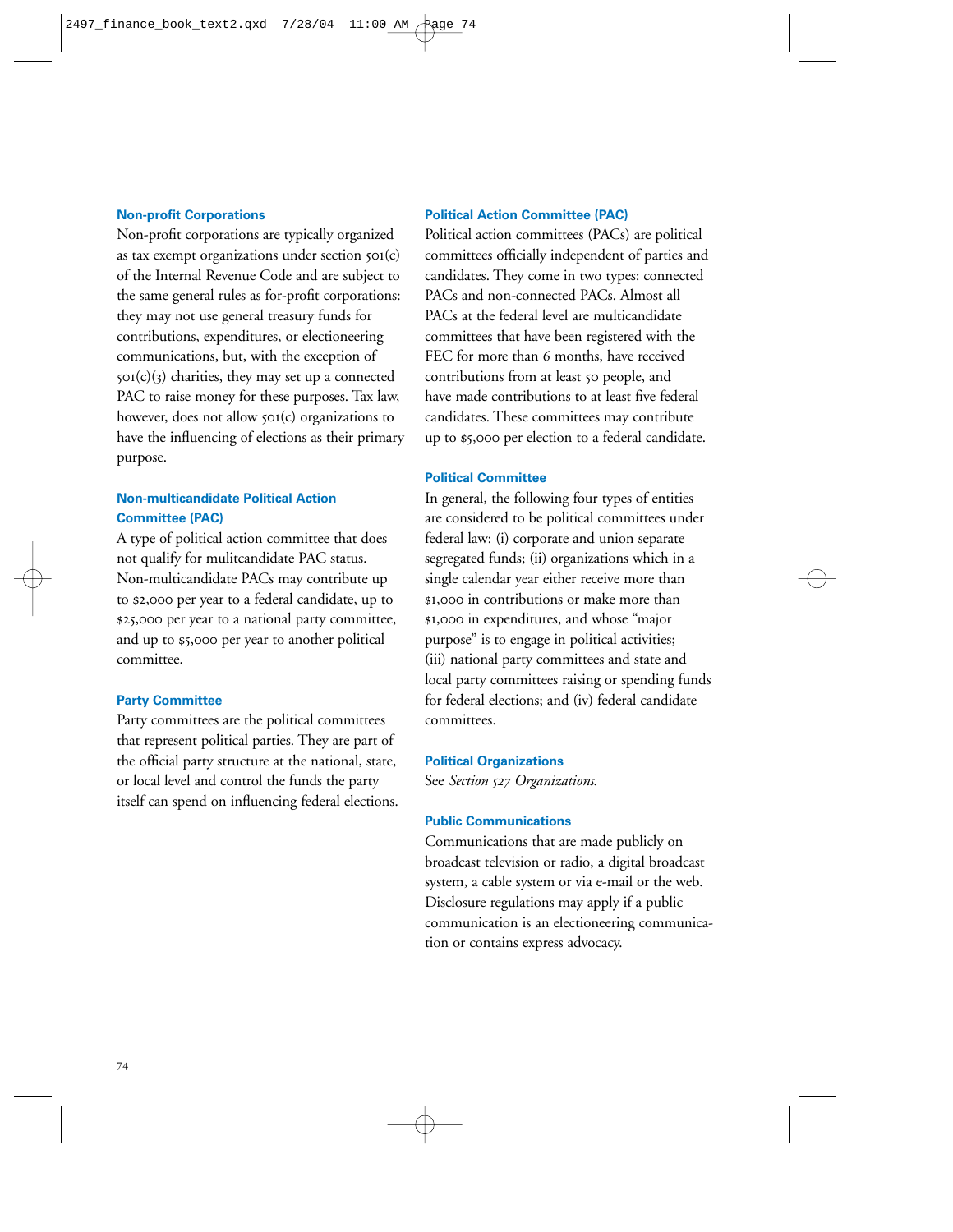## **Non-profit Corporations**

Non-profit corporations are typically organized as tax exempt organizations under section  $\zeta$ <sup>o1</sup>(c) of the Internal Revenue Code and are subject to the same general rules as for-profit corporations: they may not use general treasury funds for contributions, expenditures, or electioneering communications, but, with the exception of  $501(c)(3)$  charities, they may set up a connected PAC to raise money for these purposes. Tax law, however, does not allow 501(c) organizations to have the influencing of elections as their primary purpose.

# **Non-multicandidate Political Action Committee (PAC)**

A type of political action committee that does not qualify for mulitcandidate PAC status. Non-multicandidate PACs may contribute up to \$2,000 per year to a federal candidate, up to \$25,000 per year to a national party committee, and up to \$5,000 per year to another political committee.

## **Party Committee**

Party committees are the political committees that represent political parties. They are part of the official party structure at the national, state, or local level and control the funds the party itself can spend on influencing federal elections.

# **Political Action Committee (PAC)**

Political action committees (PACs) are political committees officially independent of parties and candidates. They come in two types: connected PACs and non-connected PACs. Almost all PACs at the federal level are multicandidate committees that have been registered with the FEC for more than 6 months, have received contributions from at least 50 people, and have made contributions to at least five federal candidates. These committees may contribute up to \$5,000 per election to a federal candidate.

## **Political Committee**

In general, the following four types of entities are considered to be political committees under federal law: (i) corporate and union separate segregated funds; (ii) organizations which in a single calendar year either receive more than \$1,000 in contributions or make more than  $$1,000$  in expenditures, and whose "major purpose" is to engage in political activities; (iii) national party committees and state and local party committees raising or spending funds for federal elections; and (iv) federal candidate committees.

# **Political Organizations** See *Section Organizations*.

#### **Public Communications**

Communications that are made publicly on broadcast television or radio, a digital broadcast system, a cable system or via e-mail or the web. Disclosure regulations may apply if a public communication is an electioneering communication or contains express advocacy.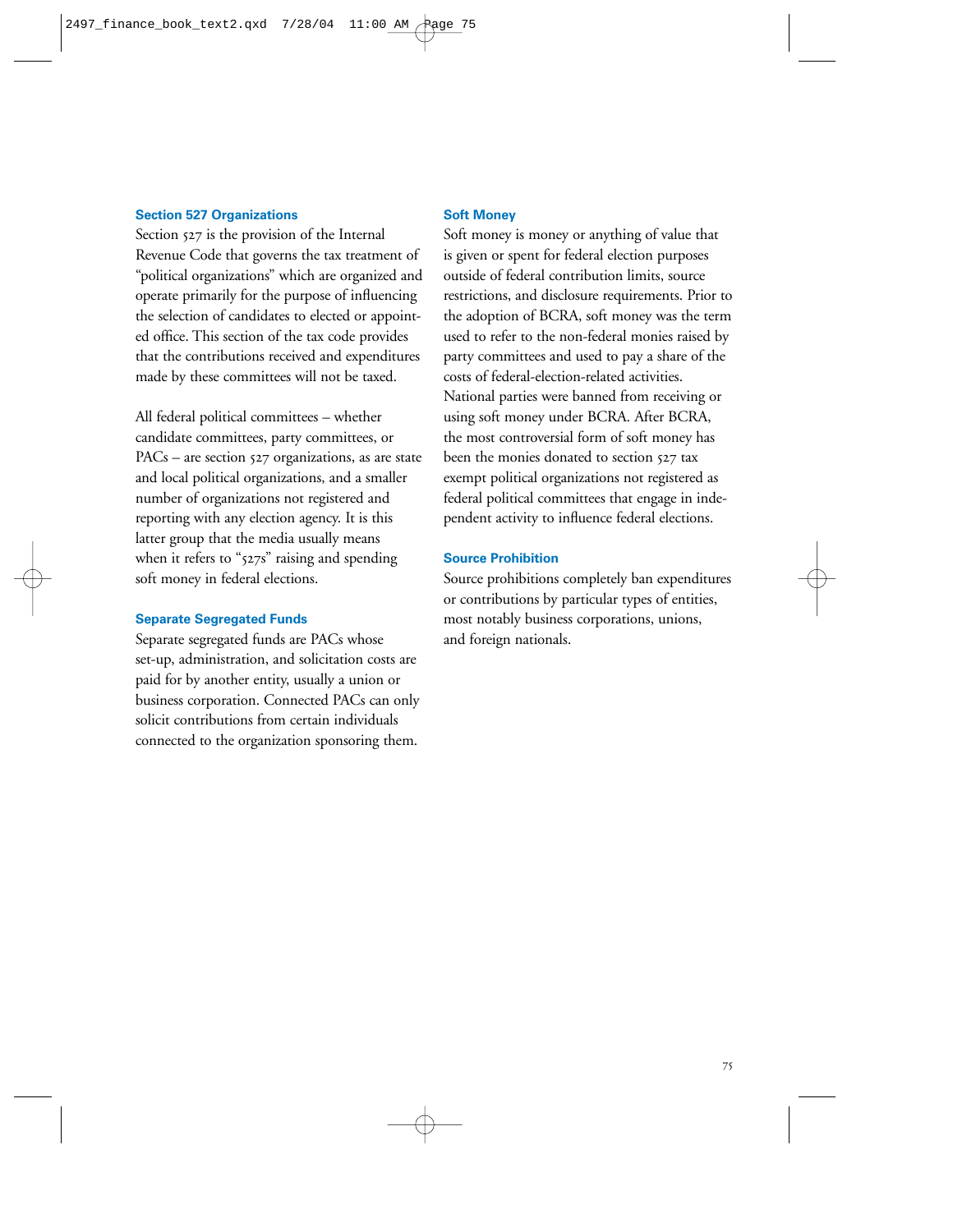## **Section 527 Organizations**

Section 527 is the provision of the Internal Revenue Code that governs the tax treatment of "political organizations" which are organized and operate primarily for the purpose of influencing the selection of candidates to elected or appointed office. This section of the tax code provides that the contributions received and expenditures made by these committees will not be taxed.

All federal political committees – whether candidate committees, party committees, or  $PACs$  – are section  $527$  organizations, as are state and local political organizations, and a smaller number of organizations not registered and reporting with any election agency. It is this latter group that the media usually means when it refers to " $527s$ " raising and spending soft money in federal elections.

# **Separate Segregated Funds**

Separate segregated funds are PACs whose set-up, administration, and solicitation costs are paid for by another entity, usually a union or business corporation. Connected PACs can only solicit contributions from certain individuals connected to the organization sponsoring them.

# **Soft Money**

Soft money is money or anything of value that is given or spent for federal election purposes outside of federal contribution limits, source restrictions, and disclosure requirements. Prior to the adoption of BCRA, soft money was the term used to refer to the non-federal monies raised by party committees and used to pay a share of the costs of federal-election-related activities. National parties were banned from receiving or using soft money under BCRA. After BCRA, the most controversial form of soft money has been the monies donated to section 527 tax exempt political organizations not registered as federal political committees that engage in independent activity to influence federal elections.

## **Source Prohibition**

Source prohibitions completely ban expenditures or contributions by particular types of entities, most notably business corporations, unions, and foreign nationals.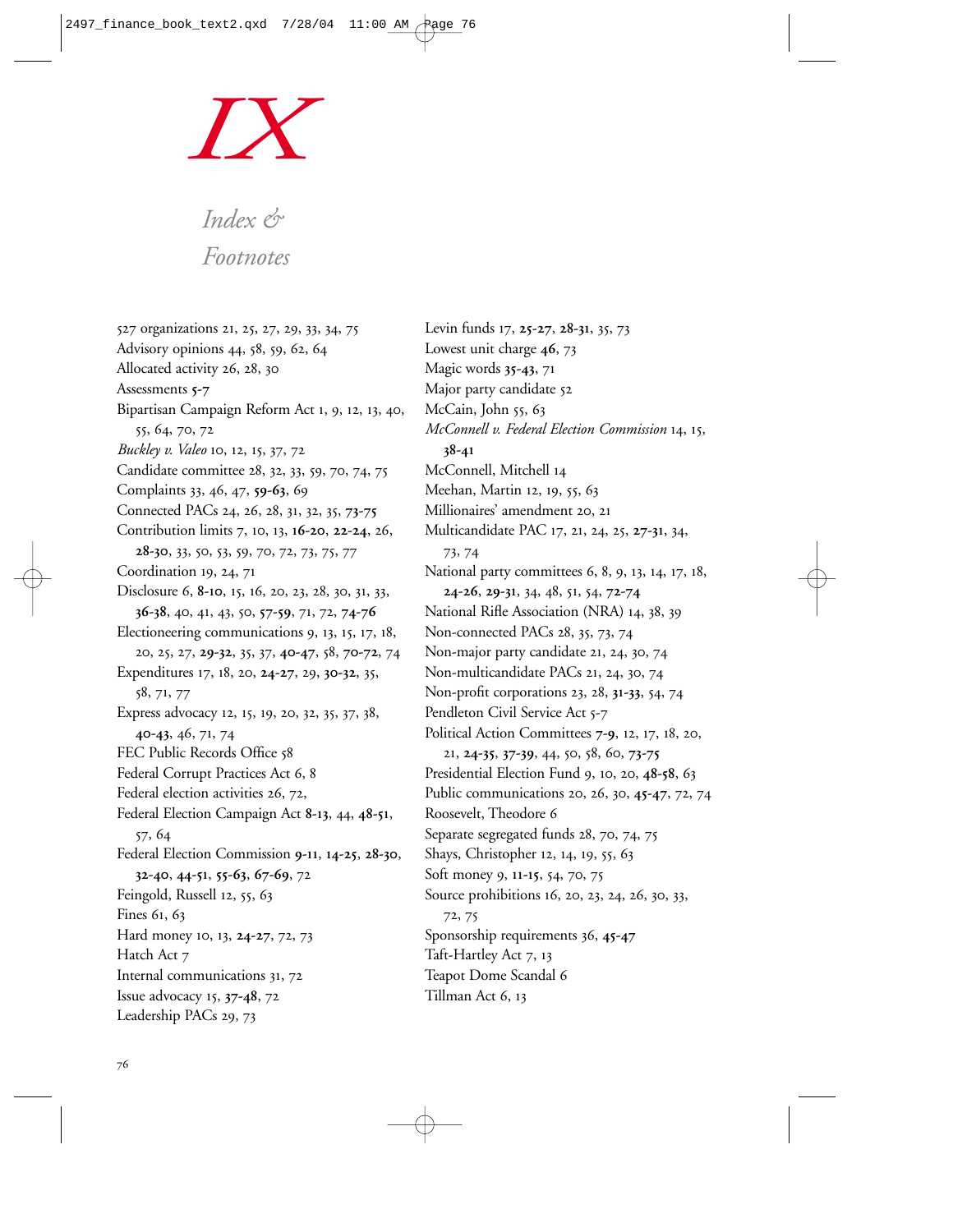

# *Index & Footnotes*

527 organizations 21, 25, 27, 29, 33, 34, 75 Advisory opinions 44, 58, 59, 62, 64 Allocated activity 26, 28, 30 Assessments 5-7 Bipartisan Campaign Reform Act 1, 9, 12, 13, 40, 55, 64, 70, 72 *Buckley v. Valeo* 10, 12, 15, 37, 72 Candidate committee 28, 32, 33, 59, 70, 74, 75 Complaints 33, 46, 47, 59-63, 69 Connected PACs 24, 26, 28, 31, 32, 35, 73-75 Contribution limits 7, 10, 13, 16-20, 22-24, 26, **28-30**, 33, 50, 53, 59, 70, 72, 73, 75, 77 Coordination 19, 24, 71 Disclosure 6, 8-10, 15, 16, 20, 23, 28, 30, 31, 33, **36-38**, 40, 41, 43, 50, 57-59, 71, 72, 74-76 Electioneering communications 9, 13, 15, 17, 18, 20, 25, 27, 29-32, 35, 37, 40-47, 58, 70-72, 74 Expenditures 17, 18, 20, 24-27, 29, 30-32, 35, 58, 71, 77 Express advocacy 12, 15, 19, 20, 32, 35, 37, 38, **40-43**, 46, 71, 74 FEC Public Records Office 58 Federal Corrupt Practices Act 6, 8 Federal election activities 26, 72, Federal Election Campaign Act 8-13, 44, 48-51, 57, 64 Federal Election Commission 9-11, 14-25, 28-30, **32-40, 44-51, 55-63, 67-69, 72** Feingold, Russell 12, 55, 63 Fines 61, 63 Hard money 10, 13, 24-27, 72, 73 Hatch Act 7 Internal communications 31, 72 Issue advocacy 15, 37-48, 72 Leadership PACs 29, 73

Levin funds 17, 25-27, 28-31, 35, 73 Lowest unit charge  $46, 73$ Magic words **35-43**, 71 Major party candidate 52 McCain, John 55, 63 *McConnell v. Federal Election Commission* **<sup>1</sup>**, **1**, **-<sup>1</sup>** McConnell, Mitchell **<sup>1</sup>** Meehan, Martin 12, 19, 55, 63 Millionaires' amendment 20, 21 Multicandidate PAC 17, 21, 24, 25, 27-31, 34, 73, 74 National party committees 6, 8, 9, 13, 14, 17, 18, **24-26, 29-31, 34, 48, 51, 54, 72-74** National Rifle Association (NRA) 14, 38, 39 Non-connected PACs 28, 35, 73, 74 Non-major party candidate 21, 24, 30, 74 Non-multicandidate PACs 21, 24, 30, 74 Non-profit corporations 23, 28, 31-33, 54, 74 Pendleton Civil Service Act 5-7 Political Action Committees 7-9, 12, 17, 18, 20, **21, 24-35, 37-39, 44, 50, 58, 60, 73-75** Presidential Election Fund 9, 10, 20, 48-58, 63 Public communications 20, 26, 30, 45-47, 72, 74 Roosevelt, Theodore Separate segregated funds 28, 70, 74, 75 Shays, Christopher 12, 14, 19, 55, 63 Soft money 9, 11-15, 54, 70, 75 Source prohibitions 16, 20, 23, 24, 26, 30, 33, 72, 75 Sponsorship requirements 36, 45-47 Taft-Hartley Act 7, 13 Teapot Dome Scandal Tillman Act 6, 13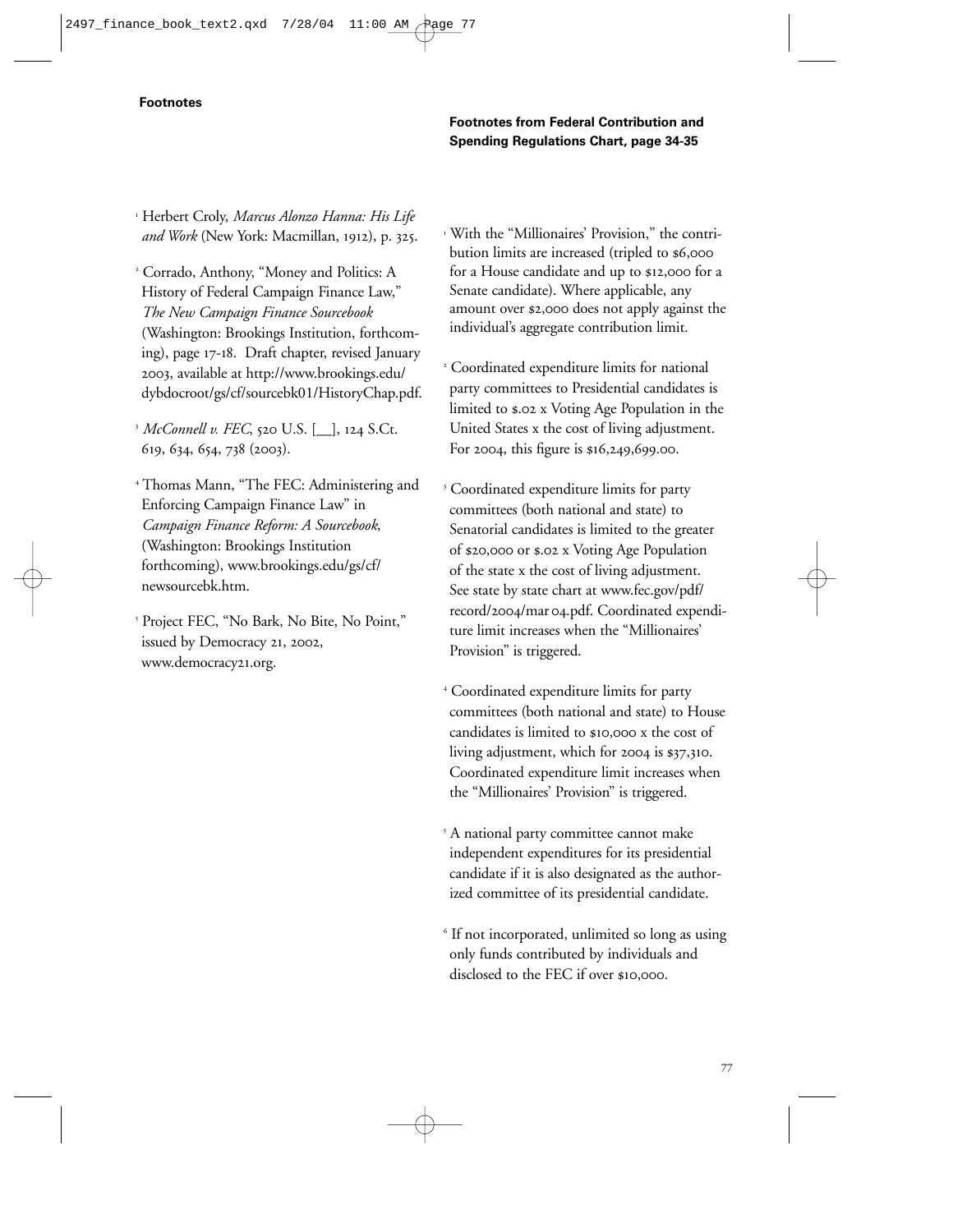# **Footnotes**

- **<sup>1</sup>** Herbert Croly, *Marcus Alonzo Hanna: His Life and Work* (New York: Macmillan, 1912), p. 325.
- Corrado, Anthony, "Money and Politics: A History of Federal Campaign Finance Law," *The New Campaign Finance Sourcebook* (Washington: Brookings Institution, forthcoming), page **1**-**1**. Draft chapter, revised January , available at http://www.brookings.edu/ dybdocroot/gs/cf/sourcebk01/HistoryChap.pdf.
- *McConnell v. FEC*, 520 U.S. [*\_\_*], 124 S.Ct. 619, 634, 654, 738 (2003).
- Thomas Mann, "The FEC: Administering and Enforcing Campaign Finance Law" in *Campaign Finance Reform: A Sourcebook*, (Washington: Brookings Institution forthcoming), www.brookings.edu/gs/cf/ newsourcebk.htm.
- Project FEC, "No Bark, No Bite, No Point," issued by Democracy 21, 2002, www.democracy**1**.org.
- **<sup>1</sup>** With the "Millionaires' Provision," the contribution limits are increased (tripled to \$6,000 for a House candidate and up to \$12,000 for a Senate candidate). Where applicable, any amount over \$2,000 does not apply against the individual's aggregate contribution limit.
- Coordinated expenditure limits for national party committees to Presidential candidates is limited to \$.02 x Voting Age Population in the United States x the cost of living adjustment. For 2004, this figure is \$16,249,699.00.
- Coordinated expenditure limits for party committees (both national and state) to Senatorial candidates is limited to the greater of \$20,000 or \$.02 x Voting Age Population of the state x the cost of living adjustment. See state by state chart at www.fec.gov/pdf/ record/2004/mar 04.pdf. Coordinated expenditure limit increases when the "Millionaires' Provision" is triggered.
- Coordinated expenditure limits for party committees (both national and state) to House candidates is limited to \$10,000 x the cost of living adjustment, which for 2004 is \$37,310. Coordinated expenditure limit increases when the "Millionaires' Provision" is triggered.
- A national party committee cannot make independent expenditures for its presidential candidate if it is also designated as the authorized committee of its presidential candidate.
- <sup>6</sup> If not incorporated, unlimited so long as using only funds contributed by individuals and disclosed to the FEC if over \$10,000.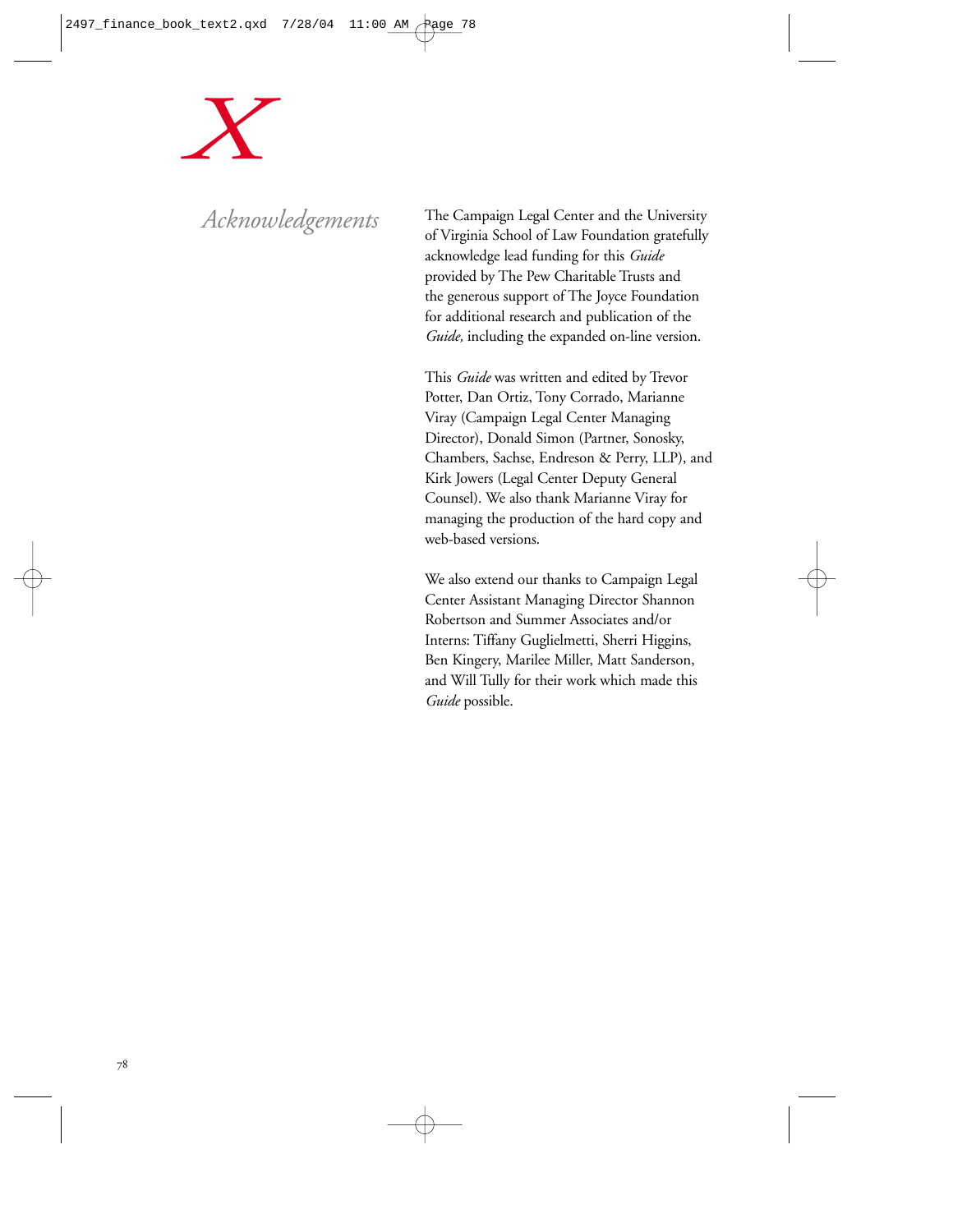

*Acknowledgements*

The Campaign Legal Center and the University of Virginia School of Law Foundation gratefully acknowledge lead funding for this *Guide* provided by The Pew Charitable Trusts and the generous support of The Joyce Foundation for additional research and publication of the *Guide,* including the expanded on-line version.

This *Guide* was written and edited by Trevor Potter, Dan Ortiz, Tony Corrado, Marianne Viray (Campaign Legal Center Managing Director), Donald Simon (Partner, Sonosky, Chambers, Sachse, Endreson & Perry, LLP), and Kirk Jowers (Legal Center Deputy General Counsel). We also thank Marianne Viray for managing the production of the hard copy and web-based versions.

We also extend our thanks to Campaign Legal Center Assistant Managing Director Shannon Robertson and Summer Associates and/or Interns: Tiffany Guglielmetti, Sherri Higgins, Ben Kingery, Marilee Miller, Matt Sanderson, and Will Tully for their work which made this *Guide* possible.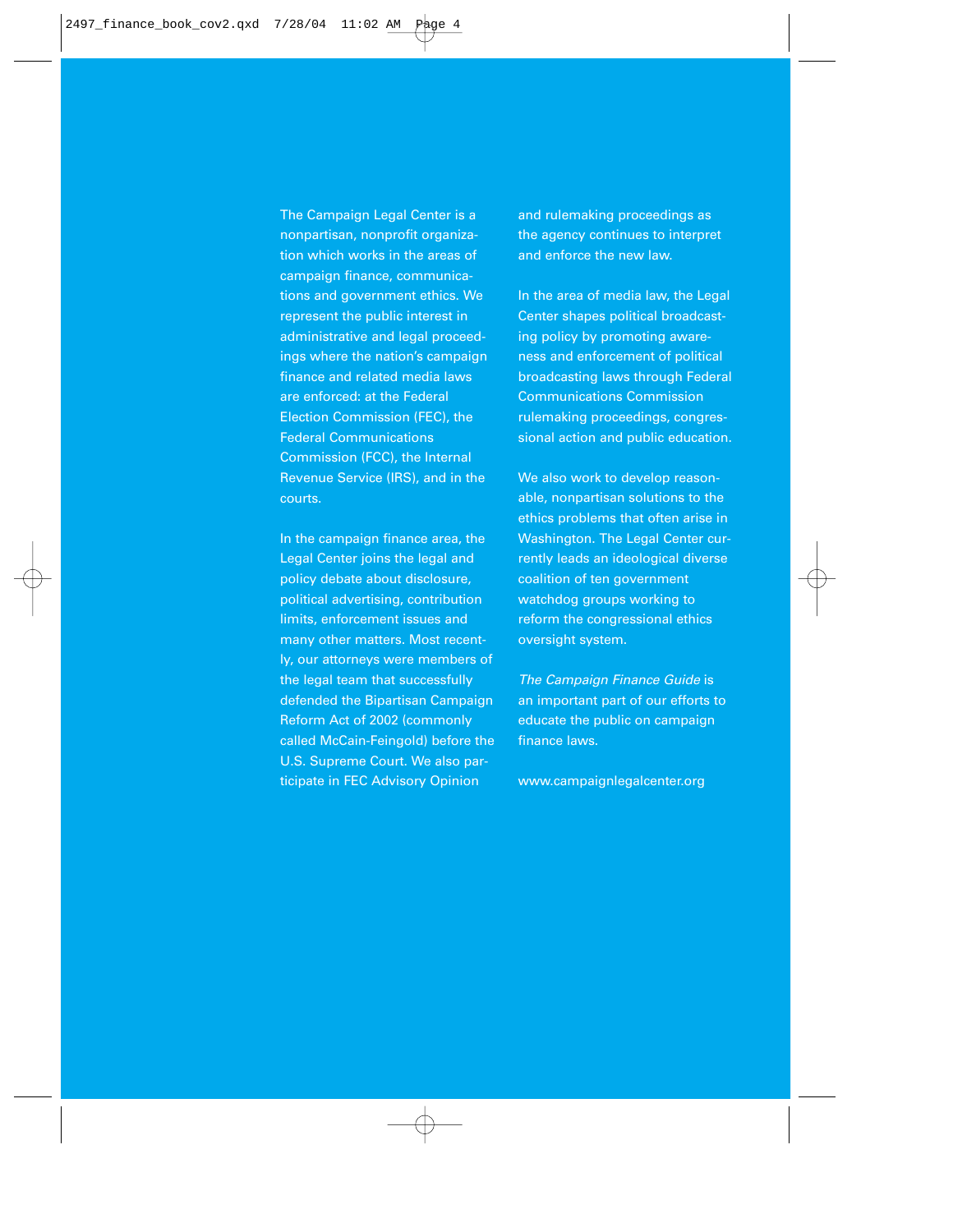The Campaign Legal Center is a nonpartisan, nonprofit organization which works in the areas of campaign finance, communications and government ethics. We represent the public interest in administrative and legal proceedings where the nation's campaign finance and related media laws are enforced: at the Federal Election Commission (FEC), the Federal Communications Commission (FCC), the Internal Revenue Service (IRS), and in the courts.

In the campaign finance area, the Legal Center joins the legal and policy debate about disclosure, political advertising, contribution limits, enforcement issues and many other matters. Most recently, our attorneys were members of the legal team that successfully defended the Bipartisan Campaign Reform Act of 2002 (commonly called McCain-Feingold) before the U.S. Supreme Court. We also participate in FEC Advisory Opinion

and rulemaking proceedings as the agency continues to interpret and enforce the new law.

In the area of media law, the Legal Center shapes political broadcasting policy by promoting awareness and enforcement of political broadcasting laws through Federal Communications Commission rulemaking proceedings, congressional action and public education.

We also work to develop reasonable, nonpartisan solutions to the ethics problems that often arise in Washington. The Legal Center currently leads an ideological diverse coalition of ten government watchdog groups working to reform the congressional ethics oversight system.

*The Campaign Finance Guide* is an important part of our efforts to educate the public on campaign finance laws.

www.campaignlegalcenter.org